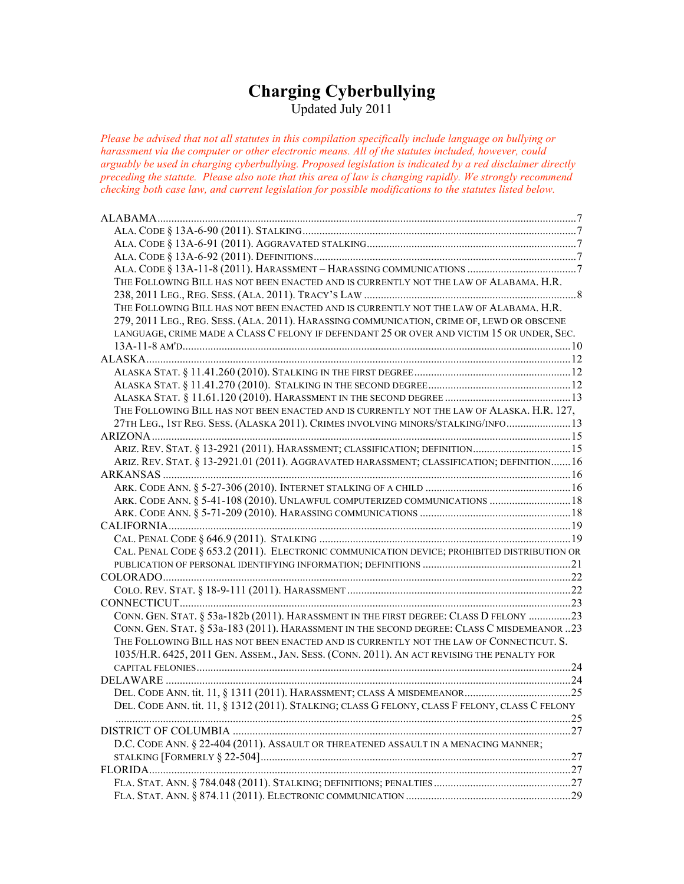## **Charging Cyberbullying** Updated July 2011

*Please be advised that not all statutes in this compilation specifically include language on bullying or harassment via the computer or other electronic means. All of the statutes included, however, could arguably be used in charging cyberbullying. Proposed legislation is indicated by a red disclaimer directly preceding the statute. Please also note that this area of law is changing rapidly. We strongly recommend checking both case law, and current legislation for possible modifications to the statutes listed below.*

| THE FOLLOWING BILL HAS NOT BEEN ENACTED AND IS CURRENTLY NOT THE LAW OF ALABAMA. H.R.           |  |
|-------------------------------------------------------------------------------------------------|--|
|                                                                                                 |  |
| THE FOLLOWING BILL HAS NOT BEEN ENACTED AND IS CURRENTLY NOT THE LAW OF ALABAMA. H.R.           |  |
| 279, 2011 LEG., REG. SESS. (ALA. 2011). HARASSING COMMUNICATION, CRIME OF, LEWD OR OBSCENE      |  |
| LANGUAGE, CRIME MADE A CLASS C FELONY IF DEFENDANT 25 OR OVER AND VICTIM 15 OR UNDER, SEC.      |  |
|                                                                                                 |  |
|                                                                                                 |  |
|                                                                                                 |  |
|                                                                                                 |  |
|                                                                                                 |  |
| THE FOLLOWING BILL HAS NOT BEEN ENACTED AND IS CURRENTLY NOT THE LAW OF ALASKA. H.R. 127,       |  |
| 27TH LEG., 1ST REG. SESS. (ALASKA 2011). CRIMES INVOLVING MINORS/STALKING/INFO 13               |  |
|                                                                                                 |  |
| ARIZ. REV. STAT. § 13-2921 (2011). HARASSMENT; CLASSIFICATION; DEFINITION 15                    |  |
| ARIZ. REV. STAT. § 13-2921.01 (2011). AGGRAVATED HARASSMENT; CLASSIFICATION; DEFINITION 16      |  |
|                                                                                                 |  |
|                                                                                                 |  |
| ARK. CODE ANN. § 5-41-108 (2010). UNLAWFUL COMPUTERIZED COMMUNICATIONS  18                      |  |
|                                                                                                 |  |
|                                                                                                 |  |
|                                                                                                 |  |
| CAL. PENAL CODE § 653.2 (2011). ELECTRONIC COMMUNICATION DEVICE; PROHIBITED DISTRIBUTION OR     |  |
|                                                                                                 |  |
|                                                                                                 |  |
|                                                                                                 |  |
|                                                                                                 |  |
| CONN. GEN. STAT. § 53a-182b (2011). HARASSMENT IN THE FIRST DEGREE: CLASS D FELONY 23           |  |
| CONN. GEN. STAT. § 53a-183 (2011). HARASSMENT IN THE SECOND DEGREE: CLASS C MISDEMEANOR 23      |  |
| THE FOLLOWING BILL HAS NOT BEEN ENACTED AND IS CURRENTLY NOT THE LAW OF CONNECTICUT. S.         |  |
| 1035/H.R. 6425, 2011 GEN. ASSEM., JAN. SESS. (CONN. 2011). AN ACT REVISING THE PENALTY FOR      |  |
|                                                                                                 |  |
|                                                                                                 |  |
|                                                                                                 |  |
| DEL. CODE ANN. tit. 11, § 1312 (2011). STALKING; CLASS G FELONY, CLASS F FELONY, CLASS C FELONY |  |
|                                                                                                 |  |
|                                                                                                 |  |
| D.C. CODE ANN. § 22-404 (2011). ASSAULT OR THREATENED ASSAULT IN A MENACING MANNER;             |  |
|                                                                                                 |  |
|                                                                                                 |  |
|                                                                                                 |  |
|                                                                                                 |  |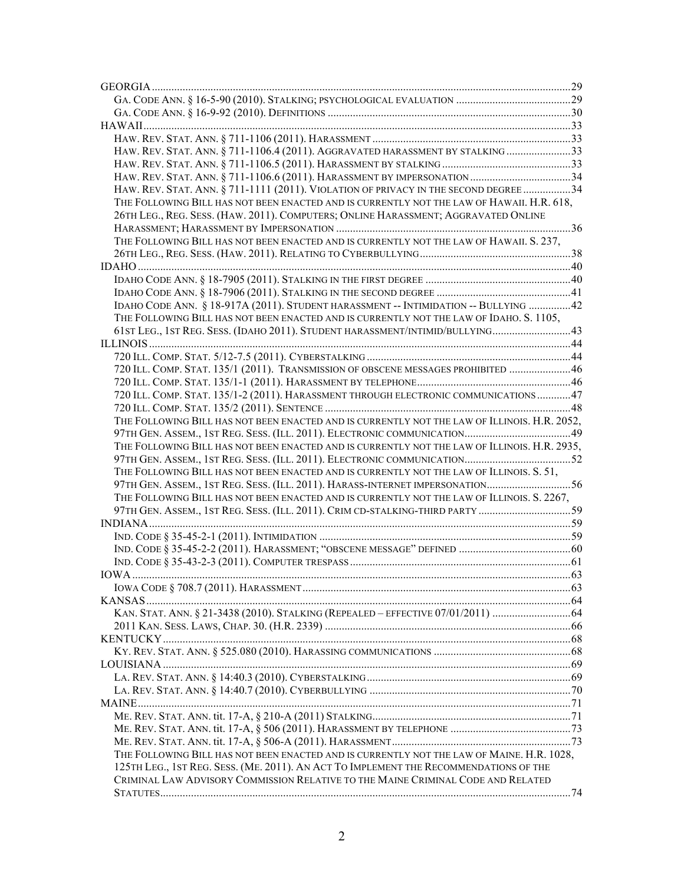| HAW. REV. STAT. ANN. § 711-1106.4 (2011). AGGRAVATED HARASSMENT BY STALKING 33               |  |
|----------------------------------------------------------------------------------------------|--|
|                                                                                              |  |
|                                                                                              |  |
| HAW. REV. STAT. ANN. § 711-1111 (2011). VIOLATION OF PRIVACY IN THE SECOND DEGREE 34         |  |
| THE FOLLOWING BILL HAS NOT BEEN ENACTED AND IS CURRENTLY NOT THE LAW OF HAWAII. H.R. 618,    |  |
| 26TH LEG., REG. SESS. (HAW. 2011). COMPUTERS; ONLINE HARASSMENT; AGGRAVATED ONLINE           |  |
|                                                                                              |  |
| THE FOLLOWING BILL HAS NOT BEEN ENACTED AND IS CURRENTLY NOT THE LAW OF HAWAII. S. 237,      |  |
|                                                                                              |  |
|                                                                                              |  |
|                                                                                              |  |
| IDAHO CODE ANN. § 18-917A (2011). STUDENT HARASSMENT -- INTIMIDATION -- BULLYING 42          |  |
| THE FOLLOWING BILL HAS NOT BEEN ENACTED AND IS CURRENTLY NOT THE LAW OF IDAHO. S. 1105,      |  |
| 61ST LEG., 1ST REG. SESS. (IDAHO 2011). STUDENT HARASSMENT/INTIMID/BULLYING43                |  |
|                                                                                              |  |
|                                                                                              |  |
| 720 ILL. COMP. STAT. 135/1 (2011). TRANSMISSION OF OBSCENE MESSAGES PROHIBITED  46           |  |
|                                                                                              |  |
| 720 ILL. COMP. STAT. 135/1-2 (2011). HARASSMENT THROUGH ELECTRONIC COMMUNICATIONS47          |  |
|                                                                                              |  |
| THE FOLLOWING BILL HAS NOT BEEN ENACTED AND IS CURRENTLY NOT THE LAW OF ILLINOIS. H.R. 2052, |  |
|                                                                                              |  |
| THE FOLLOWING BILL HAS NOT BEEN ENACTED AND IS CURRENTLY NOT THE LAW OF ILLINOIS. H.R. 2935, |  |
|                                                                                              |  |
| THE FOLLOWING BILL HAS NOT BEEN ENACTED AND IS CURRENTLY NOT THE LAW OF ILLINOIS. S. 51,     |  |
| 97TH GEN. ASSEM., 1ST REG. SESS. (ILL. 2011). HARASS-INTERNET IMPERSONATION 56               |  |
| THE FOLLOWING BILL HAS NOT BEEN ENACTED AND IS CURRENTLY NOT THE LAW OF ILLINOIS. S. 2267,   |  |
| 97TH GEN. ASSEM., 1ST REG. SESS. (ILL. 2011). CRIM CD-STALKING-THIRD PARTY  59               |  |
|                                                                                              |  |
|                                                                                              |  |
|                                                                                              |  |
|                                                                                              |  |
|                                                                                              |  |
|                                                                                              |  |
|                                                                                              |  |
| KAN. STAT. ANN. § 21-3438 (2010). STALKING (REPEALED - EFFECTIVE 07/01/2011)  64             |  |
|                                                                                              |  |
|                                                                                              |  |
|                                                                                              |  |
|                                                                                              |  |
|                                                                                              |  |
|                                                                                              |  |
|                                                                                              |  |
|                                                                                              |  |
|                                                                                              |  |
| THE FOLLOWING BILL HAS NOT BEEN ENACTED AND IS CURRENTLY NOT THE LAW OF MAINE. H.R. 1028,    |  |
| 125TH LEG., 1ST REG. SESS. (ME. 2011). AN ACT TO IMPLEMENT THE RECOMMENDATIONS OF THE        |  |
| CRIMINAL LAW ADVISORY COMMISSION RELATIVE TO THE MAINE CRIMINAL CODE AND RELATED             |  |
|                                                                                              |  |
|                                                                                              |  |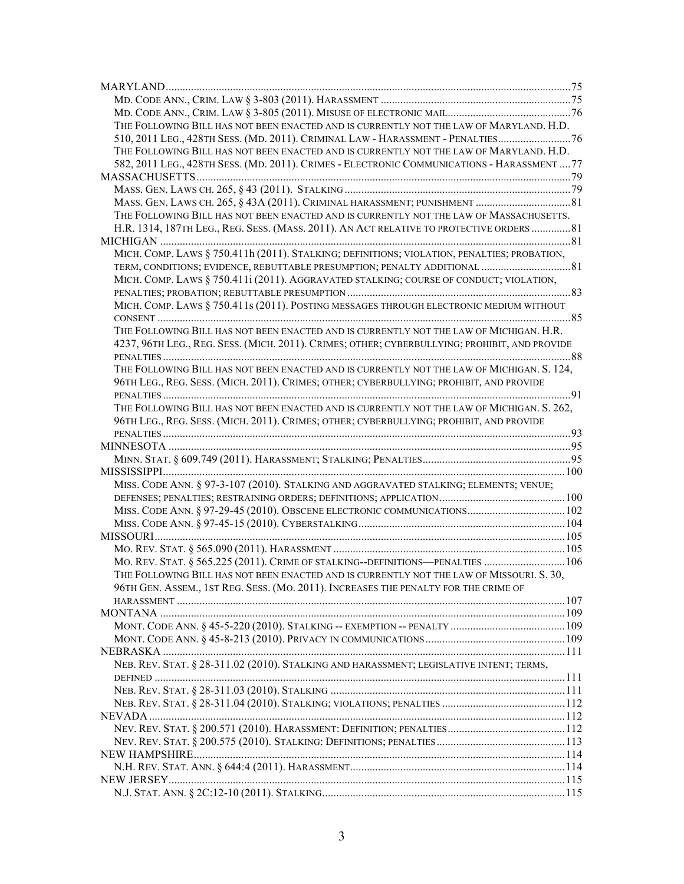| THE FOLLOWING BILL HAS NOT BEEN ENACTED AND IS CURRENTLY NOT THE LAW OF MARYLAND. H.D.        |  |
|-----------------------------------------------------------------------------------------------|--|
| 510, 2011 LEG., 428TH SESS. (MD. 2011). CRIMINAL LAW - HARASSMENT - PENALTIES 76              |  |
| THE FOLLOWING BILL HAS NOT BEEN ENACTED AND IS CURRENTLY NOT THE LAW OF MARYLAND. H.D.        |  |
| 582, 2011 LEG., 428TH SESS. (MD. 2011). CRIMES - ELECTRONIC COMMUNICATIONS - HARASSMENT  77   |  |
|                                                                                               |  |
|                                                                                               |  |
|                                                                                               |  |
| THE FOLLOWING BILL HAS NOT BEEN ENACTED AND IS CURRENTLY NOT THE LAW OF MASSACHUSETTS.        |  |
| H.R. 1314, 187TH LEG., REG. SESS. (MASS. 2011). AN ACT RELATIVE TO PROTECTIVE ORDERS  81      |  |
|                                                                                               |  |
| MICH. COMP. LAWS § 750.411h (2011). STALKING; DEFINITIONS; VIOLATION, PENALTIES; PROBATION,   |  |
|                                                                                               |  |
| MICH. COMP. LAWS § 750.411i (2011). AGGRAVATED STALKING; COURSE OF CONDUCT; VIOLATION,        |  |
|                                                                                               |  |
| MICH. COMP. LAWS § 750.411s (2011). POSTING MESSAGES THROUGH ELECTRONIC MEDIUM WITHOUT        |  |
|                                                                                               |  |
| THE FOLLOWING BILL HAS NOT BEEN ENACTED AND IS CURRENTLY NOT THE LAW OF MICHIGAN. H.R.        |  |
| 4237, 96TH LEG., REG. SESS. (MICH. 2011). CRIMES; OTHER; CYBERBULLYING; PROHIBIT, AND PROVIDE |  |
|                                                                                               |  |
| THE FOLLOWING BILL HAS NOT BEEN ENACTED AND IS CURRENTLY NOT THE LAW OF MICHIGAN. S. 124,     |  |
| 96TH LEG., REG. SESS. (MICH. 2011). CRIMES; OTHER; CYBERBULLYING; PROHIBIT, AND PROVIDE       |  |
|                                                                                               |  |
| THE FOLLOWING BILL HAS NOT BEEN ENACTED AND IS CURRENTLY NOT THE LAW OF MICHIGAN. S. 262,     |  |
| 96TH LEG., REG. SESS. (MICH. 2011). CRIMES; OTHER; CYBERBULLYING; PROHIBIT, AND PROVIDE       |  |
|                                                                                               |  |
|                                                                                               |  |
|                                                                                               |  |
|                                                                                               |  |
| MISS. CODE ANN. § 97-3-107 (2010). STALKING AND AGGRAVATED STALKING; ELEMENTS; VENUE;         |  |
|                                                                                               |  |
| MISS. CODE ANN. § 97-29-45 (2010). OBSCENE ELECTRONIC COMMUNICATIONS 102                      |  |
|                                                                                               |  |
|                                                                                               |  |
|                                                                                               |  |
| MO. REV. STAT. § 565.225 (2011). CRIME OF STALKING--DEFINITIONS-PENALTIES  106                |  |
| THE FOLLOWING BILL HAS NOT BEEN ENACTED AND IS CURRENTLY NOT THE LAW OF MISSOURI. S. 30,      |  |
| 96TH GEN. ASSEM., 1ST REG. SESS. (MO. 2011). INCREASES THE PENALTY FOR THE CRIME OF           |  |
|                                                                                               |  |
|                                                                                               |  |
|                                                                                               |  |
|                                                                                               |  |
|                                                                                               |  |
| NEB. REV. STAT. § 28-311.02 (2010). STALKING AND HARASSMENT; LEGISLATIVE INTENT; TERMS,       |  |
|                                                                                               |  |
|                                                                                               |  |
|                                                                                               |  |
|                                                                                               |  |
|                                                                                               |  |
|                                                                                               |  |
|                                                                                               |  |
|                                                                                               |  |
|                                                                                               |  |
|                                                                                               |  |
|                                                                                               |  |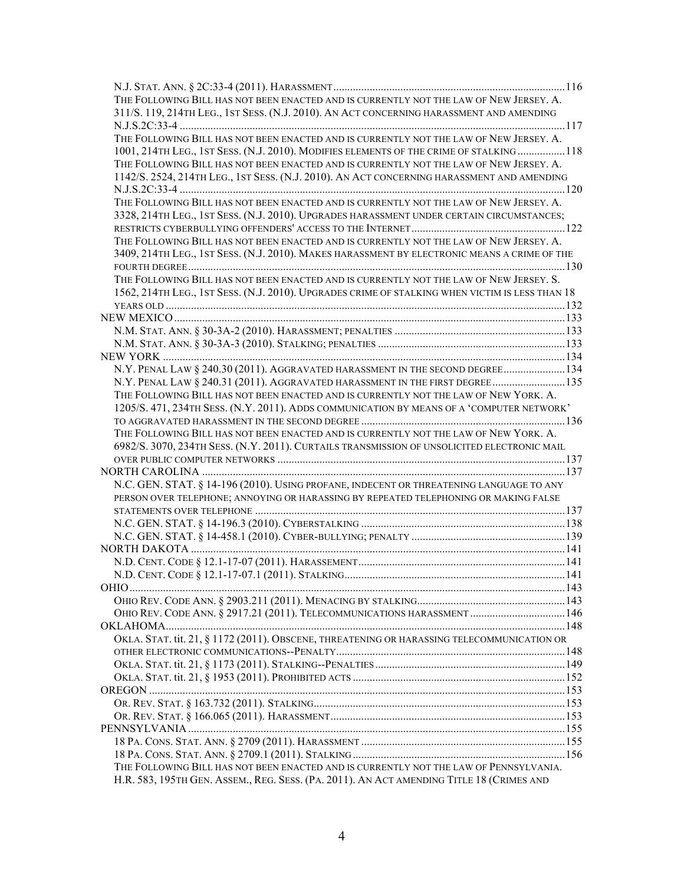| THE FOLLOWING BILL HAS NOT BEEN ENACTED AND IS CURRENTLY NOT THE LAW OF NEW JERSEY. A.          |  |
|-------------------------------------------------------------------------------------------------|--|
| 311/S. 119, 214TH LEG., 1ST SESS. (N.J. 2010). AN ACT CONCERNING HARASSMENT AND AMENDING        |  |
|                                                                                                 |  |
| THE FOLLOWING BILL HAS NOT BEEN ENACTED AND IS CURRENTLY NOT THE LAW OF NEW JERSEY. A.          |  |
| 1001, 214TH LEG., 1ST SESS. (N.J. 2010). MODIFIES ELEMENTS OF THE CRIME OF STALKING  118        |  |
| THE FOLLOWING BILL HAS NOT BEEN ENACTED AND IS CURRENTLY NOT THE LAW OF NEW JERSEY. A.          |  |
| 1142/S. 2524, 214TH LEG., 1ST SESS. (N.J. 2010). AN ACT CONCERNING HARASSMENT AND AMENDING      |  |
|                                                                                                 |  |
| THE FOLLOWING BILL HAS NOT BEEN ENACTED AND IS CURRENTLY NOT THE LAW OF NEW JERSEY. A.          |  |
| 3328, 214TH LEG., 1ST SESS. (N.J. 2010). UPGRADES HARASSMENT UNDER CERTAIN CIRCUMSTANCES;       |  |
|                                                                                                 |  |
| THE FOLLOWING BILL HAS NOT BEEN ENACTED AND IS CURRENTLY NOT THE LAW OF NEW JERSEY. A.          |  |
| 3409, 214TH LEG., 1ST SESS. (N.J. 2010). MAKES HARASSMENT BY ELECTRONIC MEANS A CRIME OF THE    |  |
|                                                                                                 |  |
|                                                                                                 |  |
| THE FOLLOWING BILL HAS NOT BEEN ENACTED AND IS CURRENTLY NOT THE LAW OF NEW JERSEY. S.          |  |
| 1562, 214TH LEG., 1ST SESS. (N.J. 2010). UPGRADES CRIME OF STALKING WHEN VICTIM IS LESS THAN 18 |  |
|                                                                                                 |  |
|                                                                                                 |  |
|                                                                                                 |  |
|                                                                                                 |  |
|                                                                                                 |  |
| N.Y. PENAL LAW § 240.30 (2011). AGGRAVATED HARASSMENT IN THE SECOND DEGREE 134                  |  |
| N.Y. PENAL LAW § 240.31 (2011). AGGRAVATED HARASSMENT IN THE FIRST DEGREE  135                  |  |
| THE FOLLOWING BILL HAS NOT BEEN ENACTED AND IS CURRENTLY NOT THE LAW OF NEW YORK. A.            |  |
| 1205/S. 471, 234TH SESS. (N.Y. 2011). ADDS COMMUNICATION BY MEANS OF A 'COMPUTER NETWORK'       |  |
|                                                                                                 |  |
| THE FOLLOWING BILL HAS NOT BEEN ENACTED AND IS CURRENTLY NOT THE LAW OF NEW YORK. A.            |  |
| 6982/S. 3070, 234TH SESS. (N.Y. 2011). CURTAILS TRANSMISSION OF UNSOLICITED ELECTRONIC MAIL     |  |
|                                                                                                 |  |
|                                                                                                 |  |
| N.C. GEN. STAT. § 14-196 (2010). USING PROFANE, INDECENT OR THREATENING LANGUAGE TO ANY         |  |
| PERSON OVER TELEPHONE; ANNOYING OR HARASSING BY REPEATED TELEPHONING OR MAKING FALSE            |  |
|                                                                                                 |  |
|                                                                                                 |  |
|                                                                                                 |  |
|                                                                                                 |  |
|                                                                                                 |  |
|                                                                                                 |  |
|                                                                                                 |  |
|                                                                                                 |  |
| OHIO REV. CODE ANN. § 2917.21 (2011). TELECOMMUNICATIONS HARASSMENT  146                        |  |
|                                                                                                 |  |
| OKLA. STAT. tit. 21, § 1172 (2011). OBSCENE, THREATENING OR HARASSING TELECOMMUNICATION OR      |  |
|                                                                                                 |  |
|                                                                                                 |  |
|                                                                                                 |  |
|                                                                                                 |  |
|                                                                                                 |  |
|                                                                                                 |  |
|                                                                                                 |  |
|                                                                                                 |  |
|                                                                                                 |  |
|                                                                                                 |  |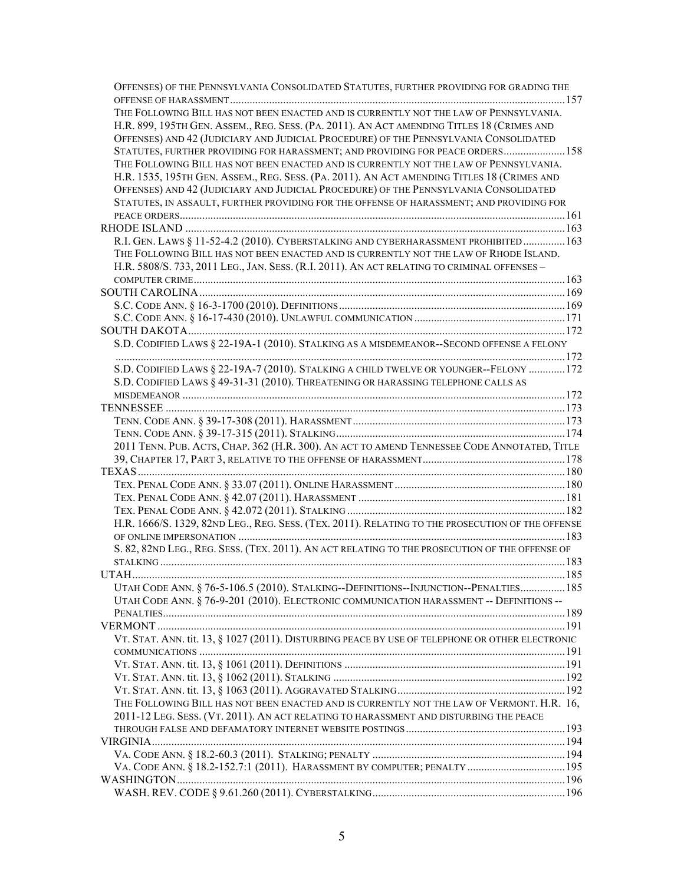| OFFENSES) OF THE PENNSYLVANIA CONSOLIDATED STATUTES, FURTHER PROVIDING FOR GRADING THE                                                                                             |  |
|------------------------------------------------------------------------------------------------------------------------------------------------------------------------------------|--|
|                                                                                                                                                                                    |  |
| THE FOLLOWING BILL HAS NOT BEEN ENACTED AND IS CURRENTLY NOT THE LAW OF PENNSYLVANIA.                                                                                              |  |
| H.R. 899, 195TH GEN. ASSEM., REG. SESS. (PA. 2011). AN ACT AMENDING TITLES 18 (CRIMES AND                                                                                          |  |
| OFFENSES) AND 42 (JUDICIARY AND JUDICIAL PROCEDURE) OF THE PENNSYLVANIA CONSOLIDATED                                                                                               |  |
| STATUTES, FURTHER PROVIDING FOR HARASSMENT; AND PROVIDING FOR PEACE ORDERS 158                                                                                                     |  |
| THE FOLLOWING BILL HAS NOT BEEN ENACTED AND IS CURRENTLY NOT THE LAW OF PENNSYLVANIA.                                                                                              |  |
| H.R. 1535, 195TH GEN. ASSEM., REG. SESS. (PA. 2011). AN ACT AMENDING TITLES 18 (CRIMES AND                                                                                         |  |
| OFFENSES) AND 42 (JUDICIARY AND JUDICIAL PROCEDURE) OF THE PENNSYLVANIA CONSOLIDATED                                                                                               |  |
| STATUTES, IN ASSAULT, FURTHER PROVIDING FOR THE OFFENSE OF HARASSMENT; AND PROVIDING FOR                                                                                           |  |
|                                                                                                                                                                                    |  |
|                                                                                                                                                                                    |  |
| R.I. GEN. LAWS § 11-52-4.2 (2010). CYBERSTALKING AND CYBERHARASSMENT PROHIBITED 163                                                                                                |  |
| THE FOLLOWING BILL HAS NOT BEEN ENACTED AND IS CURRENTLY NOT THE LAW OF RHODE ISLAND.                                                                                              |  |
| H.R. 5808/S. 733, 2011 LEG., JAN. SESS. (R.I. 2011). AN ACT RELATING TO CRIMINAL OFFENSES -                                                                                        |  |
|                                                                                                                                                                                    |  |
|                                                                                                                                                                                    |  |
|                                                                                                                                                                                    |  |
|                                                                                                                                                                                    |  |
|                                                                                                                                                                                    |  |
| S.D. CODIFIED LAWS § 22-19A-1 (2010). STALKING AS A MISDEMEANOR--SECOND OFFENSE A FELONY                                                                                           |  |
|                                                                                                                                                                                    |  |
| S.D. CODIFIED LAWS § 22-19A-7 (2010). STALKING A CHILD TWELVE OR YOUNGER--FELONY  172                                                                                              |  |
| S.D. CODIFIED LAWS § 49-31-31 (2010). THREATENING OR HARASSING TELEPHONE CALLS AS                                                                                                  |  |
|                                                                                                                                                                                    |  |
|                                                                                                                                                                                    |  |
|                                                                                                                                                                                    |  |
|                                                                                                                                                                                    |  |
| 2011 TENN. PUB. ACTS, CHAP. 362 (H.R. 300). AN ACT TO AMEND TENNESSEE CODE ANNOTATED, TITLE                                                                                        |  |
|                                                                                                                                                                                    |  |
|                                                                                                                                                                                    |  |
|                                                                                                                                                                                    |  |
|                                                                                                                                                                                    |  |
|                                                                                                                                                                                    |  |
| H.R. 1666/S. 1329, 82ND LEG., REG. SESS. (TEX. 2011). RELATING TO THE PROSECUTION OF THE OFFENSE                                                                                   |  |
|                                                                                                                                                                                    |  |
| S. 82, 82ND LEG., REG. SESS. (TEX. 2011). AN ACT RELATING TO THE PROSECUTION OF THE OFFENSE OF                                                                                     |  |
|                                                                                                                                                                                    |  |
|                                                                                                                                                                                    |  |
| UTAH CODE ANN. § 76-5-106.5 (2010). STALKING--DEFINITIONS--INJUNCTION--PENALTIES 185                                                                                               |  |
| UTAH CODE ANN. § 76-9-201 (2010). ELECTRONIC COMMUNICATION HARASSMENT -- DEFINITIONS --                                                                                            |  |
|                                                                                                                                                                                    |  |
|                                                                                                                                                                                    |  |
| VT. STAT. ANN. tit. 13, § 1027 (2011). DISTURBING PEACE BY USE OF TELEPHONE OR OTHER ELECTRONIC                                                                                    |  |
|                                                                                                                                                                                    |  |
|                                                                                                                                                                                    |  |
|                                                                                                                                                                                    |  |
|                                                                                                                                                                                    |  |
| THE FOLLOWING BILL HAS NOT BEEN ENACTED AND IS CURRENTLY NOT THE LAW OF VERMONT. H.R. 16,<br>2011-12 LEG. SESS. (VT. 2011). AN ACT RELATING TO HARASSMENT AND DISTURBING THE PEACE |  |
|                                                                                                                                                                                    |  |
|                                                                                                                                                                                    |  |
|                                                                                                                                                                                    |  |
| VA. CODE ANN. § 18.2-152.7:1 (2011). HARASSMENT BY COMPUTER; PENALTY  195                                                                                                          |  |
|                                                                                                                                                                                    |  |
|                                                                                                                                                                                    |  |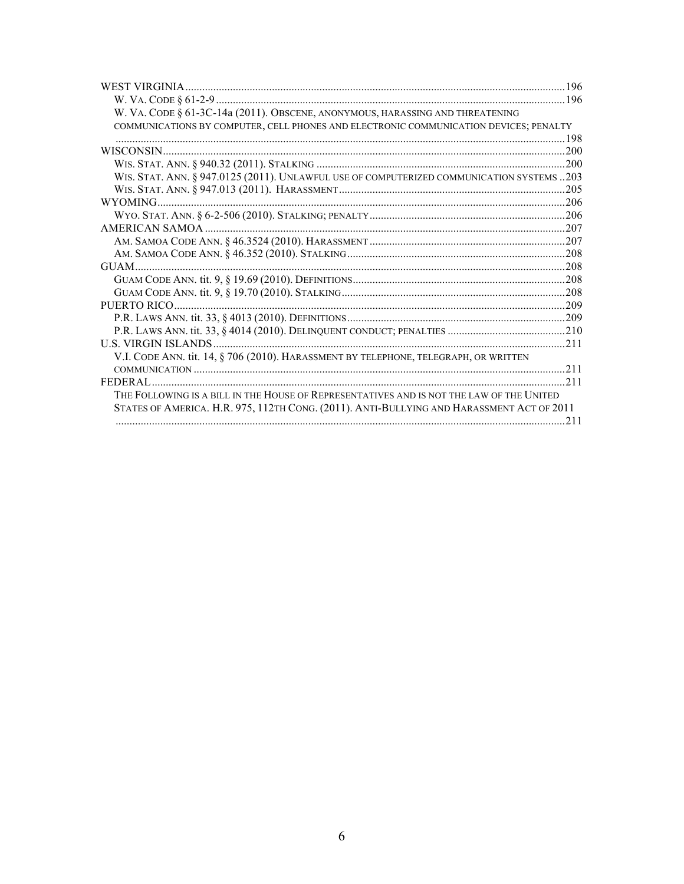| W. VA. CODE § 61-3C-14a (2011). OBSCENE, ANONYMOUS, HARASSING AND THREATENING             |      |
|-------------------------------------------------------------------------------------------|------|
| COMMUNICATIONS BY COMPUTER, CELL PHONES AND ELECTRONIC COMMUNICATION DEVICES; PENALTY     |      |
|                                                                                           |      |
|                                                                                           |      |
|                                                                                           | .200 |
| WIS. STAT. ANN. § 947.0125 (2011). UNLAWFUL USE OF COMPUTERIZED COMMUNICATION SYSTEMS 203 |      |
|                                                                                           | 205  |
|                                                                                           | 206  |
|                                                                                           | .206 |
|                                                                                           | .207 |
|                                                                                           |      |
|                                                                                           |      |
|                                                                                           | 208  |
|                                                                                           |      |
|                                                                                           |      |
| PUERTO RICO.                                                                              | .209 |
|                                                                                           |      |
|                                                                                           |      |
| <b>U.S. VIRGIN ISLANDS.</b>                                                               | 211  |
| V.I. CODE ANN. tit. 14, § 706 (2010). HARASSMENT BY TELEPHONE, TELEGRAPH, OR WRITTEN      |      |
|                                                                                           | 211  |
| FEDERAL                                                                                   | 211  |
| THE FOLLOWING IS A BILL IN THE HOUSE OF REPRESENTATIVES AND IS NOT THE LAW OF THE UNITED  |      |
| STATES OF AMERICA. H.R. 975, 112TH CONG. (2011). ANTI-BULLYING AND HARASSMENT ACT OF 2011 |      |
|                                                                                           | 211  |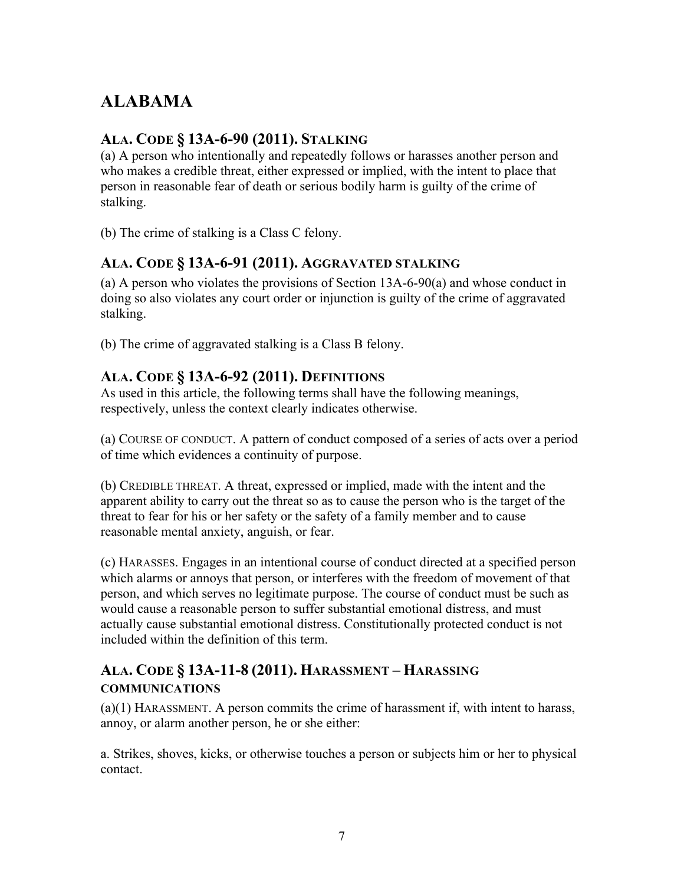# **ALABAMA**

## **ALA. CODE § 13A-6-90 (2011). STALKING**

(a) A person who intentionally and repeatedly follows or harasses another person and who makes a credible threat, either expressed or implied, with the intent to place that person in reasonable fear of death or serious bodily harm is guilty of the crime of stalking.

(b) The crime of stalking is a Class C felony.

## **ALA. CODE § 13A-6-91 (2011). AGGRAVATED STALKING**

(a) A person who violates the provisions of Section 13A-6-90(a) and whose conduct in doing so also violates any court order or injunction is guilty of the crime of aggravated stalking.

(b) The crime of aggravated stalking is a Class B felony.

## **ALA. CODE § 13A-6-92 (2011). DEFINITIONS**

As used in this article, the following terms shall have the following meanings, respectively, unless the context clearly indicates otherwise.

(a) COURSE OF CONDUCT. A pattern of conduct composed of a series of acts over a period of time which evidences a continuity of purpose.

(b) CREDIBLE THREAT. A threat, expressed or implied, made with the intent and the apparent ability to carry out the threat so as to cause the person who is the target of the threat to fear for his or her safety or the safety of a family member and to cause reasonable mental anxiety, anguish, or fear.

(c) HARASSES. Engages in an intentional course of conduct directed at a specified person which alarms or annoys that person, or interferes with the freedom of movement of that person, and which serves no legitimate purpose. The course of conduct must be such as would cause a reasonable person to suffer substantial emotional distress, and must actually cause substantial emotional distress. Constitutionally protected conduct is not included within the definition of this term.

## **ALA. CODE § 13A-11-8 (2011). HARASSMENT – HARASSING COMMUNICATIONS**

(a)(1) HARASSMENT. A person commits the crime of harassment if, with intent to harass, annoy, or alarm another person, he or she either:

a. Strikes, shoves, kicks, or otherwise touches a person or subjects him or her to physical contact.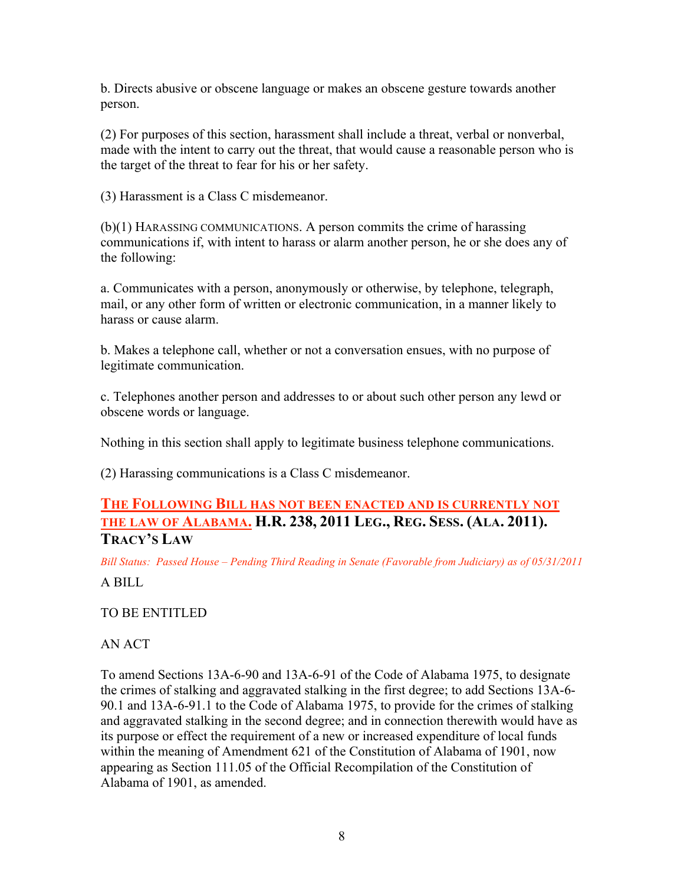b. Directs abusive or obscene language or makes an obscene gesture towards another person.

(2) For purposes of this section, harassment shall include a threat, verbal or nonverbal, made with the intent to carry out the threat, that would cause a reasonable person who is the target of the threat to fear for his or her safety.

(3) Harassment is a Class C misdemeanor.

(b)(1) HARASSING COMMUNICATIONS. A person commits the crime of harassing communications if, with intent to harass or alarm another person, he or she does any of the following:

a. Communicates with a person, anonymously or otherwise, by telephone, telegraph, mail, or any other form of written or electronic communication, in a manner likely to harass or cause alarm.

b. Makes a telephone call, whether or not a conversation ensues, with no purpose of legitimate communication.

c. Telephones another person and addresses to or about such other person any lewd or obscene words or language.

Nothing in this section shall apply to legitimate business telephone communications.

(2) Harassing communications is a Class C misdemeanor.

## **THE FOLLOWING BILL HAS NOT BEEN ENACTED AND IS CURRENTLY NOT THE LAW OF ALABAMA. H.R. 238, 2011 LEG., REG. SESS. (ALA. 2011). TRACY'S LAW**

*Bill Status: Passed House – Pending Third Reading in Senate (Favorable from Judiciary) as of 05/31/2011*

A BILL

TO BE ENTITLED

#### AN ACT

To amend Sections 13A-6-90 and 13A-6-91 of the Code of Alabama 1975, to designate the crimes of stalking and aggravated stalking in the first degree; to add Sections 13A-6- 90.1 and 13A-6-91.1 to the Code of Alabama 1975, to provide for the crimes of stalking and aggravated stalking in the second degree; and in connection therewith would have as its purpose or effect the requirement of a new or increased expenditure of local funds within the meaning of Amendment 621 of the Constitution of Alabama of 1901, now appearing as Section 111.05 of the Official Recompilation of the Constitution of Alabama of 1901, as amended.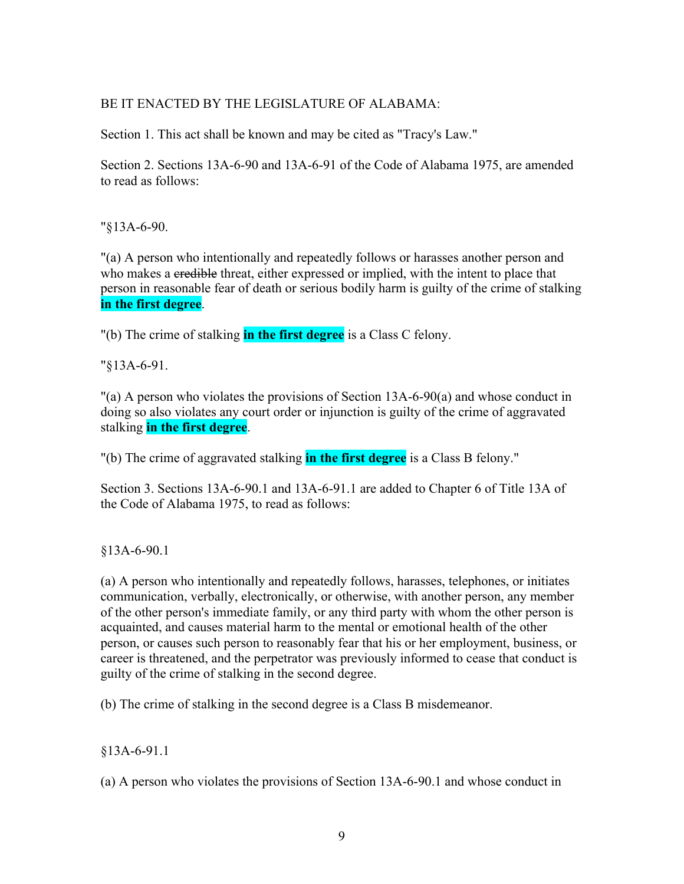#### BE IT ENACTED BY THE LEGISLATURE OF ALABAMA:

Section 1. This act shall be known and may be cited as "Tracy's Law."

Section 2. Sections 13A-6-90 and 13A-6-91 of the Code of Alabama 1975, are amended to read as follows:

"§13A-6-90.

"(a) A person who intentionally and repeatedly follows or harasses another person and who makes a credible threat, either expressed or implied, with the intent to place that person in reasonable fear of death or serious bodily harm is guilty of the crime of stalking **in the first degree**.

"(b) The crime of stalking **in the first degree** is a Class C felony.

"§13A-6-91.

"(a) A person who violates the provisions of Section 13A-6-90(a) and whose conduct in doing so also violates any court order or injunction is guilty of the crime of aggravated stalking **in the first degree**.

"(b) The crime of aggravated stalking **in the first degree** is a Class B felony."

Section 3. Sections 13A-6-90.1 and 13A-6-91.1 are added to Chapter 6 of Title 13A of the Code of Alabama 1975, to read as follows:

§13A-6-90.1

(a) A person who intentionally and repeatedly follows, harasses, telephones, or initiates communication, verbally, electronically, or otherwise, with another person, any member of the other person's immediate family, or any third party with whom the other person is acquainted, and causes material harm to the mental or emotional health of the other person, or causes such person to reasonably fear that his or her employment, business, or career is threatened, and the perpetrator was previously informed to cease that conduct is guilty of the crime of stalking in the second degree.

(b) The crime of stalking in the second degree is a Class B misdemeanor.

§13A-6-91.1

(a) A person who violates the provisions of Section 13A-6-90.1 and whose conduct in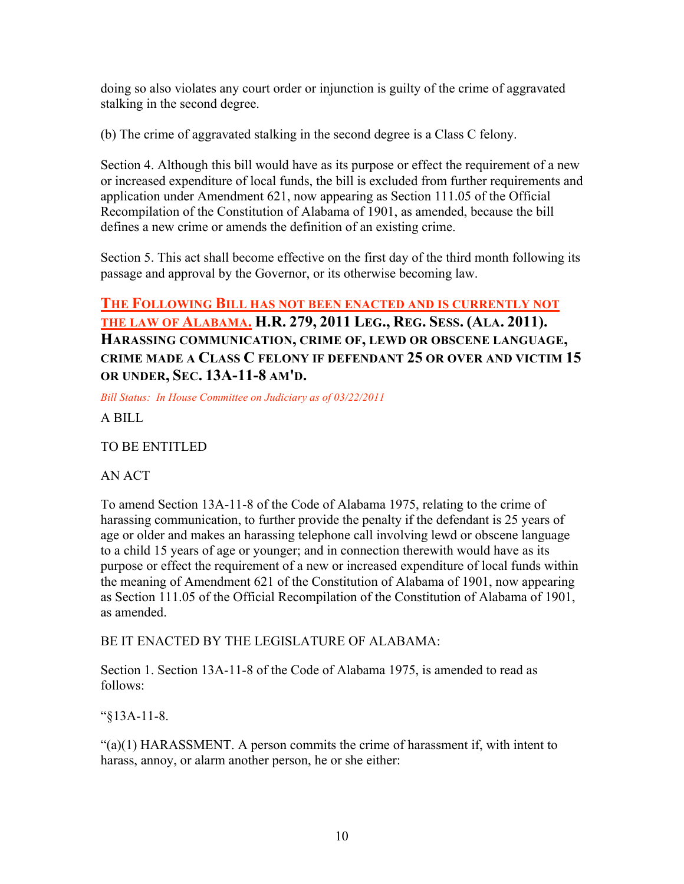doing so also violates any court order or injunction is guilty of the crime of aggravated stalking in the second degree.

(b) The crime of aggravated stalking in the second degree is a Class C felony.

Section 4. Although this bill would have as its purpose or effect the requirement of a new or increased expenditure of local funds, the bill is excluded from further requirements and application under Amendment 621, now appearing as Section 111.05 of the Official Recompilation of the Constitution of Alabama of 1901, as amended, because the bill defines a new crime or amends the definition of an existing crime.

Section 5. This act shall become effective on the first day of the third month following its passage and approval by the Governor, or its otherwise becoming law.

## **THE FOLLOWING BILL HAS NOT BEEN ENACTED AND IS CURRENTLY NOT THE LAW OF ALABAMA. H.R. 279, 2011 LEG., REG. SESS. (ALA. 2011). HARASSING COMMUNICATION, CRIME OF, LEWD OR OBSCENE LANGUAGE, CRIME MADE A CLASS C FELONY IF DEFENDANT 25 OR OVER AND VICTIM 15 OR UNDER, SEC. 13A-11-8 AM'D.**

*Bill Status: In House Committee on Judiciary as of 03/22/2011*

A BILL

TO BE ENTITLED

#### AN ACT

To amend Section 13A-11-8 of the Code of Alabama 1975, relating to the crime of harassing communication, to further provide the penalty if the defendant is 25 years of age or older and makes an harassing telephone call involving lewd or obscene language to a child 15 years of age or younger; and in connection therewith would have as its purpose or effect the requirement of a new or increased expenditure of local funds within the meaning of Amendment 621 of the Constitution of Alabama of 1901, now appearing as Section 111.05 of the Official Recompilation of the Constitution of Alabama of 1901, as amended.

BE IT ENACTED BY THE LEGISLATURE OF ALABAMA:

Section 1. Section 13A-11-8 of the Code of Alabama 1975, is amended to read as follows:

"§13A-11-8.

"(a)(1) HARASSMENT. A person commits the crime of harassment if, with intent to harass, annoy, or alarm another person, he or she either: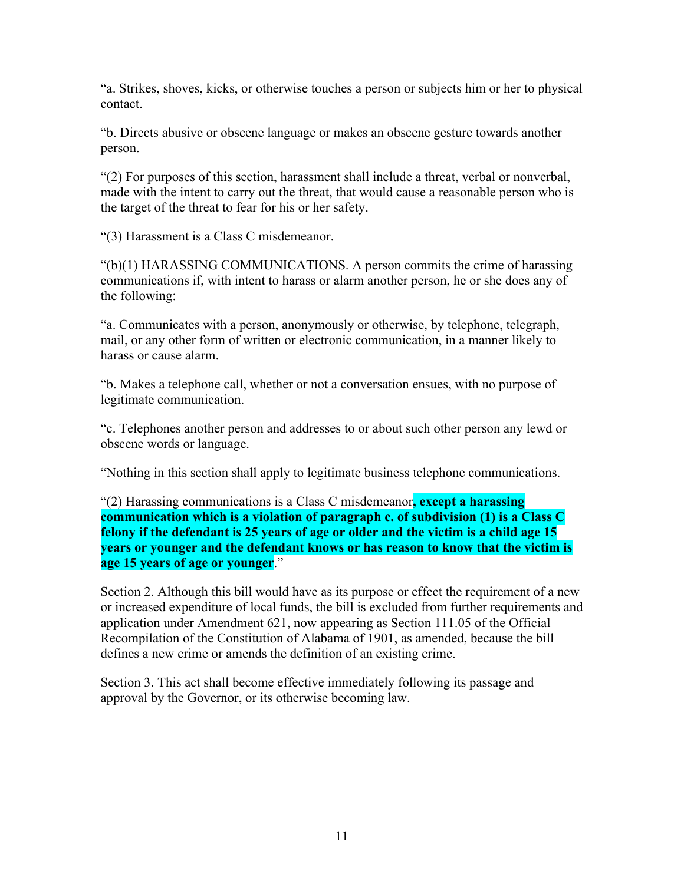"a. Strikes, shoves, kicks, or otherwise touches a person or subjects him or her to physical contact.

"b. Directs abusive or obscene language or makes an obscene gesture towards another person.

"(2) For purposes of this section, harassment shall include a threat, verbal or nonverbal, made with the intent to carry out the threat, that would cause a reasonable person who is the target of the threat to fear for his or her safety.

"(3) Harassment is a Class C misdemeanor.

"(b)(1) HARASSING COMMUNICATIONS. A person commits the crime of harassing communications if, with intent to harass or alarm another person, he or she does any of the following:

"a. Communicates with a person, anonymously or otherwise, by telephone, telegraph, mail, or any other form of written or electronic communication, in a manner likely to harass or cause alarm.

"b. Makes a telephone call, whether or not a conversation ensues, with no purpose of legitimate communication.

"c. Telephones another person and addresses to or about such other person any lewd or obscene words or language.

"Nothing in this section shall apply to legitimate business telephone communications.

"(2) Harassing communications is a Class C misdemeanor**, except a harassing communication which is a violation of paragraph c. of subdivision (1) is a Class C felony if the defendant is 25 years of age or older and the victim is a child age 15 years or younger and the defendant knows or has reason to know that the victim is age 15 years of age or younger**."

Section 2. Although this bill would have as its purpose or effect the requirement of a new or increased expenditure of local funds, the bill is excluded from further requirements and application under Amendment 621, now appearing as Section 111.05 of the Official Recompilation of the Constitution of Alabama of 1901, as amended, because the bill defines a new crime or amends the definition of an existing crime.

Section 3. This act shall become effective immediately following its passage and approval by the Governor, or its otherwise becoming law.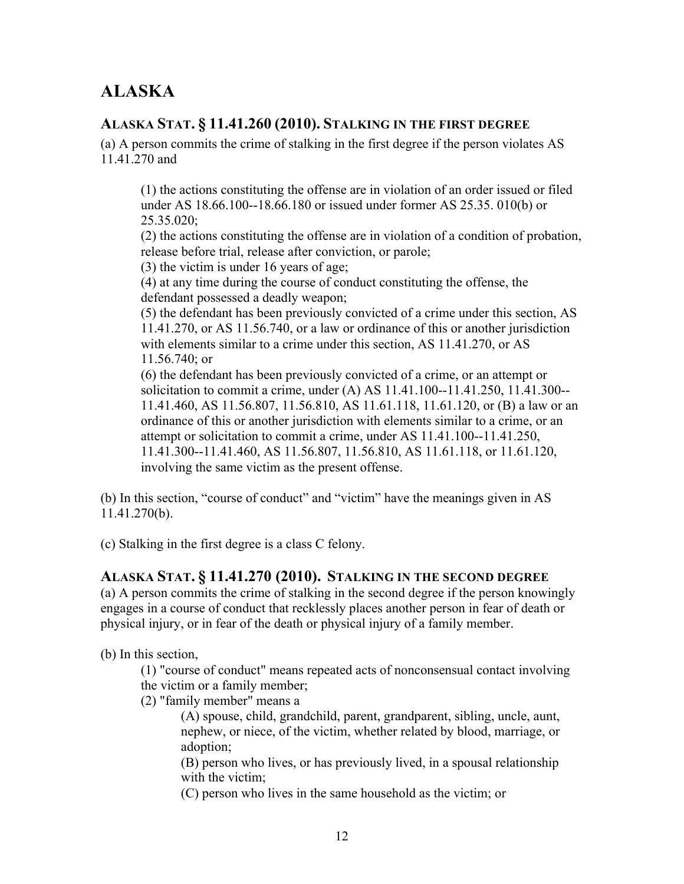# **ALASKA**

## **ALASKA STAT. § 11.41.260 (2010). STALKING IN THE FIRST DEGREE**

(a) A person commits the crime of stalking in the first degree if the person violates AS 11.41.270 and

(1) the actions constituting the offense are in violation of an order issued or filed under AS 18.66.100--18.66.180 or issued under former AS 25.35. 010(b) or 25.35.020;

(2) the actions constituting the offense are in violation of a condition of probation, release before trial, release after conviction, or parole;

(3) the victim is under 16 years of age;

(4) at any time during the course of conduct constituting the offense, the defendant possessed a deadly weapon;

(5) the defendant has been previously convicted of a crime under this section, AS 11.41.270, or AS 11.56.740, or a law or ordinance of this or another jurisdiction with elements similar to a crime under this section, AS 11.41.270, or AS 11.56.740; or

(6) the defendant has been previously convicted of a crime, or an attempt or solicitation to commit a crime, under (A) AS 11.41.100--11.41.250, 11.41.300-- 11.41.460, AS 11.56.807, 11.56.810, AS 11.61.118, 11.61.120, or (B) a law or an ordinance of this or another jurisdiction with elements similar to a crime, or an attempt or solicitation to commit a crime, under AS 11.41.100--11.41.250, 11.41.300--11.41.460, AS 11.56.807, 11.56.810, AS 11.61.118, or 11.61.120, involving the same victim as the present offense.

(b) In this section, "course of conduct" and "victim" have the meanings given in AS 11.41.270(b).

(c) Stalking in the first degree is a class C felony.

### **ALASKA STAT. § 11.41.270 (2010). STALKING IN THE SECOND DEGREE**

(a) A person commits the crime of stalking in the second degree if the person knowingly engages in a course of conduct that recklessly places another person in fear of death or physical injury, or in fear of the death or physical injury of a family member.

(b) In this section,

(1) "course of conduct" means repeated acts of nonconsensual contact involving the victim or a family member;

(2) "family member" means a

(A) spouse, child, grandchild, parent, grandparent, sibling, uncle, aunt, nephew, or niece, of the victim, whether related by blood, marriage, or adoption;

(B) person who lives, or has previously lived, in a spousal relationship with the victim:

(C) person who lives in the same household as the victim; or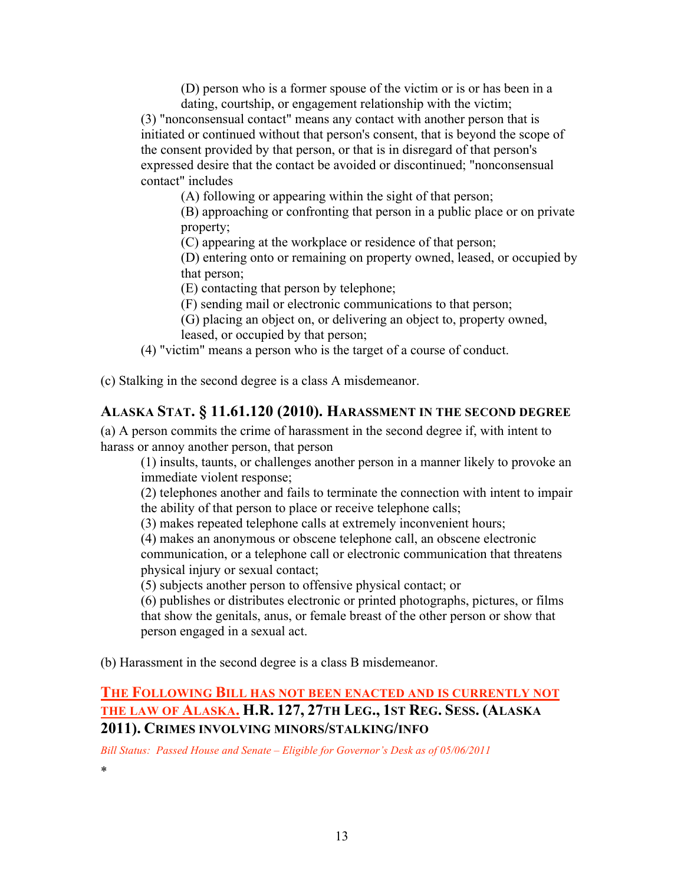(D) person who is a former spouse of the victim or is or has been in a dating, courtship, or engagement relationship with the victim;

(3) "nonconsensual contact" means any contact with another person that is initiated or continued without that person's consent, that is beyond the scope of the consent provided by that person, or that is in disregard of that person's expressed desire that the contact be avoided or discontinued; "nonconsensual contact" includes

(A) following or appearing within the sight of that person;

(B) approaching or confronting that person in a public place or on private property;

(C) appearing at the workplace or residence of that person;

(D) entering onto or remaining on property owned, leased, or occupied by that person;

(E) contacting that person by telephone;

(F) sending mail or electronic communications to that person;

- (G) placing an object on, or delivering an object to, property owned, leased, or occupied by that person;
- (4) "victim" means a person who is the target of a course of conduct.

(c) Stalking in the second degree is a class A misdemeanor.

#### **ALASKA STAT. § 11.61.120 (2010). HARASSMENT IN THE SECOND DEGREE**

(a) A person commits the crime of harassment in the second degree if, with intent to harass or annoy another person, that person

(1) insults, taunts, or challenges another person in a manner likely to provoke an immediate violent response;

(2) telephones another and fails to terminate the connection with intent to impair the ability of that person to place or receive telephone calls;

(3) makes repeated telephone calls at extremely inconvenient hours;

(4) makes an anonymous or obscene telephone call, an obscene electronic communication, or a telephone call or electronic communication that threatens

physical injury or sexual contact;

(5) subjects another person to offensive physical contact; or

(6) publishes or distributes electronic or printed photographs, pictures, or films that show the genitals, anus, or female breast of the other person or show that person engaged in a sexual act.

(b) Harassment in the second degree is a class B misdemeanor.

## **THE FOLLOWING BILL HAS NOT BEEN ENACTED AND IS CURRENTLY NOT THE LAW OF ALASKA. H.R. 127, 27TH LEG., 1ST REG. SESS. (ALASKA 2011). CRIMES INVOLVING MINORS/STALKING/INFO**

*Bill Status: Passed House and Senate – Eligible for Governor's Desk as of 05/06/2011*

\*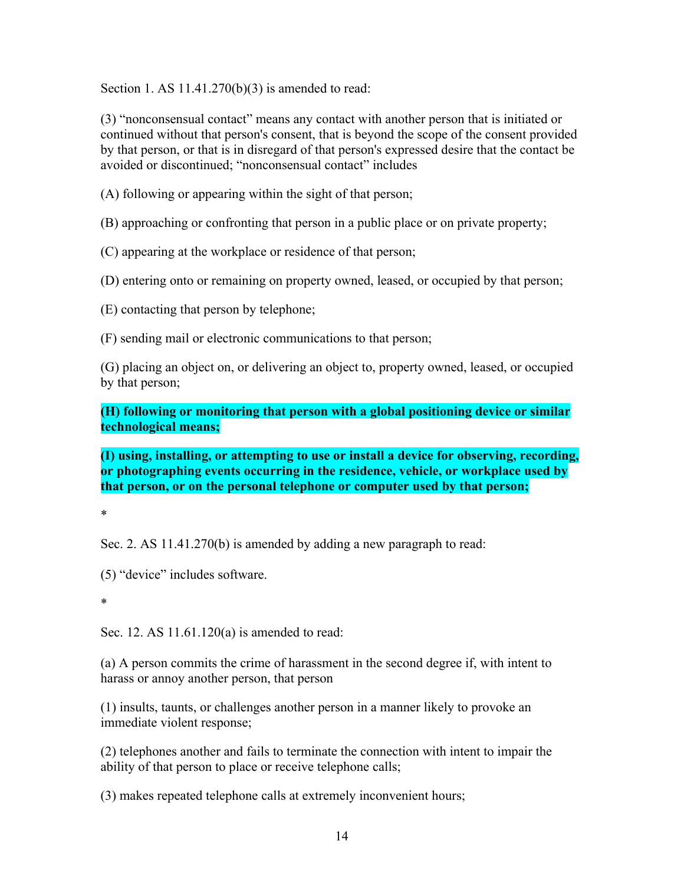Section 1. AS  $11.41.270(b)(3)$  is amended to read:

(3) "nonconsensual contact" means any contact with another person that is initiated or continued without that person's consent, that is beyond the scope of the consent provided by that person, or that is in disregard of that person's expressed desire that the contact be avoided or discontinued; "nonconsensual contact" includes

(A) following or appearing within the sight of that person;

(B) approaching or confronting that person in a public place or on private property;

(C) appearing at the workplace or residence of that person;

(D) entering onto or remaining on property owned, leased, or occupied by that person;

(E) contacting that person by telephone;

(F) sending mail or electronic communications to that person;

(G) placing an object on, or delivering an object to, property owned, leased, or occupied by that person;

**(H) following or monitoring that person with a global positioning device or similar technological means;**

**(I) using, installing, or attempting to use or install a device for observing, recording, or photographing events occurring in the residence, vehicle, or workplace used by that person, or on the personal telephone or computer used by that person;**

\*

Sec. 2. AS 11.41.270(b) is amended by adding a new paragraph to read:

(5) "device" includes software.

\*

Sec. 12. AS 11.61.120(a) is amended to read:

(a) A person commits the crime of harassment in the second degree if, with intent to harass or annoy another person, that person

(1) insults, taunts, or challenges another person in a manner likely to provoke an immediate violent response;

(2) telephones another and fails to terminate the connection with intent to impair the ability of that person to place or receive telephone calls;

(3) makes repeated telephone calls at extremely inconvenient hours;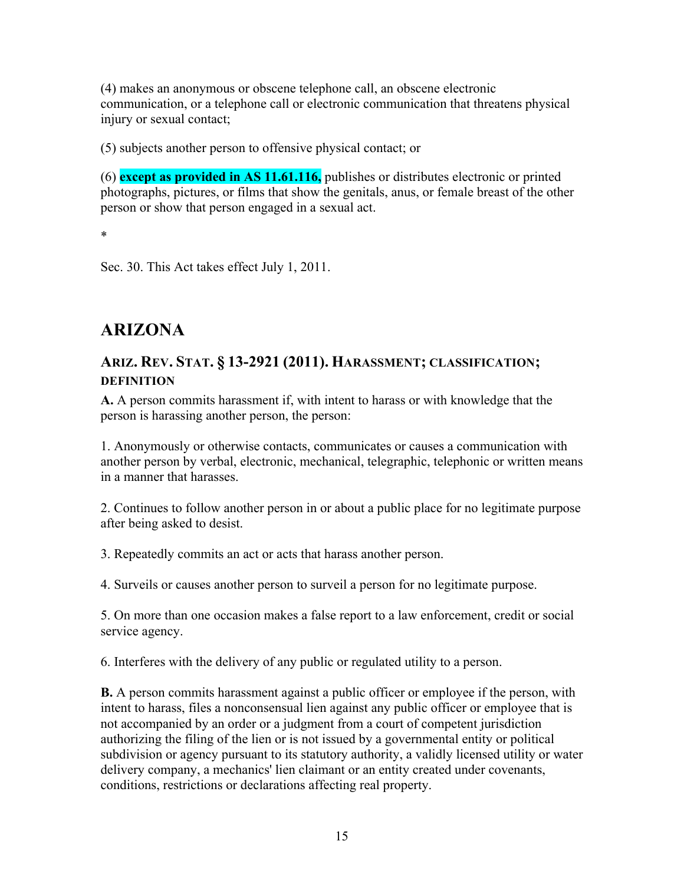(4) makes an anonymous or obscene telephone call, an obscene electronic communication, or a telephone call or electronic communication that threatens physical injury or sexual contact;

(5) subjects another person to offensive physical contact; or

(6) **except as provided in AS 11.61.116,** publishes or distributes electronic or printed photographs, pictures, or films that show the genitals, anus, or female breast of the other person or show that person engaged in a sexual act.

\*

Sec. 30. This Act takes effect July 1, 2011.

# **ARIZONA**

## **ARIZ. REV. STAT. § 13-2921 (2011). HARASSMENT; CLASSIFICATION; DEFINITION**

**A.** A person commits harassment if, with intent to harass or with knowledge that the person is harassing another person, the person:

1. Anonymously or otherwise contacts, communicates or causes a communication with another person by verbal, electronic, mechanical, telegraphic, telephonic or written means in a manner that harasses.

2. Continues to follow another person in or about a public place for no legitimate purpose after being asked to desist.

3. Repeatedly commits an act or acts that harass another person.

4. Surveils or causes another person to surveil a person for no legitimate purpose.

5. On more than one occasion makes a false report to a law enforcement, credit or social service agency.

6. Interferes with the delivery of any public or regulated utility to a person.

**B.** A person commits harassment against a public officer or employee if the person, with intent to harass, files a nonconsensual lien against any public officer or employee that is not accompanied by an order or a judgment from a court of competent jurisdiction authorizing the filing of the lien or is not issued by a governmental entity or political subdivision or agency pursuant to its statutory authority, a validly licensed utility or water delivery company, a mechanics' lien claimant or an entity created under covenants, conditions, restrictions or declarations affecting real property.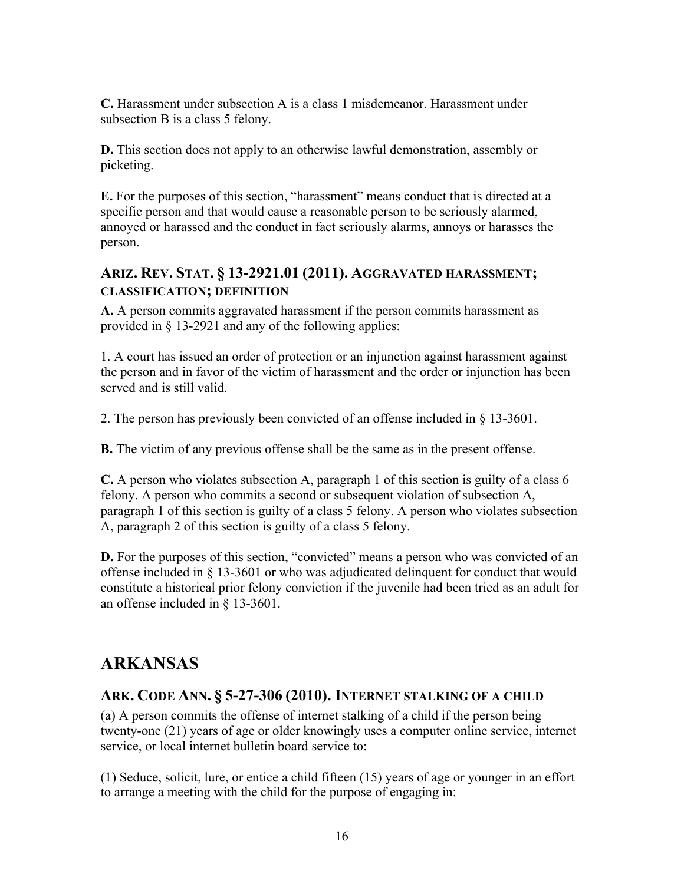**C.** Harassment under subsection A is a class 1 misdemeanor. Harassment under subsection B is a class 5 felony.

**D.** This section does not apply to an otherwise lawful demonstration, assembly or picketing.

**E.** For the purposes of this section, "harassment" means conduct that is directed at a specific person and that would cause a reasonable person to be seriously alarmed, annoyed or harassed and the conduct in fact seriously alarms, annoys or harasses the person.

## **ARIZ. REV. STAT. § 13-2921.01 (2011). AGGRAVATED HARASSMENT; CLASSIFICATION; DEFINITION**

**A.** A person commits aggravated harassment if the person commits harassment as provided in § 13-2921 and any of the following applies:

1. A court has issued an order of protection or an injunction against harassment against the person and in favor of the victim of harassment and the order or injunction has been served and is still valid.

2. The person has previously been convicted of an offense included in § 13-3601.

**B.** The victim of any previous offense shall be the same as in the present offense.

**C.** A person who violates subsection A, paragraph 1 of this section is guilty of a class 6 felony. A person who commits a second or subsequent violation of subsection A, paragraph 1 of this section is guilty of a class 5 felony. A person who violates subsection A, paragraph 2 of this section is guilty of a class 5 felony.

**D.** For the purposes of this section, "convicted" means a person who was convicted of an offense included in § 13-3601 or who was adjudicated delinquent for conduct that would constitute a historical prior felony conviction if the juvenile had been tried as an adult for an offense included in § 13-3601.

# **ARKANSAS**

## **ARK. CODE ANN. § 5-27-306 (2010). INTERNET STALKING OF A CHILD**

(a) A person commits the offense of internet stalking of a child if the person being twenty-one (21) years of age or older knowingly uses a computer online service, internet service, or local internet bulletin board service to:

(1) Seduce, solicit, lure, or entice a child fifteen (15) years of age or younger in an effort to arrange a meeting with the child for the purpose of engaging in: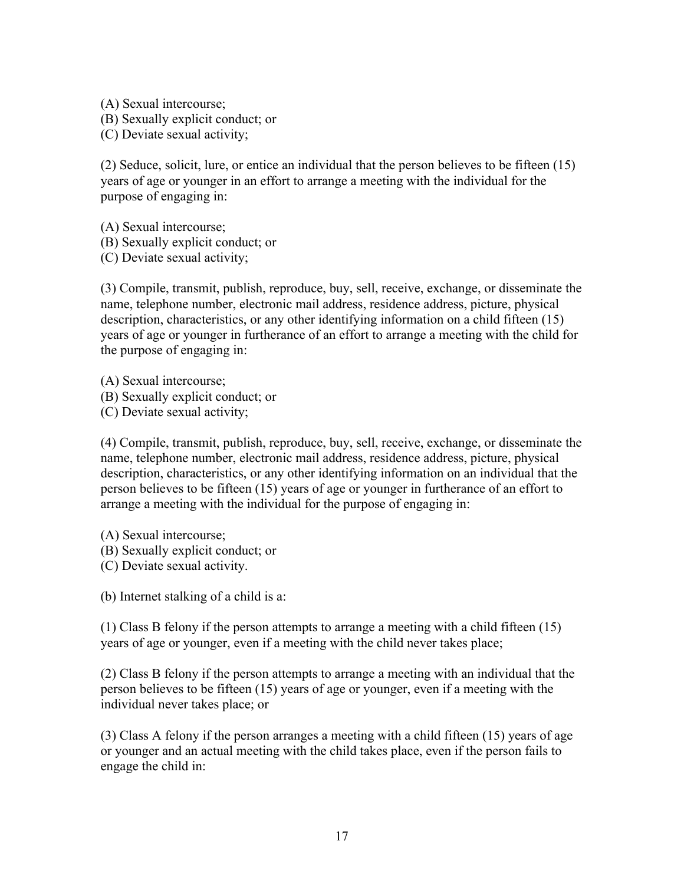(A) Sexual intercourse; (B) Sexually explicit conduct; or (C) Deviate sexual activity;

(2) Seduce, solicit, lure, or entice an individual that the person believes to be fifteen (15) years of age or younger in an effort to arrange a meeting with the individual for the purpose of engaging in:

(A) Sexual intercourse; (B) Sexually explicit conduct; or (C) Deviate sexual activity;

(3) Compile, transmit, publish, reproduce, buy, sell, receive, exchange, or disseminate the name, telephone number, electronic mail address, residence address, picture, physical description, characteristics, or any other identifying information on a child fifteen (15) years of age or younger in furtherance of an effort to arrange a meeting with the child for the purpose of engaging in:

(A) Sexual intercourse;

(B) Sexually explicit conduct; or

(C) Deviate sexual activity;

(4) Compile, transmit, publish, reproduce, buy, sell, receive, exchange, or disseminate the name, telephone number, electronic mail address, residence address, picture, physical description, characteristics, or any other identifying information on an individual that the person believes to be fifteen (15) years of age or younger in furtherance of an effort to arrange a meeting with the individual for the purpose of engaging in:

(A) Sexual intercourse;

(B) Sexually explicit conduct; or

(C) Deviate sexual activity.

(b) Internet stalking of a child is a:

(1) Class B felony if the person attempts to arrange a meeting with a child fifteen (15) years of age or younger, even if a meeting with the child never takes place;

(2) Class B felony if the person attempts to arrange a meeting with an individual that the person believes to be fifteen (15) years of age or younger, even if a meeting with the individual never takes place; or

(3) Class A felony if the person arranges a meeting with a child fifteen (15) years of age or younger and an actual meeting with the child takes place, even if the person fails to engage the child in: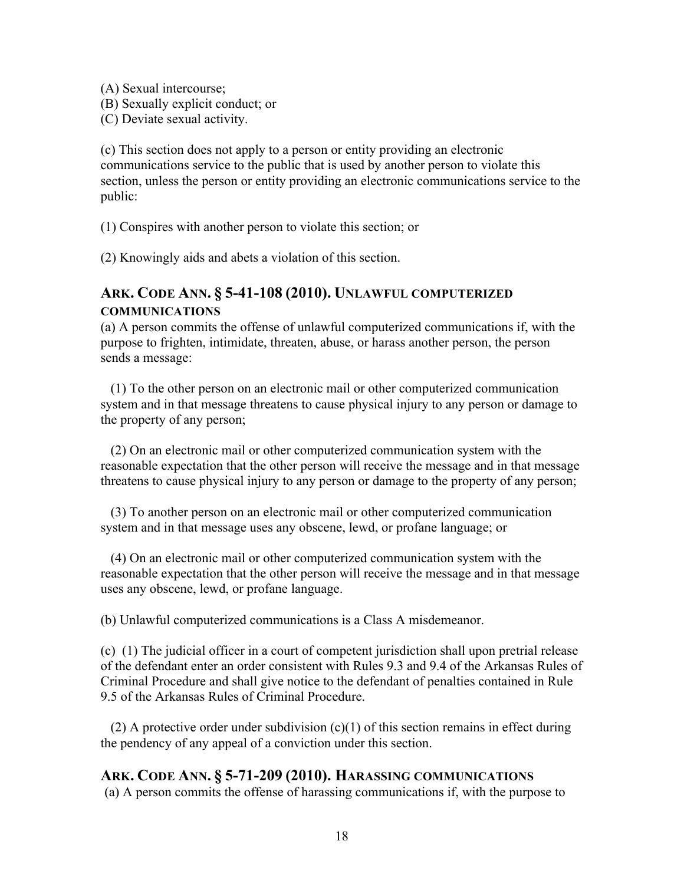(A) Sexual intercourse;

(B) Sexually explicit conduct; or

(C) Deviate sexual activity.

(c) This section does not apply to a person or entity providing an electronic communications service to the public that is used by another person to violate this section, unless the person or entity providing an electronic communications service to the public:

(1) Conspires with another person to violate this section; or

(2) Knowingly aids and abets a violation of this section.

### **ARK. CODE ANN. § 5-41-108 (2010). UNLAWFUL COMPUTERIZED COMMUNICATIONS**

(a) A person commits the offense of unlawful computerized communications if, with the purpose to frighten, intimidate, threaten, abuse, or harass another person, the person sends a message:

 (1) To the other person on an electronic mail or other computerized communication system and in that message threatens to cause physical injury to any person or damage to the property of any person;

 (2) On an electronic mail or other computerized communication system with the reasonable expectation that the other person will receive the message and in that message threatens to cause physical injury to any person or damage to the property of any person;

 (3) To another person on an electronic mail or other computerized communication system and in that message uses any obscene, lewd, or profane language; or

 (4) On an electronic mail or other computerized communication system with the reasonable expectation that the other person will receive the message and in that message uses any obscene, lewd, or profane language.

(b) Unlawful computerized communications is a Class A misdemeanor.

(c) (1) The judicial officer in a court of competent jurisdiction shall upon pretrial release of the defendant enter an order consistent with Rules 9.3 and 9.4 of the Arkansas Rules of Criminal Procedure and shall give notice to the defendant of penalties contained in Rule 9.5 of the Arkansas Rules of Criminal Procedure.

(2) A protective order under subdivision  $(c)(1)$  of this section remains in effect during the pendency of any appeal of a conviction under this section.

#### **ARK. CODE ANN. § 5-71-209 (2010). HARASSING COMMUNICATIONS**

(a) A person commits the offense of harassing communications if, with the purpose to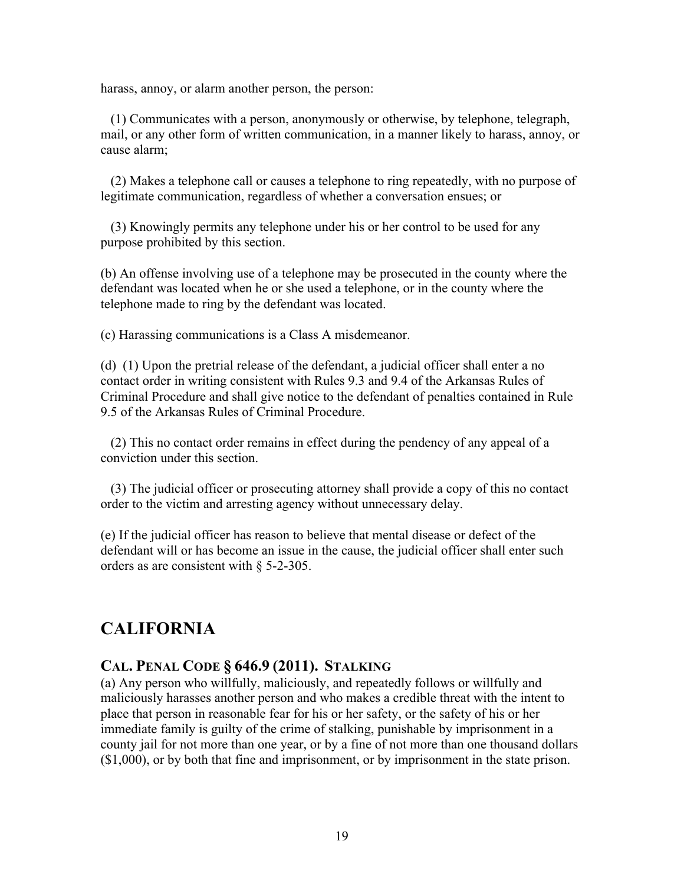harass, annoy, or alarm another person, the person:

 (1) Communicates with a person, anonymously or otherwise, by telephone, telegraph, mail, or any other form of written communication, in a manner likely to harass, annoy, or cause alarm;

 (2) Makes a telephone call or causes a telephone to ring repeatedly, with no purpose of legitimate communication, regardless of whether a conversation ensues; or

 (3) Knowingly permits any telephone under his or her control to be used for any purpose prohibited by this section.

(b) An offense involving use of a telephone may be prosecuted in the county where the defendant was located when he or she used a telephone, or in the county where the telephone made to ring by the defendant was located.

(c) Harassing communications is a Class A misdemeanor.

(d) (1) Upon the pretrial release of the defendant, a judicial officer shall enter a no contact order in writing consistent with Rules 9.3 and 9.4 of the Arkansas Rules of Criminal Procedure and shall give notice to the defendant of penalties contained in Rule 9.5 of the Arkansas Rules of Criminal Procedure.

 (2) This no contact order remains in effect during the pendency of any appeal of a conviction under this section.

 (3) The judicial officer or prosecuting attorney shall provide a copy of this no contact order to the victim and arresting agency without unnecessary delay.

(e) If the judicial officer has reason to believe that mental disease or defect of the defendant will or has become an issue in the cause, the judicial officer shall enter such orders as are consistent with § 5-2-305.

## **CALIFORNIA**

#### **CAL. PENAL CODE § 646.9 (2011). STALKING**

(a) Any person who willfully, maliciously, and repeatedly follows or willfully and maliciously harasses another person and who makes a credible threat with the intent to place that person in reasonable fear for his or her safety, or the safety of his or her immediate family is guilty of the crime of stalking, punishable by imprisonment in a county jail for not more than one year, or by a fine of not more than one thousand dollars (\$1,000), or by both that fine and imprisonment, or by imprisonment in the state prison.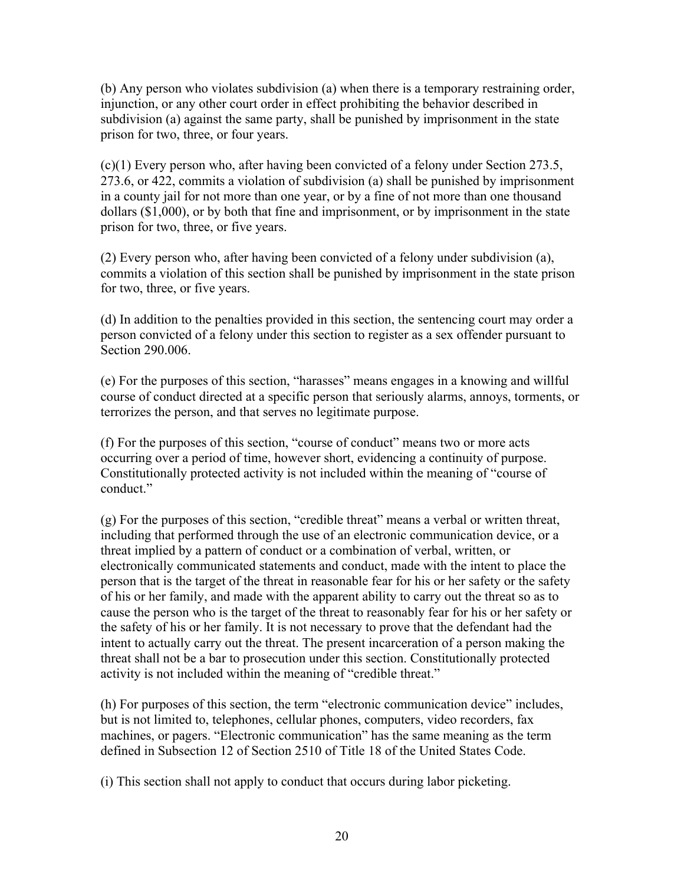(b) Any person who violates subdivision (a) when there is a temporary restraining order, injunction, or any other court order in effect prohibiting the behavior described in subdivision (a) against the same party, shall be punished by imprisonment in the state prison for two, three, or four years.

(c)(1) Every person who, after having been convicted of a felony under Section 273.5, 273.6, or 422, commits a violation of subdivision (a) shall be punished by imprisonment in a county jail for not more than one year, or by a fine of not more than one thousand dollars (\$1,000), or by both that fine and imprisonment, or by imprisonment in the state prison for two, three, or five years.

(2) Every person who, after having been convicted of a felony under subdivision (a), commits a violation of this section shall be punished by imprisonment in the state prison for two, three, or five years.

(d) In addition to the penalties provided in this section, the sentencing court may order a person convicted of a felony under this section to register as a sex offender pursuant to Section 290.006.

(e) For the purposes of this section, "harasses" means engages in a knowing and willful course of conduct directed at a specific person that seriously alarms, annoys, torments, or terrorizes the person, and that serves no legitimate purpose.

(f) For the purposes of this section, "course of conduct" means two or more acts occurring over a period of time, however short, evidencing a continuity of purpose. Constitutionally protected activity is not included within the meaning of "course of conduct."

(g) For the purposes of this section, "credible threat" means a verbal or written threat, including that performed through the use of an electronic communication device, or a threat implied by a pattern of conduct or a combination of verbal, written, or electronically communicated statements and conduct, made with the intent to place the person that is the target of the threat in reasonable fear for his or her safety or the safety of his or her family, and made with the apparent ability to carry out the threat so as to cause the person who is the target of the threat to reasonably fear for his or her safety or the safety of his or her family. It is not necessary to prove that the defendant had the intent to actually carry out the threat. The present incarceration of a person making the threat shall not be a bar to prosecution under this section. Constitutionally protected activity is not included within the meaning of "credible threat."

(h) For purposes of this section, the term "electronic communication device" includes, but is not limited to, telephones, cellular phones, computers, video recorders, fax machines, or pagers. "Electronic communication" has the same meaning as the term defined in Subsection 12 of Section 2510 of Title 18 of the United States Code.

(i) This section shall not apply to conduct that occurs during labor picketing.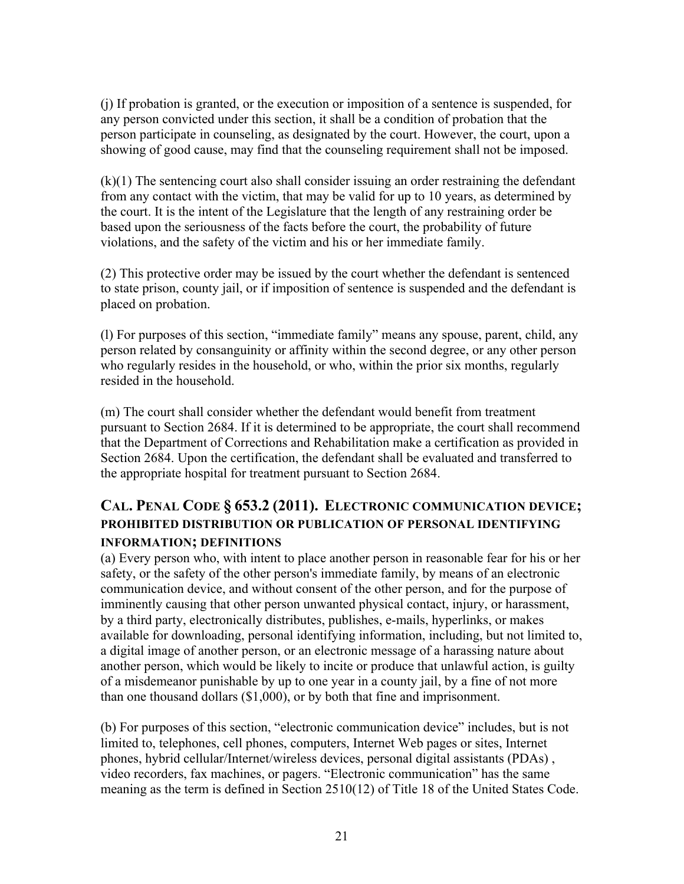(j) If probation is granted, or the execution or imposition of a sentence is suspended, for any person convicted under this section, it shall be a condition of probation that the person participate in counseling, as designated by the court. However, the court, upon a showing of good cause, may find that the counseling requirement shall not be imposed.

(k)(1) The sentencing court also shall consider issuing an order restraining the defendant from any contact with the victim, that may be valid for up to 10 years, as determined by the court. It is the intent of the Legislature that the length of any restraining order be based upon the seriousness of the facts before the court, the probability of future violations, and the safety of the victim and his or her immediate family.

(2) This protective order may be issued by the court whether the defendant is sentenced to state prison, county jail, or if imposition of sentence is suspended and the defendant is placed on probation.

(l) For purposes of this section, "immediate family" means any spouse, parent, child, any person related by consanguinity or affinity within the second degree, or any other person who regularly resides in the household, or who, within the prior six months, regularly resided in the household.

(m) The court shall consider whether the defendant would benefit from treatment pursuant to Section 2684. If it is determined to be appropriate, the court shall recommend that the Department of Corrections and Rehabilitation make a certification as provided in Section 2684. Upon the certification, the defendant shall be evaluated and transferred to the appropriate hospital for treatment pursuant to Section 2684.

## **CAL. PENAL CODE § 653.2 (2011). ELECTRONIC COMMUNICATION DEVICE; PROHIBITED DISTRIBUTION OR PUBLICATION OF PERSONAL IDENTIFYING INFORMATION; DEFINITIONS**

(a) Every person who, with intent to place another person in reasonable fear for his or her safety, or the safety of the other person's immediate family, by means of an electronic communication device, and without consent of the other person, and for the purpose of imminently causing that other person unwanted physical contact, injury, or harassment, by a third party, electronically distributes, publishes, e-mails, hyperlinks, or makes available for downloading, personal identifying information, including, but not limited to, a digital image of another person, or an electronic message of a harassing nature about another person, which would be likely to incite or produce that unlawful action, is guilty of a misdemeanor punishable by up to one year in a county jail, by a fine of not more than one thousand dollars (\$1,000), or by both that fine and imprisonment.

(b) For purposes of this section, "electronic communication device" includes, but is not limited to, telephones, cell phones, computers, Internet Web pages or sites, Internet phones, hybrid cellular/Internet/wireless devices, personal digital assistants (PDAs) , video recorders, fax machines, or pagers. "Electronic communication" has the same meaning as the term is defined in Section 2510(12) of Title 18 of the United States Code.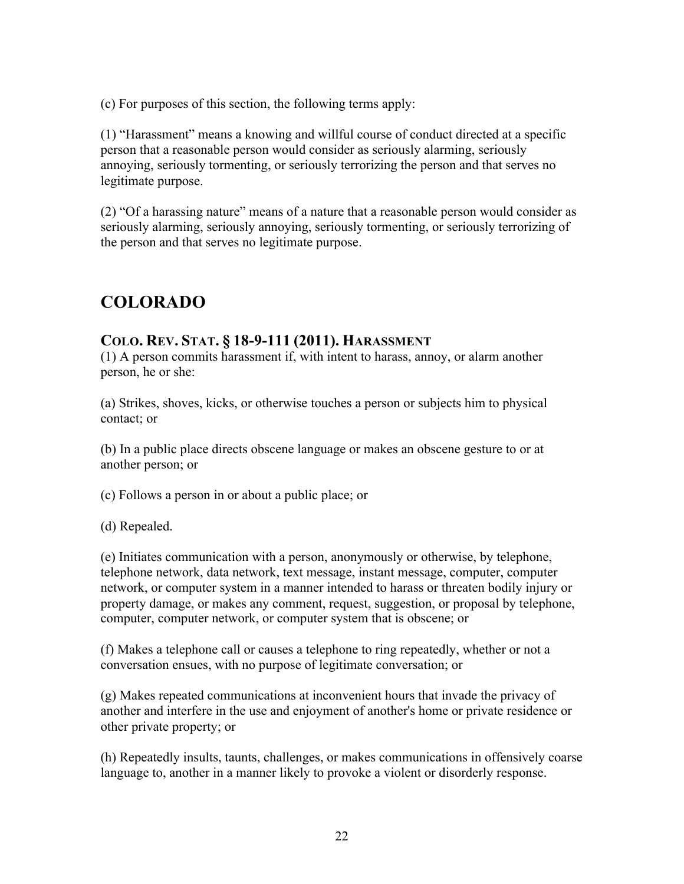(c) For purposes of this section, the following terms apply:

(1) "Harassment" means a knowing and willful course of conduct directed at a specific person that a reasonable person would consider as seriously alarming, seriously annoying, seriously tormenting, or seriously terrorizing the person and that serves no legitimate purpose.

(2) "Of a harassing nature" means of a nature that a reasonable person would consider as seriously alarming, seriously annoying, seriously tormenting, or seriously terrorizing of the person and that serves no legitimate purpose.

# **COLORADO**

#### **COLO. REV. STAT. § 18-9-111 (2011). HARASSMENT**

(1) A person commits harassment if, with intent to harass, annoy, or alarm another person, he or she:

(a) Strikes, shoves, kicks, or otherwise touches a person or subjects him to physical contact; or

(b) In a public place directs obscene language or makes an obscene gesture to or at another person; or

(c) Follows a person in or about a public place; or

(d) Repealed.

(e) Initiates communication with a person, anonymously or otherwise, by telephone, telephone network, data network, text message, instant message, computer, computer network, or computer system in a manner intended to harass or threaten bodily injury or property damage, or makes any comment, request, suggestion, or proposal by telephone, computer, computer network, or computer system that is obscene; or

(f) Makes a telephone call or causes a telephone to ring repeatedly, whether or not a conversation ensues, with no purpose of legitimate conversation; or

(g) Makes repeated communications at inconvenient hours that invade the privacy of another and interfere in the use and enjoyment of another's home or private residence or other private property; or

(h) Repeatedly insults, taunts, challenges, or makes communications in offensively coarse language to, another in a manner likely to provoke a violent or disorderly response.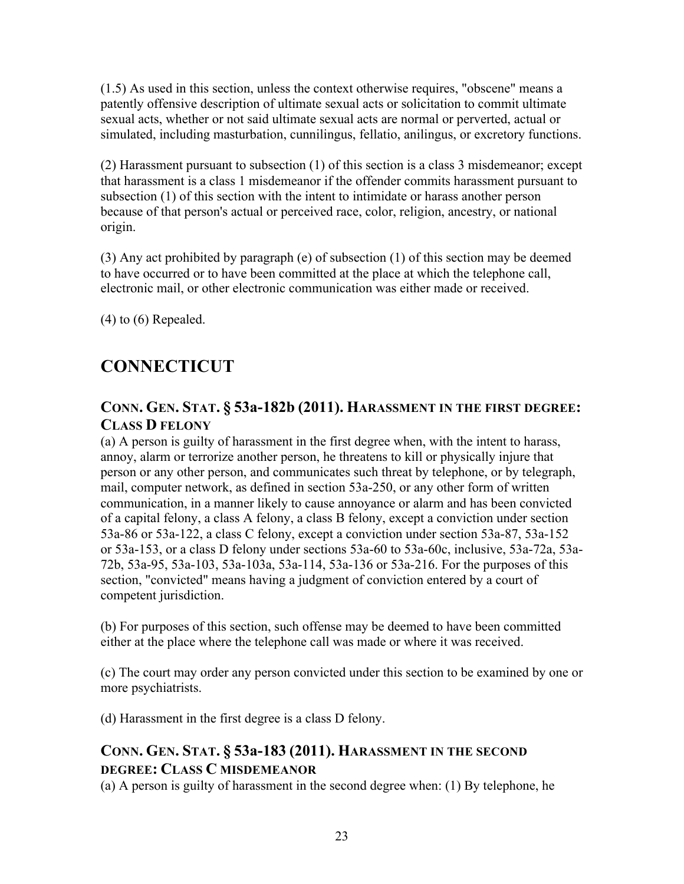(1.5) As used in this section, unless the context otherwise requires, "obscene" means a patently offensive description of ultimate sexual acts or solicitation to commit ultimate sexual acts, whether or not said ultimate sexual acts are normal or perverted, actual or simulated, including masturbation, cunnilingus, fellatio, anilingus, or excretory functions.

(2) Harassment pursuant to subsection (1) of this section is a class 3 misdemeanor; except that harassment is a class 1 misdemeanor if the offender commits harassment pursuant to subsection (1) of this section with the intent to intimidate or harass another person because of that person's actual or perceived race, color, religion, ancestry, or national origin.

(3) Any act prohibited by paragraph (e) of subsection (1) of this section may be deemed to have occurred or to have been committed at the place at which the telephone call, electronic mail, or other electronic communication was either made or received.

 $(4)$  to  $(6)$  Repealed.

# **CONNECTICUT**

## **CONN. GEN. STAT. § 53a-182b (2011). HARASSMENT IN THE FIRST DEGREE: CLASS D FELONY**

(a) A person is guilty of harassment in the first degree when, with the intent to harass, annoy, alarm or terrorize another person, he threatens to kill or physically injure that person or any other person, and communicates such threat by telephone, or by telegraph, mail, computer network, as defined in section 53a-250, or any other form of written communication, in a manner likely to cause annoyance or alarm and has been convicted of a capital felony, a class A felony, a class B felony, except a conviction under section 53a-86 or 53a-122, a class C felony, except a conviction under section 53a-87, 53a-152 or 53a-153, or a class D felony under sections 53a-60 to 53a-60c, inclusive, 53a-72a, 53a-72b, 53a-95, 53a-103, 53a-103a, 53a-114, 53a-136 or 53a-216. For the purposes of this section, "convicted" means having a judgment of conviction entered by a court of competent jurisdiction.

(b) For purposes of this section, such offense may be deemed to have been committed either at the place where the telephone call was made or where it was received.

(c) The court may order any person convicted under this section to be examined by one or more psychiatrists.

(d) Harassment in the first degree is a class D felony.

## **CONN. GEN. STAT. § 53a-183 (2011). HARASSMENT IN THE SECOND DEGREE: CLASS C MISDEMEANOR**

(a) A person is guilty of harassment in the second degree when: (1) By telephone, he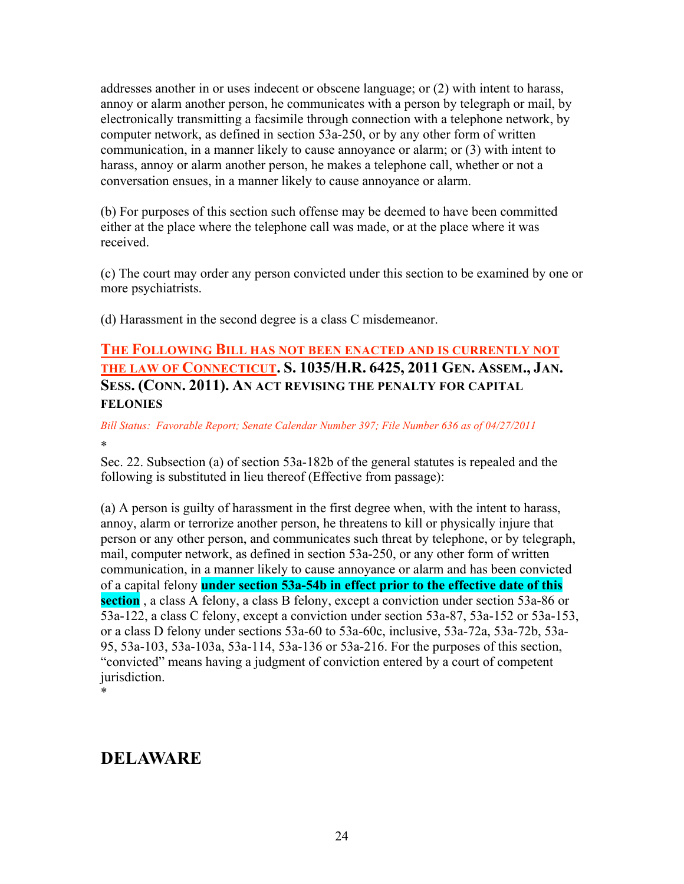addresses another in or uses indecent or obscene language; or (2) with intent to harass, annoy or alarm another person, he communicates with a person by telegraph or mail, by electronically transmitting a facsimile through connection with a telephone network, by computer network, as defined in section 53a-250, or by any other form of written communication, in a manner likely to cause annoyance or alarm; or (3) with intent to harass, annoy or alarm another person, he makes a telephone call, whether or not a conversation ensues, in a manner likely to cause annoyance or alarm.

(b) For purposes of this section such offense may be deemed to have been committed either at the place where the telephone call was made, or at the place where it was received.

(c) The court may order any person convicted under this section to be examined by one or more psychiatrists.

(d) Harassment in the second degree is a class C misdemeanor.

## **THE FOLLOWING BILL HAS NOT BEEN ENACTED AND IS CURRENTLY NOT THE LAW OF CONNECTICUT. S. 1035/H.R. 6425, 2011 GEN. ASSEM., JAN. SESS. (CONN. 2011). AN ACT REVISING THE PENALTY FOR CAPITAL FELONIES**

*Bill Status: Favorable Report; Senate Calendar Number 397; File Number 636 as of 04/27/2011* \*

Sec. 22. Subsection (a) of section 53a-182b of the general statutes is repealed and the following is substituted in lieu thereof (Effective from passage):

(a) A person is guilty of harassment in the first degree when, with the intent to harass, annoy, alarm or terrorize another person, he threatens to kill or physically injure that person or any other person, and communicates such threat by telephone, or by telegraph, mail, computer network, as defined in section 53a-250, or any other form of written communication, in a manner likely to cause annoyance or alarm and has been convicted of a capital felony **under section 53a-54b in effect prior to the effective date of this section** , a class A felony, a class B felony, except a conviction under section 53a-86 or 53a-122, a class C felony, except a conviction under section 53a-87, 53a-152 or 53a-153, or a class D felony under sections 53a-60 to 53a-60c, inclusive, 53a-72a, 53a-72b, 53a-95, 53a-103, 53a-103a, 53a-114, 53a-136 or 53a-216. For the purposes of this section, "convicted" means having a judgment of conviction entered by a court of competent jurisdiction.

\*

## **DELAWARE**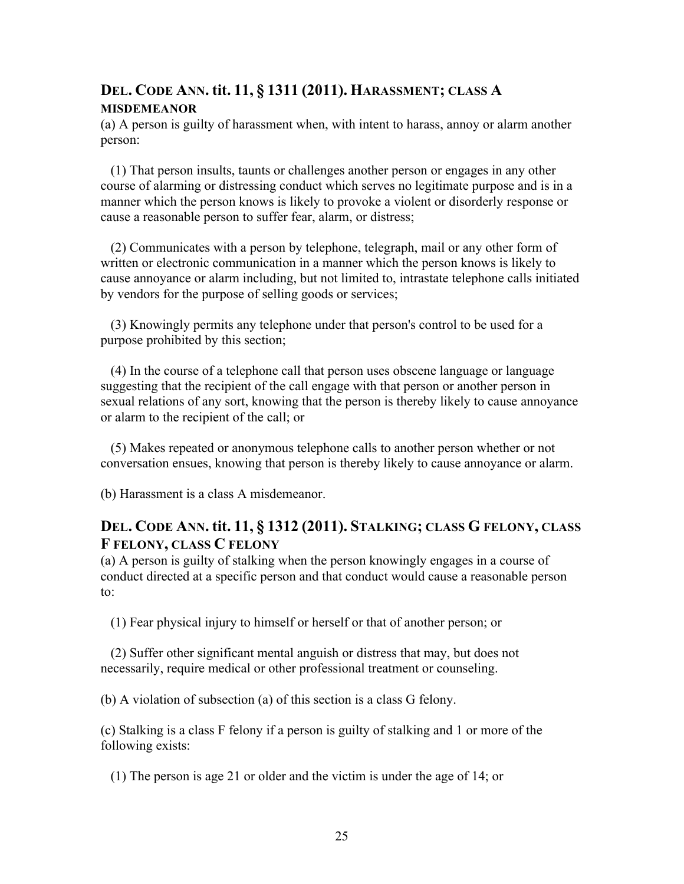## **DEL. CODE ANN. tit. 11, § 1311 (2011). HARASSMENT; CLASS A MISDEMEANOR**

(a) A person is guilty of harassment when, with intent to harass, annoy or alarm another person:

 (1) That person insults, taunts or challenges another person or engages in any other course of alarming or distressing conduct which serves no legitimate purpose and is in a manner which the person knows is likely to provoke a violent or disorderly response or cause a reasonable person to suffer fear, alarm, or distress;

 (2) Communicates with a person by telephone, telegraph, mail or any other form of written or electronic communication in a manner which the person knows is likely to cause annoyance or alarm including, but not limited to, intrastate telephone calls initiated by vendors for the purpose of selling goods or services;

 (3) Knowingly permits any telephone under that person's control to be used for a purpose prohibited by this section;

 (4) In the course of a telephone call that person uses obscene language or language suggesting that the recipient of the call engage with that person or another person in sexual relations of any sort, knowing that the person is thereby likely to cause annoyance or alarm to the recipient of the call; or

 (5) Makes repeated or anonymous telephone calls to another person whether or not conversation ensues, knowing that person is thereby likely to cause annoyance or alarm.

(b) Harassment is a class A misdemeanor.

## **DEL. CODE ANN. tit. 11, § 1312 (2011). STALKING; CLASS G FELONY, CLASS F FELONY, CLASS C FELONY**

(a) A person is guilty of stalking when the person knowingly engages in a course of conduct directed at a specific person and that conduct would cause a reasonable person to:

(1) Fear physical injury to himself or herself or that of another person; or

 (2) Suffer other significant mental anguish or distress that may, but does not necessarily, require medical or other professional treatment or counseling.

(b) A violation of subsection (a) of this section is a class G felony.

(c) Stalking is a class F felony if a person is guilty of stalking and 1 or more of the following exists:

(1) The person is age 21 or older and the victim is under the age of 14; or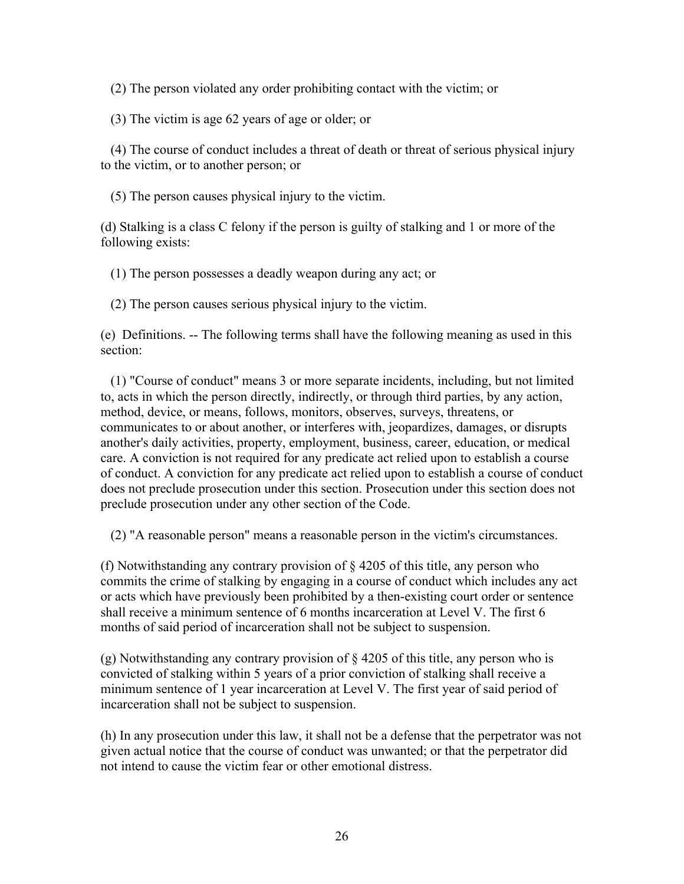(2) The person violated any order prohibiting contact with the victim; or

(3) The victim is age 62 years of age or older; or

 (4) The course of conduct includes a threat of death or threat of serious physical injury to the victim, or to another person; or

(5) The person causes physical injury to the victim.

(d) Stalking is a class C felony if the person is guilty of stalking and 1 or more of the following exists:

(1) The person possesses a deadly weapon during any act; or

(2) The person causes serious physical injury to the victim.

(e) Definitions. -- The following terms shall have the following meaning as used in this section:

 (1) "Course of conduct" means 3 or more separate incidents, including, but not limited to, acts in which the person directly, indirectly, or through third parties, by any action, method, device, or means, follows, monitors, observes, surveys, threatens, or communicates to or about another, or interferes with, jeopardizes, damages, or disrupts another's daily activities, property, employment, business, career, education, or medical care. A conviction is not required for any predicate act relied upon to establish a course of conduct. A conviction for any predicate act relied upon to establish a course of conduct does not preclude prosecution under this section. Prosecution under this section does not preclude prosecution under any other section of the Code.

(2) "A reasonable person" means a reasonable person in the victim's circumstances.

(f) Notwithstanding any contrary provision of § 4205 of this title, any person who commits the crime of stalking by engaging in a course of conduct which includes any act or acts which have previously been prohibited by a then-existing court order or sentence shall receive a minimum sentence of 6 months incarceration at Level V. The first 6 months of said period of incarceration shall not be subject to suspension.

(g) Notwithstanding any contrary provision of § 4205 of this title, any person who is convicted of stalking within 5 years of a prior conviction of stalking shall receive a minimum sentence of 1 year incarceration at Level V. The first year of said period of incarceration shall not be subject to suspension.

(h) In any prosecution under this law, it shall not be a defense that the perpetrator was not given actual notice that the course of conduct was unwanted; or that the perpetrator did not intend to cause the victim fear or other emotional distress.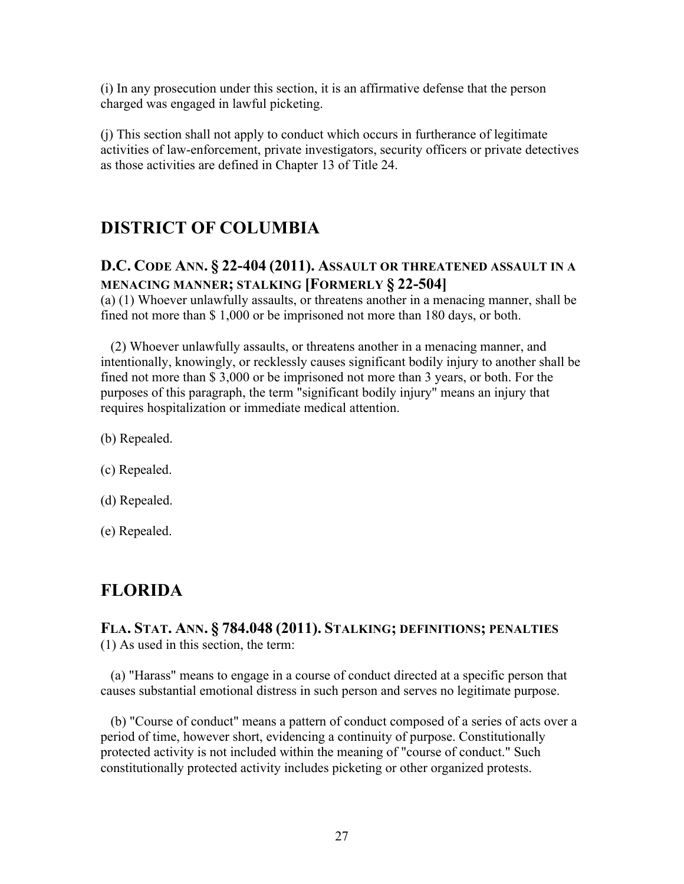(i) In any prosecution under this section, it is an affirmative defense that the person charged was engaged in lawful picketing.

(j) This section shall not apply to conduct which occurs in furtherance of legitimate activities of law-enforcement, private investigators, security officers or private detectives as those activities are defined in Chapter 13 of Title 24.

# **DISTRICT OF COLUMBIA**

## **D.C. CODE ANN. § 22-404 (2011). ASSAULT OR THREATENED ASSAULT IN A MENACING MANNER; STALKING [FORMERLY § 22-504]**

(a) (1) Whoever unlawfully assaults, or threatens another in a menacing manner, shall be fined not more than \$ 1,000 or be imprisoned not more than 180 days, or both.

 (2) Whoever unlawfully assaults, or threatens another in a menacing manner, and intentionally, knowingly, or recklessly causes significant bodily injury to another shall be fined not more than \$ 3,000 or be imprisoned not more than 3 years, or both. For the purposes of this paragraph, the term "significant bodily injury" means an injury that requires hospitalization or immediate medical attention.

(b) Repealed.

(c) Repealed.

(d) Repealed.

(e) Repealed.

# **FLORIDA**

#### **FLA. STAT. ANN. § 784.048 (2011). STALKING; DEFINITIONS; PENALTIES** (1) As used in this section, the term:

 (a) "Harass" means to engage in a course of conduct directed at a specific person that causes substantial emotional distress in such person and serves no legitimate purpose.

 (b) "Course of conduct" means a pattern of conduct composed of a series of acts over a period of time, however short, evidencing a continuity of purpose. Constitutionally protected activity is not included within the meaning of "course of conduct." Such constitutionally protected activity includes picketing or other organized protests.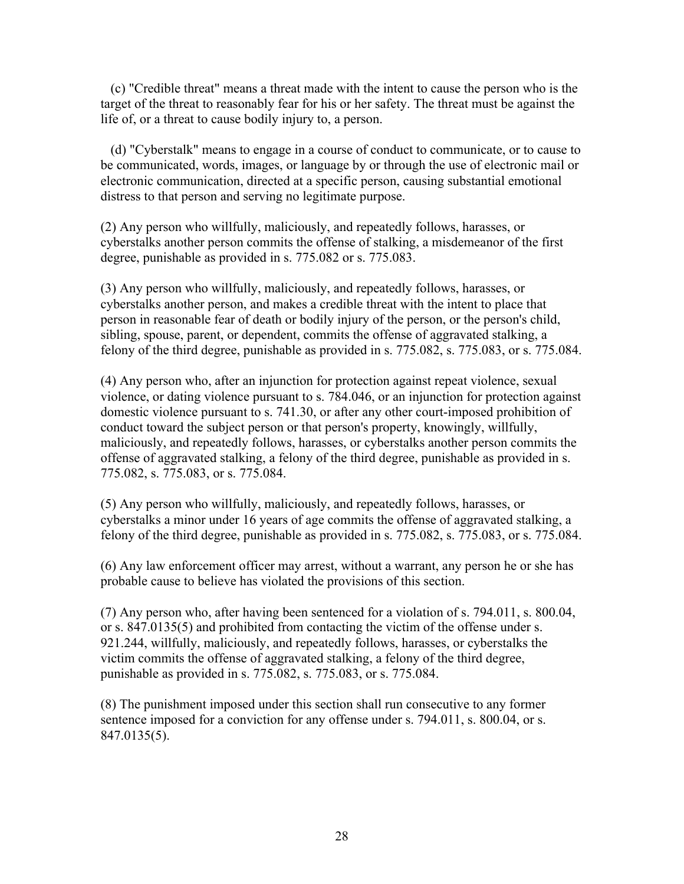(c) "Credible threat" means a threat made with the intent to cause the person who is the target of the threat to reasonably fear for his or her safety. The threat must be against the life of, or a threat to cause bodily injury to, a person.

 (d) "Cyberstalk" means to engage in a course of conduct to communicate, or to cause to be communicated, words, images, or language by or through the use of electronic mail or electronic communication, directed at a specific person, causing substantial emotional distress to that person and serving no legitimate purpose.

(2) Any person who willfully, maliciously, and repeatedly follows, harasses, or cyberstalks another person commits the offense of stalking, a misdemeanor of the first degree, punishable as provided in s. 775.082 or s. 775.083.

(3) Any person who willfully, maliciously, and repeatedly follows, harasses, or cyberstalks another person, and makes a credible threat with the intent to place that person in reasonable fear of death or bodily injury of the person, or the person's child, sibling, spouse, parent, or dependent, commits the offense of aggravated stalking, a felony of the third degree, punishable as provided in s. 775.082, s. 775.083, or s. 775.084.

(4) Any person who, after an injunction for protection against repeat violence, sexual violence, or dating violence pursuant to s. 784.046, or an injunction for protection against domestic violence pursuant to s. 741.30, or after any other court-imposed prohibition of conduct toward the subject person or that person's property, knowingly, willfully, maliciously, and repeatedly follows, harasses, or cyberstalks another person commits the offense of aggravated stalking, a felony of the third degree, punishable as provided in s. 775.082, s. 775.083, or s. 775.084.

(5) Any person who willfully, maliciously, and repeatedly follows, harasses, or cyberstalks a minor under 16 years of age commits the offense of aggravated stalking, a felony of the third degree, punishable as provided in s. 775.082, s. 775.083, or s. 775.084.

(6) Any law enforcement officer may arrest, without a warrant, any person he or she has probable cause to believe has violated the provisions of this section.

(7) Any person who, after having been sentenced for a violation of s. 794.011, s. 800.04, or s. 847.0135(5) and prohibited from contacting the victim of the offense under s. 921.244, willfully, maliciously, and repeatedly follows, harasses, or cyberstalks the victim commits the offense of aggravated stalking, a felony of the third degree, punishable as provided in s. 775.082, s. 775.083, or s. 775.084.

(8) The punishment imposed under this section shall run consecutive to any former sentence imposed for a conviction for any offense under s. 794.011, s. 800.04, or s. 847.0135(5).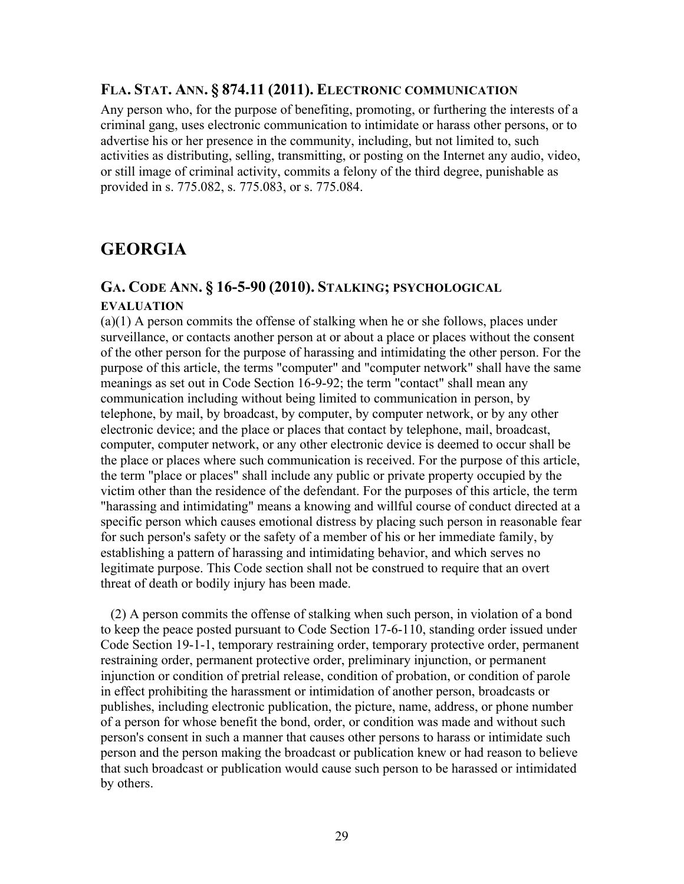#### **FLA. STAT. ANN. § 874.11 (2011). ELECTRONIC COMMUNICATION**

Any person who, for the purpose of benefiting, promoting, or furthering the interests of a criminal gang, uses electronic communication to intimidate or harass other persons, or to advertise his or her presence in the community, including, but not limited to, such activities as distributing, selling, transmitting, or posting on the Internet any audio, video, or still image of criminal activity, commits a felony of the third degree, punishable as provided in s. 775.082, s. 775.083, or s. 775.084.

## **GEORGIA**

#### **GA. CODE ANN. § 16-5-90 (2010). STALKING; PSYCHOLOGICAL EVALUATION**

(a)(1) A person commits the offense of stalking when he or she follows, places under surveillance, or contacts another person at or about a place or places without the consent of the other person for the purpose of harassing and intimidating the other person. For the purpose of this article, the terms "computer" and "computer network" shall have the same meanings as set out in Code Section 16-9-92; the term "contact" shall mean any communication including without being limited to communication in person, by telephone, by mail, by broadcast, by computer, by computer network, or by any other electronic device; and the place or places that contact by telephone, mail, broadcast, computer, computer network, or any other electronic device is deemed to occur shall be the place or places where such communication is received. For the purpose of this article, the term "place or places" shall include any public or private property occupied by the victim other than the residence of the defendant. For the purposes of this article, the term "harassing and intimidating" means a knowing and willful course of conduct directed at a specific person which causes emotional distress by placing such person in reasonable fear for such person's safety or the safety of a member of his or her immediate family, by establishing a pattern of harassing and intimidating behavior, and which serves no legitimate purpose. This Code section shall not be construed to require that an overt threat of death or bodily injury has been made.

 (2) A person commits the offense of stalking when such person, in violation of a bond to keep the peace posted pursuant to Code Section 17-6-110, standing order issued under Code Section 19-1-1, temporary restraining order, temporary protective order, permanent restraining order, permanent protective order, preliminary injunction, or permanent injunction or condition of pretrial release, condition of probation, or condition of parole in effect prohibiting the harassment or intimidation of another person, broadcasts or publishes, including electronic publication, the picture, name, address, or phone number of a person for whose benefit the bond, order, or condition was made and without such person's consent in such a manner that causes other persons to harass or intimidate such person and the person making the broadcast or publication knew or had reason to believe that such broadcast or publication would cause such person to be harassed or intimidated by others.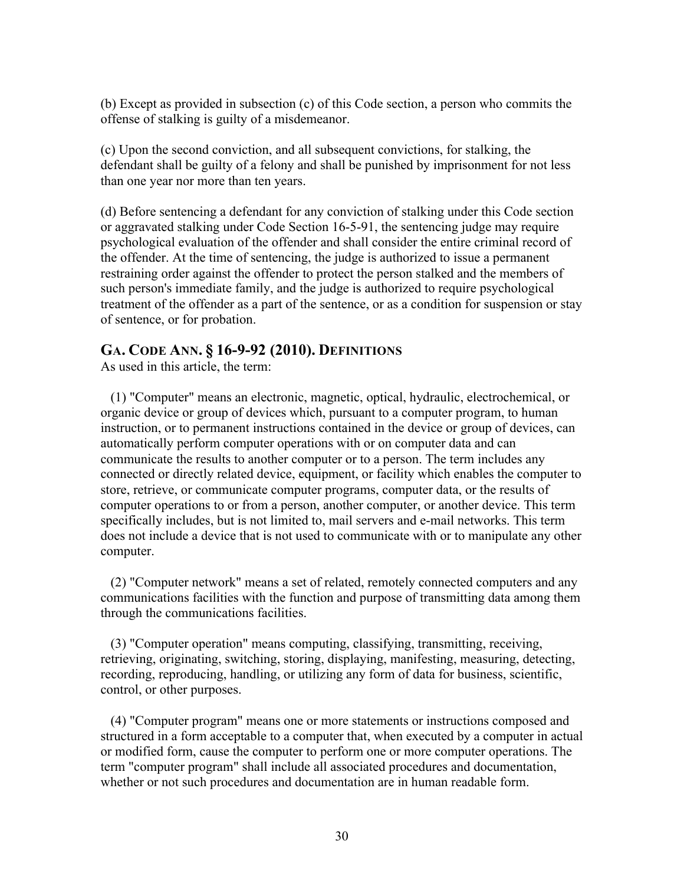(b) Except as provided in subsection (c) of this Code section, a person who commits the offense of stalking is guilty of a misdemeanor.

(c) Upon the second conviction, and all subsequent convictions, for stalking, the defendant shall be guilty of a felony and shall be punished by imprisonment for not less than one year nor more than ten years.

(d) Before sentencing a defendant for any conviction of stalking under this Code section or aggravated stalking under Code Section 16-5-91, the sentencing judge may require psychological evaluation of the offender and shall consider the entire criminal record of the offender. At the time of sentencing, the judge is authorized to issue a permanent restraining order against the offender to protect the person stalked and the members of such person's immediate family, and the judge is authorized to require psychological treatment of the offender as a part of the sentence, or as a condition for suspension or stay of sentence, or for probation.

## **GA. CODE ANN. § 16-9-92 (2010). DEFINITIONS**

As used in this article, the term:

 (1) "Computer" means an electronic, magnetic, optical, hydraulic, electrochemical, or organic device or group of devices which, pursuant to a computer program, to human instruction, or to permanent instructions contained in the device or group of devices, can automatically perform computer operations with or on computer data and can communicate the results to another computer or to a person. The term includes any connected or directly related device, equipment, or facility which enables the computer to store, retrieve, or communicate computer programs, computer data, or the results of computer operations to or from a person, another computer, or another device. This term specifically includes, but is not limited to, mail servers and e-mail networks. This term does not include a device that is not used to communicate with or to manipulate any other computer.

 (2) "Computer network" means a set of related, remotely connected computers and any communications facilities with the function and purpose of transmitting data among them through the communications facilities.

 (3) "Computer operation" means computing, classifying, transmitting, receiving, retrieving, originating, switching, storing, displaying, manifesting, measuring, detecting, recording, reproducing, handling, or utilizing any form of data for business, scientific, control, or other purposes.

 (4) "Computer program" means one or more statements or instructions composed and structured in a form acceptable to a computer that, when executed by a computer in actual or modified form, cause the computer to perform one or more computer operations. The term "computer program" shall include all associated procedures and documentation, whether or not such procedures and documentation are in human readable form.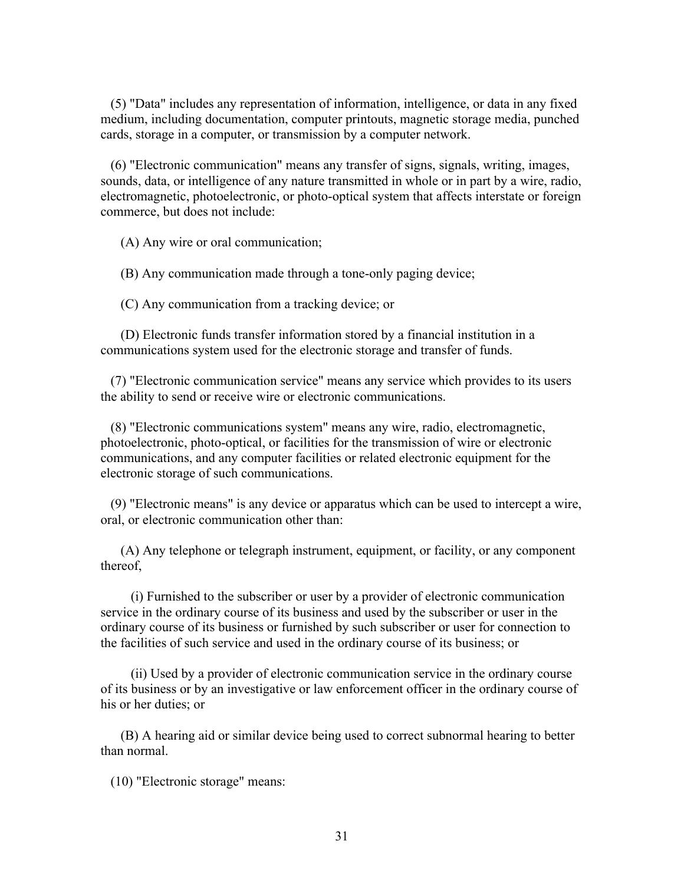(5) "Data" includes any representation of information, intelligence, or data in any fixed medium, including documentation, computer printouts, magnetic storage media, punched cards, storage in a computer, or transmission by a computer network.

 (6) "Electronic communication" means any transfer of signs, signals, writing, images, sounds, data, or intelligence of any nature transmitted in whole or in part by a wire, radio, electromagnetic, photoelectronic, or photo-optical system that affects interstate or foreign commerce, but does not include:

(A) Any wire or oral communication;

(B) Any communication made through a tone-only paging device;

(C) Any communication from a tracking device; or

 (D) Electronic funds transfer information stored by a financial institution in a communications system used for the electronic storage and transfer of funds.

 (7) "Electronic communication service" means any service which provides to its users the ability to send or receive wire or electronic communications.

 (8) "Electronic communications system" means any wire, radio, electromagnetic, photoelectronic, photo-optical, or facilities for the transmission of wire or electronic communications, and any computer facilities or related electronic equipment for the electronic storage of such communications.

 (9) "Electronic means" is any device or apparatus which can be used to intercept a wire, oral, or electronic communication other than:

 (A) Any telephone or telegraph instrument, equipment, or facility, or any component thereof,

 (i) Furnished to the subscriber or user by a provider of electronic communication service in the ordinary course of its business and used by the subscriber or user in the ordinary course of its business or furnished by such subscriber or user for connection to the facilities of such service and used in the ordinary course of its business; or

 (ii) Used by a provider of electronic communication service in the ordinary course of its business or by an investigative or law enforcement officer in the ordinary course of his or her duties; or

 (B) A hearing aid or similar device being used to correct subnormal hearing to better than normal.

(10) "Electronic storage" means: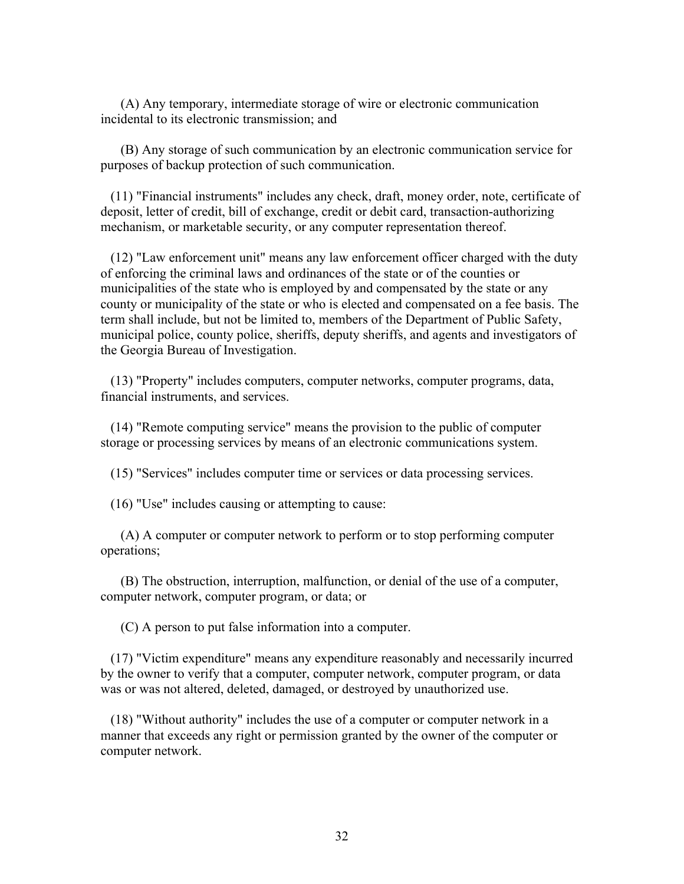(A) Any temporary, intermediate storage of wire or electronic communication incidental to its electronic transmission; and

 (B) Any storage of such communication by an electronic communication service for purposes of backup protection of such communication.

 (11) "Financial instruments" includes any check, draft, money order, note, certificate of deposit, letter of credit, bill of exchange, credit or debit card, transaction-authorizing mechanism, or marketable security, or any computer representation thereof.

 (12) "Law enforcement unit" means any law enforcement officer charged with the duty of enforcing the criminal laws and ordinances of the state or of the counties or municipalities of the state who is employed by and compensated by the state or any county or municipality of the state or who is elected and compensated on a fee basis. The term shall include, but not be limited to, members of the Department of Public Safety, municipal police, county police, sheriffs, deputy sheriffs, and agents and investigators of the Georgia Bureau of Investigation.

 (13) "Property" includes computers, computer networks, computer programs, data, financial instruments, and services.

 (14) "Remote computing service" means the provision to the public of computer storage or processing services by means of an electronic communications system.

(15) "Services" includes computer time or services or data processing services.

(16) "Use" includes causing or attempting to cause:

 (A) A computer or computer network to perform or to stop performing computer operations;

 (B) The obstruction, interruption, malfunction, or denial of the use of a computer, computer network, computer program, or data; or

(C) A person to put false information into a computer.

 (17) "Victim expenditure" means any expenditure reasonably and necessarily incurred by the owner to verify that a computer, computer network, computer program, or data was or was not altered, deleted, damaged, or destroyed by unauthorized use.

 (18) "Without authority" includes the use of a computer or computer network in a manner that exceeds any right or permission granted by the owner of the computer or computer network.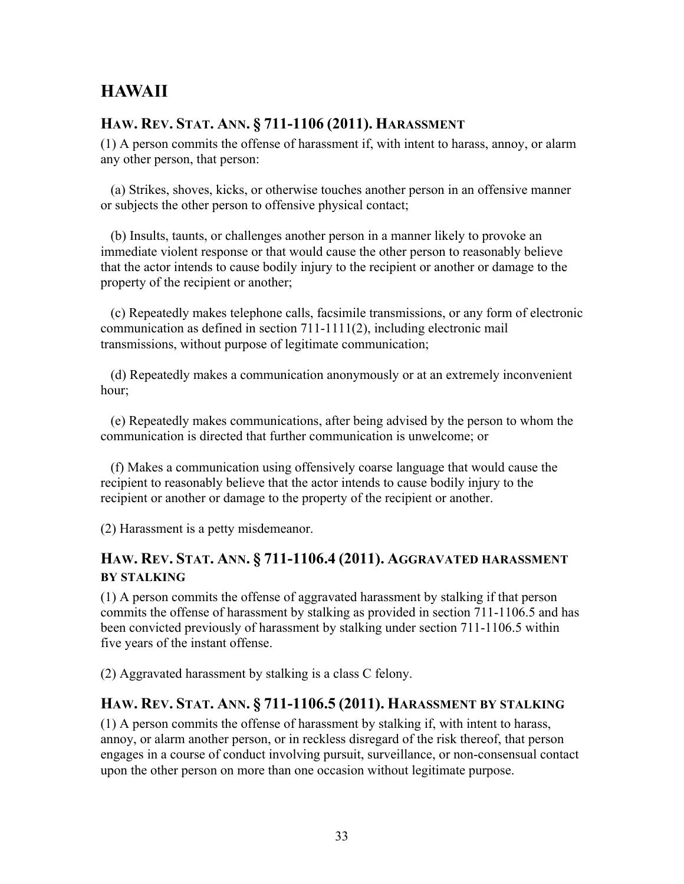# **HAWAII**

## **HAW. REV. STAT. ANN. § 711-1106 (2011). HARASSMENT**

(1) A person commits the offense of harassment if, with intent to harass, annoy, or alarm any other person, that person:

 (a) Strikes, shoves, kicks, or otherwise touches another person in an offensive manner or subjects the other person to offensive physical contact;

 (b) Insults, taunts, or challenges another person in a manner likely to provoke an immediate violent response or that would cause the other person to reasonably believe that the actor intends to cause bodily injury to the recipient or another or damage to the property of the recipient or another;

 (c) Repeatedly makes telephone calls, facsimile transmissions, or any form of electronic communication as defined in section 711-1111(2), including electronic mail transmissions, without purpose of legitimate communication;

 (d) Repeatedly makes a communication anonymously or at an extremely inconvenient hour;

 (e) Repeatedly makes communications, after being advised by the person to whom the communication is directed that further communication is unwelcome; or

 (f) Makes a communication using offensively coarse language that would cause the recipient to reasonably believe that the actor intends to cause bodily injury to the recipient or another or damage to the property of the recipient or another.

(2) Harassment is a petty misdemeanor.

## **HAW. REV. STAT. ANN. § 711-1106.4 (2011). AGGRAVATED HARASSMENT BY STALKING**

(1) A person commits the offense of aggravated harassment by stalking if that person commits the offense of harassment by stalking as provided in section 711-1106.5 and has been convicted previously of harassment by stalking under section 711-1106.5 within five years of the instant offense.

(2) Aggravated harassment by stalking is a class C felony.

#### **HAW. REV. STAT. ANN. § 711-1106.5 (2011). HARASSMENT BY STALKING**

(1) A person commits the offense of harassment by stalking if, with intent to harass, annoy, or alarm another person, or in reckless disregard of the risk thereof, that person engages in a course of conduct involving pursuit, surveillance, or non-consensual contact upon the other person on more than one occasion without legitimate purpose.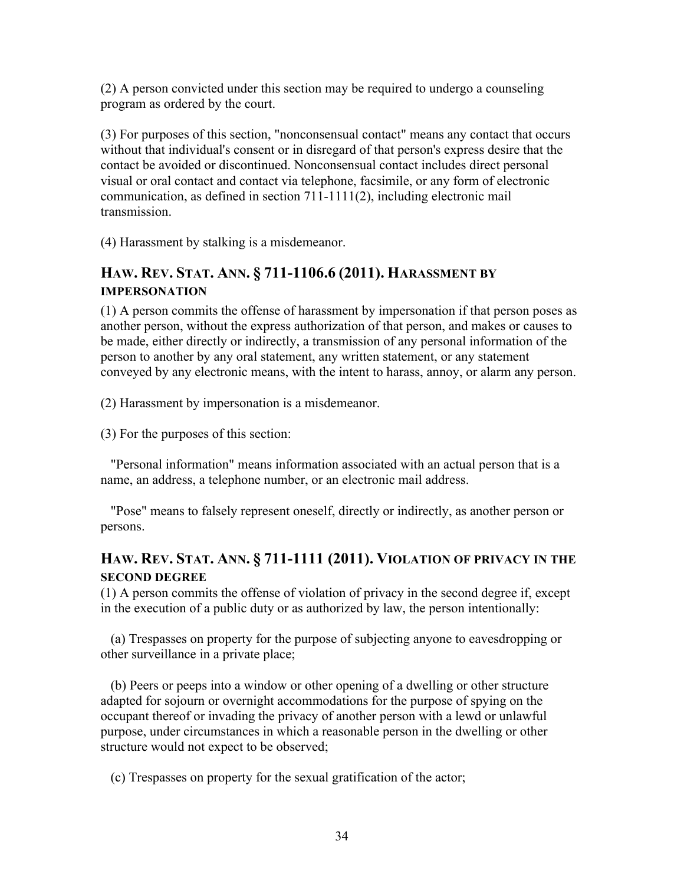(2) A person convicted under this section may be required to undergo a counseling program as ordered by the court.

(3) For purposes of this section, "nonconsensual contact" means any contact that occurs without that individual's consent or in disregard of that person's express desire that the contact be avoided or discontinued. Nonconsensual contact includes direct personal visual or oral contact and contact via telephone, facsimile, or any form of electronic communication, as defined in section 711-1111(2), including electronic mail transmission.

(4) Harassment by stalking is a misdemeanor.

## **HAW. REV. STAT. ANN. § 711-1106.6 (2011). HARASSMENT BY IMPERSONATION**

(1) A person commits the offense of harassment by impersonation if that person poses as another person, without the express authorization of that person, and makes or causes to be made, either directly or indirectly, a transmission of any personal information of the person to another by any oral statement, any written statement, or any statement conveyed by any electronic means, with the intent to harass, annoy, or alarm any person.

(2) Harassment by impersonation is a misdemeanor.

(3) For the purposes of this section:

 "Personal information" means information associated with an actual person that is a name, an address, a telephone number, or an electronic mail address.

 "Pose" means to falsely represent oneself, directly or indirectly, as another person or persons.

## **HAW. REV. STAT. ANN. § 711-1111 (2011). VIOLATION OF PRIVACY IN THE SECOND DEGREE**

(1) A person commits the offense of violation of privacy in the second degree if, except in the execution of a public duty or as authorized by law, the person intentionally:

 (a) Trespasses on property for the purpose of subjecting anyone to eavesdropping or other surveillance in a private place;

 (b) Peers or peeps into a window or other opening of a dwelling or other structure adapted for sojourn or overnight accommodations for the purpose of spying on the occupant thereof or invading the privacy of another person with a lewd or unlawful purpose, under circumstances in which a reasonable person in the dwelling or other structure would not expect to be observed;

(c) Trespasses on property for the sexual gratification of the actor;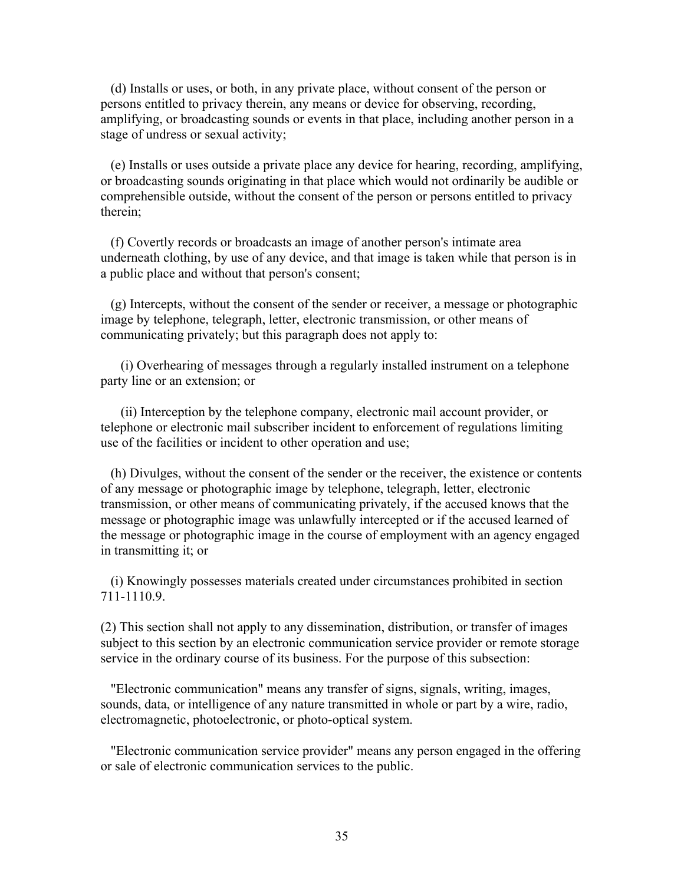(d) Installs or uses, or both, in any private place, without consent of the person or persons entitled to privacy therein, any means or device for observing, recording, amplifying, or broadcasting sounds or events in that place, including another person in a stage of undress or sexual activity;

 (e) Installs or uses outside a private place any device for hearing, recording, amplifying, or broadcasting sounds originating in that place which would not ordinarily be audible or comprehensible outside, without the consent of the person or persons entitled to privacy therein;

 (f) Covertly records or broadcasts an image of another person's intimate area underneath clothing, by use of any device, and that image is taken while that person is in a public place and without that person's consent;

 (g) Intercepts, without the consent of the sender or receiver, a message or photographic image by telephone, telegraph, letter, electronic transmission, or other means of communicating privately; but this paragraph does not apply to:

 (i) Overhearing of messages through a regularly installed instrument on a telephone party line or an extension; or

 (ii) Interception by the telephone company, electronic mail account provider, or telephone or electronic mail subscriber incident to enforcement of regulations limiting use of the facilities or incident to other operation and use;

 (h) Divulges, without the consent of the sender or the receiver, the existence or contents of any message or photographic image by telephone, telegraph, letter, electronic transmission, or other means of communicating privately, if the accused knows that the message or photographic image was unlawfully intercepted or if the accused learned of the message or photographic image in the course of employment with an agency engaged in transmitting it; or

 (i) Knowingly possesses materials created under circumstances prohibited in section 711-1110.9.

(2) This section shall not apply to any dissemination, distribution, or transfer of images subject to this section by an electronic communication service provider or remote storage service in the ordinary course of its business. For the purpose of this subsection:

 "Electronic communication" means any transfer of signs, signals, writing, images, sounds, data, or intelligence of any nature transmitted in whole or part by a wire, radio, electromagnetic, photoelectronic, or photo-optical system.

 "Electronic communication service provider" means any person engaged in the offering or sale of electronic communication services to the public.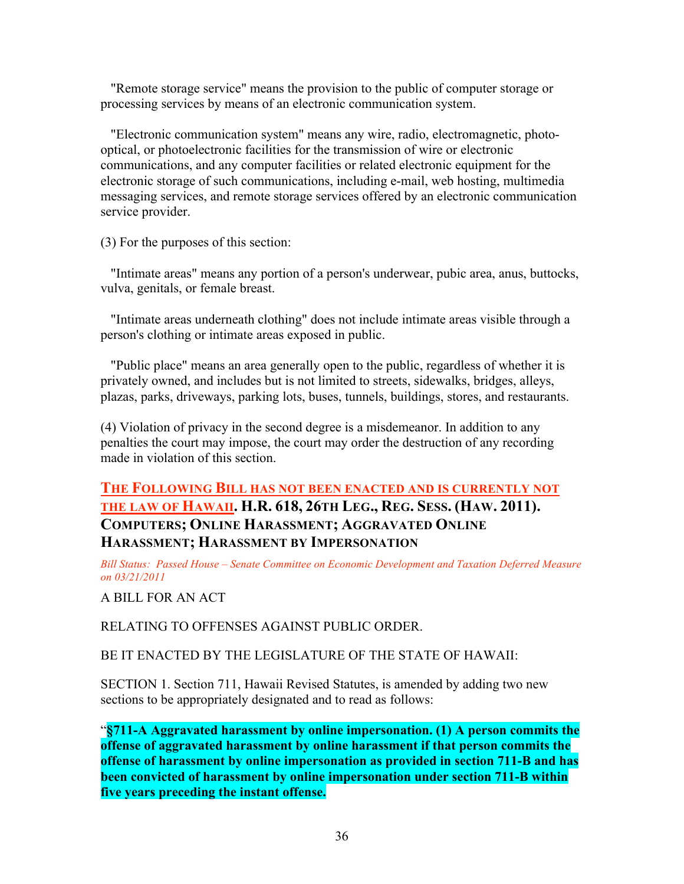"Remote storage service" means the provision to the public of computer storage or processing services by means of an electronic communication system.

 "Electronic communication system" means any wire, radio, electromagnetic, photooptical, or photoelectronic facilities for the transmission of wire or electronic communications, and any computer facilities or related electronic equipment for the electronic storage of such communications, including e-mail, web hosting, multimedia messaging services, and remote storage services offered by an electronic communication service provider.

(3) For the purposes of this section:

 "Intimate areas" means any portion of a person's underwear, pubic area, anus, buttocks, vulva, genitals, or female breast.

 "Intimate areas underneath clothing" does not include intimate areas visible through a person's clothing or intimate areas exposed in public.

 "Public place" means an area generally open to the public, regardless of whether it is privately owned, and includes but is not limited to streets, sidewalks, bridges, alleys, plazas, parks, driveways, parking lots, buses, tunnels, buildings, stores, and restaurants.

(4) Violation of privacy in the second degree is a misdemeanor. In addition to any penalties the court may impose, the court may order the destruction of any recording made in violation of this section.

## **THE FOLLOWING BILL HAS NOT BEEN ENACTED AND IS CURRENTLY NOT THE LAW OF HAWAII. H.R. 618, 26TH LEG., REG. SESS. (HAW. 2011). COMPUTERS; ONLINE HARASSMENT; AGGRAVATED ONLINE HARASSMENT; HARASSMENT BY IMPERSONATION**

*Bill Status: Passed House – Senate Committee on Economic Development and Taxation Deferred Measure on 03/21/2011*

A BILL FOR AN ACT

RELATING TO OFFENSES AGAINST PUBLIC ORDER.

BE IT ENACTED BY THE LEGISLATURE OF THE STATE OF HAWAII:

SECTION 1. Section 711, Hawaii Revised Statutes, is amended by adding two new sections to be appropriately designated and to read as follows:

"**§711-A Aggravated harassment by online impersonation. (1) A person commits the offense of aggravated harassment by online harassment if that person commits the offense of harassment by online impersonation as provided in section 711-B and has been convicted of harassment by online impersonation under section 711-B within five years preceding the instant offense.**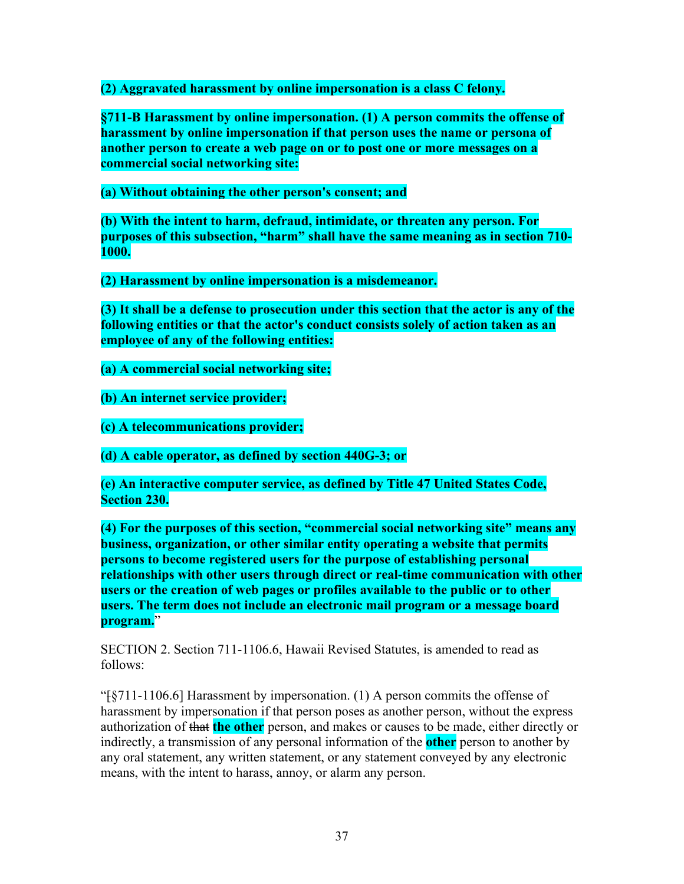**(2) Aggravated harassment by online impersonation is a class C felony.**

**§711-B Harassment by online impersonation. (1) A person commits the offense of harassment by online impersonation if that person uses the name or persona of another person to create a web page on or to post one or more messages on a commercial social networking site:**

**(a) Without obtaining the other person's consent; and**

**(b) With the intent to harm, defraud, intimidate, or threaten any person. For purposes of this subsection, "harm" shall have the same meaning as in section 710- 1000.**

**(2) Harassment by online impersonation is a misdemeanor.**

**(3) It shall be a defense to prosecution under this section that the actor is any of the following entities or that the actor's conduct consists solely of action taken as an employee of any of the following entities:**

**(a) A commercial social networking site;**

**(b) An internet service provider;**

**(c) A telecommunications provider;**

**(d) A cable operator, as defined by section 440G-3; or**

**(e) An interactive computer service, as defined by Title 47 United States Code, Section 230.**

**(4) For the purposes of this section, "commercial social networking site" means any business, organization, or other similar entity operating a website that permits persons to become registered users for the purpose of establishing personal relationships with other users through direct or real-time communication with other users or the creation of web pages or profiles available to the public or to other users. The term does not include an electronic mail program or a message board program.**"

SECTION 2. Section 711-1106.6, Hawaii Revised Statutes, is amended to read as follows:

"[§711-1106.6] Harassment by impersonation. (1) A person commits the offense of harassment by impersonation if that person poses as another person, without the express authorization of that **the other** person, and makes or causes to be made, either directly or indirectly, a transmission of any personal information of the **other** person to another by any oral statement, any written statement, or any statement conveyed by any electronic means, with the intent to harass, annoy, or alarm any person.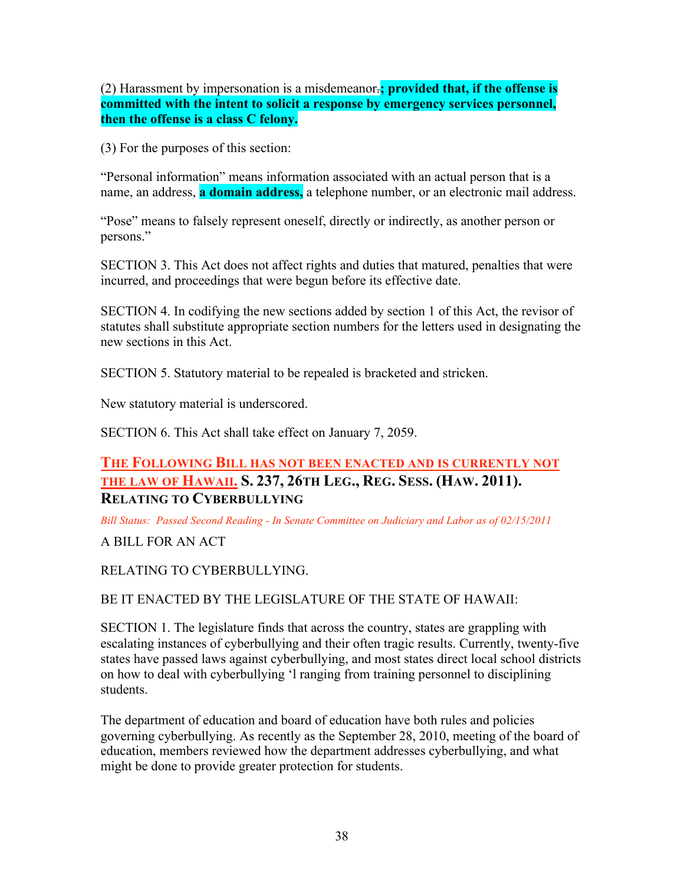(2) Harassment by impersonation is a misdemeanor.**; provided that, if the offense is committed with the intent to solicit a response by emergency services personnel, then the offense is a class C felony.**

(3) For the purposes of this section:

"Personal information" means information associated with an actual person that is a name, an address, **a domain address,** a telephone number, or an electronic mail address.

"Pose" means to falsely represent oneself, directly or indirectly, as another person or persons."

SECTION 3. This Act does not affect rights and duties that matured, penalties that were incurred, and proceedings that were begun before its effective date.

SECTION 4. In codifying the new sections added by section 1 of this Act, the revisor of statutes shall substitute appropriate section numbers for the letters used in designating the new sections in this Act.

SECTION 5. Statutory material to be repealed is bracketed and stricken.

New statutory material is underscored.

SECTION 6. This Act shall take effect on January 7, 2059.

### **THE FOLLOWING BILL HAS NOT BEEN ENACTED AND IS CURRENTLY NOT THE LAW OF HAWAII. S. 237, 26TH LEG., REG. SESS. (HAW. 2011). RELATING TO CYBERBULLYING**

*Bill Status: Passed Second Reading - In Senate Committee on Judiciary and Labor as of 02/15/2011*

A BILL FOR AN ACT

RELATING TO CYBERBULLYING.

BE IT ENACTED BY THE LEGISLATURE OF THE STATE OF HAWAII:

SECTION 1. The legislature finds that across the country, states are grappling with escalating instances of cyberbullying and their often tragic results. Currently, twenty-five states have passed laws against cyberbullying, and most states direct local school districts on how to deal with cyberbullying 'l ranging from training personnel to disciplining students.

The department of education and board of education have both rules and policies governing cyberbullying. As recently as the September 28, 2010, meeting of the board of education, members reviewed how the department addresses cyberbullying, and what might be done to provide greater protection for students.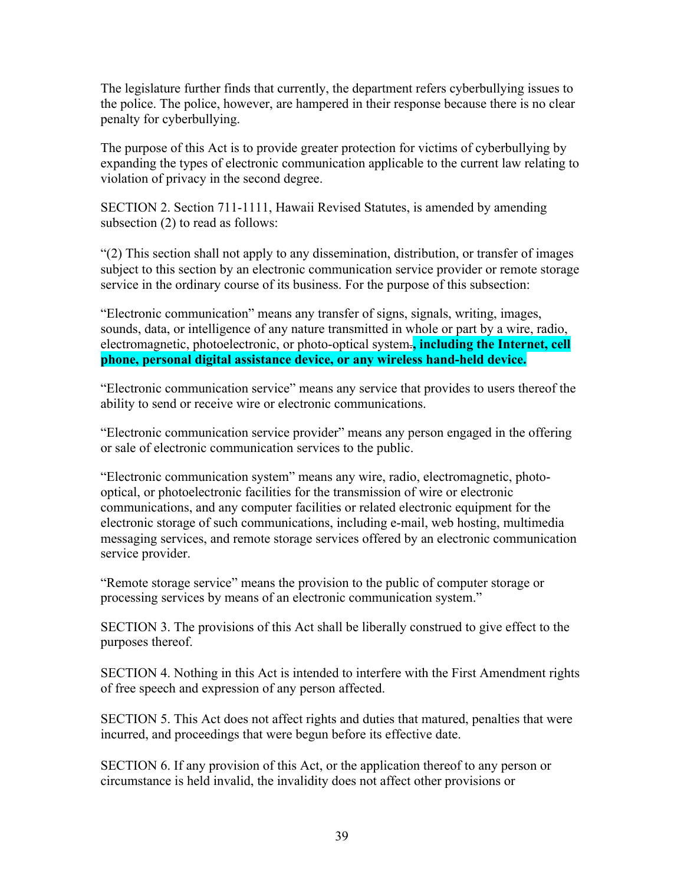The legislature further finds that currently, the department refers cyberbullying issues to the police. The police, however, are hampered in their response because there is no clear penalty for cyberbullying.

The purpose of this Act is to provide greater protection for victims of cyberbullying by expanding the types of electronic communication applicable to the current law relating to violation of privacy in the second degree.

SECTION 2. Section 711-1111, Hawaii Revised Statutes, is amended by amending subsection (2) to read as follows:

"(2) This section shall not apply to any dissemination, distribution, or transfer of images subject to this section by an electronic communication service provider or remote storage service in the ordinary course of its business. For the purpose of this subsection:

"Electronic communication" means any transfer of signs, signals, writing, images, sounds, data, or intelligence of any nature transmitted in whole or part by a wire, radio, electromagnetic, photoelectronic, or photo-optical system.**, including the Internet, cell phone, personal digital assistance device, or any wireless hand-held device.**

"Electronic communication service" means any service that provides to users thereof the ability to send or receive wire or electronic communications.

"Electronic communication service provider" means any person engaged in the offering or sale of electronic communication services to the public.

"Electronic communication system" means any wire, radio, electromagnetic, photooptical, or photoelectronic facilities for the transmission of wire or electronic communications, and any computer facilities or related electronic equipment for the electronic storage of such communications, including e-mail, web hosting, multimedia messaging services, and remote storage services offered by an electronic communication service provider.

"Remote storage service" means the provision to the public of computer storage or processing services by means of an electronic communication system."

SECTION 3. The provisions of this Act shall be liberally construed to give effect to the purposes thereof.

SECTION 4. Nothing in this Act is intended to interfere with the First Amendment rights of free speech and expression of any person affected.

SECTION 5. This Act does not affect rights and duties that matured, penalties that were incurred, and proceedings that were begun before its effective date.

SECTION 6. If any provision of this Act, or the application thereof to any person or circumstance is held invalid, the invalidity does not affect other provisions or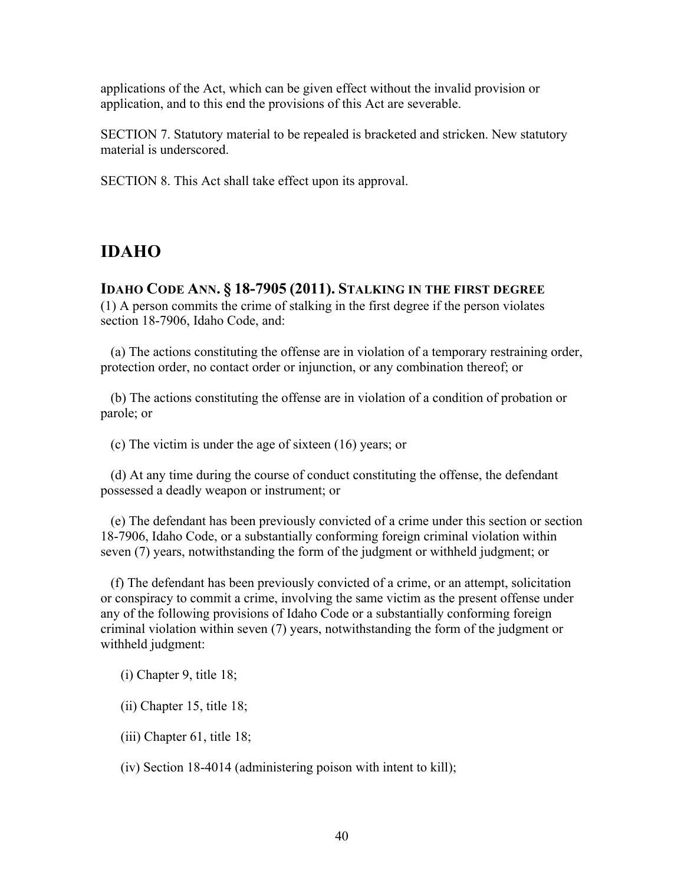applications of the Act, which can be given effect without the invalid provision or application, and to this end the provisions of this Act are severable.

SECTION 7. Statutory material to be repealed is bracketed and stricken. New statutory material is underscored.

SECTION 8. This Act shall take effect upon its approval.

## **IDAHO**

**IDAHO CODE ANN. § 18-7905 (2011). STALKING IN THE FIRST DEGREE** (1) A person commits the crime of stalking in the first degree if the person violates section 18-7906, Idaho Code, and:

 (a) The actions constituting the offense are in violation of a temporary restraining order, protection order, no contact order or injunction, or any combination thereof; or

 (b) The actions constituting the offense are in violation of a condition of probation or parole; or

(c) The victim is under the age of sixteen (16) years; or

 (d) At any time during the course of conduct constituting the offense, the defendant possessed a deadly weapon or instrument; or

 (e) The defendant has been previously convicted of a crime under this section or section 18-7906, Idaho Code, or a substantially conforming foreign criminal violation within seven (7) years, notwithstanding the form of the judgment or withheld judgment; or

 (f) The defendant has been previously convicted of a crime, or an attempt, solicitation or conspiracy to commit a crime, involving the same victim as the present offense under any of the following provisions of Idaho Code or a substantially conforming foreign criminal violation within seven (7) years, notwithstanding the form of the judgment or withheld judgment:

(i) Chapter 9, title 18;

(ii) Chapter 15, title 18;

(iii) Chapter 61, title 18;

(iv) Section 18-4014 (administering poison with intent to kill);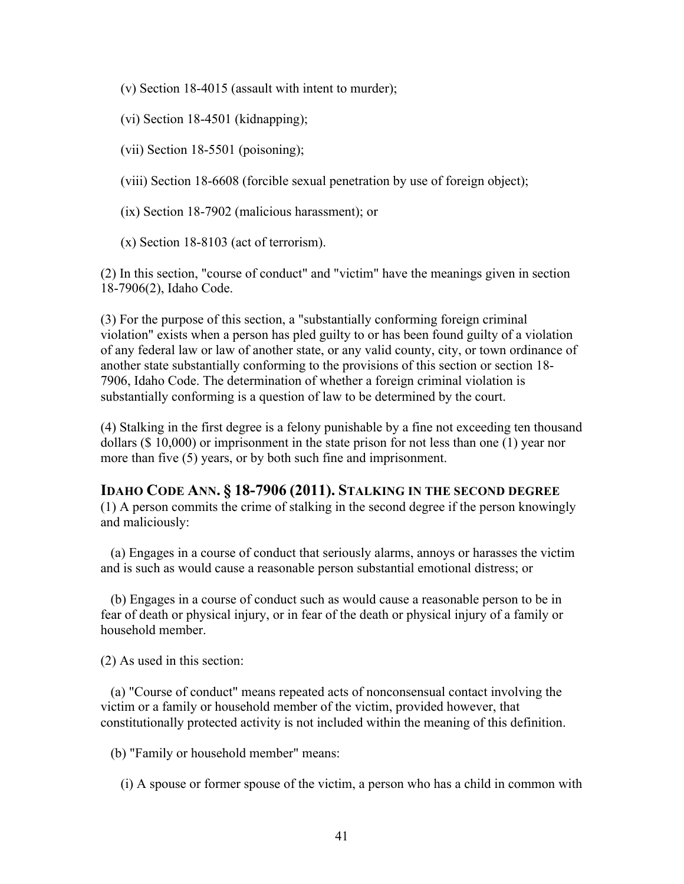- (v) Section 18-4015 (assault with intent to murder);
- (vi) Section 18-4501 (kidnapping);
- (vii) Section 18-5501 (poisoning);

(viii) Section 18-6608 (forcible sexual penetration by use of foreign object);

- (ix) Section 18-7902 (malicious harassment); or
- (x) Section 18-8103 (act of terrorism).

(2) In this section, "course of conduct" and "victim" have the meanings given in section 18-7906(2), Idaho Code.

(3) For the purpose of this section, a "substantially conforming foreign criminal violation" exists when a person has pled guilty to or has been found guilty of a violation of any federal law or law of another state, or any valid county, city, or town ordinance of another state substantially conforming to the provisions of this section or section 18- 7906, Idaho Code. The determination of whether a foreign criminal violation is substantially conforming is a question of law to be determined by the court.

(4) Stalking in the first degree is a felony punishable by a fine not exceeding ten thousand dollars (\$ 10,000) or imprisonment in the state prison for not less than one (1) year nor more than five (5) years, or by both such fine and imprisonment.

#### **IDAHO CODE ANN. § 18-7906 (2011). STALKING IN THE SECOND DEGREE**

(1) A person commits the crime of stalking in the second degree if the person knowingly and maliciously:

 (a) Engages in a course of conduct that seriously alarms, annoys or harasses the victim and is such as would cause a reasonable person substantial emotional distress; or

 (b) Engages in a course of conduct such as would cause a reasonable person to be in fear of death or physical injury, or in fear of the death or physical injury of a family or household member.

(2) As used in this section:

 (a) "Course of conduct" means repeated acts of nonconsensual contact involving the victim or a family or household member of the victim, provided however, that constitutionally protected activity is not included within the meaning of this definition.

(b) "Family or household member" means:

(i) A spouse or former spouse of the victim, a person who has a child in common with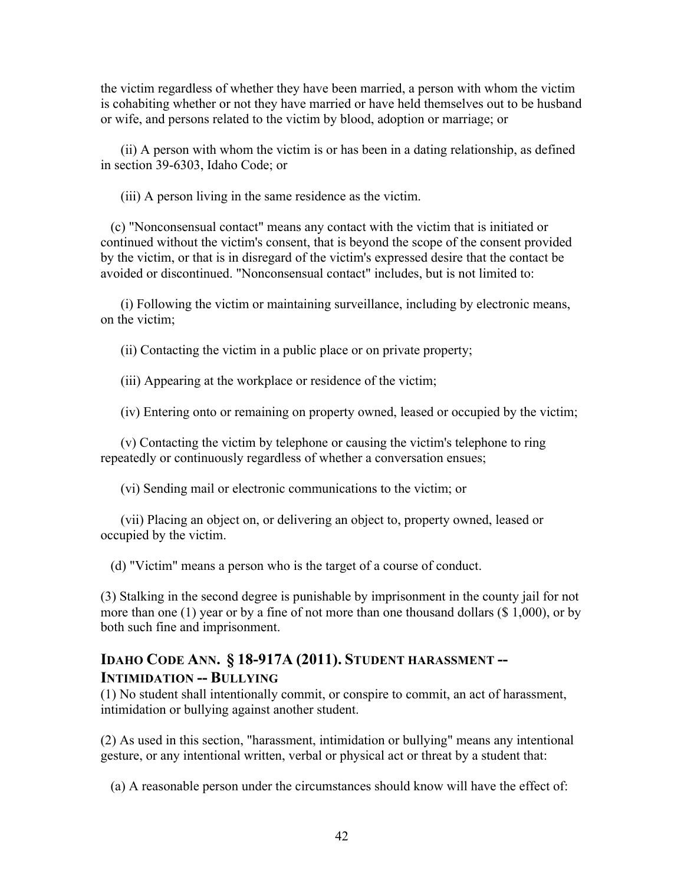the victim regardless of whether they have been married, a person with whom the victim is cohabiting whether or not they have married or have held themselves out to be husband or wife, and persons related to the victim by blood, adoption or marriage; or

 (ii) A person with whom the victim is or has been in a dating relationship, as defined in section 39-6303, Idaho Code; or

(iii) A person living in the same residence as the victim.

 (c) "Nonconsensual contact" means any contact with the victim that is initiated or continued without the victim's consent, that is beyond the scope of the consent provided by the victim, or that is in disregard of the victim's expressed desire that the contact be avoided or discontinued. "Nonconsensual contact" includes, but is not limited to:

 (i) Following the victim or maintaining surveillance, including by electronic means, on the victim;

(ii) Contacting the victim in a public place or on private property;

(iii) Appearing at the workplace or residence of the victim;

(iv) Entering onto or remaining on property owned, leased or occupied by the victim;

 (v) Contacting the victim by telephone or causing the victim's telephone to ring repeatedly or continuously regardless of whether a conversation ensues;

(vi) Sending mail or electronic communications to the victim; or

 (vii) Placing an object on, or delivering an object to, property owned, leased or occupied by the victim.

(d) "Victim" means a person who is the target of a course of conduct.

(3) Stalking in the second degree is punishable by imprisonment in the county jail for not more than one (1) year or by a fine of not more than one thousand dollars (\$ 1,000), or by both such fine and imprisonment.

#### **IDAHO CODE ANN. § 18-917A (2011). STUDENT HARASSMENT -- INTIMIDATION -- BULLYING**

(1) No student shall intentionally commit, or conspire to commit, an act of harassment, intimidation or bullying against another student.

(2) As used in this section, "harassment, intimidation or bullying" means any intentional gesture, or any intentional written, verbal or physical act or threat by a student that:

(a) A reasonable person under the circumstances should know will have the effect of: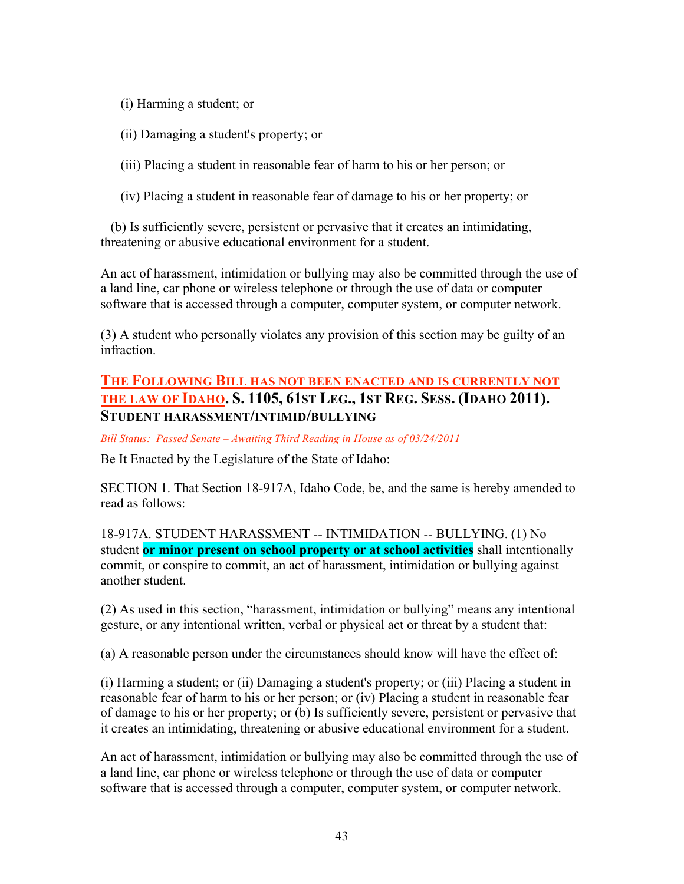#### (i) Harming a student; or

(ii) Damaging a student's property; or

(iii) Placing a student in reasonable fear of harm to his or her person; or

(iv) Placing a student in reasonable fear of damage to his or her property; or

 (b) Is sufficiently severe, persistent or pervasive that it creates an intimidating, threatening or abusive educational environment for a student.

An act of harassment, intimidation or bullying may also be committed through the use of a land line, car phone or wireless telephone or through the use of data or computer software that is accessed through a computer, computer system, or computer network.

(3) A student who personally violates any provision of this section may be guilty of an infraction.

### **THE FOLLOWING BILL HAS NOT BEEN ENACTED AND IS CURRENTLY NOT THE LAW OF IDAHO. S. 1105, 61ST LEG., 1ST REG. SESS. (IDAHO 2011). STUDENT HARASSMENT/INTIMID/BULLYING**

*Bill Status: Passed Senate – Awaiting Third Reading in House as of 03/24/2011*

Be It Enacted by the Legislature of the State of Idaho:

SECTION 1. That Section 18-917A, Idaho Code, be, and the same is hereby amended to read as follows:

18-917A. STUDENT HARASSMENT -- INTIMIDATION -- BULLYING. (1) No student **or minor present on school property or at school activities** shall intentionally commit, or conspire to commit, an act of harassment, intimidation or bullying against another student.

(2) As used in this section, "harassment, intimidation or bullying" means any intentional gesture, or any intentional written, verbal or physical act or threat by a student that:

(a) A reasonable person under the circumstances should know will have the effect of:

(i) Harming a student; or (ii) Damaging a student's property; or (iii) Placing a student in reasonable fear of harm to his or her person; or (iv) Placing a student in reasonable fear of damage to his or her property; or (b) Is sufficiently severe, persistent or pervasive that it creates an intimidating, threatening or abusive educational environment for a student.

An act of harassment, intimidation or bullying may also be committed through the use of a land line, car phone or wireless telephone or through the use of data or computer software that is accessed through a computer, computer system, or computer network.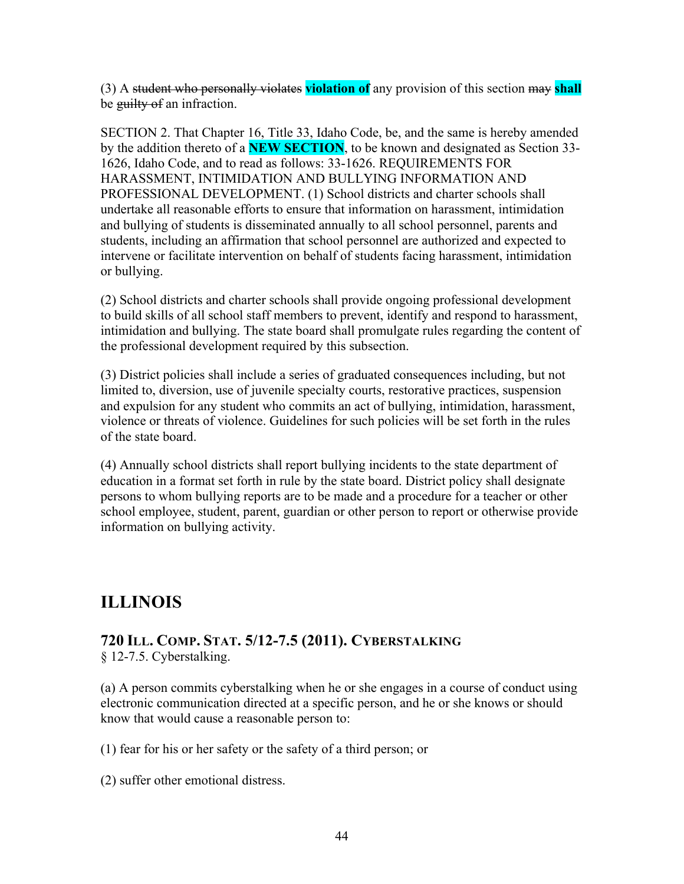(3) A student who personally violates **violation of** any provision of this section may **shall** be guilty of an infraction.

SECTION 2. That Chapter 16, Title 33, Idaho Code, be, and the same is hereby amended by the addition thereto of a **NEW SECTION**, to be known and designated as Section 33- 1626, Idaho Code, and to read as follows: 33-1626. REQUIREMENTS FOR HARASSMENT, INTIMIDATION AND BULLYING INFORMATION AND PROFESSIONAL DEVELOPMENT. (1) School districts and charter schools shall undertake all reasonable efforts to ensure that information on harassment, intimidation and bullying of students is disseminated annually to all school personnel, parents and students, including an affirmation that school personnel are authorized and expected to intervene or facilitate intervention on behalf of students facing harassment, intimidation or bullying.

(2) School districts and charter schools shall provide ongoing professional development to build skills of all school staff members to prevent, identify and respond to harassment, intimidation and bullying. The state board shall promulgate rules regarding the content of the professional development required by this subsection.

(3) District policies shall include a series of graduated consequences including, but not limited to, diversion, use of juvenile specialty courts, restorative practices, suspension and expulsion for any student who commits an act of bullying, intimidation, harassment, violence or threats of violence. Guidelines for such policies will be set forth in the rules of the state board.

(4) Annually school districts shall report bullying incidents to the state department of education in a format set forth in rule by the state board. District policy shall designate persons to whom bullying reports are to be made and a procedure for a teacher or other school employee, student, parent, guardian or other person to report or otherwise provide information on bullying activity.

# **ILLINOIS**

## **720 ILL. COMP. STAT. 5/12-7.5 (2011). CYBERSTALKING**

§ 12-7.5. Cyberstalking.

(a) A person commits cyberstalking when he or she engages in a course of conduct using electronic communication directed at a specific person, and he or she knows or should know that would cause a reasonable person to:

(1) fear for his or her safety or the safety of a third person; or

(2) suffer other emotional distress.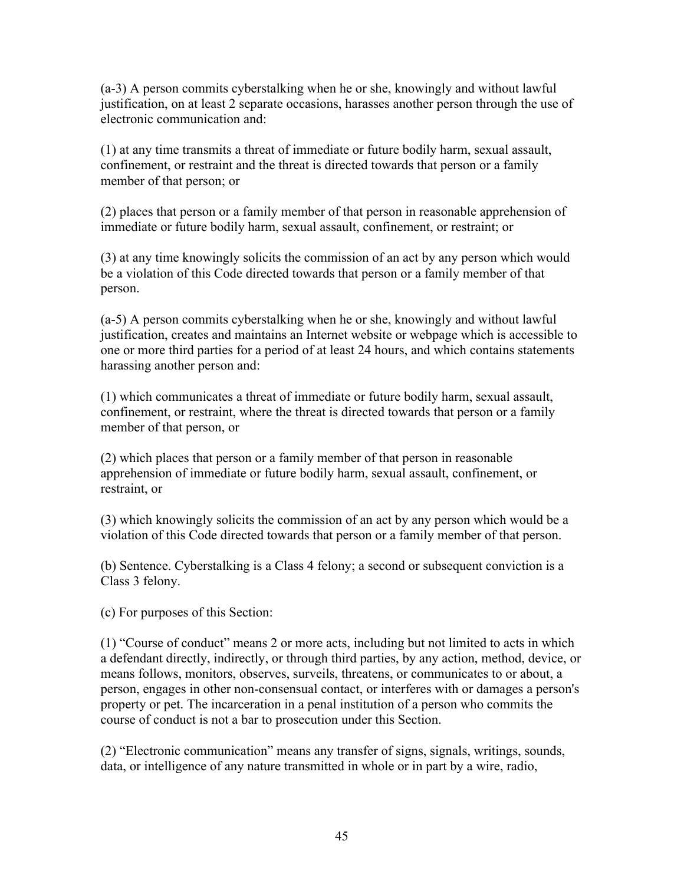(a-3) A person commits cyberstalking when he or she, knowingly and without lawful justification, on at least 2 separate occasions, harasses another person through the use of electronic communication and:

(1) at any time transmits a threat of immediate or future bodily harm, sexual assault, confinement, or restraint and the threat is directed towards that person or a family member of that person; or

(2) places that person or a family member of that person in reasonable apprehension of immediate or future bodily harm, sexual assault, confinement, or restraint; or

(3) at any time knowingly solicits the commission of an act by any person which would be a violation of this Code directed towards that person or a family member of that person.

(a-5) A person commits cyberstalking when he or she, knowingly and without lawful justification, creates and maintains an Internet website or webpage which is accessible to one or more third parties for a period of at least 24 hours, and which contains statements harassing another person and:

(1) which communicates a threat of immediate or future bodily harm, sexual assault, confinement, or restraint, where the threat is directed towards that person or a family member of that person, or

(2) which places that person or a family member of that person in reasonable apprehension of immediate or future bodily harm, sexual assault, confinement, or restraint, or

(3) which knowingly solicits the commission of an act by any person which would be a violation of this Code directed towards that person or a family member of that person.

(b) Sentence. Cyberstalking is a Class 4 felony; a second or subsequent conviction is a Class 3 felony.

(c) For purposes of this Section:

(1) "Course of conduct" means 2 or more acts, including but not limited to acts in which a defendant directly, indirectly, or through third parties, by any action, method, device, or means follows, monitors, observes, surveils, threatens, or communicates to or about, a person, engages in other non-consensual contact, or interferes with or damages a person's property or pet. The incarceration in a penal institution of a person who commits the course of conduct is not a bar to prosecution under this Section.

(2) "Electronic communication" means any transfer of signs, signals, writings, sounds, data, or intelligence of any nature transmitted in whole or in part by a wire, radio,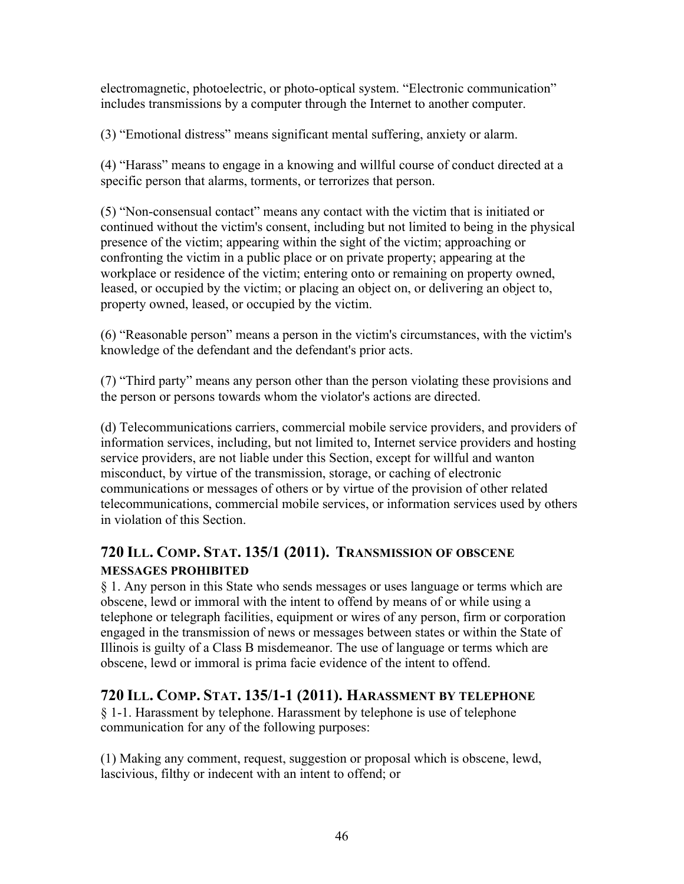electromagnetic, photoelectric, or photo-optical system. "Electronic communication" includes transmissions by a computer through the Internet to another computer.

(3) "Emotional distress" means significant mental suffering, anxiety or alarm.

(4) "Harass" means to engage in a knowing and willful course of conduct directed at a specific person that alarms, torments, or terrorizes that person.

(5) "Non-consensual contact" means any contact with the victim that is initiated or continued without the victim's consent, including but not limited to being in the physical presence of the victim; appearing within the sight of the victim; approaching or confronting the victim in a public place or on private property; appearing at the workplace or residence of the victim; entering onto or remaining on property owned, leased, or occupied by the victim; or placing an object on, or delivering an object to, property owned, leased, or occupied by the victim.

(6) "Reasonable person" means a person in the victim's circumstances, with the victim's knowledge of the defendant and the defendant's prior acts.

(7) "Third party" means any person other than the person violating these provisions and the person or persons towards whom the violator's actions are directed.

(d) Telecommunications carriers, commercial mobile service providers, and providers of information services, including, but not limited to, Internet service providers and hosting service providers, are not liable under this Section, except for willful and wanton misconduct, by virtue of the transmission, storage, or caching of electronic communications or messages of others or by virtue of the provision of other related telecommunications, commercial mobile services, or information services used by others in violation of this Section.

## **720 ILL. COMP. STAT. 135/1 (2011). TRANSMISSION OF OBSCENE MESSAGES PROHIBITED**

§ 1. Any person in this State who sends messages or uses language or terms which are obscene, lewd or immoral with the intent to offend by means of or while using a telephone or telegraph facilities, equipment or wires of any person, firm or corporation engaged in the transmission of news or messages between states or within the State of Illinois is guilty of a Class B misdemeanor. The use of language or terms which are obscene, lewd or immoral is prima facie evidence of the intent to offend.

## **720 ILL. COMP. STAT. 135/1-1 (2011). HARASSMENT BY TELEPHONE**

§ 1-1. Harassment by telephone. Harassment by telephone is use of telephone communication for any of the following purposes:

(1) Making any comment, request, suggestion or proposal which is obscene, lewd, lascivious, filthy or indecent with an intent to offend; or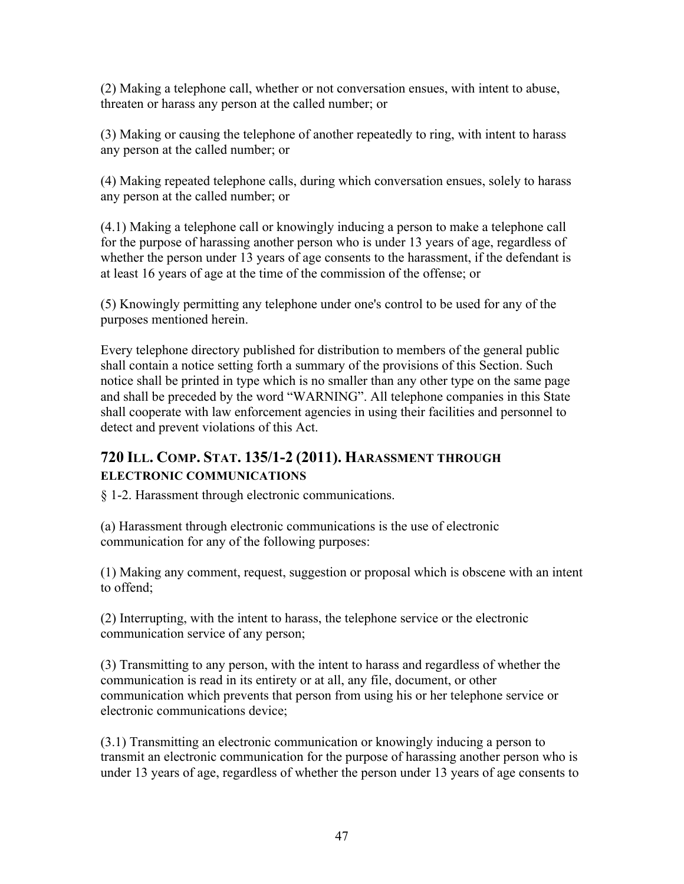(2) Making a telephone call, whether or not conversation ensues, with intent to abuse, threaten or harass any person at the called number; or

(3) Making or causing the telephone of another repeatedly to ring, with intent to harass any person at the called number; or

(4) Making repeated telephone calls, during which conversation ensues, solely to harass any person at the called number; or

(4.1) Making a telephone call or knowingly inducing a person to make a telephone call for the purpose of harassing another person who is under 13 years of age, regardless of whether the person under 13 years of age consents to the harassment, if the defendant is at least 16 years of age at the time of the commission of the offense; or

(5) Knowingly permitting any telephone under one's control to be used for any of the purposes mentioned herein.

Every telephone directory published for distribution to members of the general public shall contain a notice setting forth a summary of the provisions of this Section. Such notice shall be printed in type which is no smaller than any other type on the same page and shall be preceded by the word "WARNING". All telephone companies in this State shall cooperate with law enforcement agencies in using their facilities and personnel to detect and prevent violations of this Act.

## **720 ILL. COMP. STAT. 135/1-2 (2011). HARASSMENT THROUGH ELECTRONIC COMMUNICATIONS**

§ 1-2. Harassment through electronic communications.

(a) Harassment through electronic communications is the use of electronic communication for any of the following purposes:

(1) Making any comment, request, suggestion or proposal which is obscene with an intent to offend;

(2) Interrupting, with the intent to harass, the telephone service or the electronic communication service of any person;

(3) Transmitting to any person, with the intent to harass and regardless of whether the communication is read in its entirety or at all, any file, document, or other communication which prevents that person from using his or her telephone service or electronic communications device;

(3.1) Transmitting an electronic communication or knowingly inducing a person to transmit an electronic communication for the purpose of harassing another person who is under 13 years of age, regardless of whether the person under 13 years of age consents to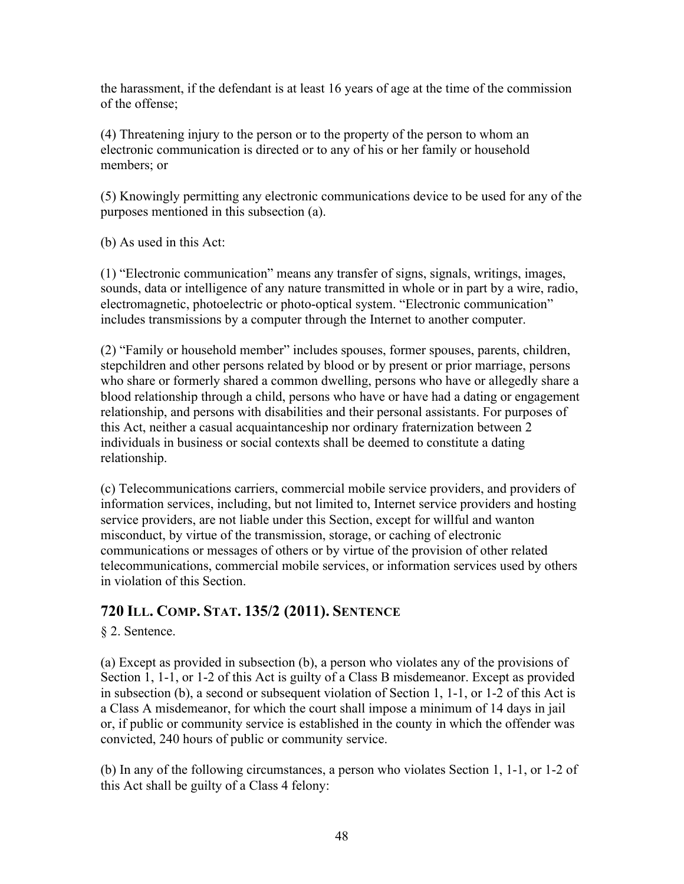the harassment, if the defendant is at least 16 years of age at the time of the commission of the offense;

(4) Threatening injury to the person or to the property of the person to whom an electronic communication is directed or to any of his or her family or household members; or

(5) Knowingly permitting any electronic communications device to be used for any of the purposes mentioned in this subsection (a).

(b) As used in this Act:

(1) "Electronic communication" means any transfer of signs, signals, writings, images, sounds, data or intelligence of any nature transmitted in whole or in part by a wire, radio, electromagnetic, photoelectric or photo-optical system. "Electronic communication" includes transmissions by a computer through the Internet to another computer.

(2) "Family or household member" includes spouses, former spouses, parents, children, stepchildren and other persons related by blood or by present or prior marriage, persons who share or formerly shared a common dwelling, persons who have or allegedly share a blood relationship through a child, persons who have or have had a dating or engagement relationship, and persons with disabilities and their personal assistants. For purposes of this Act, neither a casual acquaintanceship nor ordinary fraternization between 2 individuals in business or social contexts shall be deemed to constitute a dating relationship.

(c) Telecommunications carriers, commercial mobile service providers, and providers of information services, including, but not limited to, Internet service providers and hosting service providers, are not liable under this Section, except for willful and wanton misconduct, by virtue of the transmission, storage, or caching of electronic communications or messages of others or by virtue of the provision of other related telecommunications, commercial mobile services, or information services used by others in violation of this Section.

## **720 ILL. COMP. STAT. 135/2 (2011). SENTENCE**

#### § 2. Sentence.

(a) Except as provided in subsection (b), a person who violates any of the provisions of Section 1, 1-1, or 1-2 of this Act is guilty of a Class B misdemeanor. Except as provided in subsection (b), a second or subsequent violation of Section 1, 1-1, or 1-2 of this Act is a Class A misdemeanor, for which the court shall impose a minimum of 14 days in jail or, if public or community service is established in the county in which the offender was convicted, 240 hours of public or community service.

(b) In any of the following circumstances, a person who violates Section 1, 1-1, or 1-2 of this Act shall be guilty of a Class 4 felony: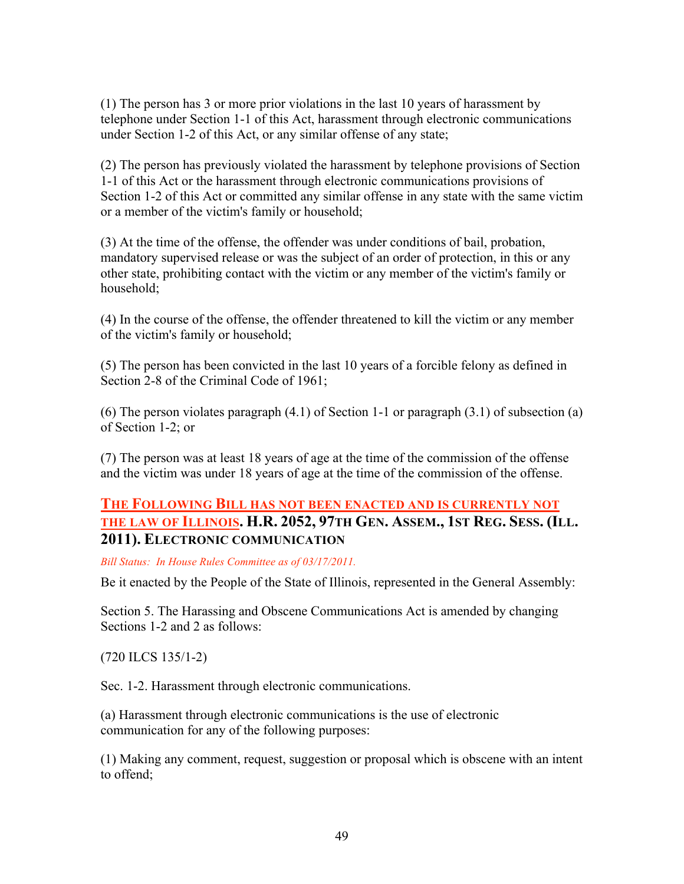(1) The person has 3 or more prior violations in the last 10 years of harassment by telephone under Section 1-1 of this Act, harassment through electronic communications under Section 1-2 of this Act, or any similar offense of any state;

(2) The person has previously violated the harassment by telephone provisions of Section 1-1 of this Act or the harassment through electronic communications provisions of Section 1-2 of this Act or committed any similar offense in any state with the same victim or a member of the victim's family or household;

(3) At the time of the offense, the offender was under conditions of bail, probation, mandatory supervised release or was the subject of an order of protection, in this or any other state, prohibiting contact with the victim or any member of the victim's family or household;

(4) In the course of the offense, the offender threatened to kill the victim or any member of the victim's family or household;

(5) The person has been convicted in the last 10 years of a forcible felony as defined in Section 2-8 of the Criminal Code of 1961;

(6) The person violates paragraph  $(4.1)$  of Section 1-1 or paragraph  $(3.1)$  of subsection (a) of Section 1-2; or

(7) The person was at least 18 years of age at the time of the commission of the offense and the victim was under 18 years of age at the time of the commission of the offense.

### **THE FOLLOWING BILL HAS NOT BEEN ENACTED AND IS CURRENTLY NOT THE LAW OF ILLINOIS. H.R. 2052, 97TH GEN. ASSEM., 1ST REG. SESS. (ILL. 2011). ELECTRONIC COMMUNICATION**

*Bill Status: In House Rules Committee as of 03/17/2011.*

Be it enacted by the People of the State of Illinois, represented in the General Assembly:

Section 5. The Harassing and Obscene Communications Act is amended by changing Sections 1-2 and 2 as follows:

(720 ILCS 135/1-2)

Sec. 1-2. Harassment through electronic communications.

(a) Harassment through electronic communications is the use of electronic communication for any of the following purposes:

(1) Making any comment, request, suggestion or proposal which is obscene with an intent to offend;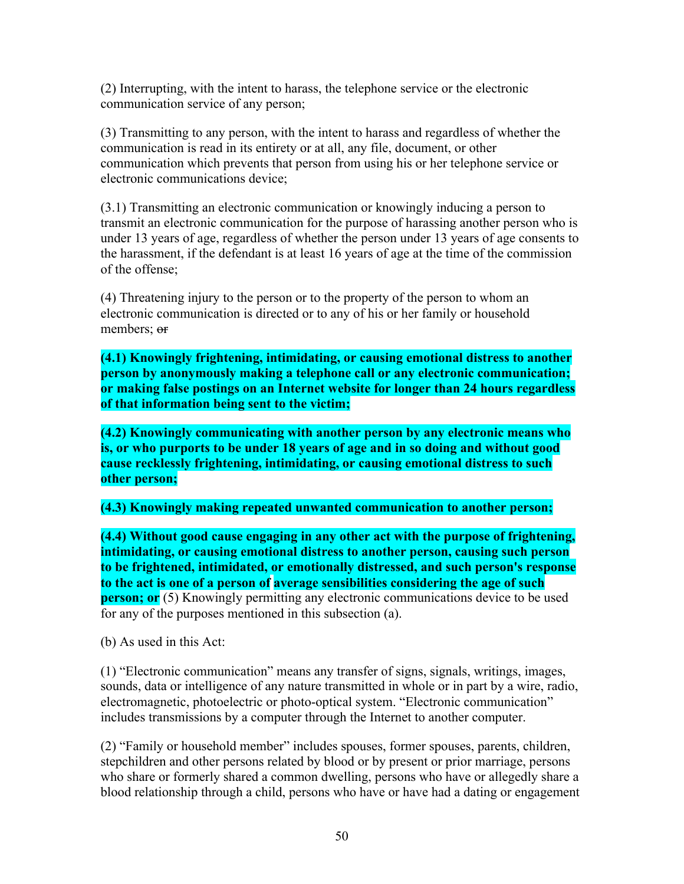(2) Interrupting, with the intent to harass, the telephone service or the electronic communication service of any person;

(3) Transmitting to any person, with the intent to harass and regardless of whether the communication is read in its entirety or at all, any file, document, or other communication which prevents that person from using his or her telephone service or electronic communications device;

(3.1) Transmitting an electronic communication or knowingly inducing a person to transmit an electronic communication for the purpose of harassing another person who is under 13 years of age, regardless of whether the person under 13 years of age consents to the harassment, if the defendant is at least 16 years of age at the time of the commission of the offense;

(4) Threatening injury to the person or to the property of the person to whom an electronic communication is directed or to any of his or her family or household members; or

**(4.1) Knowingly frightening, intimidating, or causing emotional distress to another person by anonymously making a telephone call or any electronic communication; or making false postings on an Internet website for longer than 24 hours regardless of that information being sent to the victim;**

**(4.2) Knowingly communicating with another person by any electronic means who is, or who purports to be under 18 years of age and in so doing and without good cause recklessly frightening, intimidating, or causing emotional distress to such other person;**

**(4.3) Knowingly making repeated unwanted communication to another person;**

**(4.4) Without good cause engaging in any other act with the purpose of frightening, intimidating, or causing emotional distress to another person, causing such person to be frightened, intimidated, or emotionally distressed, and such person's response to the act is one of a person of average sensibilities considering the age of such person; or** (5) Knowingly permitting any electronic communications device to be used for any of the purposes mentioned in this subsection (a).

(b) As used in this Act:

(1) "Electronic communication" means any transfer of signs, signals, writings, images, sounds, data or intelligence of any nature transmitted in whole or in part by a wire, radio, electromagnetic, photoelectric or photo-optical system. "Electronic communication" includes transmissions by a computer through the Internet to another computer.

(2) "Family or household member" includes spouses, former spouses, parents, children, stepchildren and other persons related by blood or by present or prior marriage, persons who share or formerly shared a common dwelling, persons who have or allegedly share a blood relationship through a child, persons who have or have had a dating or engagement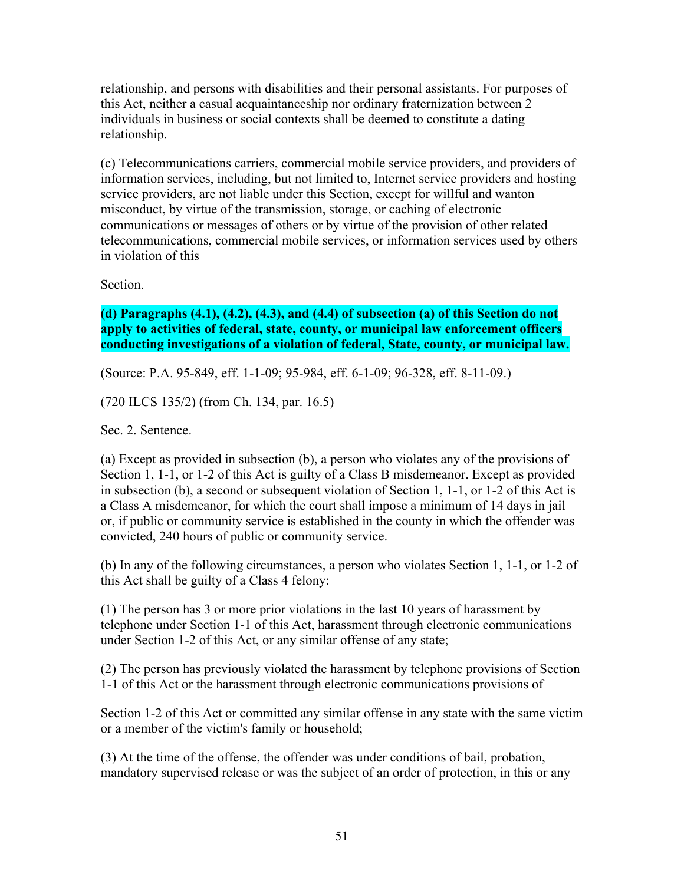relationship, and persons with disabilities and their personal assistants. For purposes of this Act, neither a casual acquaintanceship nor ordinary fraternization between 2 individuals in business or social contexts shall be deemed to constitute a dating relationship.

(c) Telecommunications carriers, commercial mobile service providers, and providers of information services, including, but not limited to, Internet service providers and hosting service providers, are not liable under this Section, except for willful and wanton misconduct, by virtue of the transmission, storage, or caching of electronic communications or messages of others or by virtue of the provision of other related telecommunications, commercial mobile services, or information services used by others in violation of this

**Section** 

**(d) Paragraphs (4.1), (4.2), (4.3), and (4.4) of subsection (a) of this Section do not apply to activities of federal, state, county, or municipal law enforcement officers conducting investigations of a violation of federal, State, county, or municipal law.**

(Source: P.A. 95-849, eff. 1-1-09; 95-984, eff. 6-1-09; 96-328, eff. 8-11-09.)

(720 ILCS 135/2) (from Ch. 134, par. 16.5)

Sec. 2. Sentence.

(a) Except as provided in subsection (b), a person who violates any of the provisions of Section 1, 1-1, or 1-2 of this Act is guilty of a Class B misdemeanor. Except as provided in subsection (b), a second or subsequent violation of Section 1, 1-1, or 1-2 of this Act is a Class A misdemeanor, for which the court shall impose a minimum of 14 days in jail or, if public or community service is established in the county in which the offender was convicted, 240 hours of public or community service.

(b) In any of the following circumstances, a person who violates Section 1, 1-1, or 1-2 of this Act shall be guilty of a Class 4 felony:

(1) The person has 3 or more prior violations in the last 10 years of harassment by telephone under Section 1-1 of this Act, harassment through electronic communications under Section 1-2 of this Act, or any similar offense of any state;

(2) The person has previously violated the harassment by telephone provisions of Section 1-1 of this Act or the harassment through electronic communications provisions of

Section 1-2 of this Act or committed any similar offense in any state with the same victim or a member of the victim's family or household;

(3) At the time of the offense, the offender was under conditions of bail, probation, mandatory supervised release or was the subject of an order of protection, in this or any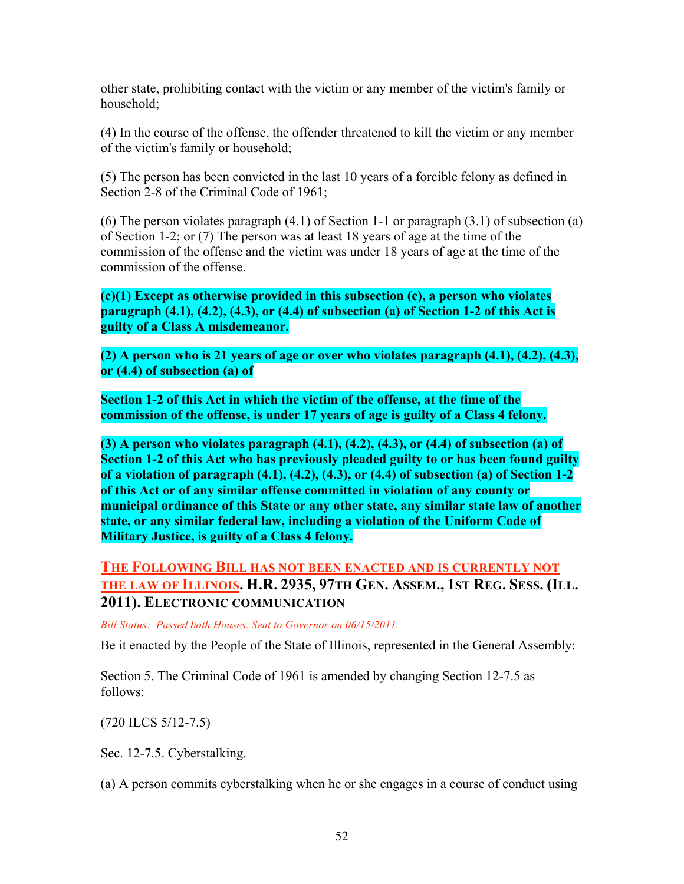other state, prohibiting contact with the victim or any member of the victim's family or household;

(4) In the course of the offense, the offender threatened to kill the victim or any member of the victim's family or household;

(5) The person has been convicted in the last 10 years of a forcible felony as defined in Section 2-8 of the Criminal Code of 1961;

(6) The person violates paragraph (4.1) of Section 1-1 or paragraph (3.1) of subsection (a) of Section 1-2; or (7) The person was at least 18 years of age at the time of the commission of the offense and the victim was under 18 years of age at the time of the commission of the offense.

**(c)(1) Except as otherwise provided in this subsection (c), a person who violates paragraph (4.1), (4.2), (4.3), or (4.4) of subsection (a) of Section 1-2 of this Act is guilty of a Class A misdemeanor.**

**(2) A person who is 21 years of age or over who violates paragraph (4.1), (4.2), (4.3), or (4.4) of subsection (a) of**

**Section 1-2 of this Act in which the victim of the offense, at the time of the commission of the offense, is under 17 years of age is guilty of a Class 4 felony.**

**(3) A person who violates paragraph (4.1), (4.2), (4.3), or (4.4) of subsection (a) of Section 1-2 of this Act who has previously pleaded guilty to or has been found guilty of a violation of paragraph (4.1), (4.2), (4.3), or (4.4) of subsection (a) of Section 1-2 of this Act or of any similar offense committed in violation of any county or municipal ordinance of this State or any other state, any similar state law of another state, or any similar federal law, including a violation of the Uniform Code of Military Justice, is guilty of a Class 4 felony.**

**THE FOLLOWING BILL HAS NOT BEEN ENACTED AND IS CURRENTLY NOT THE LAW OF ILLINOIS. H.R. 2935, 97TH GEN. ASSEM., 1ST REG. SESS. (ILL. 2011). ELECTRONIC COMMUNICATION**

*Bill Status: Passed both Houses. Sent to Governor on 06/15/2011.*

Be it enacted by the People of the State of Illinois, represented in the General Assembly:

Section 5. The Criminal Code of 1961 is amended by changing Section 12-7.5 as follows:

(720 ILCS 5/12-7.5)

Sec. 12-7.5. Cyberstalking.

(a) A person commits cyberstalking when he or she engages in a course of conduct using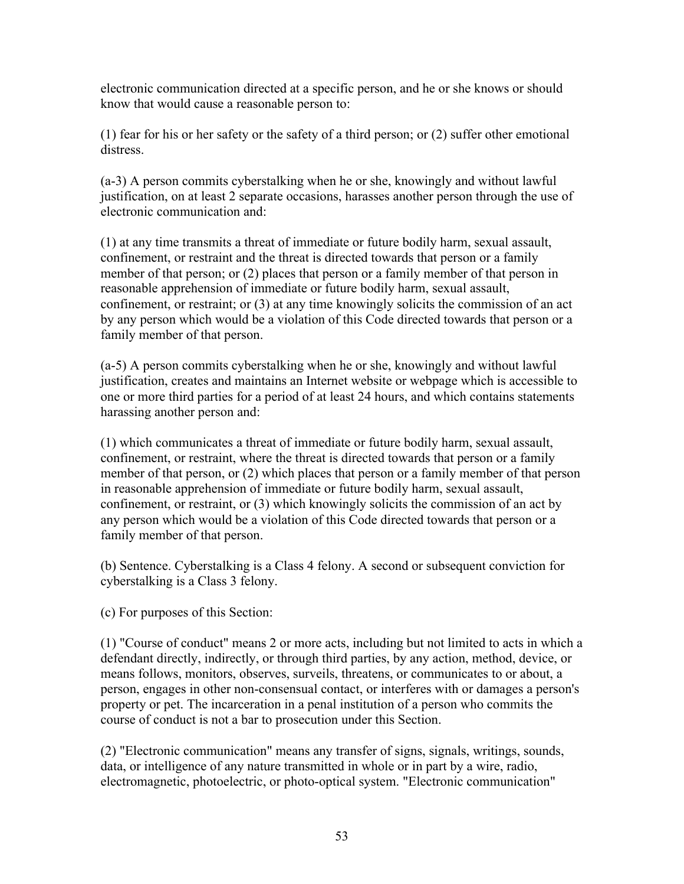electronic communication directed at a specific person, and he or she knows or should know that would cause a reasonable person to:

(1) fear for his or her safety or the safety of a third person; or (2) suffer other emotional distress.

(a-3) A person commits cyberstalking when he or she, knowingly and without lawful justification, on at least 2 separate occasions, harasses another person through the use of electronic communication and:

(1) at any time transmits a threat of immediate or future bodily harm, sexual assault, confinement, or restraint and the threat is directed towards that person or a family member of that person; or (2) places that person or a family member of that person in reasonable apprehension of immediate or future bodily harm, sexual assault, confinement, or restraint; or (3) at any time knowingly solicits the commission of an act by any person which would be a violation of this Code directed towards that person or a family member of that person.

(a-5) A person commits cyberstalking when he or she, knowingly and without lawful justification, creates and maintains an Internet website or webpage which is accessible to one or more third parties for a period of at least 24 hours, and which contains statements harassing another person and:

(1) which communicates a threat of immediate or future bodily harm, sexual assault, confinement, or restraint, where the threat is directed towards that person or a family member of that person, or (2) which places that person or a family member of that person in reasonable apprehension of immediate or future bodily harm, sexual assault, confinement, or restraint, or (3) which knowingly solicits the commission of an act by any person which would be a violation of this Code directed towards that person or a family member of that person.

(b) Sentence. Cyberstalking is a Class 4 felony. A second or subsequent conviction for cyberstalking is a Class 3 felony.

(c) For purposes of this Section:

(1) "Course of conduct" means 2 or more acts, including but not limited to acts in which a defendant directly, indirectly, or through third parties, by any action, method, device, or means follows, monitors, observes, surveils, threatens, or communicates to or about, a person, engages in other non-consensual contact, or interferes with or damages a person's property or pet. The incarceration in a penal institution of a person who commits the course of conduct is not a bar to prosecution under this Section.

(2) "Electronic communication" means any transfer of signs, signals, writings, sounds, data, or intelligence of any nature transmitted in whole or in part by a wire, radio, electromagnetic, photoelectric, or photo-optical system. "Electronic communication"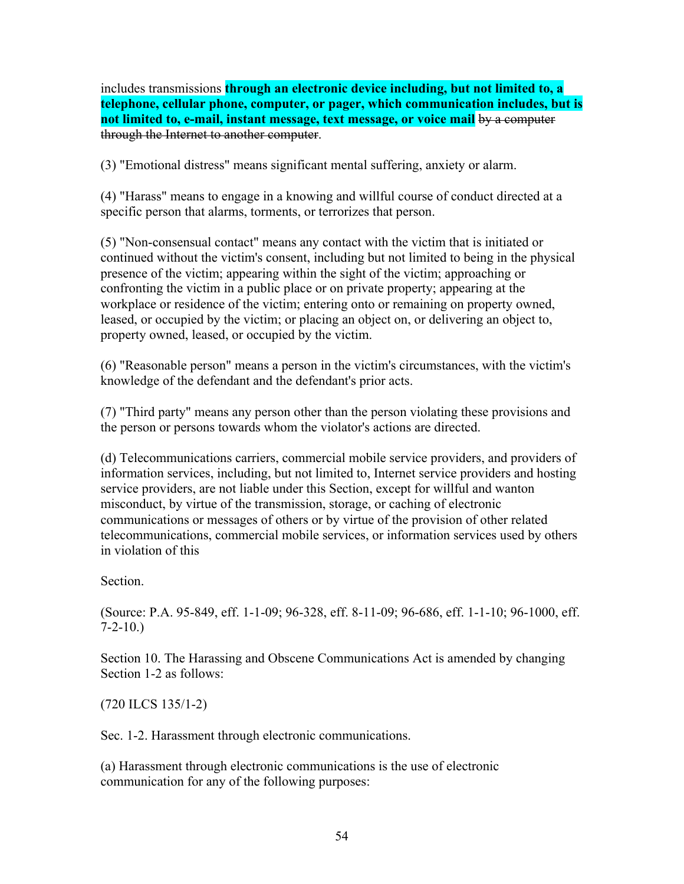includes transmissions **through an electronic device including, but not limited to, a telephone, cellular phone, computer, or pager, which communication includes, but is not limited to, e-mail, instant message, text message, or voice mail** by a computer through the Internet to another computer.

(3) "Emotional distress" means significant mental suffering, anxiety or alarm.

(4) "Harass" means to engage in a knowing and willful course of conduct directed at a specific person that alarms, torments, or terrorizes that person.

(5) "Non-consensual contact" means any contact with the victim that is initiated or continued without the victim's consent, including but not limited to being in the physical presence of the victim; appearing within the sight of the victim; approaching or confronting the victim in a public place or on private property; appearing at the workplace or residence of the victim; entering onto or remaining on property owned, leased, or occupied by the victim; or placing an object on, or delivering an object to, property owned, leased, or occupied by the victim.

(6) "Reasonable person" means a person in the victim's circumstances, with the victim's knowledge of the defendant and the defendant's prior acts.

(7) "Third party" means any person other than the person violating these provisions and the person or persons towards whom the violator's actions are directed.

(d) Telecommunications carriers, commercial mobile service providers, and providers of information services, including, but not limited to, Internet service providers and hosting service providers, are not liable under this Section, except for willful and wanton misconduct, by virtue of the transmission, storage, or caching of electronic communications or messages of others or by virtue of the provision of other related telecommunications, commercial mobile services, or information services used by others in violation of this

Section.

(Source: P.A. 95-849, eff. 1-1-09; 96-328, eff. 8-11-09; 96-686, eff. 1-1-10; 96-1000, eff.  $7 - 2 - 10.$ 

Section 10. The Harassing and Obscene Communications Act is amended by changing Section 1-2 as follows:

(720 ILCS 135/1-2)

Sec. 1-2. Harassment through electronic communications.

(a) Harassment through electronic communications is the use of electronic communication for any of the following purposes: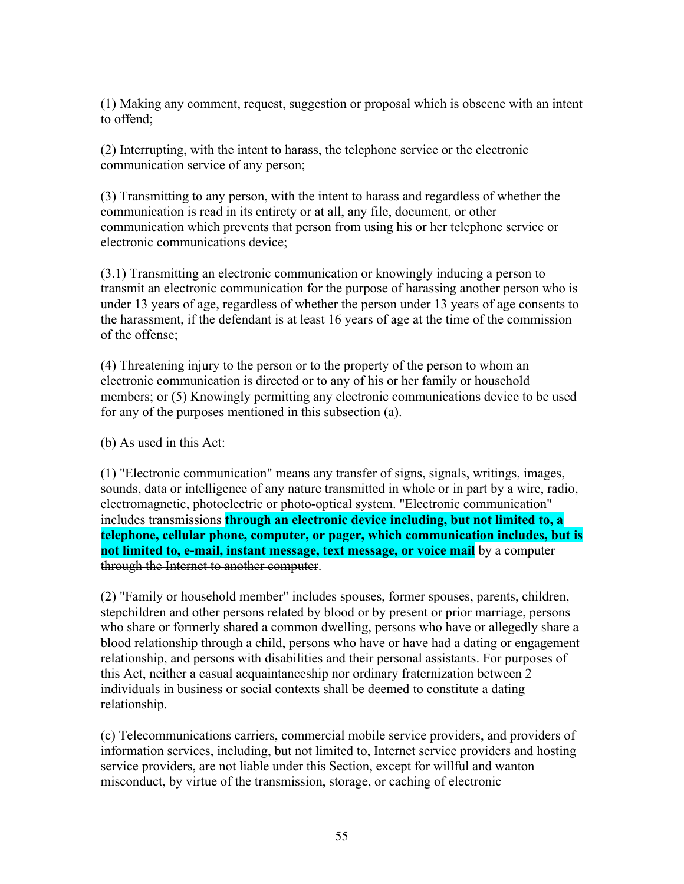(1) Making any comment, request, suggestion or proposal which is obscene with an intent to offend;

(2) Interrupting, with the intent to harass, the telephone service or the electronic communication service of any person;

(3) Transmitting to any person, with the intent to harass and regardless of whether the communication is read in its entirety or at all, any file, document, or other communication which prevents that person from using his or her telephone service or electronic communications device;

(3.1) Transmitting an electronic communication or knowingly inducing a person to transmit an electronic communication for the purpose of harassing another person who is under 13 years of age, regardless of whether the person under 13 years of age consents to the harassment, if the defendant is at least 16 years of age at the time of the commission of the offense;

(4) Threatening injury to the person or to the property of the person to whom an electronic communication is directed or to any of his or her family or household members; or (5) Knowingly permitting any electronic communications device to be used for any of the purposes mentioned in this subsection (a).

(b) As used in this Act:

(1) "Electronic communication" means any transfer of signs, signals, writings, images, sounds, data or intelligence of any nature transmitted in whole or in part by a wire, radio, electromagnetic, photoelectric or photo-optical system. "Electronic communication" includes transmissions **through an electronic device including, but not limited to, a telephone, cellular phone, computer, or pager, which communication includes, but is not limited to, e-mail, instant message, text message, or voice mail** by a computer through the Internet to another computer.

(2) "Family or household member" includes spouses, former spouses, parents, children, stepchildren and other persons related by blood or by present or prior marriage, persons who share or formerly shared a common dwelling, persons who have or allegedly share a blood relationship through a child, persons who have or have had a dating or engagement relationship, and persons with disabilities and their personal assistants. For purposes of this Act, neither a casual acquaintanceship nor ordinary fraternization between 2 individuals in business or social contexts shall be deemed to constitute a dating relationship.

(c) Telecommunications carriers, commercial mobile service providers, and providers of information services, including, but not limited to, Internet service providers and hosting service providers, are not liable under this Section, except for willful and wanton misconduct, by virtue of the transmission, storage, or caching of electronic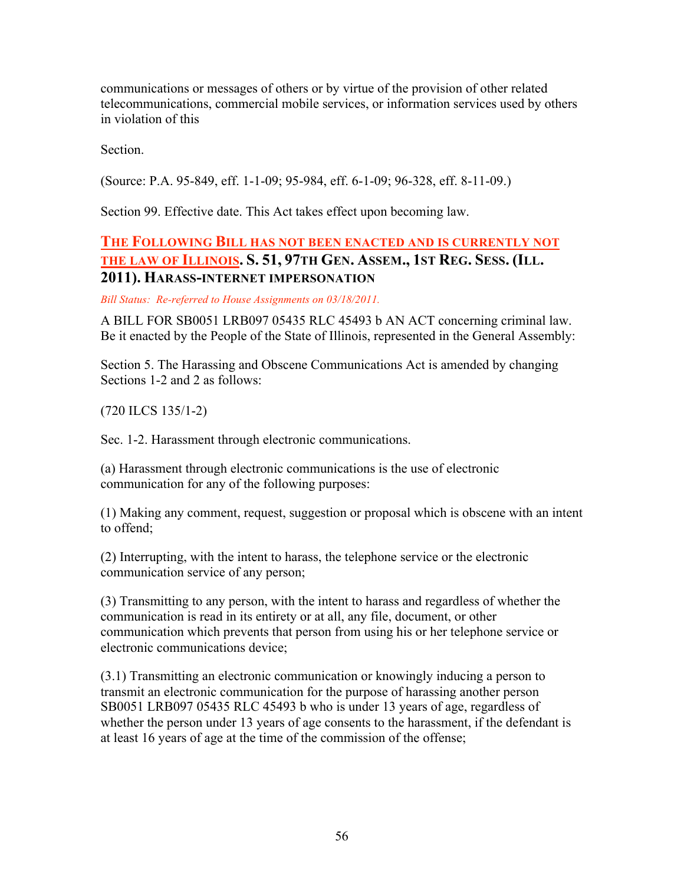communications or messages of others or by virtue of the provision of other related telecommunications, commercial mobile services, or information services used by others in violation of this

Section.

(Source: P.A. 95-849, eff. 1-1-09; 95-984, eff. 6-1-09; 96-328, eff. 8-11-09.)

Section 99. Effective date. This Act takes effect upon becoming law.

### **THE FOLLOWING BILL HAS NOT BEEN ENACTED AND IS CURRENTLY NOT THE LAW OF ILLINOIS. S. 51, 97TH GEN. ASSEM., 1ST REG. SESS. (ILL. 2011). HARASS-INTERNET IMPERSONATION**

*Bill Status: Re-referred to House Assignments on 03/18/2011.*

A BILL FOR SB0051 LRB097 05435 RLC 45493 b AN ACT concerning criminal law. Be it enacted by the People of the State of Illinois, represented in the General Assembly:

Section 5. The Harassing and Obscene Communications Act is amended by changing Sections 1-2 and 2 as follows:

(720 ILCS 135/1-2)

Sec. 1-2. Harassment through electronic communications.

(a) Harassment through electronic communications is the use of electronic communication for any of the following purposes:

(1) Making any comment, request, suggestion or proposal which is obscene with an intent to offend;

(2) Interrupting, with the intent to harass, the telephone service or the electronic communication service of any person;

(3) Transmitting to any person, with the intent to harass and regardless of whether the communication is read in its entirety or at all, any file, document, or other communication which prevents that person from using his or her telephone service or electronic communications device;

(3.1) Transmitting an electronic communication or knowingly inducing a person to transmit an electronic communication for the purpose of harassing another person SB0051 LRB097 05435 RLC 45493 b who is under 13 years of age, regardless of whether the person under 13 years of age consents to the harassment, if the defendant is at least 16 years of age at the time of the commission of the offense;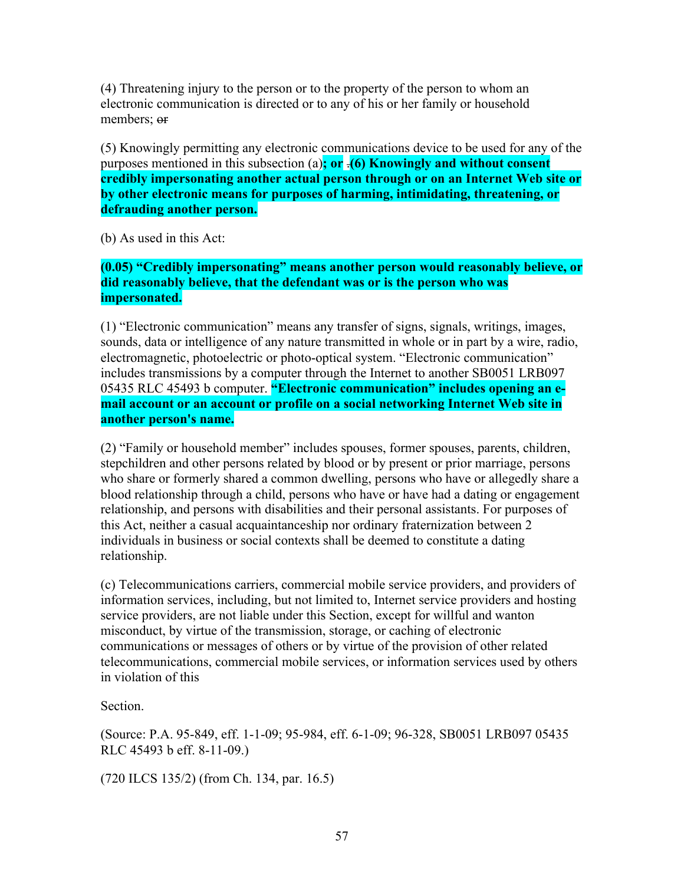(4) Threatening injury to the person or to the property of the person to whom an electronic communication is directed or to any of his or her family or household members; or

(5) Knowingly permitting any electronic communications device to be used for any of the purposes mentioned in this subsection (a)**; or** .**(6) Knowingly and without consent credibly impersonating another actual person through or on an Internet Web site or by other electronic means for purposes of harming, intimidating, threatening, or defrauding another person.**

(b) As used in this Act:

**(0.05) "Credibly impersonating" means another person would reasonably believe, or did reasonably believe, that the defendant was or is the person who was impersonated.**

(1) "Electronic communication" means any transfer of signs, signals, writings, images, sounds, data or intelligence of any nature transmitted in whole or in part by a wire, radio, electromagnetic, photoelectric or photo-optical system. "Electronic communication" includes transmissions by a computer through the Internet to another SB0051 LRB097 05435 RLC 45493 b computer. **"Electronic communication" includes opening an email account or an account or profile on a social networking Internet Web site in another person's name.**

(2) "Family or household member" includes spouses, former spouses, parents, children, stepchildren and other persons related by blood or by present or prior marriage, persons who share or formerly shared a common dwelling, persons who have or allegedly share a blood relationship through a child, persons who have or have had a dating or engagement relationship, and persons with disabilities and their personal assistants. For purposes of this Act, neither a casual acquaintanceship nor ordinary fraternization between 2 individuals in business or social contexts shall be deemed to constitute a dating relationship.

(c) Telecommunications carriers, commercial mobile service providers, and providers of information services, including, but not limited to, Internet service providers and hosting service providers, are not liable under this Section, except for willful and wanton misconduct, by virtue of the transmission, storage, or caching of electronic communications or messages of others or by virtue of the provision of other related telecommunications, commercial mobile services, or information services used by others in violation of this

Section.

(Source: P.A. 95-849, eff. 1-1-09; 95-984, eff. 6-1-09; 96-328, SB0051 LRB097 05435 RLC 45493 b eff. 8-11-09.)

(720 ILCS 135/2) (from Ch. 134, par. 16.5)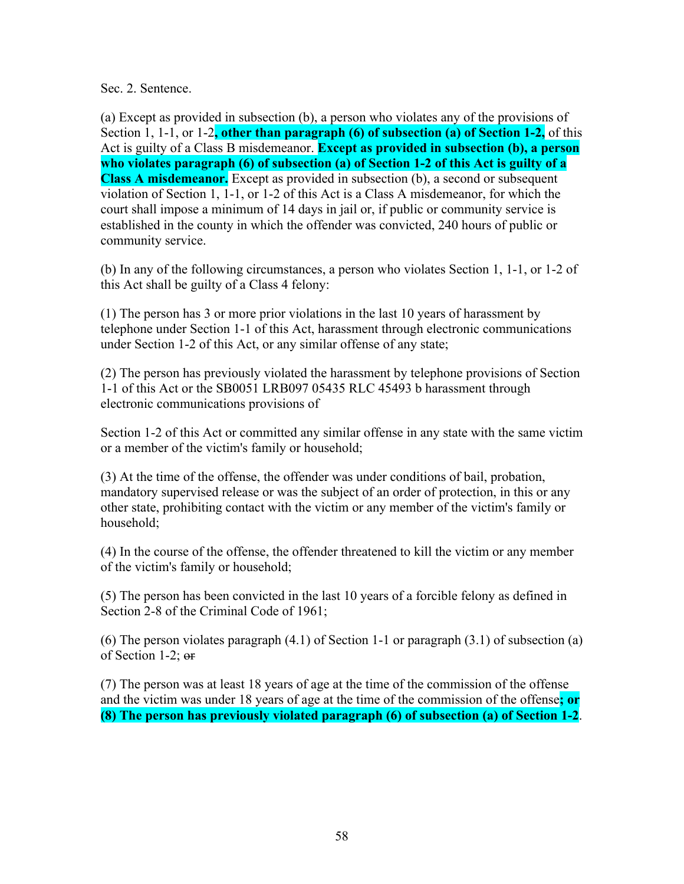#### Sec. 2. Sentence.

(a) Except as provided in subsection (b), a person who violates any of the provisions of Section 1, 1-1, or 1-2**, other than paragraph (6) of subsection (a) of Section 1-2,** of this Act is guilty of a Class B misdemeanor. **Except as provided in subsection (b), a person who violates paragraph (6) of subsection (a) of Section 1-2 of this Act is guilty of a Class A misdemeanor.** Except as provided in subsection (b), a second or subsequent violation of Section 1, 1-1, or 1-2 of this Act is a Class A misdemeanor, for which the court shall impose a minimum of 14 days in jail or, if public or community service is established in the county in which the offender was convicted, 240 hours of public or community service.

(b) In any of the following circumstances, a person who violates Section 1, 1-1, or 1-2 of this Act shall be guilty of a Class 4 felony:

(1) The person has 3 or more prior violations in the last 10 years of harassment by telephone under Section 1-1 of this Act, harassment through electronic communications under Section 1-2 of this Act, or any similar offense of any state;

(2) The person has previously violated the harassment by telephone provisions of Section 1-1 of this Act or the SB0051 LRB097 05435 RLC 45493 b harassment through electronic communications provisions of

Section 1-2 of this Act or committed any similar offense in any state with the same victim or a member of the victim's family or household;

(3) At the time of the offense, the offender was under conditions of bail, probation, mandatory supervised release or was the subject of an order of protection, in this or any other state, prohibiting contact with the victim or any member of the victim's family or household;

(4) In the course of the offense, the offender threatened to kill the victim or any member of the victim's family or household;

(5) The person has been convicted in the last 10 years of a forcible felony as defined in Section 2-8 of the Criminal Code of 1961;

(6) The person violates paragraph  $(4.1)$  of Section 1-1 or paragraph  $(3.1)$  of subsection (a) of Section 1-2;  $er$ 

(7) The person was at least 18 years of age at the time of the commission of the offense and the victim was under 18 years of age at the time of the commission of the offense**; or (8) The person has previously violated paragraph (6) of subsection (a) of Section 1-2**.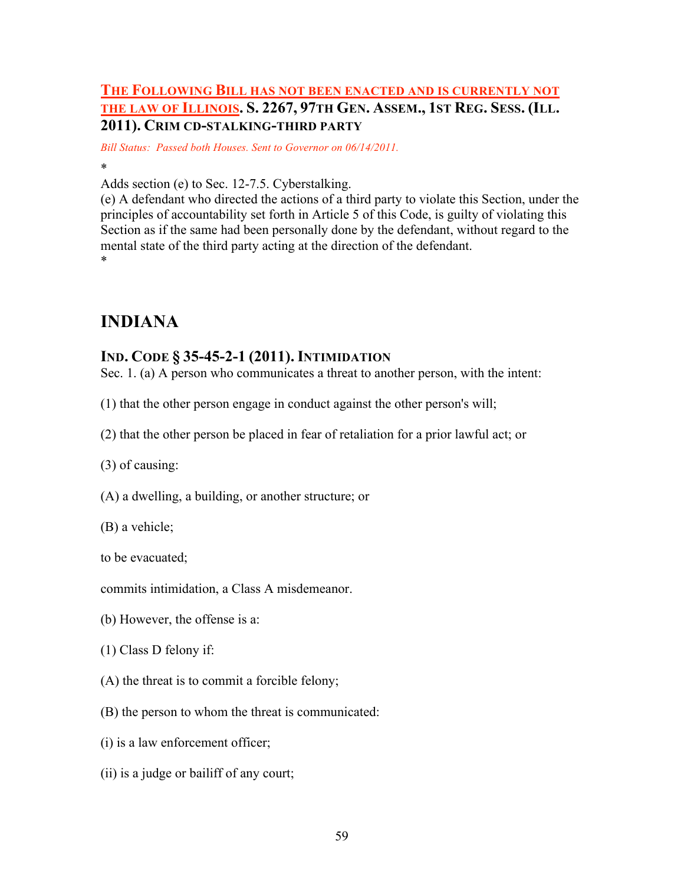## **THE FOLLOWING BILL HAS NOT BEEN ENACTED AND IS CURRENTLY NOT THE LAW OF ILLINOIS. S. 2267, 97TH GEN. ASSEM., 1ST REG. SESS. (ILL. 2011). CRIM CD-STALKING-THIRD PARTY**

*Bill Status: Passed both Houses. Sent to Governor on 06/14/2011.*

\*

Adds section (e) to Sec. 12-7.5. Cyberstalking.

(e) A defendant who directed the actions of a third party to violate this Section, under the principles of accountability set forth in Article 5 of this Code, is guilty of violating this Section as if the same had been personally done by the defendant, without regard to the mental state of the third party acting at the direction of the defendant. \*

**INDIANA**

#### **IND. CODE § 35-45-2-1 (2011). INTIMIDATION**

Sec. 1. (a) A person who communicates a threat to another person, with the intent:

(1) that the other person engage in conduct against the other person's will;

(2) that the other person be placed in fear of retaliation for a prior lawful act; or

(3) of causing:

(A) a dwelling, a building, or another structure; or

(B) a vehicle;

to be evacuated;

commits intimidation, a Class A misdemeanor.

(b) However, the offense is a:

(1) Class D felony if:

- (A) the threat is to commit a forcible felony;
- (B) the person to whom the threat is communicated:
- (i) is a law enforcement officer;
- (ii) is a judge or bailiff of any court;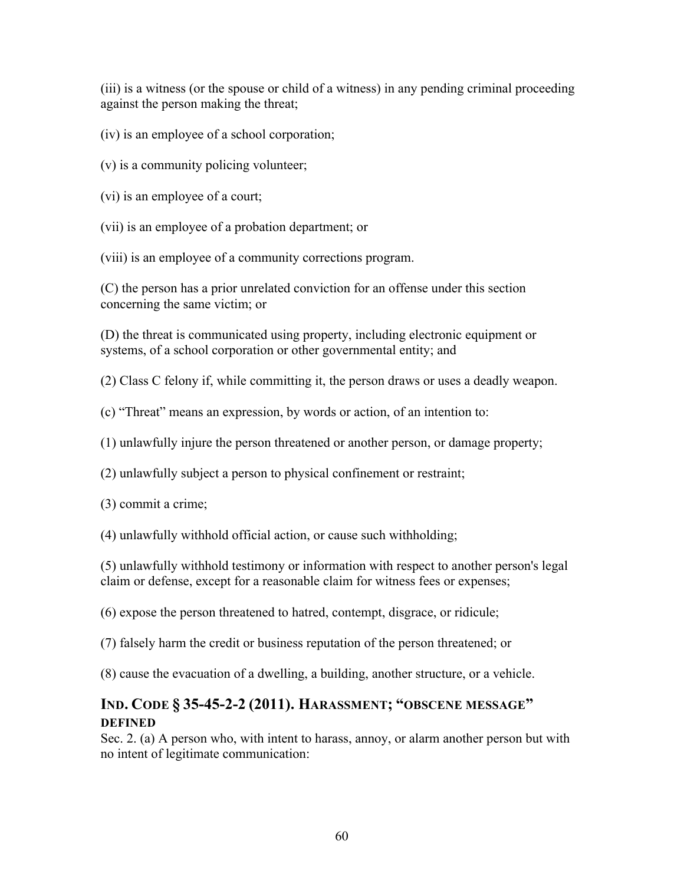(iii) is a witness (or the spouse or child of a witness) in any pending criminal proceeding against the person making the threat;

(iv) is an employee of a school corporation;

(v) is a community policing volunteer;

(vi) is an employee of a court;

(vii) is an employee of a probation department; or

(viii) is an employee of a community corrections program.

(C) the person has a prior unrelated conviction for an offense under this section concerning the same victim; or

(D) the threat is communicated using property, including electronic equipment or systems, of a school corporation or other governmental entity; and

(2) Class C felony if, while committing it, the person draws or uses a deadly weapon.

(c) "Threat" means an expression, by words or action, of an intention to:

(1) unlawfully injure the person threatened or another person, or damage property;

(2) unlawfully subject a person to physical confinement or restraint;

(3) commit a crime;

(4) unlawfully withhold official action, or cause such withholding;

(5) unlawfully withhold testimony or information with respect to another person's legal claim or defense, except for a reasonable claim for witness fees or expenses;

(6) expose the person threatened to hatred, contempt, disgrace, or ridicule;

(7) falsely harm the credit or business reputation of the person threatened; or

(8) cause the evacuation of a dwelling, a building, another structure, or a vehicle.

## **IND. CODE § 35-45-2-2 (2011). HARASSMENT; "OBSCENE MESSAGE" DEFINED**

Sec. 2. (a) A person who, with intent to harass, annoy, or alarm another person but with no intent of legitimate communication: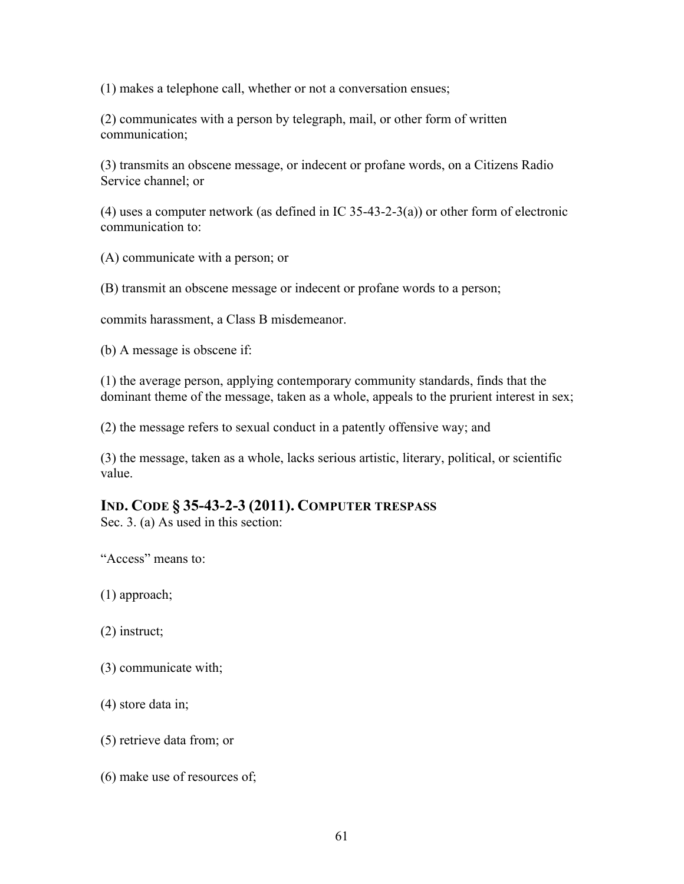(1) makes a telephone call, whether or not a conversation ensues;

(2) communicates with a person by telegraph, mail, or other form of written communication;

(3) transmits an obscene message, or indecent or profane words, on a Citizens Radio Service channel; or

(4) uses a computer network (as defined in IC 35-43-2-3(a)) or other form of electronic communication to:

(A) communicate with a person; or

(B) transmit an obscene message or indecent or profane words to a person;

commits harassment, a Class B misdemeanor.

(b) A message is obscene if:

(1) the average person, applying contemporary community standards, finds that the dominant theme of the message, taken as a whole, appeals to the prurient interest in sex;

(2) the message refers to sexual conduct in a patently offensive way; and

(3) the message, taken as a whole, lacks serious artistic, literary, political, or scientific value.

#### **IND. CODE § 35-43-2-3 (2011). COMPUTER TRESPASS**

Sec. 3. (a) As used in this section:

"Access" means to:

(1) approach;

(2) instruct;

(3) communicate with;

(4) store data in;

(5) retrieve data from; or

(6) make use of resources of;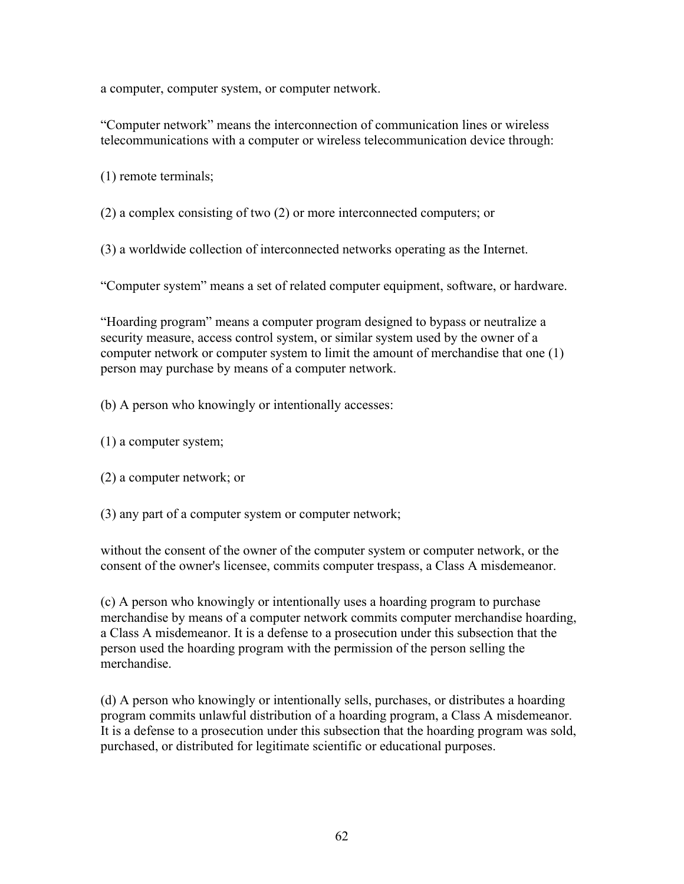a computer, computer system, or computer network.

"Computer network" means the interconnection of communication lines or wireless telecommunications with a computer or wireless telecommunication device through:

(1) remote terminals;

(2) a complex consisting of two (2) or more interconnected computers; or

(3) a worldwide collection of interconnected networks operating as the Internet.

"Computer system" means a set of related computer equipment, software, or hardware.

"Hoarding program" means a computer program designed to bypass or neutralize a security measure, access control system, or similar system used by the owner of a computer network or computer system to limit the amount of merchandise that one (1) person may purchase by means of a computer network.

(b) A person who knowingly or intentionally accesses:

- (1) a computer system;
- (2) a computer network; or

(3) any part of a computer system or computer network;

without the consent of the owner of the computer system or computer network, or the consent of the owner's licensee, commits computer trespass, a Class A misdemeanor.

(c) A person who knowingly or intentionally uses a hoarding program to purchase merchandise by means of a computer network commits computer merchandise hoarding, a Class A misdemeanor. It is a defense to a prosecution under this subsection that the person used the hoarding program with the permission of the person selling the merchandise.

(d) A person who knowingly or intentionally sells, purchases, or distributes a hoarding program commits unlawful distribution of a hoarding program, a Class A misdemeanor. It is a defense to a prosecution under this subsection that the hoarding program was sold, purchased, or distributed for legitimate scientific or educational purposes.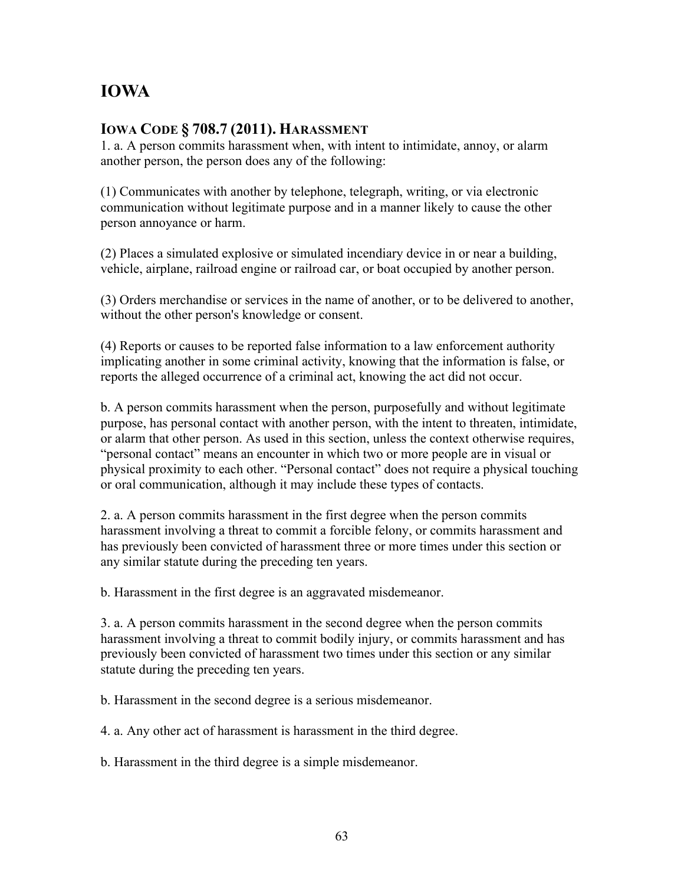# **IOWA**

## **IOWA CODE § 708.7 (2011). HARASSMENT**

1. a. A person commits harassment when, with intent to intimidate, annoy, or alarm another person, the person does any of the following:

(1) Communicates with another by telephone, telegraph, writing, or via electronic communication without legitimate purpose and in a manner likely to cause the other person annoyance or harm.

(2) Places a simulated explosive or simulated incendiary device in or near a building, vehicle, airplane, railroad engine or railroad car, or boat occupied by another person.

(3) Orders merchandise or services in the name of another, or to be delivered to another, without the other person's knowledge or consent.

(4) Reports or causes to be reported false information to a law enforcement authority implicating another in some criminal activity, knowing that the information is false, or reports the alleged occurrence of a criminal act, knowing the act did not occur.

b. A person commits harassment when the person, purposefully and without legitimate purpose, has personal contact with another person, with the intent to threaten, intimidate, or alarm that other person. As used in this section, unless the context otherwise requires, "personal contact" means an encounter in which two or more people are in visual or physical proximity to each other. "Personal contact" does not require a physical touching or oral communication, although it may include these types of contacts.

2. a. A person commits harassment in the first degree when the person commits harassment involving a threat to commit a forcible felony, or commits harassment and has previously been convicted of harassment three or more times under this section or any similar statute during the preceding ten years.

b. Harassment in the first degree is an aggravated misdemeanor.

3. a. A person commits harassment in the second degree when the person commits harassment involving a threat to commit bodily injury, or commits harassment and has previously been convicted of harassment two times under this section or any similar statute during the preceding ten years.

b. Harassment in the second degree is a serious misdemeanor.

4. a. Any other act of harassment is harassment in the third degree.

b. Harassment in the third degree is a simple misdemeanor.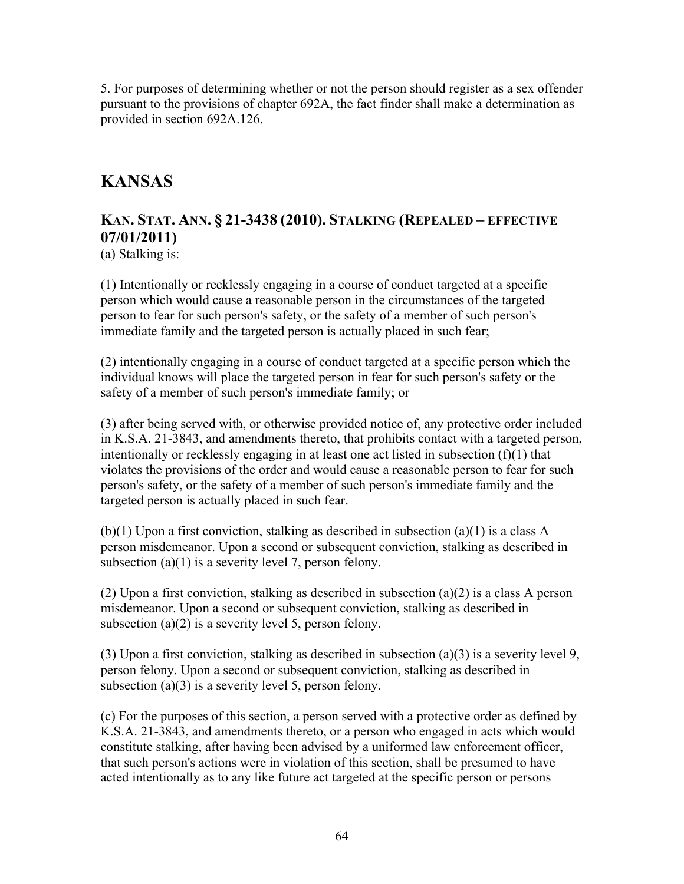5. For purposes of determining whether or not the person should register as a sex offender pursuant to the provisions of chapter 692A, the fact finder shall make a determination as provided in section 692A.126.

# **KANSAS**

## **KAN. STAT. ANN. § 21-3438 (2010). STALKING (REPEALED – EFFECTIVE 07/01/2011)**

(a) Stalking is:

(1) Intentionally or recklessly engaging in a course of conduct targeted at a specific person which would cause a reasonable person in the circumstances of the targeted person to fear for such person's safety, or the safety of a member of such person's immediate family and the targeted person is actually placed in such fear;

(2) intentionally engaging in a course of conduct targeted at a specific person which the individual knows will place the targeted person in fear for such person's safety or the safety of a member of such person's immediate family; or

(3) after being served with, or otherwise provided notice of, any protective order included in K.S.A. 21-3843, and amendments thereto, that prohibits contact with a targeted person, intentionally or recklessly engaging in at least one act listed in subsection (f)(1) that violates the provisions of the order and would cause a reasonable person to fear for such person's safety, or the safety of a member of such person's immediate family and the targeted person is actually placed in such fear.

 $(b)(1)$  Upon a first conviction, stalking as described in subsection  $(a)(1)$  is a class A person misdemeanor. Upon a second or subsequent conviction, stalking as described in subsection  $(a)(1)$  is a severity level 7, person felony.

(2) Upon a first conviction, stalking as described in subsection (a)(2) is a class A person misdemeanor. Upon a second or subsequent conviction, stalking as described in subsection (a)(2) is a severity level 5, person felony.

(3) Upon a first conviction, stalking as described in subsection (a)(3) is a severity level 9, person felony. Upon a second or subsequent conviction, stalking as described in subsection (a)(3) is a severity level 5, person felony.

(c) For the purposes of this section, a person served with a protective order as defined by K.S.A. 21-3843, and amendments thereto, or a person who engaged in acts which would constitute stalking, after having been advised by a uniformed law enforcement officer, that such person's actions were in violation of this section, shall be presumed to have acted intentionally as to any like future act targeted at the specific person or persons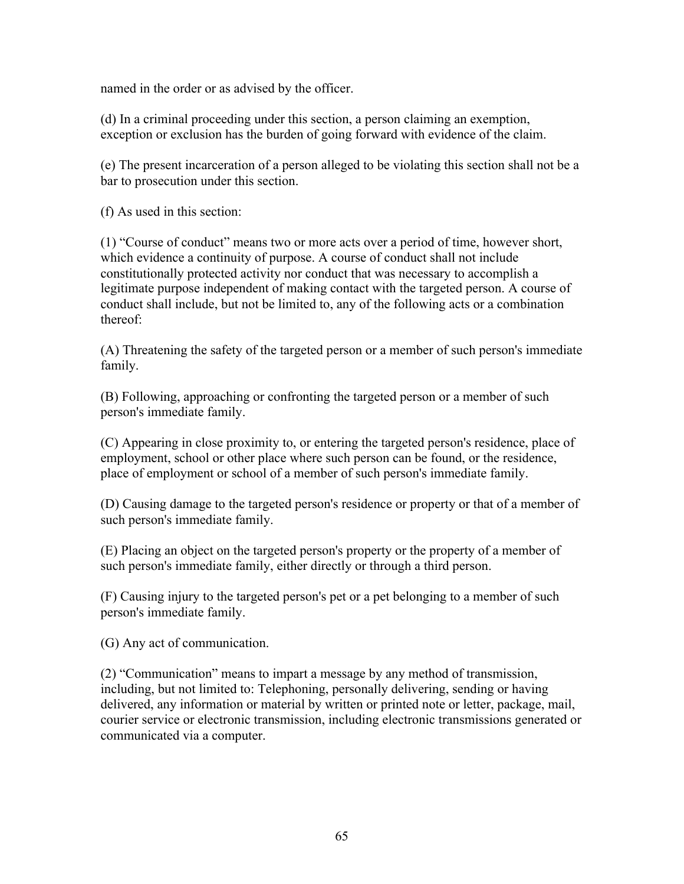named in the order or as advised by the officer.

(d) In a criminal proceeding under this section, a person claiming an exemption, exception or exclusion has the burden of going forward with evidence of the claim.

(e) The present incarceration of a person alleged to be violating this section shall not be a bar to prosecution under this section.

(f) As used in this section:

(1) "Course of conduct" means two or more acts over a period of time, however short, which evidence a continuity of purpose. A course of conduct shall not include constitutionally protected activity nor conduct that was necessary to accomplish a legitimate purpose independent of making contact with the targeted person. A course of conduct shall include, but not be limited to, any of the following acts or a combination thereof:

(A) Threatening the safety of the targeted person or a member of such person's immediate family.

(B) Following, approaching or confronting the targeted person or a member of such person's immediate family.

(C) Appearing in close proximity to, or entering the targeted person's residence, place of employment, school or other place where such person can be found, or the residence, place of employment or school of a member of such person's immediate family.

(D) Causing damage to the targeted person's residence or property or that of a member of such person's immediate family.

(E) Placing an object on the targeted person's property or the property of a member of such person's immediate family, either directly or through a third person.

(F) Causing injury to the targeted person's pet or a pet belonging to a member of such person's immediate family.

(G) Any act of communication.

(2) "Communication" means to impart a message by any method of transmission, including, but not limited to: Telephoning, personally delivering, sending or having delivered, any information or material by written or printed note or letter, package, mail, courier service or electronic transmission, including electronic transmissions generated or communicated via a computer.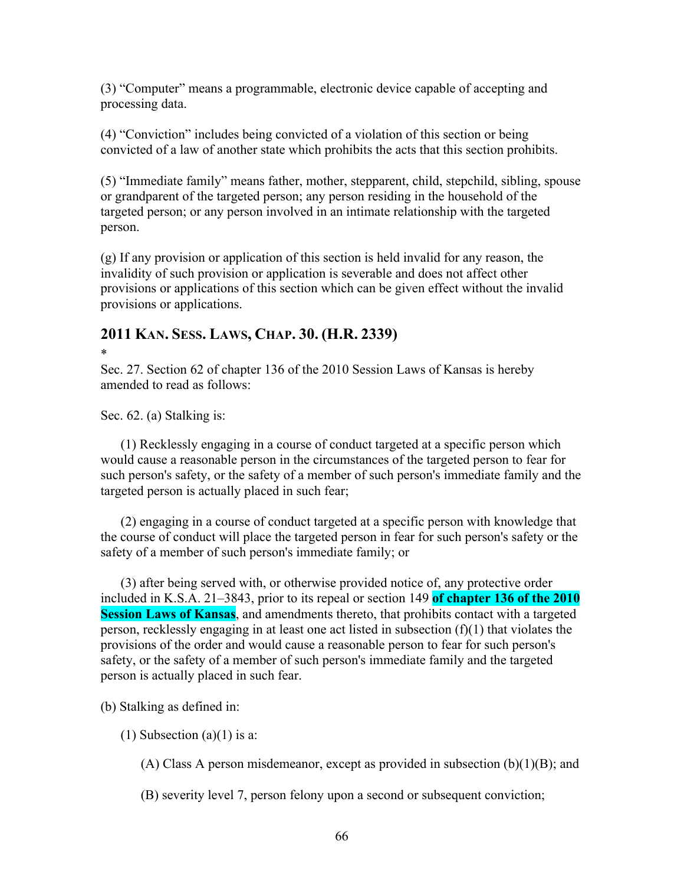(3) "Computer" means a programmable, electronic device capable of accepting and processing data.

(4) "Conviction" includes being convicted of a violation of this section or being convicted of a law of another state which prohibits the acts that this section prohibits.

(5) "Immediate family" means father, mother, stepparent, child, stepchild, sibling, spouse or grandparent of the targeted person; any person residing in the household of the targeted person; or any person involved in an intimate relationship with the targeted person.

(g) If any provision or application of this section is held invalid for any reason, the invalidity of such provision or application is severable and does not affect other provisions or applications of this section which can be given effect without the invalid provisions or applications.

## **2011 KAN. SESS. LAWS, CHAP. 30. (H.R. 2339)**

### \*

Sec. 27. Section 62 of chapter 136 of the 2010 Session Laws of Kansas is hereby amended to read as follows:

Sec. 62. (a) Stalking is:

(1) Recklessly engaging in a course of conduct targeted at a specific person which would cause a reasonable person in the circumstances of the targeted person to fear for such person's safety, or the safety of a member of such person's immediate family and the targeted person is actually placed in such fear;

(2) engaging in a course of conduct targeted at a specific person with knowledge that the course of conduct will place the targeted person in fear for such person's safety or the safety of a member of such person's immediate family; or

(3) after being served with, or otherwise provided notice of, any protective order included in K.S.A. 21–3843, prior to its repeal or section 149 **of chapter 136 of the 2010 Session Laws of Kansas**, and amendments thereto, that prohibits contact with a targeted person, recklessly engaging in at least one act listed in subsection (f)(1) that violates the provisions of the order and would cause a reasonable person to fear for such person's safety, or the safety of a member of such person's immediate family and the targeted person is actually placed in such fear.

(b) Stalking as defined in:

(1) Subsection (a)(1) is a:

(A) Class A person misdemeanor, except as provided in subsection  $(b)(1)(B)$ ; and

(B) severity level 7, person felony upon a second or subsequent conviction;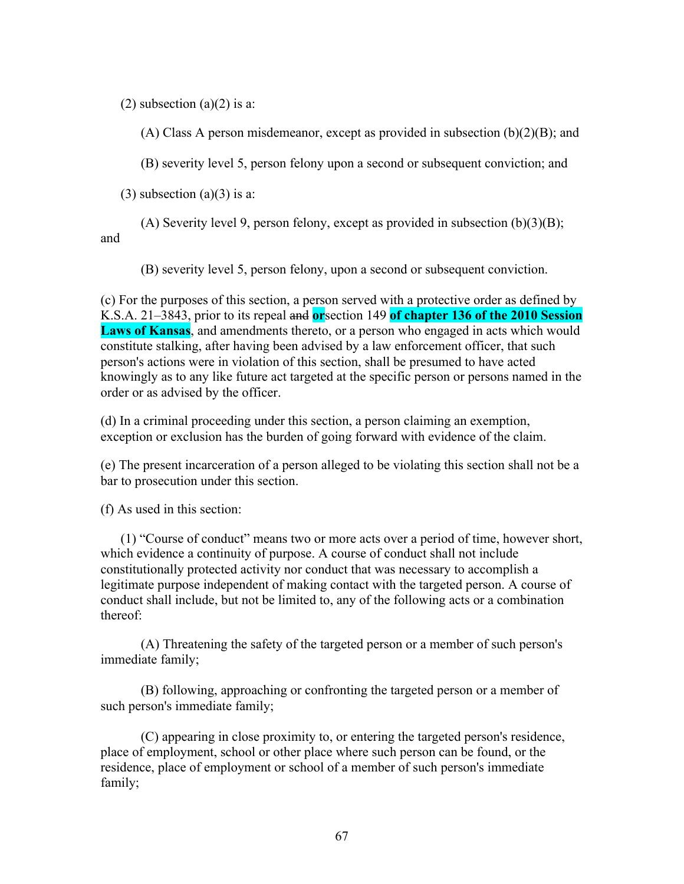(2) subsection (a)(2) is a:

(A) Class A person misdemeanor, except as provided in subsection  $(b)(2)(B)$ ; and

(B) severity level 5, person felony upon a second or subsequent conviction; and

 $(3)$  subsection  $(a)(3)$  is a:

(A) Severity level 9, person felony, except as provided in subsection (b)(3)(B); and

(B) severity level 5, person felony, upon a second or subsequent conviction.

(c) For the purposes of this section, a person served with a protective order as defined by K.S.A. 21–3843, prior to its repeal and **or**section 149 **of chapter 136 of the 2010 Session Laws of Kansas**, and amendments thereto, or a person who engaged in acts which would constitute stalking, after having been advised by a law enforcement officer, that such person's actions were in violation of this section, shall be presumed to have acted knowingly as to any like future act targeted at the specific person or persons named in the order or as advised by the officer.

(d) In a criminal proceeding under this section, a person claiming an exemption, exception or exclusion has the burden of going forward with evidence of the claim.

(e) The present incarceration of a person alleged to be violating this section shall not be a bar to prosecution under this section.

(f) As used in this section:

(1) "Course of conduct" means two or more acts over a period of time, however short, which evidence a continuity of purpose. A course of conduct shall not include constitutionally protected activity nor conduct that was necessary to accomplish a legitimate purpose independent of making contact with the targeted person. A course of conduct shall include, but not be limited to, any of the following acts or a combination thereof:

(A) Threatening the safety of the targeted person or a member of such person's immediate family;

(B) following, approaching or confronting the targeted person or a member of such person's immediate family;

(C) appearing in close proximity to, or entering the targeted person's residence, place of employment, school or other place where such person can be found, or the residence, place of employment or school of a member of such person's immediate family;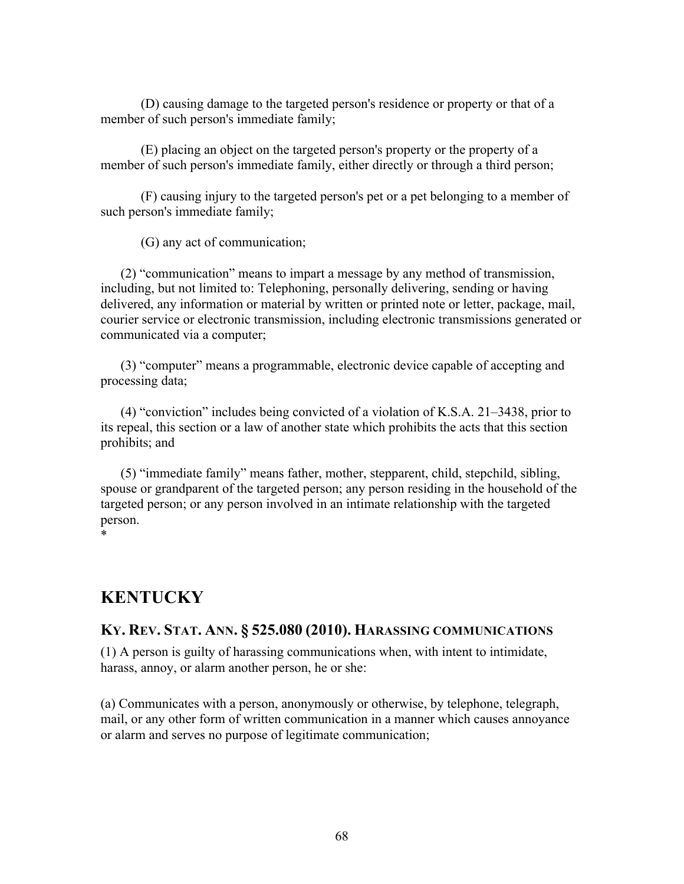(D) causing damage to the targeted person's residence or property or that of a member of such person's immediate family;

(E) placing an object on the targeted person's property or the property of a member of such person's immediate family, either directly or through a third person;

(F) causing injury to the targeted person's pet or a pet belonging to a member of such person's immediate family;

(G) any act of communication;

(2) "communication" means to impart a message by any method of transmission, including, but not limited to: Telephoning, personally delivering, sending or having delivered, any information or material by written or printed note or letter, package, mail, courier service or electronic transmission, including electronic transmissions generated or communicated via a computer;

(3) "computer" means a programmable, electronic device capable of accepting and processing data;

(4) "conviction" includes being convicted of a violation of K.S.A. 21–3438, prior to its repeal, this section or a law of another state which prohibits the acts that this section prohibits; and

(5) "immediate family" means father, mother, stepparent, child, stepchild, sibling, spouse or grandparent of the targeted person; any person residing in the household of the targeted person; or any person involved in an intimate relationship with the targeted person.

\*

## **KENTUCKY**

#### **KY. REV. STAT. ANN. § 525.080 (2010). HARASSING COMMUNICATIONS**

(1) A person is guilty of harassing communications when, with intent to intimidate, harass, annoy, or alarm another person, he or she:

(a) Communicates with a person, anonymously or otherwise, by telephone, telegraph, mail, or any other form of written communication in a manner which causes annoyance or alarm and serves no purpose of legitimate communication;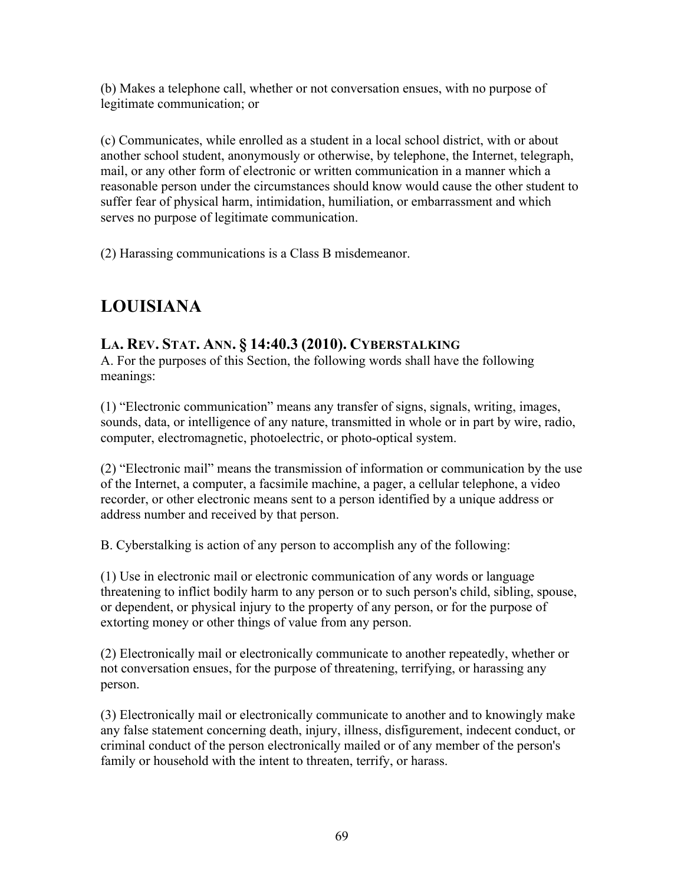(b) Makes a telephone call, whether or not conversation ensues, with no purpose of legitimate communication; or

(c) Communicates, while enrolled as a student in a local school district, with or about another school student, anonymously or otherwise, by telephone, the Internet, telegraph, mail, or any other form of electronic or written communication in a manner which a reasonable person under the circumstances should know would cause the other student to suffer fear of physical harm, intimidation, humiliation, or embarrassment and which serves no purpose of legitimate communication.

(2) Harassing communications is a Class B misdemeanor.

# **LOUISIANA**

### **LA. REV. STAT. ANN. § 14:40.3 (2010). CYBERSTALKING**

A. For the purposes of this Section, the following words shall have the following meanings:

(1) "Electronic communication" means any transfer of signs, signals, writing, images, sounds, data, or intelligence of any nature, transmitted in whole or in part by wire, radio, computer, electromagnetic, photoelectric, or photo-optical system.

(2) "Electronic mail" means the transmission of information or communication by the use of the Internet, a computer, a facsimile machine, a pager, a cellular telephone, a video recorder, or other electronic means sent to a person identified by a unique address or address number and received by that person.

B. Cyberstalking is action of any person to accomplish any of the following:

(1) Use in electronic mail or electronic communication of any words or language threatening to inflict bodily harm to any person or to such person's child, sibling, spouse, or dependent, or physical injury to the property of any person, or for the purpose of extorting money or other things of value from any person.

(2) Electronically mail or electronically communicate to another repeatedly, whether or not conversation ensues, for the purpose of threatening, terrifying, or harassing any person.

(3) Electronically mail or electronically communicate to another and to knowingly make any false statement concerning death, injury, illness, disfigurement, indecent conduct, or criminal conduct of the person electronically mailed or of any member of the person's family or household with the intent to threaten, terrify, or harass.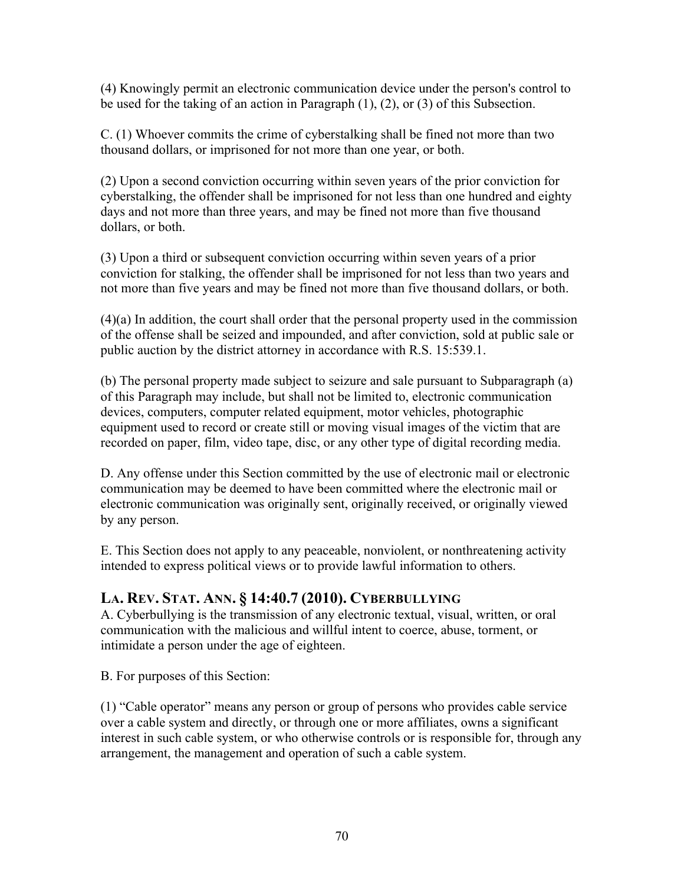(4) Knowingly permit an electronic communication device under the person's control to be used for the taking of an action in Paragraph (1), (2), or (3) of this Subsection.

C. (1) Whoever commits the crime of cyberstalking shall be fined not more than two thousand dollars, or imprisoned for not more than one year, or both.

(2) Upon a second conviction occurring within seven years of the prior conviction for cyberstalking, the offender shall be imprisoned for not less than one hundred and eighty days and not more than three years, and may be fined not more than five thousand dollars, or both.

(3) Upon a third or subsequent conviction occurring within seven years of a prior conviction for stalking, the offender shall be imprisoned for not less than two years and not more than five years and may be fined not more than five thousand dollars, or both.

(4)(a) In addition, the court shall order that the personal property used in the commission of the offense shall be seized and impounded, and after conviction, sold at public sale or public auction by the district attorney in accordance with R.S. 15:539.1.

(b) The personal property made subject to seizure and sale pursuant to Subparagraph (a) of this Paragraph may include, but shall not be limited to, electronic communication devices, computers, computer related equipment, motor vehicles, photographic equipment used to record or create still or moving visual images of the victim that are recorded on paper, film, video tape, disc, or any other type of digital recording media.

D. Any offense under this Section committed by the use of electronic mail or electronic communication may be deemed to have been committed where the electronic mail or electronic communication was originally sent, originally received, or originally viewed by any person.

E. This Section does not apply to any peaceable, nonviolent, or nonthreatening activity intended to express political views or to provide lawful information to others.

#### **LA. REV. STAT. ANN. § 14:40.7 (2010). CYBERBULLYING**

A. Cyberbullying is the transmission of any electronic textual, visual, written, or oral communication with the malicious and willful intent to coerce, abuse, torment, or intimidate a person under the age of eighteen.

B. For purposes of this Section:

(1) "Cable operator" means any person or group of persons who provides cable service over a cable system and directly, or through one or more affiliates, owns a significant interest in such cable system, or who otherwise controls or is responsible for, through any arrangement, the management and operation of such a cable system.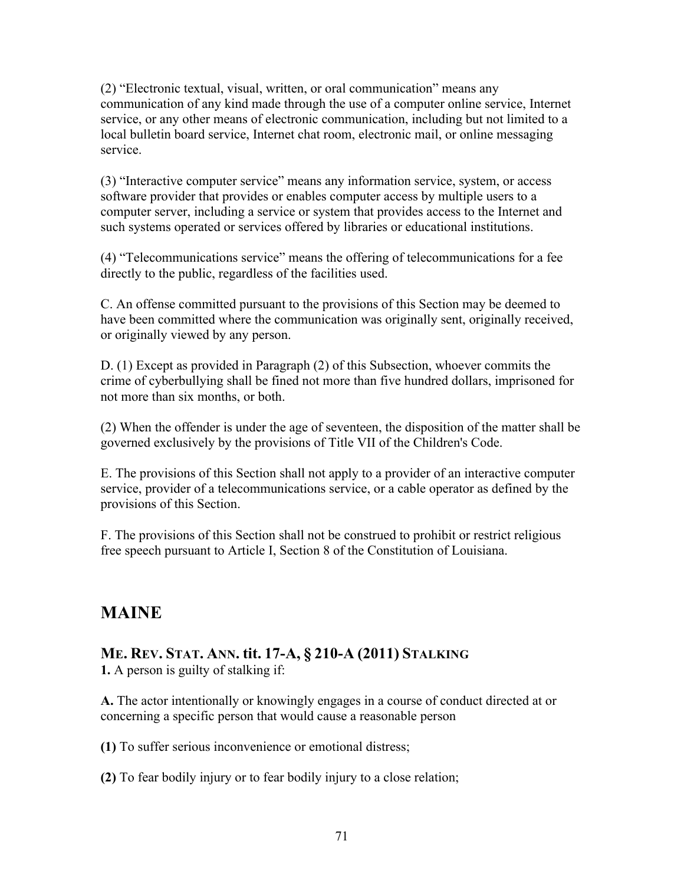(2) "Electronic textual, visual, written, or oral communication" means any communication of any kind made through the use of a computer online service, Internet service, or any other means of electronic communication, including but not limited to a local bulletin board service, Internet chat room, electronic mail, or online messaging service.

(3) "Interactive computer service" means any information service, system, or access software provider that provides or enables computer access by multiple users to a computer server, including a service or system that provides access to the Internet and such systems operated or services offered by libraries or educational institutions.

(4) "Telecommunications service" means the offering of telecommunications for a fee directly to the public, regardless of the facilities used.

C. An offense committed pursuant to the provisions of this Section may be deemed to have been committed where the communication was originally sent, originally received, or originally viewed by any person.

D. (1) Except as provided in Paragraph (2) of this Subsection, whoever commits the crime of cyberbullying shall be fined not more than five hundred dollars, imprisoned for not more than six months, or both.

(2) When the offender is under the age of seventeen, the disposition of the matter shall be governed exclusively by the provisions of Title VII of the Children's Code.

E. The provisions of this Section shall not apply to a provider of an interactive computer service, provider of a telecommunications service, or a cable operator as defined by the provisions of this Section.

F. The provisions of this Section shall not be construed to prohibit or restrict religious free speech pursuant to Article I, Section 8 of the Constitution of Louisiana.

## **MAINE**

#### **ME. REV. STAT. ANN. tit. 17-A, § 210-A (2011) STALKING 1.** A person is guilty of stalking if:

**A.** The actor intentionally or knowingly engages in a course of conduct directed at or concerning a specific person that would cause a reasonable person

**(1)** To suffer serious inconvenience or emotional distress;

**(2)** To fear bodily injury or to fear bodily injury to a close relation;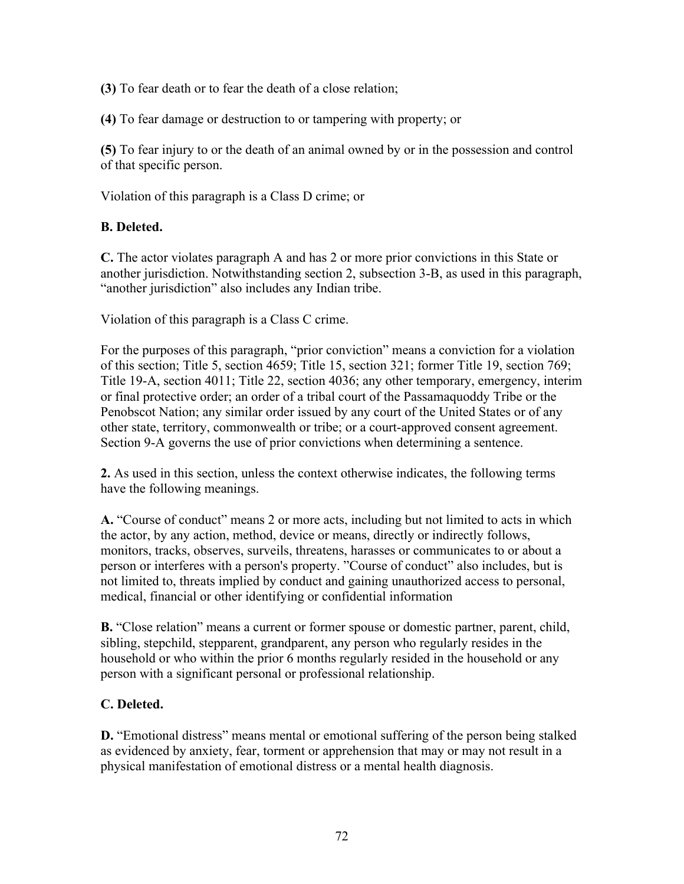**(3)** To fear death or to fear the death of a close relation;

**(4)** To fear damage or destruction to or tampering with property; or

**(5)** To fear injury to or the death of an animal owned by or in the possession and control of that specific person.

Violation of this paragraph is a Class D crime; or

#### **B. Deleted.**

**C.** The actor violates paragraph A and has 2 or more prior convictions in this State or another jurisdiction. Notwithstanding section 2, subsection 3-B, as used in this paragraph, "another jurisdiction" also includes any Indian tribe.

Violation of this paragraph is a Class C crime.

For the purposes of this paragraph, "prior conviction" means a conviction for a violation of this section; Title 5, section 4659; Title 15, section 321; former Title 19, section 769; Title 19-A, section 4011; Title 22, section 4036; any other temporary, emergency, interim or final protective order; an order of a tribal court of the Passamaquoddy Tribe or the Penobscot Nation; any similar order issued by any court of the United States or of any other state, territory, commonwealth or tribe; or a court-approved consent agreement. Section 9-A governs the use of prior convictions when determining a sentence.

**2.** As used in this section, unless the context otherwise indicates, the following terms have the following meanings.

**A.** "Course of conduct" means 2 or more acts, including but not limited to acts in which the actor, by any action, method, device or means, directly or indirectly follows, monitors, tracks, observes, surveils, threatens, harasses or communicates to or about a person or interferes with a person's property. "Course of conduct" also includes, but is not limited to, threats implied by conduct and gaining unauthorized access to personal, medical, financial or other identifying or confidential information

**B.** "Close relation" means a current or former spouse or domestic partner, parent, child, sibling, stepchild, stepparent, grandparent, any person who regularly resides in the household or who within the prior 6 months regularly resided in the household or any person with a significant personal or professional relationship.

#### **C. Deleted.**

**D.** "Emotional distress" means mental or emotional suffering of the person being stalked as evidenced by anxiety, fear, torment or apprehension that may or may not result in a physical manifestation of emotional distress or a mental health diagnosis.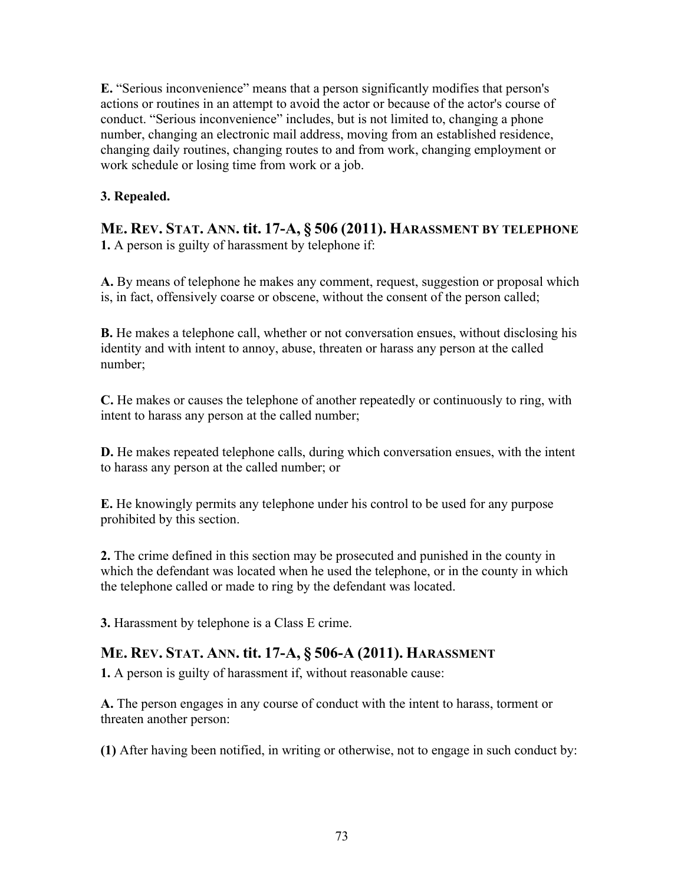**E.** "Serious inconvenience" means that a person significantly modifies that person's actions or routines in an attempt to avoid the actor or because of the actor's course of conduct. "Serious inconvenience" includes, but is not limited to, changing a phone number, changing an electronic mail address, moving from an established residence, changing daily routines, changing routes to and from work, changing employment or work schedule or losing time from work or a job.

### **3. Repealed.**

**ME. REV. STAT. ANN. tit. 17-A, § 506 (2011). HARASSMENT BY TELEPHONE 1.** A person is guilty of harassment by telephone if:

**A.** By means of telephone he makes any comment, request, suggestion or proposal which is, in fact, offensively coarse or obscene, without the consent of the person called;

**B.** He makes a telephone call, whether or not conversation ensues, without disclosing his identity and with intent to annoy, abuse, threaten or harass any person at the called number;

**C.** He makes or causes the telephone of another repeatedly or continuously to ring, with intent to harass any person at the called number;

**D.** He makes repeated telephone calls, during which conversation ensues, with the intent to harass any person at the called number; or

**E.** He knowingly permits any telephone under his control to be used for any purpose prohibited by this section.

**2.** The crime defined in this section may be prosecuted and punished in the county in which the defendant was located when he used the telephone, or in the county in which the telephone called or made to ring by the defendant was located.

**3.** Harassment by telephone is a Class E crime.

### **ME. REV. STAT. ANN. tit. 17-A, § 506-A (2011). HARASSMENT**

**1.** A person is guilty of harassment if, without reasonable cause:

**A.** The person engages in any course of conduct with the intent to harass, torment or threaten another person:

**(1)** After having been notified, in writing or otherwise, not to engage in such conduct by: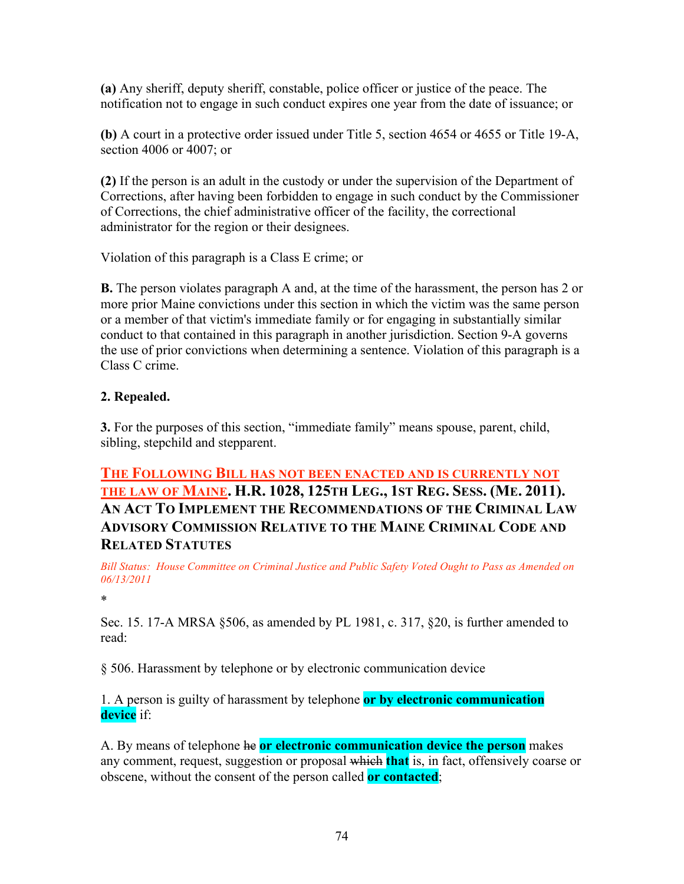**(a)** Any sheriff, deputy sheriff, constable, police officer or justice of the peace. The notification not to engage in such conduct expires one year from the date of issuance; or

**(b)** A court in a protective order issued under Title 5, section 4654 or 4655 or Title 19-A, section 4006 or 4007; or

**(2)** If the person is an adult in the custody or under the supervision of the Department of Corrections, after having been forbidden to engage in such conduct by the Commissioner of Corrections, the chief administrative officer of the facility, the correctional administrator for the region or their designees.

Violation of this paragraph is a Class E crime; or

**B.** The person violates paragraph A and, at the time of the harassment, the person has 2 or more prior Maine convictions under this section in which the victim was the same person or a member of that victim's immediate family or for engaging in substantially similar conduct to that contained in this paragraph in another jurisdiction. Section 9-A governs the use of prior convictions when determining a sentence. Violation of this paragraph is a Class C crime.

### **2. Repealed.**

**3.** For the purposes of this section, "immediate family" means spouse, parent, child, sibling, stepchild and stepparent.

**THE FOLLOWING BILL HAS NOT BEEN ENACTED AND IS CURRENTLY NOT THE LAW OF MAINE. H.R. 1028, 125TH LEG., 1ST REG. SESS. (ME. 2011). AN ACT TO IMPLEMENT THE RECOMMENDATIONS OF THE CRIMINAL LAW ADVISORY COMMISSION RELATIVE TO THE MAINE CRIMINAL CODE AND RELATED STATUTES**

*Bill Status: House Committee on Criminal Justice and Public Safety Voted Ought to Pass as Amended on 06/13/2011*

\*

Sec. 15. 17-A MRSA §506, as amended by PL 1981, c. 317, §20, is further amended to read:

§ 506. Harassment by telephone or by electronic communication device

1. A person is guilty of harassment by telephone **or by electronic communication device** if:

A. By means of telephone he **or electronic communication device the person** makes any comment, request, suggestion or proposal which **that** is, in fact, offensively coarse or obscene, without the consent of the person called **or contacted**;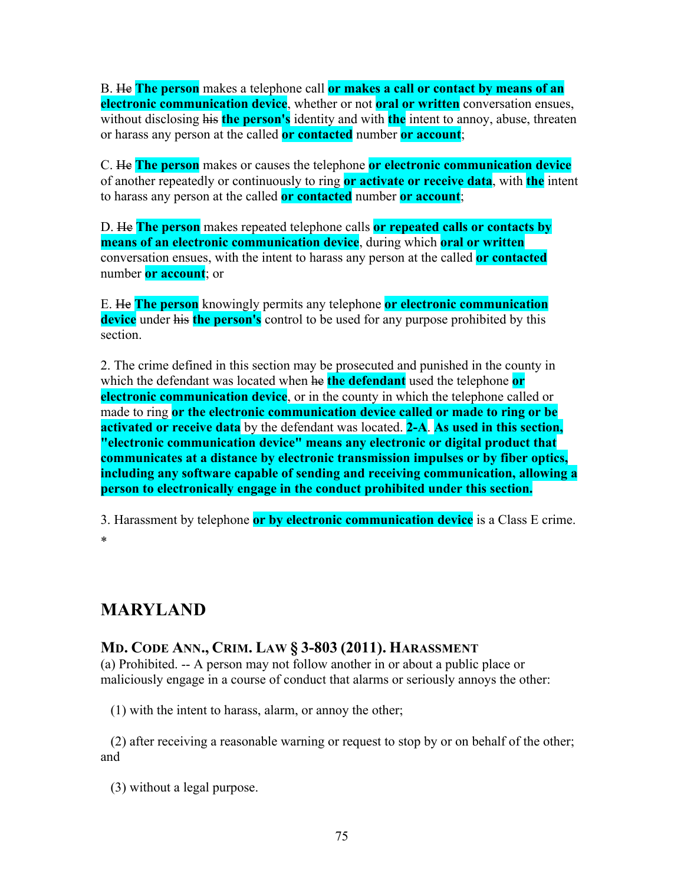B. He **The person** makes a telephone call **or makes a call or contact by means of an electronic communication device**, whether or not **oral or written** conversation ensues, without disclosing his **the person's** identity and with **the** intent to annoy, abuse, threaten or harass any person at the called **or contacted** number **or account**;

C. He **The person** makes or causes the telephone **or electronic communication device** of another repeatedly or continuously to ring **or activate or receive data**, with **the** intent to harass any person at the called **or contacted** number **or account**;

D. He **The person** makes repeated telephone calls **or repeated calls or contacts by means of an electronic communication device**, during which **oral or written** conversation ensues, with the intent to harass any person at the called **or contacted** number **or account**; or

E. He **The person** knowingly permits any telephone **or electronic communication device** under his **the person's** control to be used for any purpose prohibited by this section.

2. The crime defined in this section may be prosecuted and punished in the county in which the defendant was located when he **the defendant** used the telephone **or electronic communication device**, or in the county in which the telephone called or made to ring **or the electronic communication device called or made to ring or be activated or receive data** by the defendant was located. **2-A**. **As used in this section, "electronic communication device" means any electronic or digital product that communicates at a distance by electronic transmission impulses or by fiber optics, including any software capable of sending and receiving communication, allowing a person to electronically engage in the conduct prohibited under this section.**

3. Harassment by telephone **or by electronic communication device** is a Class E crime. \*

# **MARYLAND**

### **MD. CODE ANN., CRIM. LAW § 3-803 (2011). HARASSMENT**

(a) Prohibited. -- A person may not follow another in or about a public place or maliciously engage in a course of conduct that alarms or seriously annoys the other:

(1) with the intent to harass, alarm, or annoy the other;

 (2) after receiving a reasonable warning or request to stop by or on behalf of the other; and

(3) without a legal purpose.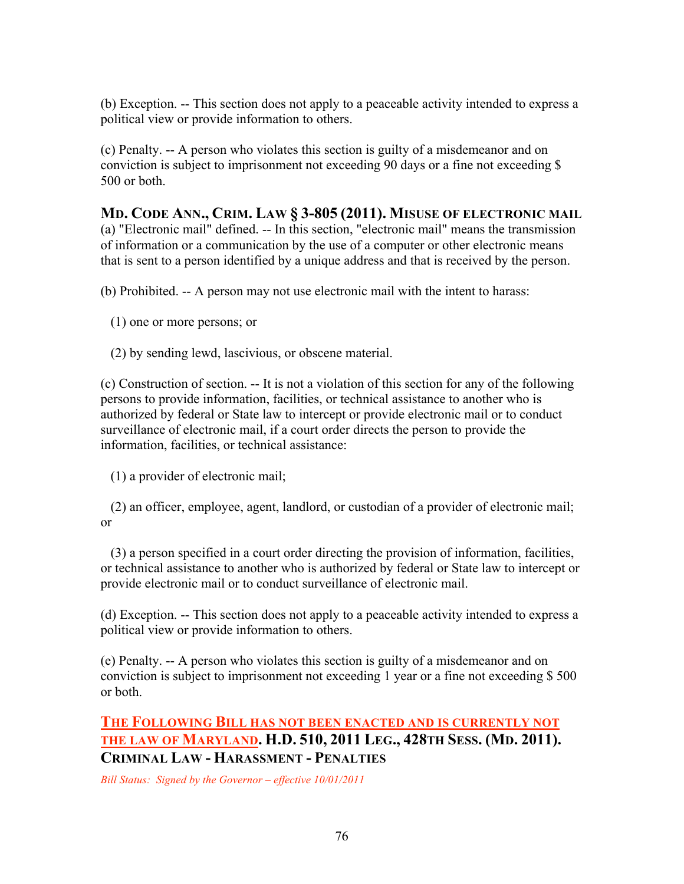(b) Exception. -- This section does not apply to a peaceable activity intended to express a political view or provide information to others.

(c) Penalty. -- A person who violates this section is guilty of a misdemeanor and on conviction is subject to imprisonment not exceeding 90 days or a fine not exceeding \$ 500 or both.

### **MD. CODE ANN., CRIM. LAW § 3-805 (2011). MISUSE OF ELECTRONIC MAIL**

(a) "Electronic mail" defined. -- In this section, "electronic mail" means the transmission of information or a communication by the use of a computer or other electronic means that is sent to a person identified by a unique address and that is received by the person.

(b) Prohibited. -- A person may not use electronic mail with the intent to harass:

(1) one or more persons; or

(2) by sending lewd, lascivious, or obscene material.

(c) Construction of section. -- It is not a violation of this section for any of the following persons to provide information, facilities, or technical assistance to another who is authorized by federal or State law to intercept or provide electronic mail or to conduct surveillance of electronic mail, if a court order directs the person to provide the information, facilities, or technical assistance:

(1) a provider of electronic mail;

 (2) an officer, employee, agent, landlord, or custodian of a provider of electronic mail; or

 (3) a person specified in a court order directing the provision of information, facilities, or technical assistance to another who is authorized by federal or State law to intercept or provide electronic mail or to conduct surveillance of electronic mail.

(d) Exception. -- This section does not apply to a peaceable activity intended to express a political view or provide information to others.

(e) Penalty. -- A person who violates this section is guilty of a misdemeanor and on conviction is subject to imprisonment not exceeding 1 year or a fine not exceeding \$ 500 or both.

## **THE FOLLOWING BILL HAS NOT BEEN ENACTED AND IS CURRENTLY NOT THE LAW OF MARYLAND. H.D. 510, 2011 LEG., 428TH SESS. (MD. 2011). CRIMINAL LAW - HARASSMENT - PENALTIES**

*Bill Status: Signed by the Governor – effective 10/01/2011*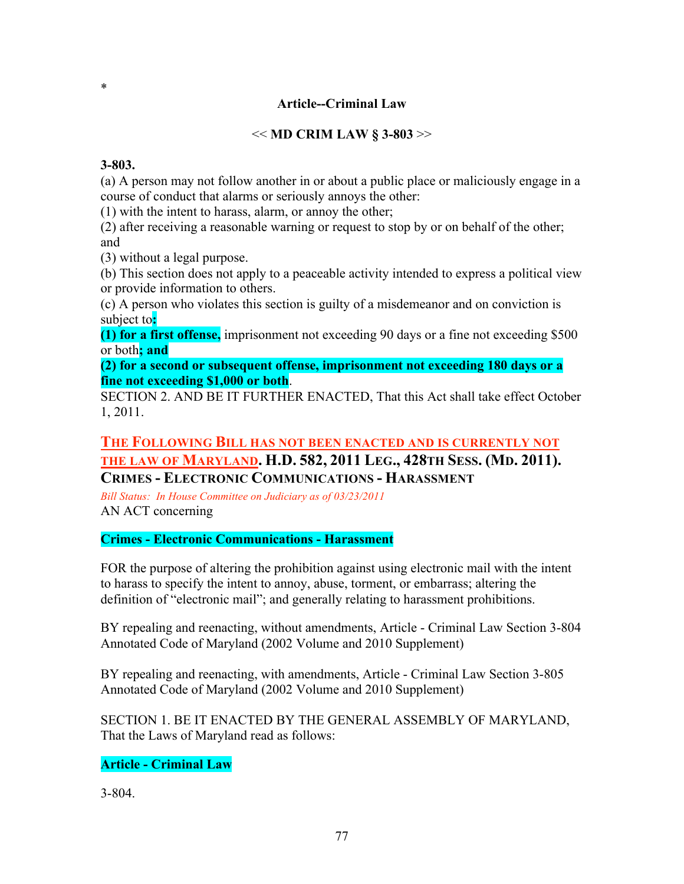### **Article--Criminal Law**

### << **MD CRIM LAW § 3-803** >>

#### **3-803.**

\*

(a) A person may not follow another in or about a public place or maliciously engage in a course of conduct that alarms or seriously annoys the other:

(1) with the intent to harass, alarm, or annoy the other;

(2) after receiving a reasonable warning or request to stop by or on behalf of the other; and

(3) without a legal purpose.

(b) This section does not apply to a peaceable activity intended to express a political view or provide information to others.

(c) A person who violates this section is guilty of a misdemeanor and on conviction is subject to**:**

**(1) for a first offense,** imprisonment not exceeding 90 days or a fine not exceeding \$500 or both**; and**

**(2) for a second or subsequent offense, imprisonment not exceeding 180 days or a fine not exceeding \$1,000 or both**.

SECTION 2. AND BE IT FURTHER ENACTED, That this Act shall take effect October 1, 2011.

### **THE FOLLOWING BILL HAS NOT BEEN ENACTED AND IS CURRENTLY NOT THE LAW OF MARYLAND. H.D. 582, 2011 LEG., 428TH SESS. (MD. 2011). CRIMES - ELECTRONIC COMMUNICATIONS - HARASSMENT**

*Bill Status: In House Committee on Judiciary as of 03/23/2011* AN ACT concerning

#### **Crimes - Electronic Communications - Harassment**

FOR the purpose of altering the prohibition against using electronic mail with the intent to harass to specify the intent to annoy, abuse, torment, or embarrass; altering the definition of "electronic mail"; and generally relating to harassment prohibitions.

BY repealing and reenacting, without amendments, Article - Criminal Law Section 3-804 Annotated Code of Maryland (2002 Volume and 2010 Supplement)

BY repealing and reenacting, with amendments, Article - Criminal Law Section 3-805 Annotated Code of Maryland (2002 Volume and 2010 Supplement)

SECTION 1. BE IT ENACTED BY THE GENERAL ASSEMBLY OF MARYLAND, That the Laws of Maryland read as follows:

### **Article - Criminal Law**

3-804.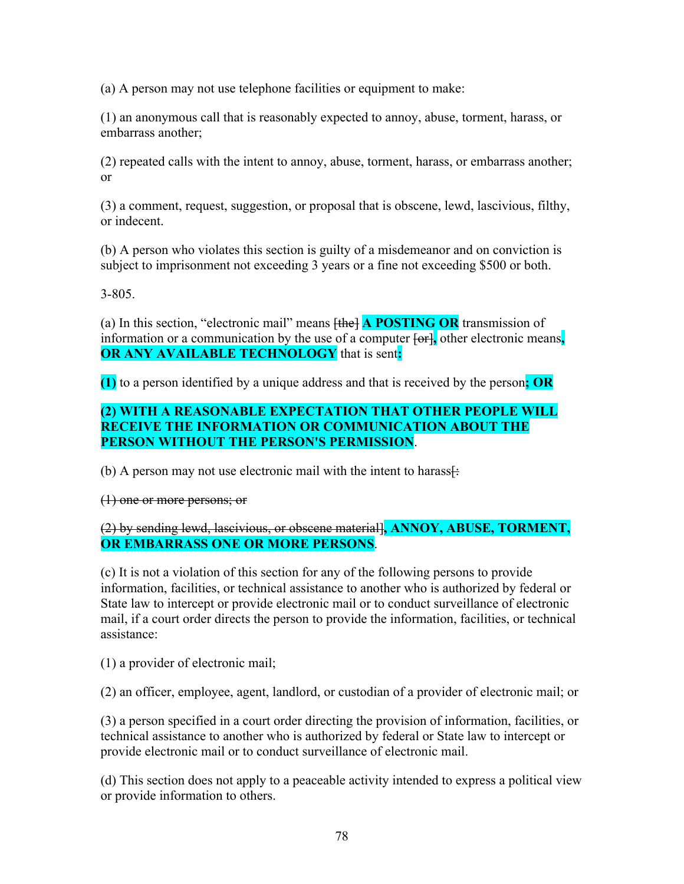(a) A person may not use telephone facilities or equipment to make:

(1) an anonymous call that is reasonably expected to annoy, abuse, torment, harass, or embarrass another;

(2) repeated calls with the intent to annoy, abuse, torment, harass, or embarrass another; or

(3) a comment, request, suggestion, or proposal that is obscene, lewd, lascivious, filthy, or indecent.

(b) A person who violates this section is guilty of a misdemeanor and on conviction is subject to imprisonment not exceeding 3 years or a fine not exceeding \$500 or both.

3-805.

(a) In this section, "electronic mail" means [the] **A POSTING OR** transmission of information or a communication by the use of a computer  $\overline{\text{forl}}$ , other electronic means, **OR ANY AVAILABLE TECHNOLOGY** that is sent**:**

**(1)** to a person identified by a unique address and that is received by the person**; OR**

### **(2) WITH A REASONABLE EXPECTATION THAT OTHER PEOPLE WILL RECEIVE THE INFORMATION OR COMMUNICATION ABOUT THE PERSON WITHOUT THE PERSON'S PERMISSION**.

(b) A person may not use electronic mail with the intent to harass $\ddot{\mathbf{r}}$ :

(1) one or more persons; or

(2) by sending lewd, lascivious, or obscene material]**, ANNOY, ABUSE, TORMENT, OR EMBARRASS ONE OR MORE PERSONS**.

(c) It is not a violation of this section for any of the following persons to provide information, facilities, or technical assistance to another who is authorized by federal or State law to intercept or provide electronic mail or to conduct surveillance of electronic mail, if a court order directs the person to provide the information, facilities, or technical assistance:

(1) a provider of electronic mail;

(2) an officer, employee, agent, landlord, or custodian of a provider of electronic mail; or

(3) a person specified in a court order directing the provision of information, facilities, or technical assistance to another who is authorized by federal or State law to intercept or provide electronic mail or to conduct surveillance of electronic mail.

(d) This section does not apply to a peaceable activity intended to express a political view or provide information to others.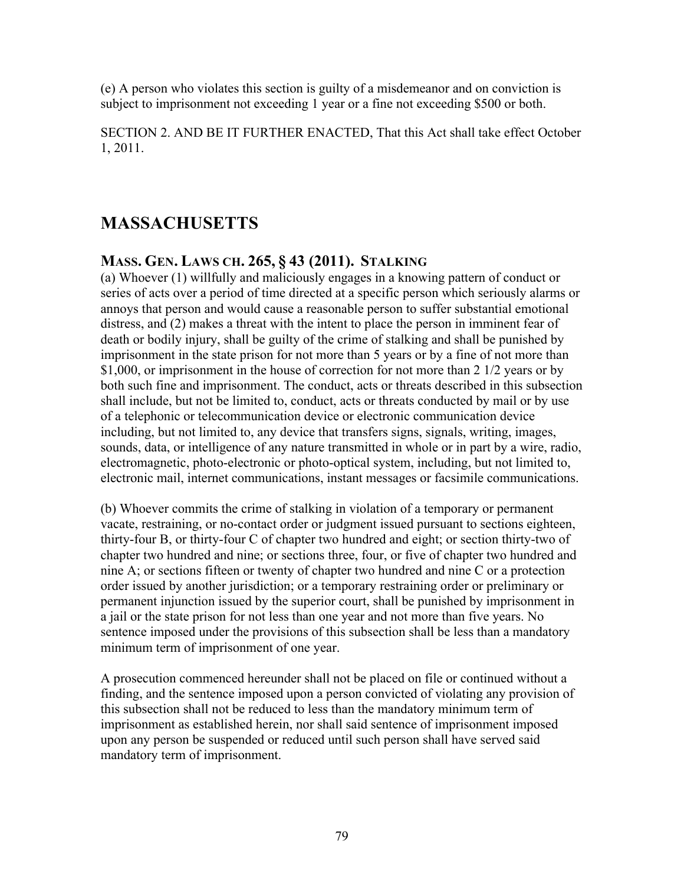(e) A person who violates this section is guilty of a misdemeanor and on conviction is subject to imprisonment not exceeding 1 year or a fine not exceeding \$500 or both.

SECTION 2. AND BE IT FURTHER ENACTED, That this Act shall take effect October 1, 2011.

# **MASSACHUSETTS**

### **MASS. GEN. LAWS CH. 265, § 43 (2011). STALKING**

(a) Whoever (1) willfully and maliciously engages in a knowing pattern of conduct or series of acts over a period of time directed at a specific person which seriously alarms or annoys that person and would cause a reasonable person to suffer substantial emotional distress, and (2) makes a threat with the intent to place the person in imminent fear of death or bodily injury, shall be guilty of the crime of stalking and shall be punished by imprisonment in the state prison for not more than 5 years or by a fine of not more than \$1,000, or imprisonment in the house of correction for not more than 2 1/2 years or by both such fine and imprisonment. The conduct, acts or threats described in this subsection shall include, but not be limited to, conduct, acts or threats conducted by mail or by use of a telephonic or telecommunication device or electronic communication device including, but not limited to, any device that transfers signs, signals, writing, images, sounds, data, or intelligence of any nature transmitted in whole or in part by a wire, radio, electromagnetic, photo-electronic or photo-optical system, including, but not limited to, electronic mail, internet communications, instant messages or facsimile communications.

(b) Whoever commits the crime of stalking in violation of a temporary or permanent vacate, restraining, or no-contact order or judgment issued pursuant to sections eighteen, thirty-four B, or thirty-four C of chapter two hundred and eight; or section thirty-two of chapter two hundred and nine; or sections three, four, or five of chapter two hundred and nine A; or sections fifteen or twenty of chapter two hundred and nine C or a protection order issued by another jurisdiction; or a temporary restraining order or preliminary or permanent injunction issued by the superior court, shall be punished by imprisonment in a jail or the state prison for not less than one year and not more than five years. No sentence imposed under the provisions of this subsection shall be less than a mandatory minimum term of imprisonment of one year.

A prosecution commenced hereunder shall not be placed on file or continued without a finding, and the sentence imposed upon a person convicted of violating any provision of this subsection shall not be reduced to less than the mandatory minimum term of imprisonment as established herein, nor shall said sentence of imprisonment imposed upon any person be suspended or reduced until such person shall have served said mandatory term of imprisonment.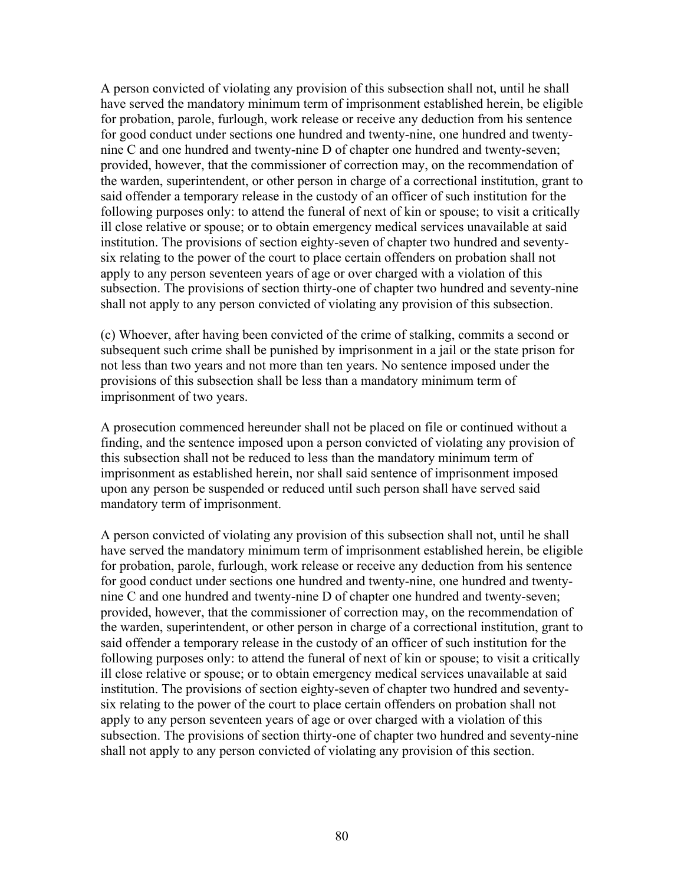A person convicted of violating any provision of this subsection shall not, until he shall have served the mandatory minimum term of imprisonment established herein, be eligible for probation, parole, furlough, work release or receive any deduction from his sentence for good conduct under sections one hundred and twenty-nine, one hundred and twentynine C and one hundred and twenty-nine D of chapter one hundred and twenty-seven; provided, however, that the commissioner of correction may, on the recommendation of the warden, superintendent, or other person in charge of a correctional institution, grant to said offender a temporary release in the custody of an officer of such institution for the following purposes only: to attend the funeral of next of kin or spouse; to visit a critically ill close relative or spouse; or to obtain emergency medical services unavailable at said institution. The provisions of section eighty-seven of chapter two hundred and seventysix relating to the power of the court to place certain offenders on probation shall not apply to any person seventeen years of age or over charged with a violation of this subsection. The provisions of section thirty-one of chapter two hundred and seventy-nine shall not apply to any person convicted of violating any provision of this subsection.

(c) Whoever, after having been convicted of the crime of stalking, commits a second or subsequent such crime shall be punished by imprisonment in a jail or the state prison for not less than two years and not more than ten years. No sentence imposed under the provisions of this subsection shall be less than a mandatory minimum term of imprisonment of two years.

A prosecution commenced hereunder shall not be placed on file or continued without a finding, and the sentence imposed upon a person convicted of violating any provision of this subsection shall not be reduced to less than the mandatory minimum term of imprisonment as established herein, nor shall said sentence of imprisonment imposed upon any person be suspended or reduced until such person shall have served said mandatory term of imprisonment.

A person convicted of violating any provision of this subsection shall not, until he shall have served the mandatory minimum term of imprisonment established herein, be eligible for probation, parole, furlough, work release or receive any deduction from his sentence for good conduct under sections one hundred and twenty-nine, one hundred and twentynine C and one hundred and twenty-nine D of chapter one hundred and twenty-seven; provided, however, that the commissioner of correction may, on the recommendation of the warden, superintendent, or other person in charge of a correctional institution, grant to said offender a temporary release in the custody of an officer of such institution for the following purposes only: to attend the funeral of next of kin or spouse; to visit a critically ill close relative or spouse; or to obtain emergency medical services unavailable at said institution. The provisions of section eighty-seven of chapter two hundred and seventysix relating to the power of the court to place certain offenders on probation shall not apply to any person seventeen years of age or over charged with a violation of this subsection. The provisions of section thirty-one of chapter two hundred and seventy-nine shall not apply to any person convicted of violating any provision of this section.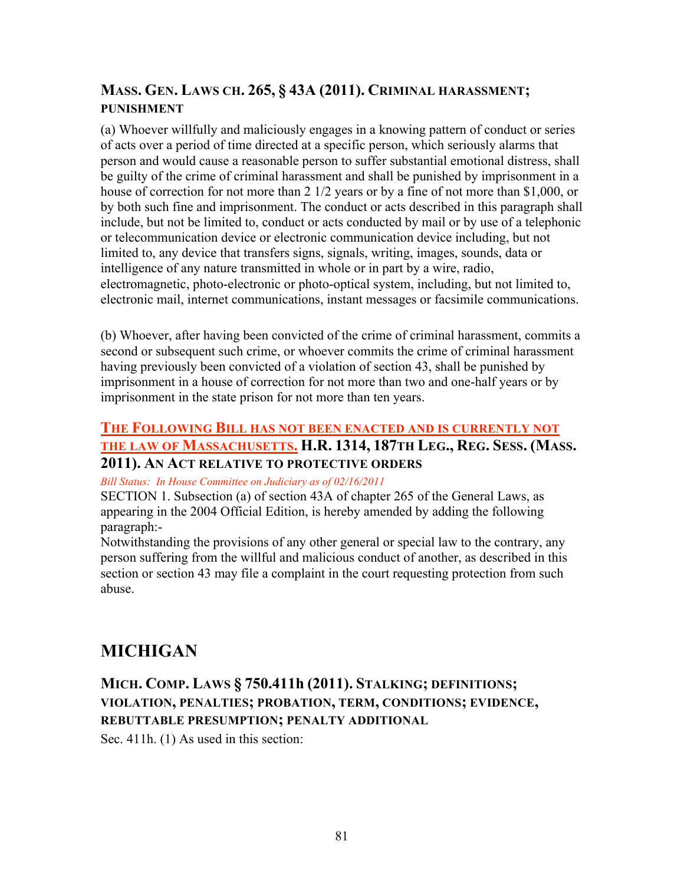## **MASS. GEN. LAWS CH. 265, § 43A (2011). CRIMINAL HARASSMENT; PUNISHMENT**

(a) Whoever willfully and maliciously engages in a knowing pattern of conduct or series of acts over a period of time directed at a specific person, which seriously alarms that person and would cause a reasonable person to suffer substantial emotional distress, shall be guilty of the crime of criminal harassment and shall be punished by imprisonment in a house of correction for not more than 2 1/2 years or by a fine of not more than \$1,000, or by both such fine and imprisonment. The conduct or acts described in this paragraph shall include, but not be limited to, conduct or acts conducted by mail or by use of a telephonic or telecommunication device or electronic communication device including, but not limited to, any device that transfers signs, signals, writing, images, sounds, data or intelligence of any nature transmitted in whole or in part by a wire, radio, electromagnetic, photo-electronic or photo-optical system, including, but not limited to, electronic mail, internet communications, instant messages or facsimile communications.

(b) Whoever, after having been convicted of the crime of criminal harassment, commits a second or subsequent such crime, or whoever commits the crime of criminal harassment having previously been convicted of a violation of section 43, shall be punished by imprisonment in a house of correction for not more than two and one-half years or by imprisonment in the state prison for not more than ten years.

### **THE FOLLOWING BILL HAS NOT BEEN ENACTED AND IS CURRENTLY NOT THE LAW OF MASSACHUSETTS. H.R. 1314, 187TH LEG., REG. SESS. (MASS. 2011). AN ACT RELATIVE TO PROTECTIVE ORDERS**

*Bill Status: In House Committee on Judiciary as of 02/16/2011*

SECTION 1. Subsection (a) of section 43A of chapter 265 of the General Laws, as appearing in the 2004 Official Edition, is hereby amended by adding the following paragraph:-

Notwithstanding the provisions of any other general or special law to the contrary, any person suffering from the willful and malicious conduct of another, as described in this section or section 43 may file a complaint in the court requesting protection from such abuse.

# **MICHIGAN**

## **MICH. COMP. LAWS § 750.411h (2011). STALKING; DEFINITIONS; VIOLATION, PENALTIES; PROBATION, TERM, CONDITIONS; EVIDENCE, REBUTTABLE PRESUMPTION; PENALTY ADDITIONAL**

Sec. 411h. (1) As used in this section: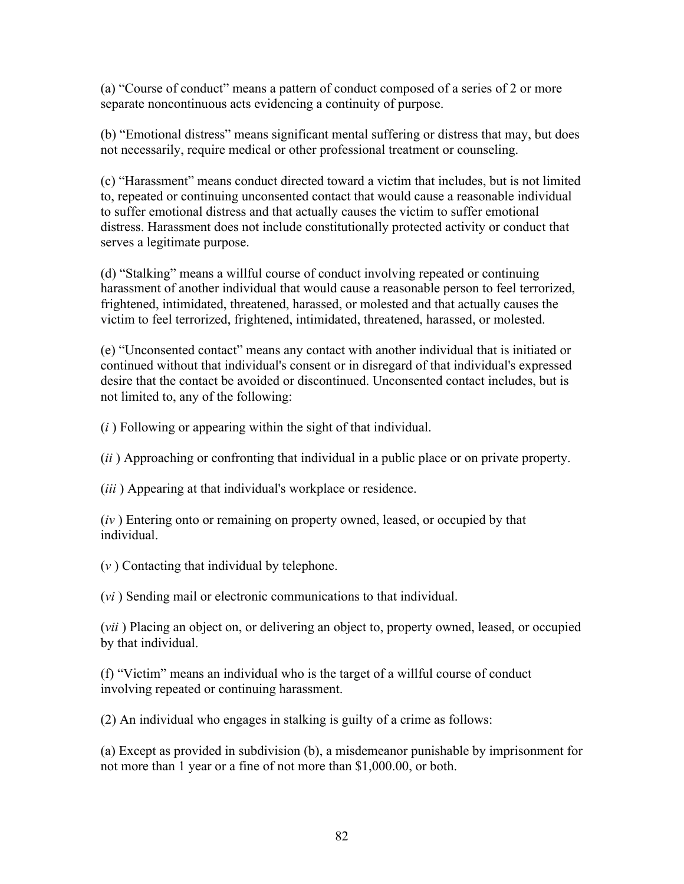(a) "Course of conduct" means a pattern of conduct composed of a series of 2 or more separate noncontinuous acts evidencing a continuity of purpose.

(b) "Emotional distress" means significant mental suffering or distress that may, but does not necessarily, require medical or other professional treatment or counseling.

(c) "Harassment" means conduct directed toward a victim that includes, but is not limited to, repeated or continuing unconsented contact that would cause a reasonable individual to suffer emotional distress and that actually causes the victim to suffer emotional distress. Harassment does not include constitutionally protected activity or conduct that serves a legitimate purpose.

(d) "Stalking" means a willful course of conduct involving repeated or continuing harassment of another individual that would cause a reasonable person to feel terrorized, frightened, intimidated, threatened, harassed, or molested and that actually causes the victim to feel terrorized, frightened, intimidated, threatened, harassed, or molested.

(e) "Unconsented contact" means any contact with another individual that is initiated or continued without that individual's consent or in disregard of that individual's expressed desire that the contact be avoided or discontinued. Unconsented contact includes, but is not limited to, any of the following:

(*i* ) Following or appearing within the sight of that individual.

(*ii* ) Approaching or confronting that individual in a public place or on private property.

(*iii* ) Appearing at that individual's workplace or residence.

(*iv* ) Entering onto or remaining on property owned, leased, or occupied by that individual.

(*v* ) Contacting that individual by telephone.

(*vi* ) Sending mail or electronic communications to that individual.

(*vii* ) Placing an object on, or delivering an object to, property owned, leased, or occupied by that individual.

(f) "Victim" means an individual who is the target of a willful course of conduct involving repeated or continuing harassment.

(2) An individual who engages in stalking is guilty of a crime as follows:

(a) Except as provided in subdivision (b), a misdemeanor punishable by imprisonment for not more than 1 year or a fine of not more than \$1,000.00, or both.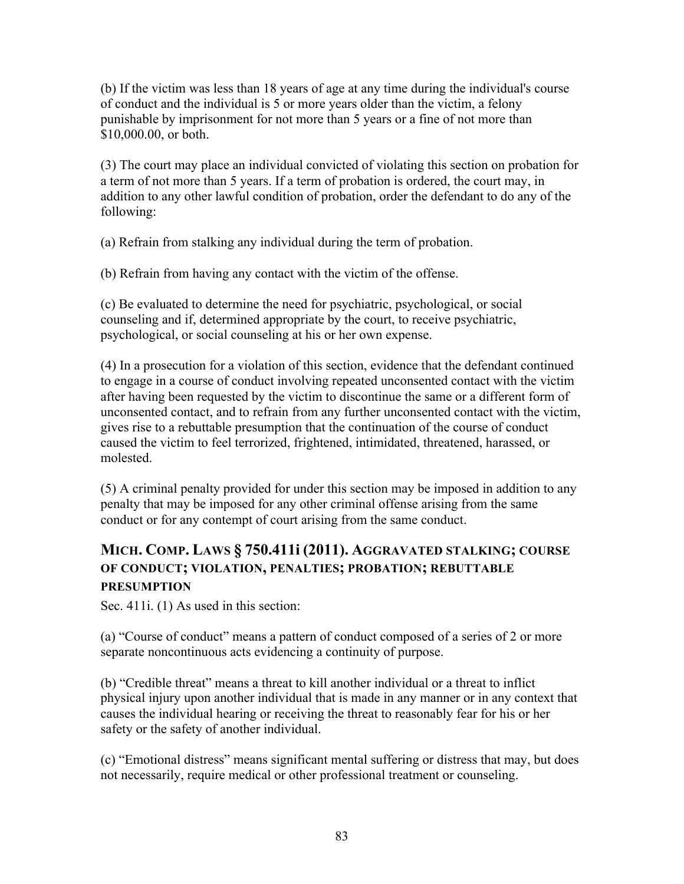(b) If the victim was less than 18 years of age at any time during the individual's course of conduct and the individual is 5 or more years older than the victim, a felony punishable by imprisonment for not more than 5 years or a fine of not more than \$10,000.00, or both.

(3) The court may place an individual convicted of violating this section on probation for a term of not more than 5 years. If a term of probation is ordered, the court may, in addition to any other lawful condition of probation, order the defendant to do any of the following:

(a) Refrain from stalking any individual during the term of probation.

(b) Refrain from having any contact with the victim of the offense.

(c) Be evaluated to determine the need for psychiatric, psychological, or social counseling and if, determined appropriate by the court, to receive psychiatric, psychological, or social counseling at his or her own expense.

(4) In a prosecution for a violation of this section, evidence that the defendant continued to engage in a course of conduct involving repeated unconsented contact with the victim after having been requested by the victim to discontinue the same or a different form of unconsented contact, and to refrain from any further unconsented contact with the victim, gives rise to a rebuttable presumption that the continuation of the course of conduct caused the victim to feel terrorized, frightened, intimidated, threatened, harassed, or molested.

(5) A criminal penalty provided for under this section may be imposed in addition to any penalty that may be imposed for any other criminal offense arising from the same conduct or for any contempt of court arising from the same conduct.

### **MICH. COMP. LAWS § 750.411i (2011). AGGRAVATED STALKING; COURSE OF CONDUCT; VIOLATION, PENALTIES; PROBATION; REBUTTABLE PRESUMPTION**

Sec. 411*i*. (1) As used in this section:

(a) "Course of conduct" means a pattern of conduct composed of a series of 2 or more separate noncontinuous acts evidencing a continuity of purpose.

(b) "Credible threat" means a threat to kill another individual or a threat to inflict physical injury upon another individual that is made in any manner or in any context that causes the individual hearing or receiving the threat to reasonably fear for his or her safety or the safety of another individual.

(c) "Emotional distress" means significant mental suffering or distress that may, but does not necessarily, require medical or other professional treatment or counseling.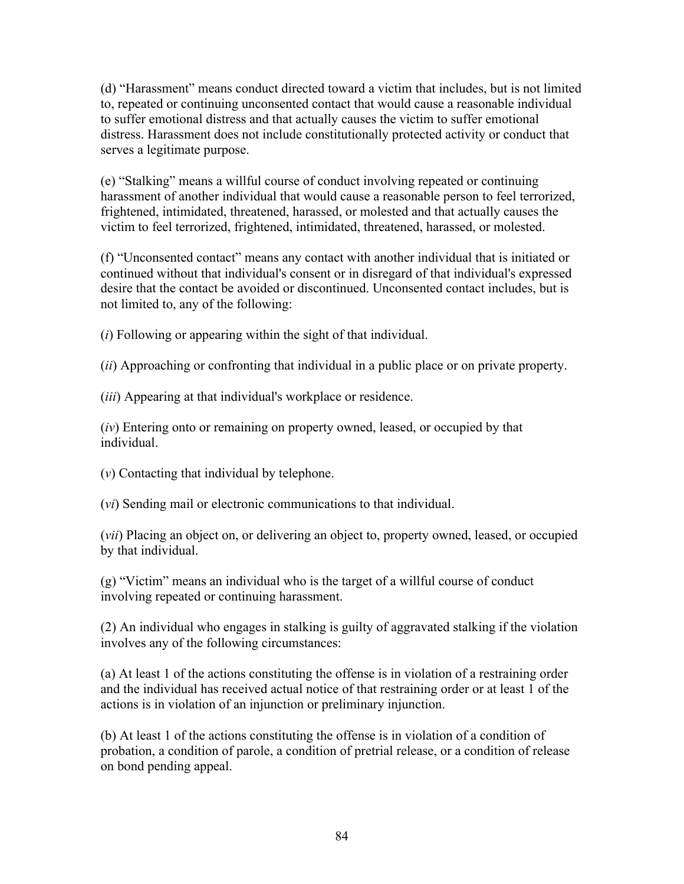(d) "Harassment" means conduct directed toward a victim that includes, but is not limited to, repeated or continuing unconsented contact that would cause a reasonable individual to suffer emotional distress and that actually causes the victim to suffer emotional distress. Harassment does not include constitutionally protected activity or conduct that serves a legitimate purpose.

(e) "Stalking" means a willful course of conduct involving repeated or continuing harassment of another individual that would cause a reasonable person to feel terrorized, frightened, intimidated, threatened, harassed, or molested and that actually causes the victim to feel terrorized, frightened, intimidated, threatened, harassed, or molested.

(f) "Unconsented contact" means any contact with another individual that is initiated or continued without that individual's consent or in disregard of that individual's expressed desire that the contact be avoided or discontinued. Unconsented contact includes, but is not limited to, any of the following:

(*i*) Following or appearing within the sight of that individual.

(*ii*) Approaching or confronting that individual in a public place or on private property.

(*iii*) Appearing at that individual's workplace or residence.

(*iv*) Entering onto or remaining on property owned, leased, or occupied by that individual.

(*v*) Contacting that individual by telephone.

(*vi*) Sending mail or electronic communications to that individual.

(*vii*) Placing an object on, or delivering an object to, property owned, leased, or occupied by that individual.

(g) "Victim" means an individual who is the target of a willful course of conduct involving repeated or continuing harassment.

(2) An individual who engages in stalking is guilty of aggravated stalking if the violation involves any of the following circumstances:

(a) At least 1 of the actions constituting the offense is in violation of a restraining order and the individual has received actual notice of that restraining order or at least 1 of the actions is in violation of an injunction or preliminary injunction.

(b) At least 1 of the actions constituting the offense is in violation of a condition of probation, a condition of parole, a condition of pretrial release, or a condition of release on bond pending appeal.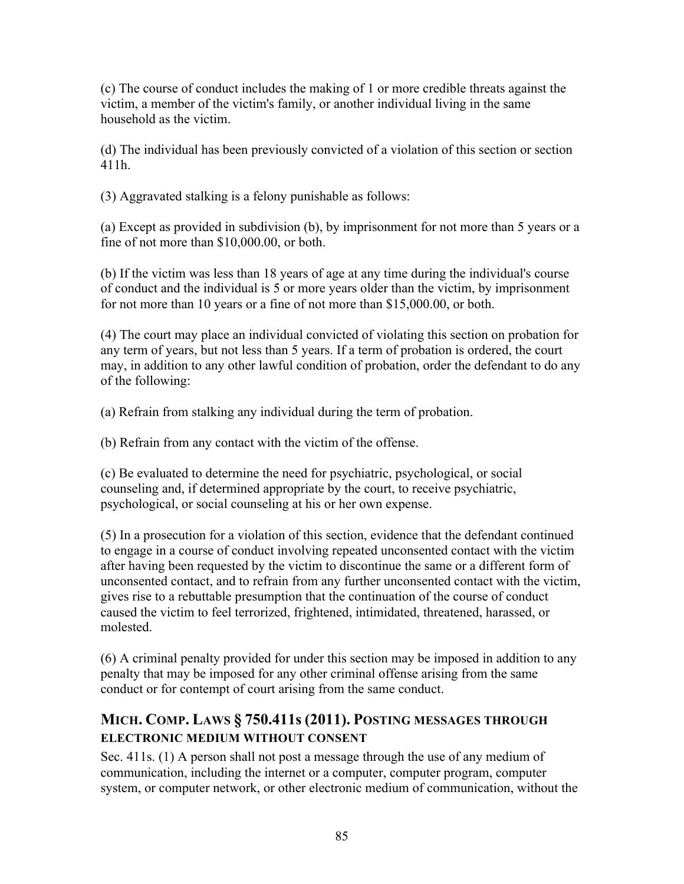(c) The course of conduct includes the making of 1 or more credible threats against the victim, a member of the victim's family, or another individual living in the same household as the victim.

(d) The individual has been previously convicted of a violation of this section or section 411h.

(3) Aggravated stalking is a felony punishable as follows:

(a) Except as provided in subdivision (b), by imprisonment for not more than 5 years or a fine of not more than \$10,000.00, or both.

(b) If the victim was less than 18 years of age at any time during the individual's course of conduct and the individual is 5 or more years older than the victim, by imprisonment for not more than 10 years or a fine of not more than \$15,000.00, or both.

(4) The court may place an individual convicted of violating this section on probation for any term of years, but not less than 5 years. If a term of probation is ordered, the court may, in addition to any other lawful condition of probation, order the defendant to do any of the following:

(a) Refrain from stalking any individual during the term of probation.

(b) Refrain from any contact with the victim of the offense.

(c) Be evaluated to determine the need for psychiatric, psychological, or social counseling and, if determined appropriate by the court, to receive psychiatric, psychological, or social counseling at his or her own expense.

(5) In a prosecution for a violation of this section, evidence that the defendant continued to engage in a course of conduct involving repeated unconsented contact with the victim after having been requested by the victim to discontinue the same or a different form of unconsented contact, and to refrain from any further unconsented contact with the victim, gives rise to a rebuttable presumption that the continuation of the course of conduct caused the victim to feel terrorized, frightened, intimidated, threatened, harassed, or molested.

(6) A criminal penalty provided for under this section may be imposed in addition to any penalty that may be imposed for any other criminal offense arising from the same conduct or for contempt of court arising from the same conduct.

## **MICH. COMP. LAWS § 750.411s (2011). POSTING MESSAGES THROUGH ELECTRONIC MEDIUM WITHOUT CONSENT**

Sec. 411s. (1) A person shall not post a message through the use of any medium of communication, including the internet or a computer, computer program, computer system, or computer network, or other electronic medium of communication, without the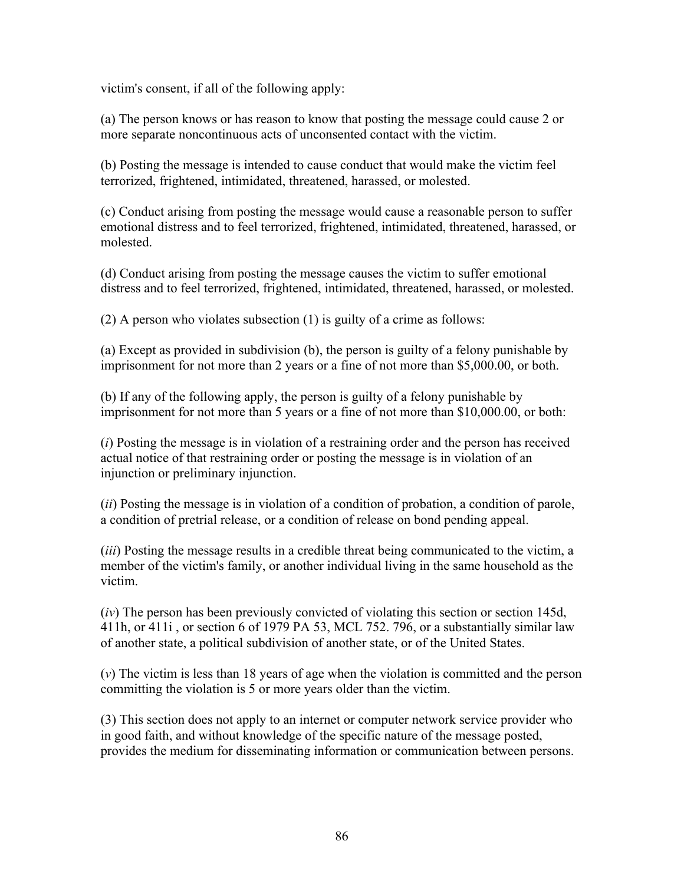victim's consent, if all of the following apply:

(a) The person knows or has reason to know that posting the message could cause 2 or more separate noncontinuous acts of unconsented contact with the victim.

(b) Posting the message is intended to cause conduct that would make the victim feel terrorized, frightened, intimidated, threatened, harassed, or molested.

(c) Conduct arising from posting the message would cause a reasonable person to suffer emotional distress and to feel terrorized, frightened, intimidated, threatened, harassed, or molested.

(d) Conduct arising from posting the message causes the victim to suffer emotional distress and to feel terrorized, frightened, intimidated, threatened, harassed, or molested.

(2) A person who violates subsection (1) is guilty of a crime as follows:

(a) Except as provided in subdivision (b), the person is guilty of a felony punishable by imprisonment for not more than 2 years or a fine of not more than \$5,000.00, or both.

(b) If any of the following apply, the person is guilty of a felony punishable by imprisonment for not more than 5 years or a fine of not more than \$10,000.00, or both:

(*i*) Posting the message is in violation of a restraining order and the person has received actual notice of that restraining order or posting the message is in violation of an injunction or preliminary injunction.

(*ii*) Posting the message is in violation of a condition of probation, a condition of parole, a condition of pretrial release, or a condition of release on bond pending appeal.

(*iii*) Posting the message results in a credible threat being communicated to the victim, a member of the victim's family, or another individual living in the same household as the victim.

(*iv*) The person has been previously convicted of violating this section or section 145d, 411h, or 411i , or section 6 of 1979 PA 53, MCL 752. 796, or a substantially similar law of another state, a political subdivision of another state, or of the United States.

(*v*) The victim is less than 18 years of age when the violation is committed and the person committing the violation is 5 or more years older than the victim.

(3) This section does not apply to an internet or computer network service provider who in good faith, and without knowledge of the specific nature of the message posted, provides the medium for disseminating information or communication between persons.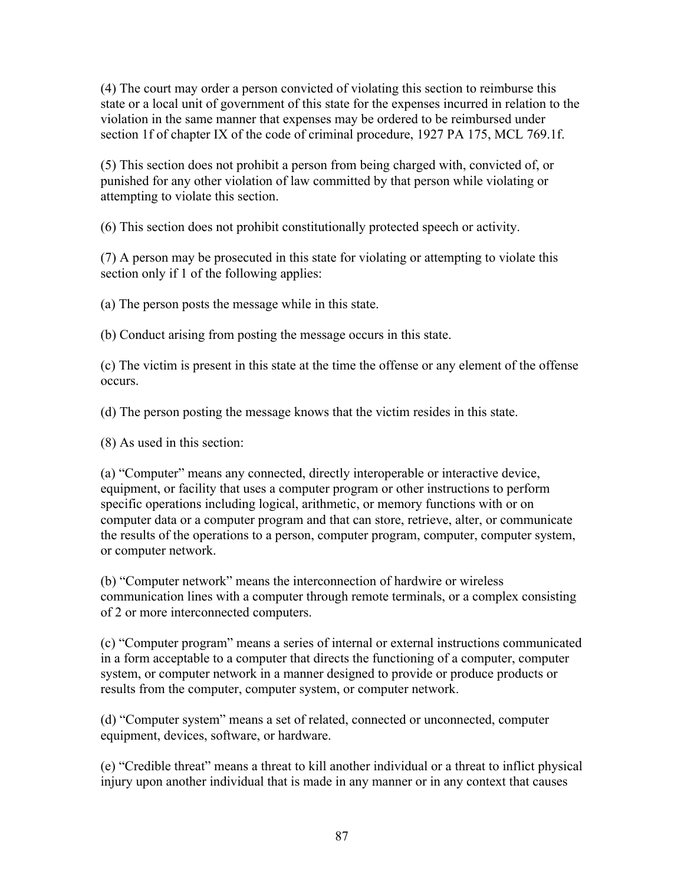(4) The court may order a person convicted of violating this section to reimburse this state or a local unit of government of this state for the expenses incurred in relation to the violation in the same manner that expenses may be ordered to be reimbursed under section 1f of chapter IX of the code of criminal procedure, 1927 PA 175, MCL 769.1f.

(5) This section does not prohibit a person from being charged with, convicted of, or punished for any other violation of law committed by that person while violating or attempting to violate this section.

(6) This section does not prohibit constitutionally protected speech or activity.

(7) A person may be prosecuted in this state for violating or attempting to violate this section only if 1 of the following applies:

(a) The person posts the message while in this state.

(b) Conduct arising from posting the message occurs in this state.

(c) The victim is present in this state at the time the offense or any element of the offense occurs.

(d) The person posting the message knows that the victim resides in this state.

(8) As used in this section:

(a) "Computer" means any connected, directly interoperable or interactive device, equipment, or facility that uses a computer program or other instructions to perform specific operations including logical, arithmetic, or memory functions with or on computer data or a computer program and that can store, retrieve, alter, or communicate the results of the operations to a person, computer program, computer, computer system, or computer network.

(b) "Computer network" means the interconnection of hardwire or wireless communication lines with a computer through remote terminals, or a complex consisting of 2 or more interconnected computers.

(c) "Computer program" means a series of internal or external instructions communicated in a form acceptable to a computer that directs the functioning of a computer, computer system, or computer network in a manner designed to provide or produce products or results from the computer, computer system, or computer network.

(d) "Computer system" means a set of related, connected or unconnected, computer equipment, devices, software, or hardware.

(e) "Credible threat" means a threat to kill another individual or a threat to inflict physical injury upon another individual that is made in any manner or in any context that causes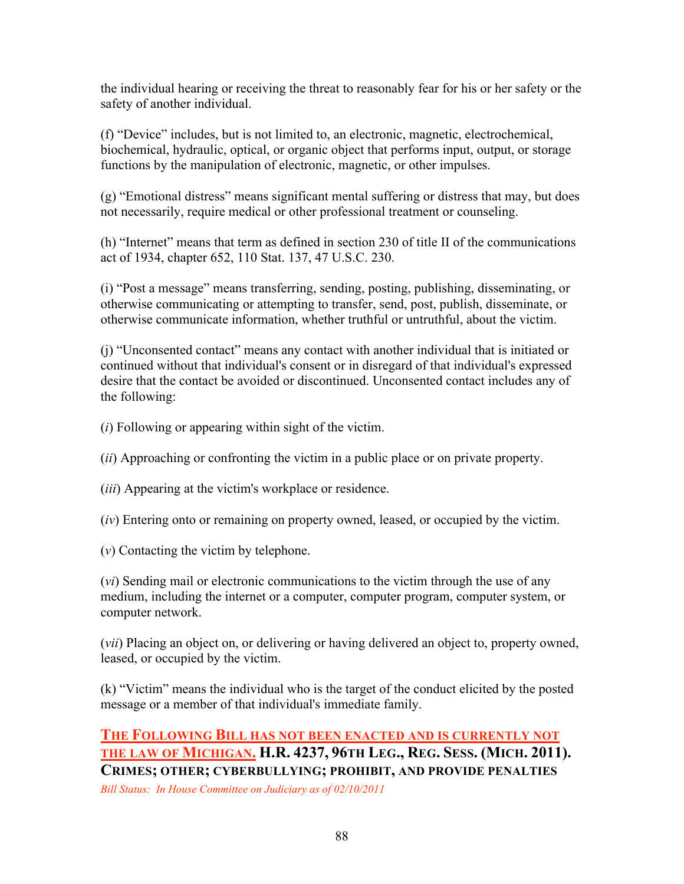the individual hearing or receiving the threat to reasonably fear for his or her safety or the safety of another individual.

(f) "Device" includes, but is not limited to, an electronic, magnetic, electrochemical, biochemical, hydraulic, optical, or organic object that performs input, output, or storage functions by the manipulation of electronic, magnetic, or other impulses.

(g) "Emotional distress" means significant mental suffering or distress that may, but does not necessarily, require medical or other professional treatment or counseling.

(h) "Internet" means that term as defined in section 230 of title II of the communications act of 1934, chapter 652, 110 Stat. 137, 47 U.S.C. 230.

(i) "Post a message" means transferring, sending, posting, publishing, disseminating, or otherwise communicating or attempting to transfer, send, post, publish, disseminate, or otherwise communicate information, whether truthful or untruthful, about the victim.

(j) "Unconsented contact" means any contact with another individual that is initiated or continued without that individual's consent or in disregard of that individual's expressed desire that the contact be avoided or discontinued. Unconsented contact includes any of the following:

(*i*) Following or appearing within sight of the victim.

(*ii*) Approaching or confronting the victim in a public place or on private property.

(*iii*) Appearing at the victim's workplace or residence.

(*iv*) Entering onto or remaining on property owned, leased, or occupied by the victim.

(*v*) Contacting the victim by telephone.

(*vi*) Sending mail or electronic communications to the victim through the use of any medium, including the internet or a computer, computer program, computer system, or computer network.

(*vii*) Placing an object on, or delivering or having delivered an object to, property owned, leased, or occupied by the victim.

(k) "Victim" means the individual who is the target of the conduct elicited by the posted message or a member of that individual's immediate family.

**THE FOLLOWING BILL HAS NOT BEEN ENACTED AND IS CURRENTLY NOT THE LAW OF MICHIGAN. H.R. 4237, 96TH LEG., REG. SESS. (MICH. 2011). CRIMES; OTHER; CYBERBULLYING; PROHIBIT, AND PROVIDE PENALTIES** *Bill Status: In House Committee on Judiciary as of 02/10/2011*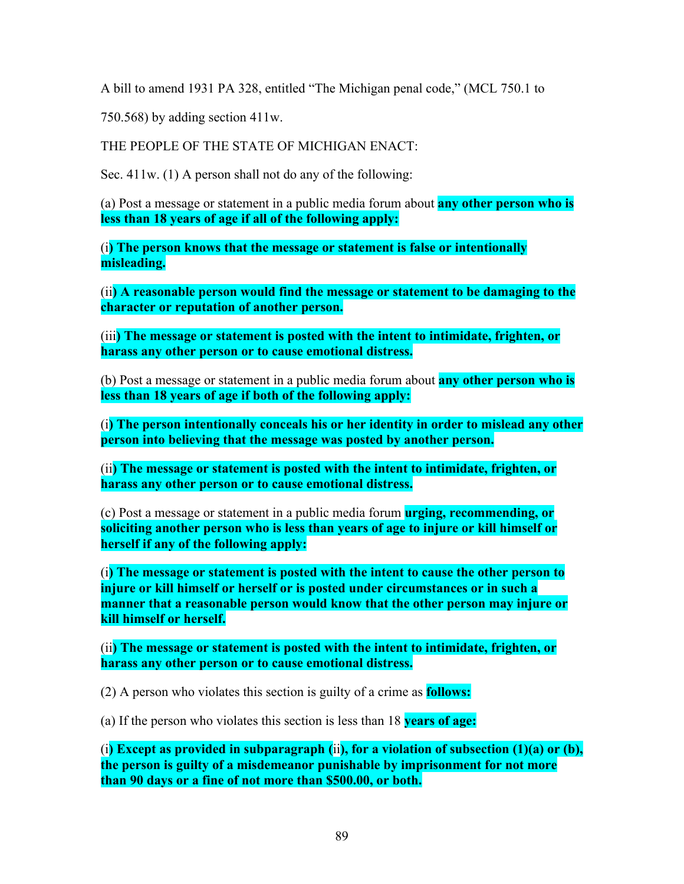A bill to amend 1931 PA 328, entitled "The Michigan penal code," (MCL 750.1 to

750.568) by adding section 411w.

THE PEOPLE OF THE STATE OF MICHIGAN ENACT:

Sec.  $411w$ . (1) A person shall not do any of the following:

(a) Post a message or statement in a public media forum about **any other person who is less than 18 years of age if all of the following apply:**

(i**) The person knows that the message or statement is false or intentionally misleading.**

(ii**) A reasonable person would find the message or statement to be damaging to the character or reputation of another person.**

(iii**) The message or statement is posted with the intent to intimidate, frighten, or harass any other person or to cause emotional distress.**

(b) Post a message or statement in a public media forum about **any other person who is less than 18 years of age if both of the following apply:**

(i**) The person intentionally conceals his or her identity in order to mislead any other person into believing that the message was posted by another person.**

(ii**) The message or statement is posted with the intent to intimidate, frighten, or harass any other person or to cause emotional distress.**

(c) Post a message or statement in a public media forum **urging, recommending, or soliciting another person who is less than years of age to injure or kill himself or herself if any of the following apply:**

(i**) The message or statement is posted with the intent to cause the other person to injure or kill himself or herself or is posted under circumstances or in such a manner that a reasonable person would know that the other person may injure or kill himself or herself.**

(ii**) The message or statement is posted with the intent to intimidate, frighten, or harass any other person or to cause emotional distress.**

(2) A person who violates this section is guilty of a crime as **follows:**

(a) If the person who violates this section is less than 18 **years of age:**

(i**) Except as provided in subparagraph (**ii**), for a violation of subsection (1)(a) or (b), the person is guilty of a misdemeanor punishable by imprisonment for not more than 90 days or a fine of not more than \$500.00, or both.**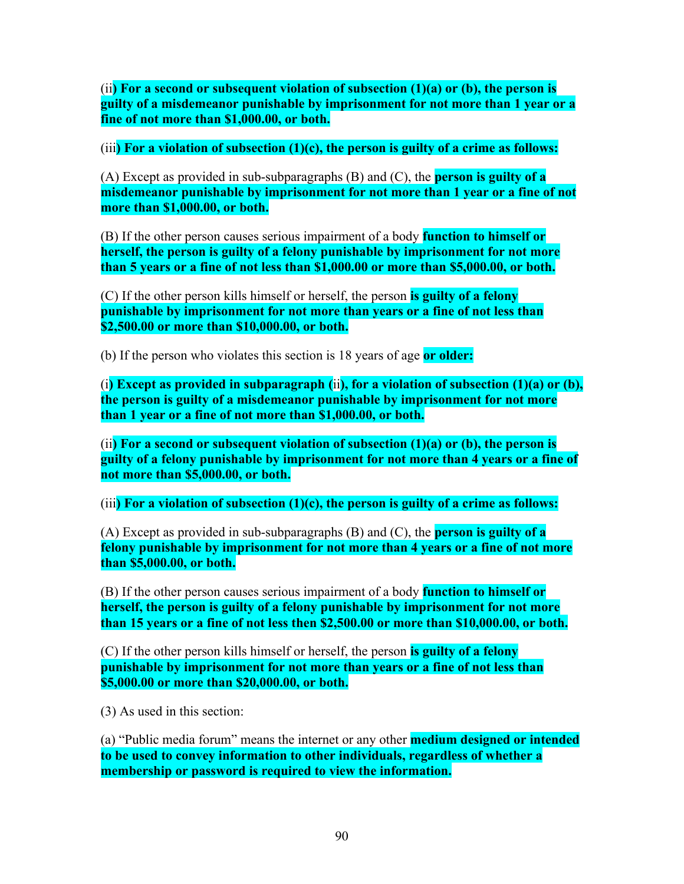(ii**) For a second or subsequent violation of subsection (1)(a) or (b), the person is guilty of a misdemeanor punishable by imprisonment for not more than 1 year or a fine of not more than \$1,000.00, or both.**

(iii**) For a violation of subsection (1)(c), the person is guilty of a crime as follows:**

(A) Except as provided in sub-subparagraphs (B) and (C), the **person is guilty of a misdemeanor punishable by imprisonment for not more than 1 year or a fine of not more than \$1,000.00, or both.**

(B) If the other person causes serious impairment of a body **function to himself or herself, the person is guilty of a felony punishable by imprisonment for not more than 5 years or a fine of not less than \$1,000.00 or more than \$5,000.00, or both.**

(C) If the other person kills himself or herself, the person **is guilty of a felony punishable by imprisonment for not more than years or a fine of not less than \$2,500.00 or more than \$10,000.00, or both.**

(b) If the person who violates this section is 18 years of age **or older:**

(i**) Except as provided in subparagraph (**ii**), for a violation of subsection (1)(a) or (b), the person is guilty of a misdemeanor punishable by imprisonment for not more than 1 year or a fine of not more than \$1,000.00, or both.**

(ii**) For a second or subsequent violation of subsection (1)(a) or (b), the person is guilty of a felony punishable by imprisonment for not more than 4 years or a fine of not more than \$5,000.00, or both.**

(iii**) For a violation of subsection (1)(c), the person is guilty of a crime as follows:**

(A) Except as provided in sub-subparagraphs (B) and (C), the **person is guilty of a felony punishable by imprisonment for not more than 4 years or a fine of not more than \$5,000.00, or both.**

(B) If the other person causes serious impairment of a body **function to himself or herself, the person is guilty of a felony punishable by imprisonment for not more than 15 years or a fine of not less then \$2,500.00 or more than \$10,000.00, or both.**

(C) If the other person kills himself or herself, the person **is guilty of a felony punishable by imprisonment for not more than years or a fine of not less than \$5,000.00 or more than \$20,000.00, or both.**

(3) As used in this section:

(a) "Public media forum" means the internet or any other **medium designed or intended to be used to convey information to other individuals, regardless of whether a membership or password is required to view the information.**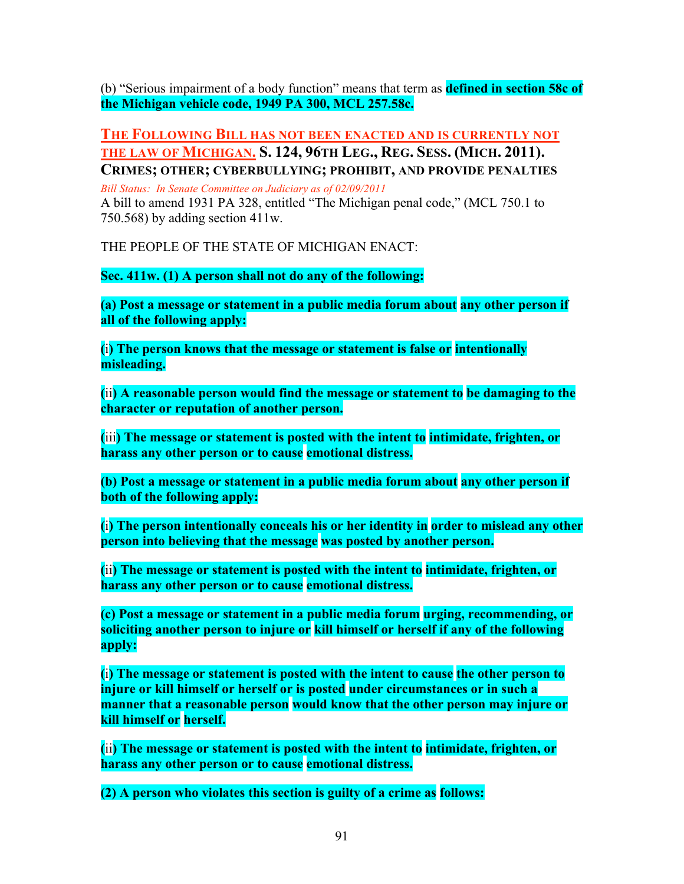(b) "Serious impairment of a body function" means that term as **defined in section 58c of the Michigan vehicle code, 1949 PA 300, MCL 257.58c.**

**THE FOLLOWING BILL HAS NOT BEEN ENACTED AND IS CURRENTLY NOT THE LAW OF MICHIGAN. S. 124, 96TH LEG., REG. SESS. (MICH. 2011). CRIMES; OTHER; CYBERBULLYING; PROHIBIT, AND PROVIDE PENALTIES**

*Bill Status: In Senate Committee on Judiciary as of 02/09/2011*

A bill to amend 1931 PA 328, entitled "The Michigan penal code," (MCL 750.1 to 750.568) by adding section 411w.

THE PEOPLE OF THE STATE OF MICHIGAN ENACT:

**Sec. 411w. (1) A person shall not do any of the following:**

**(a) Post a message or statement in a public media forum about any other person if all of the following apply:**

**(**i**) The person knows that the message or statement is false or intentionally misleading.**

**(**ii**) A reasonable person would find the message or statement to be damaging to the character or reputation of another person.**

**(**iii**) The message or statement is posted with the intent to intimidate, frighten, or harass any other person or to cause emotional distress.**

**(b) Post a message or statement in a public media forum about any other person if both of the following apply:**

**(**i**) The person intentionally conceals his or her identity in order to mislead any other person into believing that the message was posted by another person.**

**(**ii**) The message or statement is posted with the intent to intimidate, frighten, or harass any other person or to cause emotional distress.**

**(c) Post a message or statement in a public media forum urging, recommending, or soliciting another person to injure or kill himself or herself if any of the following apply:**

**(**i**) The message or statement is posted with the intent to cause the other person to injure or kill himself or herself or is posted under circumstances or in such a manner that a reasonable person would know that the other person may injure or kill himself or herself.**

**(**ii**) The message or statement is posted with the intent to intimidate, frighten, or harass any other person or to cause emotional distress.**

**(2) A person who violates this section is guilty of a crime as follows:**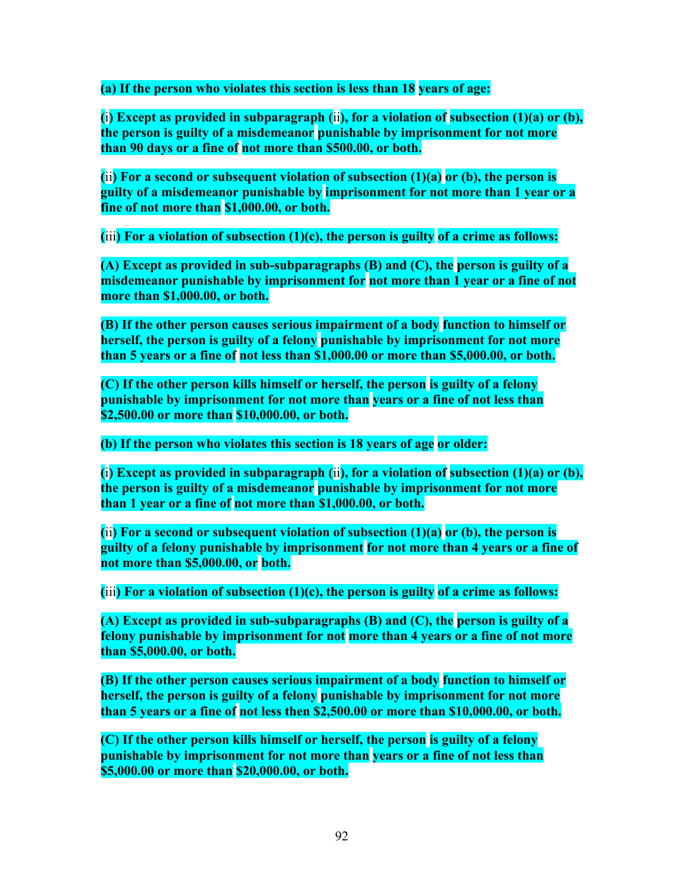**(a) If the person who violates this section is less than 18 years of age:**

**(**i**) Except as provided in subparagraph (**ii**), for a violation of subsection (1)(a) or (b), the person is guilty of a misdemeanor punishable by imprisonment for not more than 90 days or a fine of not more than \$500.00, or both.**

**(**ii**) For a second or subsequent violation of subsection (1)(a) or (b), the person is guilty of a misdemeanor punishable by imprisonment for not more than 1 year or a fine of not more than \$1,000.00, or both.**

**(**iii**) For a violation of subsection (1)(c), the person is guilty of a crime as follows:**

**(A) Except as provided in sub-subparagraphs (B) and (C), the person is guilty of a misdemeanor punishable by imprisonment for not more than 1 year or a fine of not more than \$1,000.00, or both.**

**(B) If the other person causes serious impairment of a body function to himself or herself, the person is guilty of a felony punishable by imprisonment for not more than 5 years or a fine of not less than \$1,000.00 or more than \$5,000.00, or both.**

**(C) If the other person kills himself or herself, the person is guilty of a felony punishable by imprisonment for not more than years or a fine of not less than \$2,500.00 or more than \$10,000.00, or both.**

**(b) If the person who violates this section is 18 years of age or older:**

**(**i**) Except as provided in subparagraph (**ii**), for a violation of subsection (1)(a) or (b), the person is guilty of a misdemeanor punishable by imprisonment for not more than 1 year or a fine of not more than \$1,000.00, or both.**

**(**ii**) For a second or subsequent violation of subsection (1)(a) or (b), the person is guilty of a felony punishable by imprisonment for not more than 4 years or a fine of not more than \$5,000.00, or both.**

**(**iii**) For a violation of subsection (1)(c), the person is guilty of a crime as follows:**

**(A) Except as provided in sub-subparagraphs (B) and (C), the person is guilty of a felony punishable by imprisonment for not more than 4 years or a fine of not more than \$5,000.00, or both.**

**(B) If the other person causes serious impairment of a body function to himself or herself, the person is guilty of a felony punishable by imprisonment for not more than 5 years or a fine of not less then \$2,500.00 or more than \$10,000.00, or both.**

**(C) If the other person kills himself or herself, the person is guilty of a felony punishable by imprisonment for not more than years or a fine of not less than \$5,000.00 or more than \$20,000.00, or both.**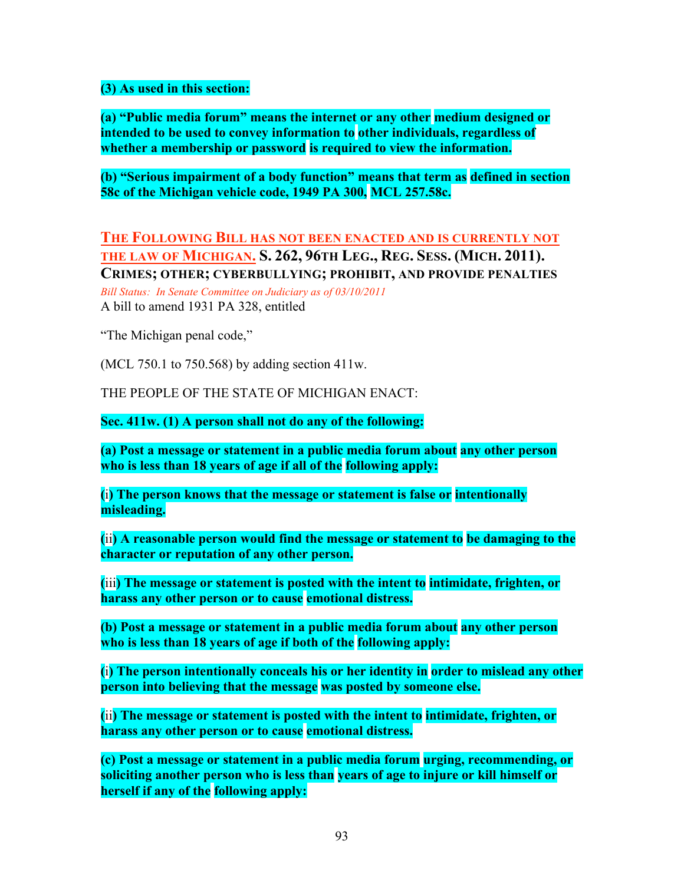### **(3) As used in this section:**

**(a) "Public media forum" means the internet or any other medium designed or intended to be used to convey information to other individuals, regardless of whether a membership or password is required to view the information.**

**(b) "Serious impairment of a body function" means that term as defined in section 58c of the Michigan vehicle code, 1949 PA 300, MCL 257.58c.**

## **THE FOLLOWING BILL HAS NOT BEEN ENACTED AND IS CURRENTLY NOT THE LAW OF MICHIGAN. S. 262, 96TH LEG., REG. SESS. (MICH. 2011). CRIMES; OTHER; CYBERBULLYING; PROHIBIT, AND PROVIDE PENALTIES**

*Bill Status: In Senate Committee on Judiciary as of 03/10/2011* A bill to amend 1931 PA 328, entitled

"The Michigan penal code,"

(MCL 750.1 to 750.568) by adding section 411w.

THE PEOPLE OF THE STATE OF MICHIGAN ENACT:

**Sec. 411w. (1) A person shall not do any of the following:**

**(a) Post a message or statement in a public media forum about any other person who is less than 18 years of age if all of the following apply:**

**(**i**) The person knows that the message or statement is false or intentionally misleading.**

**(**ii**) A reasonable person would find the message or statement to be damaging to the character or reputation of any other person.**

**(**iii**) The message or statement is posted with the intent to intimidate, frighten, or harass any other person or to cause emotional distress.**

**(b) Post a message or statement in a public media forum about any other person who is less than 18 years of age if both of the following apply:**

**(**i**) The person intentionally conceals his or her identity in order to mislead any other person into believing that the message was posted by someone else.**

**(**ii**) The message or statement is posted with the intent to intimidate, frighten, or harass any other person or to cause emotional distress.**

**(c) Post a message or statement in a public media forum urging, recommending, or soliciting another person who is less than years of age to injure or kill himself or herself if any of the following apply:**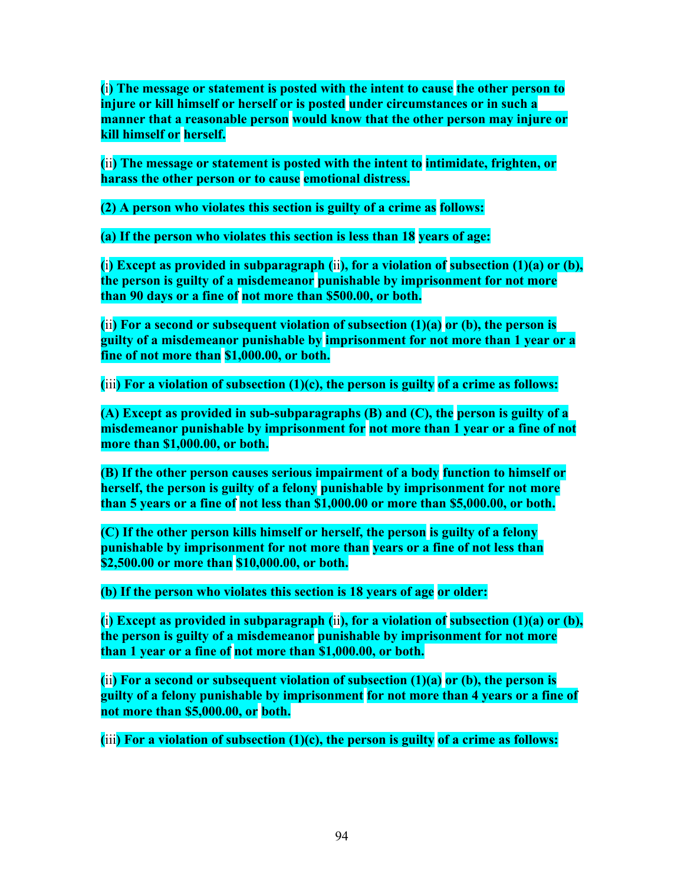**(**i**) The message or statement is posted with the intent to cause the other person to injure or kill himself or herself or is posted under circumstances or in such a manner that a reasonable person would know that the other person may injure or kill himself or herself.**

**(**ii**) The message or statement is posted with the intent to intimidate, frighten, or harass the other person or to cause emotional distress.**

**(2) A person who violates this section is guilty of a crime as follows:**

**(a) If the person who violates this section is less than 18 years of age:**

**(**i**) Except as provided in subparagraph (**ii**), for a violation of subsection (1)(a) or (b), the person is guilty of a misdemeanor punishable by imprisonment for not more than 90 days or a fine of not more than \$500.00, or both.**

**(**ii**) For a second or subsequent violation of subsection (1)(a) or (b), the person is guilty of a misdemeanor punishable by imprisonment for not more than 1 year or a fine of not more than \$1,000.00, or both.**

**(**iii**) For a violation of subsection (1)(c), the person is guilty of a crime as follows:**

**(A) Except as provided in sub-subparagraphs (B) and (C), the person is guilty of a misdemeanor punishable by imprisonment for not more than 1 year or a fine of not more than \$1,000.00, or both.**

**(B) If the other person causes serious impairment of a body function to himself or herself, the person is guilty of a felony punishable by imprisonment for not more than 5 years or a fine of not less than \$1,000.00 or more than \$5,000.00, or both.**

**(C) If the other person kills himself or herself, the person is guilty of a felony punishable by imprisonment for not more than years or a fine of not less than \$2,500.00 or more than \$10,000.00, or both.**

**(b) If the person who violates this section is 18 years of age or older:**

**(**i**) Except as provided in subparagraph (**ii**), for a violation of subsection (1)(a) or (b), the person is guilty of a misdemeanor punishable by imprisonment for not more than 1 year or a fine of not more than \$1,000.00, or both.**

**(**ii**) For a second or subsequent violation of subsection (1)(a) or (b), the person is guilty of a felony punishable by imprisonment for not more than 4 years or a fine of not more than \$5,000.00, or both.**

**(**iii**) For a violation of subsection (1)(c), the person is guilty of a crime as follows:**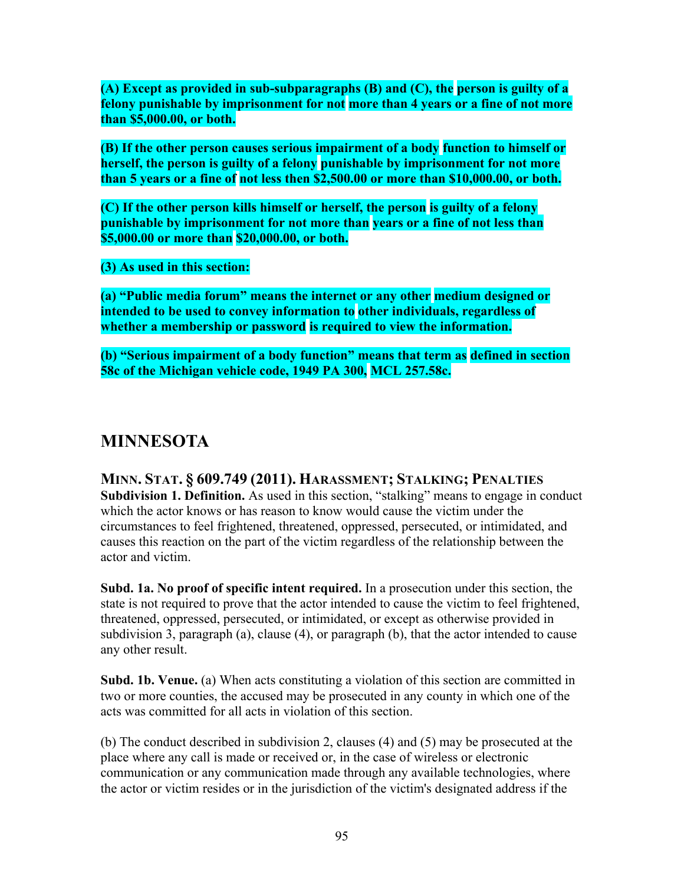**(A) Except as provided in sub-subparagraphs (B) and (C), the person is guilty of a felony punishable by imprisonment for not more than 4 years or a fine of not more than \$5,000.00, or both.**

**(B) If the other person causes serious impairment of a body function to himself or herself, the person is guilty of a felony punishable by imprisonment for not more than 5 years or a fine of not less then \$2,500.00 or more than \$10,000.00, or both.**

**(C) If the other person kills himself or herself, the person is guilty of a felony punishable by imprisonment for not more than years or a fine of not less than \$5,000.00 or more than \$20,000.00, or both.**

**(3) As used in this section:**

**(a) "Public media forum" means the internet or any other medium designed or intended to be used to convey information to other individuals, regardless of whether a membership or password is required to view the information.**

**(b) "Serious impairment of a body function" means that term as defined in section 58c of the Michigan vehicle code, 1949 PA 300, MCL 257.58c.**

## **MINNESOTA**

**MINN. STAT. § 609.749 (2011). HARASSMENT; STALKING; PENALTIES Subdivision 1. Definition.** As used in this section, "stalking" means to engage in conduct which the actor knows or has reason to know would cause the victim under the circumstances to feel frightened, threatened, oppressed, persecuted, or intimidated, and causes this reaction on the part of the victim regardless of the relationship between the actor and victim.

**Subd. 1a. No proof of specific intent required.** In a prosecution under this section, the state is not required to prove that the actor intended to cause the victim to feel frightened, threatened, oppressed, persecuted, or intimidated, or except as otherwise provided in subdivision 3, paragraph (a), clause (4), or paragraph (b), that the actor intended to cause any other result.

**Subd. 1b. Venue.** (a) When acts constituting a violation of this section are committed in two or more counties, the accused may be prosecuted in any county in which one of the acts was committed for all acts in violation of this section.

(b) The conduct described in subdivision 2, clauses (4) and (5) may be prosecuted at the place where any call is made or received or, in the case of wireless or electronic communication or any communication made through any available technologies, where the actor or victim resides or in the jurisdiction of the victim's designated address if the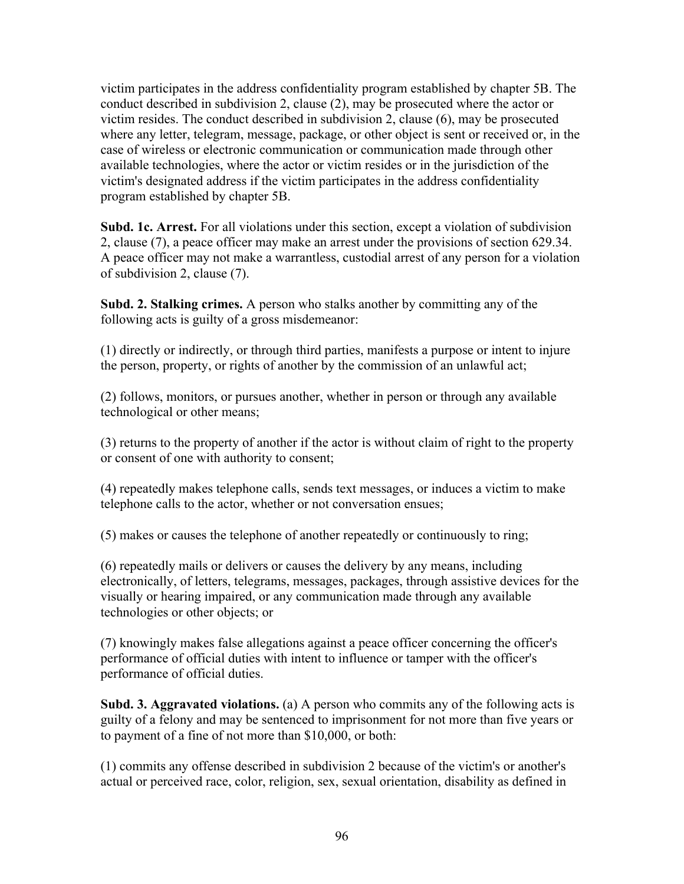victim participates in the address confidentiality program established by chapter 5B. The conduct described in subdivision 2, clause (2), may be prosecuted where the actor or victim resides. The conduct described in subdivision 2, clause (6), may be prosecuted where any letter, telegram, message, package, or other object is sent or received or, in the case of wireless or electronic communication or communication made through other available technologies, where the actor or victim resides or in the jurisdiction of the victim's designated address if the victim participates in the address confidentiality program established by chapter 5B.

**Subd. 1c. Arrest.** For all violations under this section, except a violation of subdivision 2, clause (7), a peace officer may make an arrest under the provisions of section 629.34. A peace officer may not make a warrantless, custodial arrest of any person for a violation of subdivision 2, clause (7).

**Subd. 2. Stalking crimes.** A person who stalks another by committing any of the following acts is guilty of a gross misdemeanor:

(1) directly or indirectly, or through third parties, manifests a purpose or intent to injure the person, property, or rights of another by the commission of an unlawful act;

(2) follows, monitors, or pursues another, whether in person or through any available technological or other means;

(3) returns to the property of another if the actor is without claim of right to the property or consent of one with authority to consent;

(4) repeatedly makes telephone calls, sends text messages, or induces a victim to make telephone calls to the actor, whether or not conversation ensues;

(5) makes or causes the telephone of another repeatedly or continuously to ring;

(6) repeatedly mails or delivers or causes the delivery by any means, including electronically, of letters, telegrams, messages, packages, through assistive devices for the visually or hearing impaired, or any communication made through any available technologies or other objects; or

(7) knowingly makes false allegations against a peace officer concerning the officer's performance of official duties with intent to influence or tamper with the officer's performance of official duties.

**Subd. 3. Aggravated violations.** (a) A person who commits any of the following acts is guilty of a felony and may be sentenced to imprisonment for not more than five years or to payment of a fine of not more than \$10,000, or both:

(1) commits any offense described in subdivision 2 because of the victim's or another's actual or perceived race, color, religion, sex, sexual orientation, disability as defined in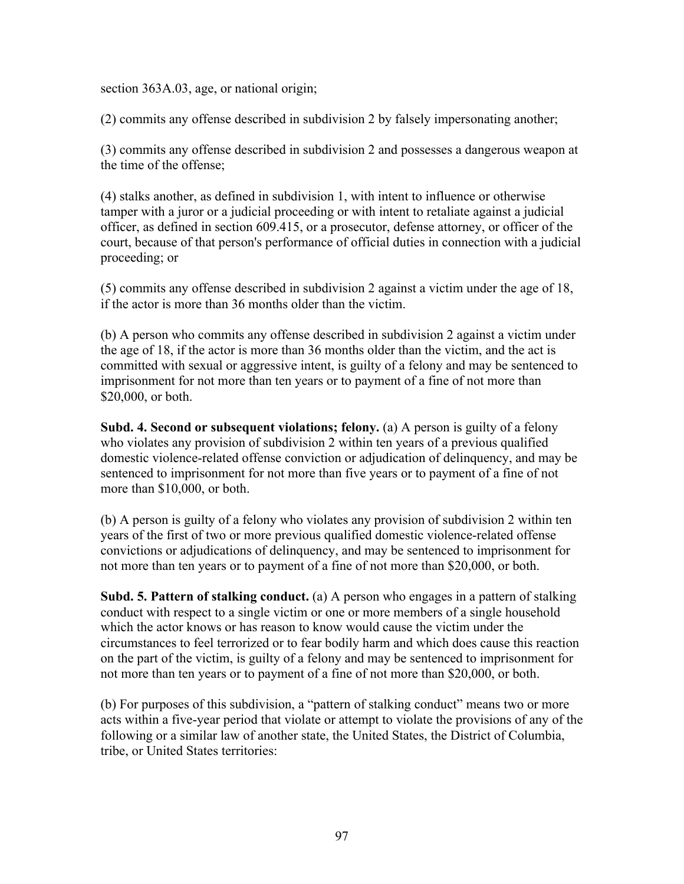section 363A.03, age, or national origin;

(2) commits any offense described in subdivision 2 by falsely impersonating another;

(3) commits any offense described in subdivision 2 and possesses a dangerous weapon at the time of the offense;

(4) stalks another, as defined in subdivision 1, with intent to influence or otherwise tamper with a juror or a judicial proceeding or with intent to retaliate against a judicial officer, as defined in section 609.415, or a prosecutor, defense attorney, or officer of the court, because of that person's performance of official duties in connection with a judicial proceeding; or

(5) commits any offense described in subdivision 2 against a victim under the age of 18, if the actor is more than 36 months older than the victim.

(b) A person who commits any offense described in subdivision 2 against a victim under the age of 18, if the actor is more than 36 months older than the victim, and the act is committed with sexual or aggressive intent, is guilty of a felony and may be sentenced to imprisonment for not more than ten years or to payment of a fine of not more than \$20,000, or both.

**Subd. 4. Second or subsequent violations; felony.** (a) A person is guilty of a felony who violates any provision of subdivision 2 within ten years of a previous qualified domestic violence-related offense conviction or adjudication of delinquency, and may be sentenced to imprisonment for not more than five years or to payment of a fine of not more than \$10,000, or both.

(b) A person is guilty of a felony who violates any provision of subdivision 2 within ten years of the first of two or more previous qualified domestic violence-related offense convictions or adjudications of delinquency, and may be sentenced to imprisonment for not more than ten years or to payment of a fine of not more than \$20,000, or both.

**Subd. 5. Pattern of stalking conduct.** (a) A person who engages in a pattern of stalking conduct with respect to a single victim or one or more members of a single household which the actor knows or has reason to know would cause the victim under the circumstances to feel terrorized or to fear bodily harm and which does cause this reaction on the part of the victim, is guilty of a felony and may be sentenced to imprisonment for not more than ten years or to payment of a fine of not more than \$20,000, or both.

(b) For purposes of this subdivision, a "pattern of stalking conduct" means two or more acts within a five-year period that violate or attempt to violate the provisions of any of the following or a similar law of another state, the United States, the District of Columbia, tribe, or United States territories: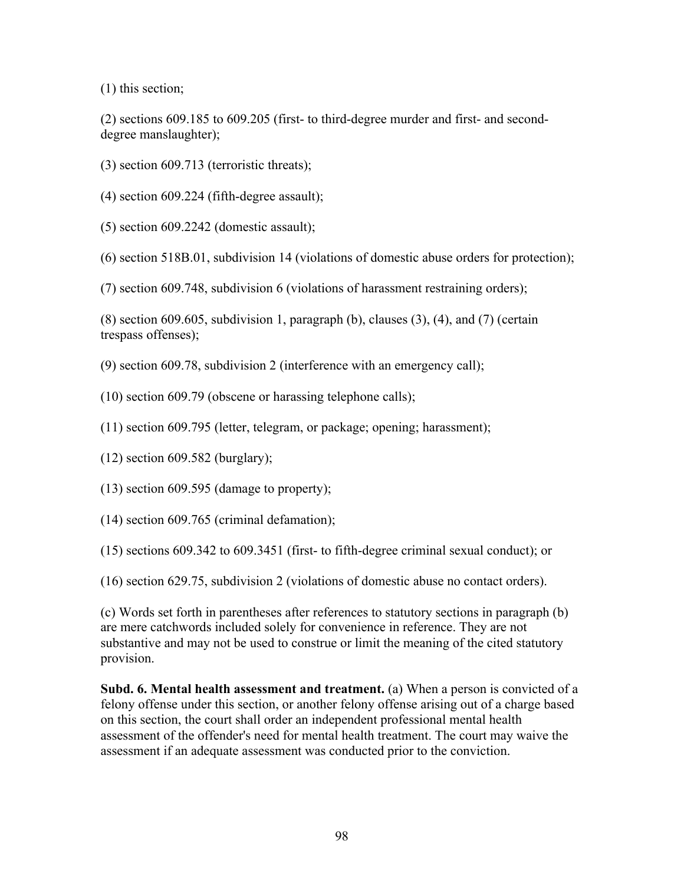(1) this section;

(2) sections 609.185 to 609.205 (first- to third-degree murder and first- and seconddegree manslaughter);

- (3) section 609.713 (terroristic threats);
- (4) section 609.224 (fifth-degree assault);
- (5) section 609.2242 (domestic assault);
- (6) section 518B.01, subdivision 14 (violations of domestic abuse orders for protection);

(7) section 609.748, subdivision 6 (violations of harassment restraining orders);

 $(8)$  section 609.605, subdivision 1, paragraph  $(b)$ , clauses  $(3)$ ,  $(4)$ , and  $(7)$  (certain trespass offenses);

(9) section 609.78, subdivision 2 (interference with an emergency call);

- (10) section 609.79 (obscene or harassing telephone calls);
- (11) section 609.795 (letter, telegram, or package; opening; harassment);
- (12) section 609.582 (burglary);
- $(13)$  section 609.595 (damage to property);
- (14) section 609.765 (criminal defamation);

(15) sections 609.342 to 609.3451 (first- to fifth-degree criminal sexual conduct); or

(16) section 629.75, subdivision 2 (violations of domestic abuse no contact orders).

(c) Words set forth in parentheses after references to statutory sections in paragraph (b) are mere catchwords included solely for convenience in reference. They are not substantive and may not be used to construe or limit the meaning of the cited statutory provision.

**Subd. 6. Mental health assessment and treatment.** (a) When a person is convicted of a felony offense under this section, or another felony offense arising out of a charge based on this section, the court shall order an independent professional mental health assessment of the offender's need for mental health treatment. The court may waive the assessment if an adequate assessment was conducted prior to the conviction.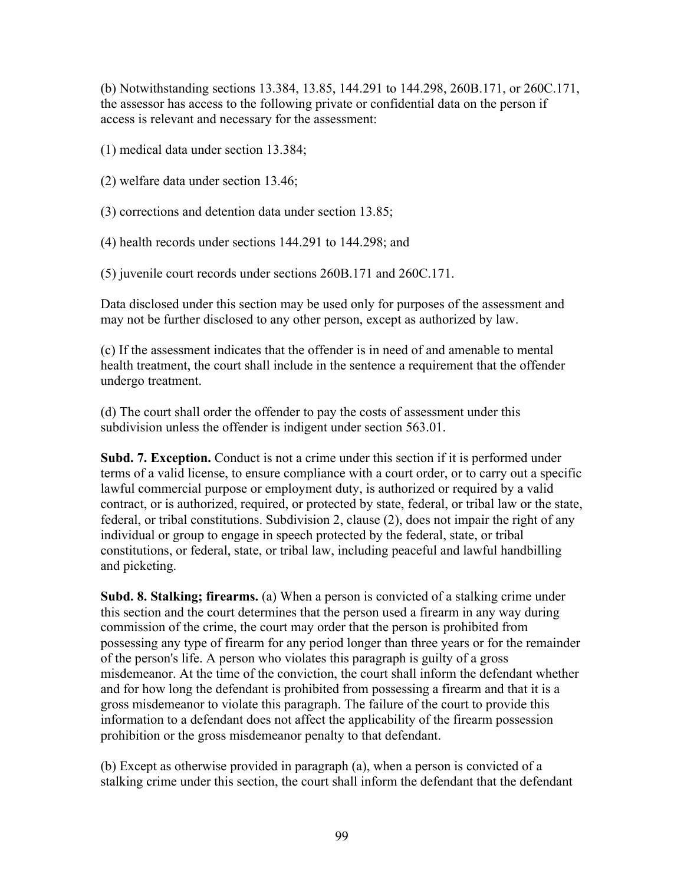(b) Notwithstanding sections 13.384, 13.85, 144.291 to 144.298, 260B.171, or 260C.171, the assessor has access to the following private or confidential data on the person if access is relevant and necessary for the assessment:

(1) medical data under section 13.384;

(2) welfare data under section 13.46;

(3) corrections and detention data under section 13.85;

(4) health records under sections 144.291 to 144.298; and

(5) juvenile court records under sections 260B.171 and 260C.171.

Data disclosed under this section may be used only for purposes of the assessment and may not be further disclosed to any other person, except as authorized by law.

(c) If the assessment indicates that the offender is in need of and amenable to mental health treatment, the court shall include in the sentence a requirement that the offender undergo treatment.

(d) The court shall order the offender to pay the costs of assessment under this subdivision unless the offender is indigent under section 563.01.

**Subd. 7. Exception.** Conduct is not a crime under this section if it is performed under terms of a valid license, to ensure compliance with a court order, or to carry out a specific lawful commercial purpose or employment duty, is authorized or required by a valid contract, or is authorized, required, or protected by state, federal, or tribal law or the state, federal, or tribal constitutions. Subdivision 2, clause (2), does not impair the right of any individual or group to engage in speech protected by the federal, state, or tribal constitutions, or federal, state, or tribal law, including peaceful and lawful handbilling and picketing.

**Subd. 8. Stalking; firearms.** (a) When a person is convicted of a stalking crime under this section and the court determines that the person used a firearm in any way during commission of the crime, the court may order that the person is prohibited from possessing any type of firearm for any period longer than three years or for the remainder of the person's life. A person who violates this paragraph is guilty of a gross misdemeanor. At the time of the conviction, the court shall inform the defendant whether and for how long the defendant is prohibited from possessing a firearm and that it is a gross misdemeanor to violate this paragraph. The failure of the court to provide this information to a defendant does not affect the applicability of the firearm possession prohibition or the gross misdemeanor penalty to that defendant.

(b) Except as otherwise provided in paragraph (a), when a person is convicted of a stalking crime under this section, the court shall inform the defendant that the defendant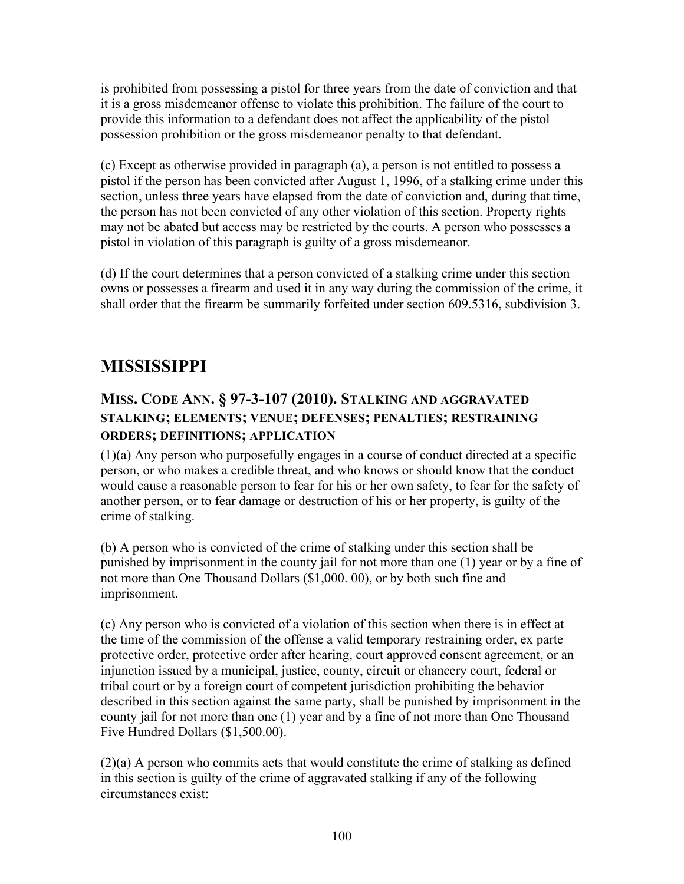is prohibited from possessing a pistol for three years from the date of conviction and that it is a gross misdemeanor offense to violate this prohibition. The failure of the court to provide this information to a defendant does not affect the applicability of the pistol possession prohibition or the gross misdemeanor penalty to that defendant.

(c) Except as otherwise provided in paragraph (a), a person is not entitled to possess a pistol if the person has been convicted after August 1, 1996, of a stalking crime under this section, unless three years have elapsed from the date of conviction and, during that time, the person has not been convicted of any other violation of this section. Property rights may not be abated but access may be restricted by the courts. A person who possesses a pistol in violation of this paragraph is guilty of a gross misdemeanor.

(d) If the court determines that a person convicted of a stalking crime under this section owns or possesses a firearm and used it in any way during the commission of the crime, it shall order that the firearm be summarily forfeited under section 609.5316, subdivision 3.

# **MISSISSIPPI**

## **MISS. CODE ANN. § 97-3-107 (2010). STALKING AND AGGRAVATED STALKING; ELEMENTS; VENUE; DEFENSES; PENALTIES; RESTRAINING ORDERS; DEFINITIONS; APPLICATION**

(1)(a) Any person who purposefully engages in a course of conduct directed at a specific person, or who makes a credible threat, and who knows or should know that the conduct would cause a reasonable person to fear for his or her own safety, to fear for the safety of another person, or to fear damage or destruction of his or her property, is guilty of the crime of stalking.

(b) A person who is convicted of the crime of stalking under this section shall be punished by imprisonment in the county jail for not more than one (1) year or by a fine of not more than One Thousand Dollars (\$1,000. 00), or by both such fine and imprisonment.

(c) Any person who is convicted of a violation of this section when there is in effect at the time of the commission of the offense a valid temporary restraining order, ex parte protective order, protective order after hearing, court approved consent agreement, or an injunction issued by a municipal, justice, county, circuit or chancery court, federal or tribal court or by a foreign court of competent jurisdiction prohibiting the behavior described in this section against the same party, shall be punished by imprisonment in the county jail for not more than one (1) year and by a fine of not more than One Thousand Five Hundred Dollars (\$1,500.00).

(2)(a) A person who commits acts that would constitute the crime of stalking as defined in this section is guilty of the crime of aggravated stalking if any of the following circumstances exist: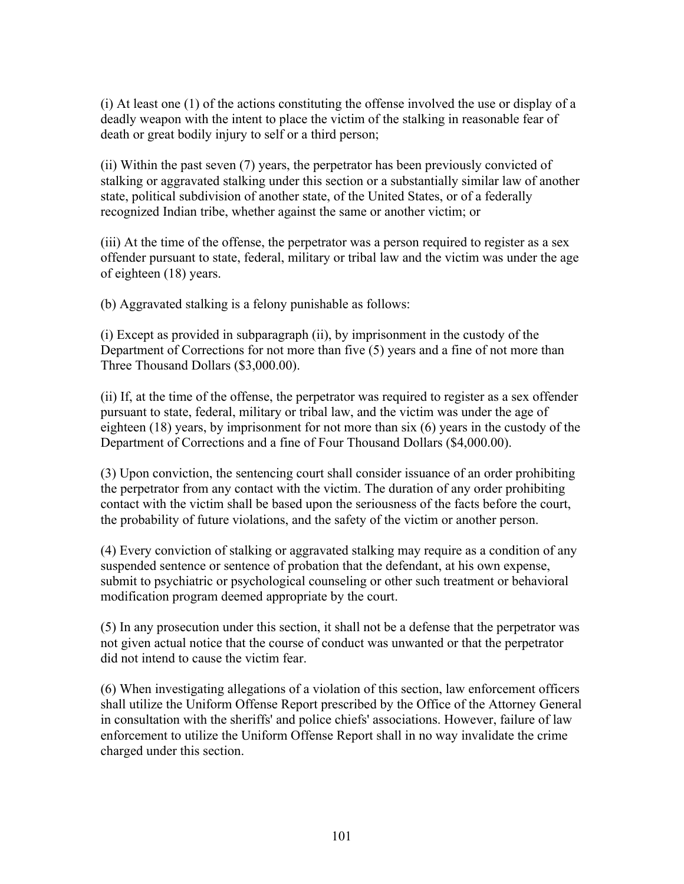(i) At least one (1) of the actions constituting the offense involved the use or display of a deadly weapon with the intent to place the victim of the stalking in reasonable fear of death or great bodily injury to self or a third person;

(ii) Within the past seven (7) years, the perpetrator has been previously convicted of stalking or aggravated stalking under this section or a substantially similar law of another state, political subdivision of another state, of the United States, or of a federally recognized Indian tribe, whether against the same or another victim; or

(iii) At the time of the offense, the perpetrator was a person required to register as a sex offender pursuant to state, federal, military or tribal law and the victim was under the age of eighteen (18) years.

(b) Aggravated stalking is a felony punishable as follows:

(i) Except as provided in subparagraph (ii), by imprisonment in the custody of the Department of Corrections for not more than five (5) years and a fine of not more than Three Thousand Dollars (\$3,000.00).

(ii) If, at the time of the offense, the perpetrator was required to register as a sex offender pursuant to state, federal, military or tribal law, and the victim was under the age of eighteen (18) years, by imprisonment for not more than six (6) years in the custody of the Department of Corrections and a fine of Four Thousand Dollars (\$4,000.00).

(3) Upon conviction, the sentencing court shall consider issuance of an order prohibiting the perpetrator from any contact with the victim. The duration of any order prohibiting contact with the victim shall be based upon the seriousness of the facts before the court, the probability of future violations, and the safety of the victim or another person.

(4) Every conviction of stalking or aggravated stalking may require as a condition of any suspended sentence or sentence of probation that the defendant, at his own expense, submit to psychiatric or psychological counseling or other such treatment or behavioral modification program deemed appropriate by the court.

(5) In any prosecution under this section, it shall not be a defense that the perpetrator was not given actual notice that the course of conduct was unwanted or that the perpetrator did not intend to cause the victim fear.

(6) When investigating allegations of a violation of this section, law enforcement officers shall utilize the Uniform Offense Report prescribed by the Office of the Attorney General in consultation with the sheriffs' and police chiefs' associations. However, failure of law enforcement to utilize the Uniform Offense Report shall in no way invalidate the crime charged under this section.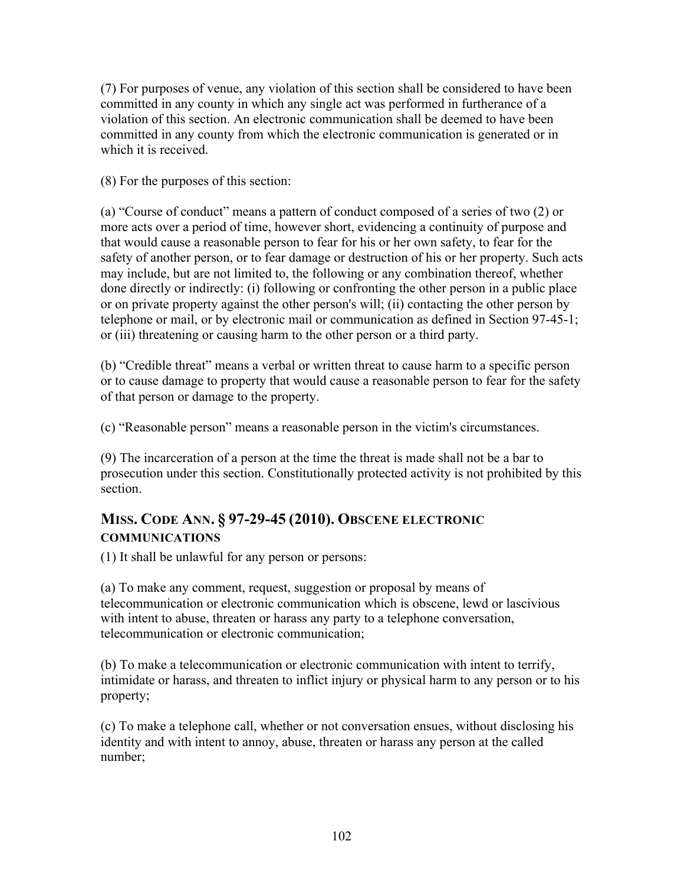(7) For purposes of venue, any violation of this section shall be considered to have been committed in any county in which any single act was performed in furtherance of a violation of this section. An electronic communication shall be deemed to have been committed in any county from which the electronic communication is generated or in which it is received.

(8) For the purposes of this section:

(a) "Course of conduct" means a pattern of conduct composed of a series of two (2) or more acts over a period of time, however short, evidencing a continuity of purpose and that would cause a reasonable person to fear for his or her own safety, to fear for the safety of another person, or to fear damage or destruction of his or her property. Such acts may include, but are not limited to, the following or any combination thereof, whether done directly or indirectly: (i) following or confronting the other person in a public place or on private property against the other person's will; (ii) contacting the other person by telephone or mail, or by electronic mail or communication as defined in Section 97-45-1; or (iii) threatening or causing harm to the other person or a third party.

(b) "Credible threat" means a verbal or written threat to cause harm to a specific person or to cause damage to property that would cause a reasonable person to fear for the safety of that person or damage to the property.

(c) "Reasonable person" means a reasonable person in the victim's circumstances.

(9) The incarceration of a person at the time the threat is made shall not be a bar to prosecution under this section. Constitutionally protected activity is not prohibited by this section.

## **MISS. CODE ANN. § 97-29-45 (2010). OBSCENE ELECTRONIC COMMUNICATIONS**

(1) It shall be unlawful for any person or persons:

(a) To make any comment, request, suggestion or proposal by means of telecommunication or electronic communication which is obscene, lewd or lascivious with intent to abuse, threaten or harass any party to a telephone conversation, telecommunication or electronic communication;

(b) To make a telecommunication or electronic communication with intent to terrify, intimidate or harass, and threaten to inflict injury or physical harm to any person or to his property;

(c) To make a telephone call, whether or not conversation ensues, without disclosing his identity and with intent to annoy, abuse, threaten or harass any person at the called number;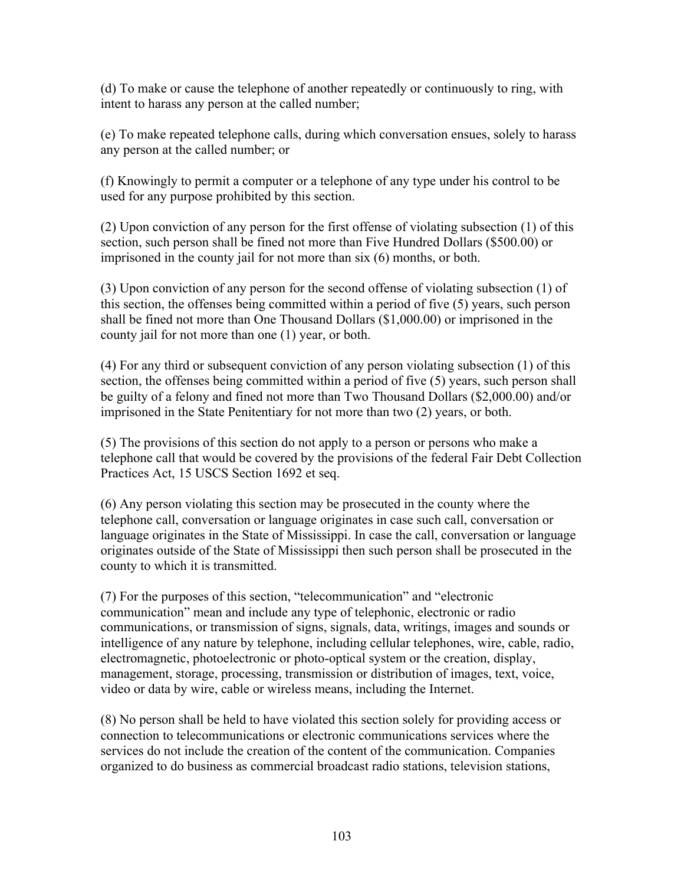(d) To make or cause the telephone of another repeatedly or continuously to ring, with intent to harass any person at the called number;

(e) To make repeated telephone calls, during which conversation ensues, solely to harass any person at the called number; or

(f) Knowingly to permit a computer or a telephone of any type under his control to be used for any purpose prohibited by this section.

(2) Upon conviction of any person for the first offense of violating subsection (1) of this section, such person shall be fined not more than Five Hundred Dollars (\$500.00) or imprisoned in the county jail for not more than six (6) months, or both.

(3) Upon conviction of any person for the second offense of violating subsection (1) of this section, the offenses being committed within a period of five (5) years, such person shall be fined not more than One Thousand Dollars (\$1,000.00) or imprisoned in the county jail for not more than one (1) year, or both.

(4) For any third or subsequent conviction of any person violating subsection (1) of this section, the offenses being committed within a period of five (5) years, such person shall be guilty of a felony and fined not more than Two Thousand Dollars (\$2,000.00) and/or imprisoned in the State Penitentiary for not more than two (2) years, or both.

(5) The provisions of this section do not apply to a person or persons who make a telephone call that would be covered by the provisions of the federal Fair Debt Collection Practices Act, 15 USCS Section 1692 et seq.

(6) Any person violating this section may be prosecuted in the county where the telephone call, conversation or language originates in case such call, conversation or language originates in the State of Mississippi. In case the call, conversation or language originates outside of the State of Mississippi then such person shall be prosecuted in the county to which it is transmitted.

(7) For the purposes of this section, "telecommunication" and "electronic communication" mean and include any type of telephonic, electronic or radio communications, or transmission of signs, signals, data, writings, images and sounds or intelligence of any nature by telephone, including cellular telephones, wire, cable, radio, electromagnetic, photoelectronic or photo-optical system or the creation, display, management, storage, processing, transmission or distribution of images, text, voice, video or data by wire, cable or wireless means, including the Internet.

(8) No person shall be held to have violated this section solely for providing access or connection to telecommunications or electronic communications services where the services do not include the creation of the content of the communication. Companies organized to do business as commercial broadcast radio stations, television stations,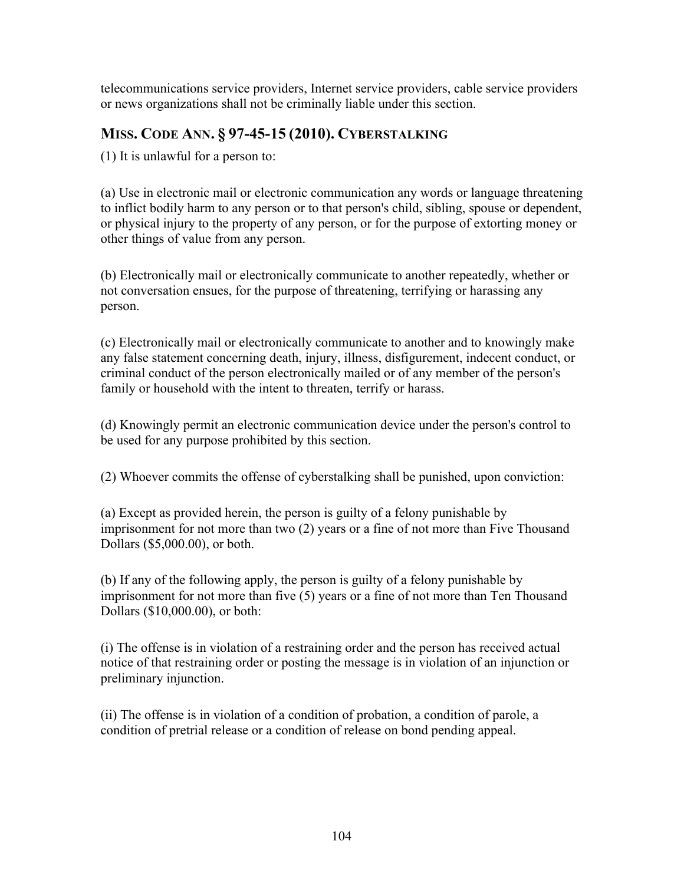telecommunications service providers, Internet service providers, cable service providers or news organizations shall not be criminally liable under this section.

## **MISS. CODE ANN. § 97-45-15 (2010). CYBERSTALKING**

(1) It is unlawful for a person to:

(a) Use in electronic mail or electronic communication any words or language threatening to inflict bodily harm to any person or to that person's child, sibling, spouse or dependent, or physical injury to the property of any person, or for the purpose of extorting money or other things of value from any person.

(b) Electronically mail or electronically communicate to another repeatedly, whether or not conversation ensues, for the purpose of threatening, terrifying or harassing any person.

(c) Electronically mail or electronically communicate to another and to knowingly make any false statement concerning death, injury, illness, disfigurement, indecent conduct, or criminal conduct of the person electronically mailed or of any member of the person's family or household with the intent to threaten, terrify or harass.

(d) Knowingly permit an electronic communication device under the person's control to be used for any purpose prohibited by this section.

(2) Whoever commits the offense of cyberstalking shall be punished, upon conviction:

(a) Except as provided herein, the person is guilty of a felony punishable by imprisonment for not more than two (2) years or a fine of not more than Five Thousand Dollars (\$5,000.00), or both.

(b) If any of the following apply, the person is guilty of a felony punishable by imprisonment for not more than five (5) years or a fine of not more than Ten Thousand Dollars (\$10,000.00), or both:

(i) The offense is in violation of a restraining order and the person has received actual notice of that restraining order or posting the message is in violation of an injunction or preliminary injunction.

(ii) The offense is in violation of a condition of probation, a condition of parole, a condition of pretrial release or a condition of release on bond pending appeal.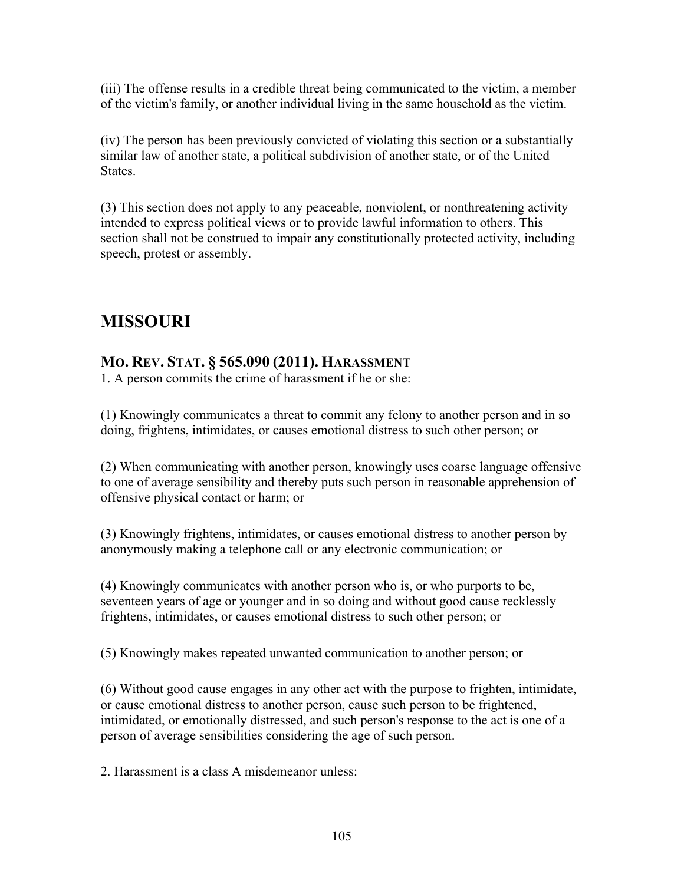(iii) The offense results in a credible threat being communicated to the victim, a member of the victim's family, or another individual living in the same household as the victim.

(iv) The person has been previously convicted of violating this section or a substantially similar law of another state, a political subdivision of another state, or of the United States.

(3) This section does not apply to any peaceable, nonviolent, or nonthreatening activity intended to express political views or to provide lawful information to others. This section shall not be construed to impair any constitutionally protected activity, including speech, protest or assembly.

# **MISSOURI**

### **MO. REV. STAT. § 565.090 (2011). HARASSMENT**

1. A person commits the crime of harassment if he or she:

(1) Knowingly communicates a threat to commit any felony to another person and in so doing, frightens, intimidates, or causes emotional distress to such other person; or

(2) When communicating with another person, knowingly uses coarse language offensive to one of average sensibility and thereby puts such person in reasonable apprehension of offensive physical contact or harm; or

(3) Knowingly frightens, intimidates, or causes emotional distress to another person by anonymously making a telephone call or any electronic communication; or

(4) Knowingly communicates with another person who is, or who purports to be, seventeen years of age or younger and in so doing and without good cause recklessly frightens, intimidates, or causes emotional distress to such other person; or

(5) Knowingly makes repeated unwanted communication to another person; or

(6) Without good cause engages in any other act with the purpose to frighten, intimidate, or cause emotional distress to another person, cause such person to be frightened, intimidated, or emotionally distressed, and such person's response to the act is one of a person of average sensibilities considering the age of such person.

2. Harassment is a class A misdemeanor unless: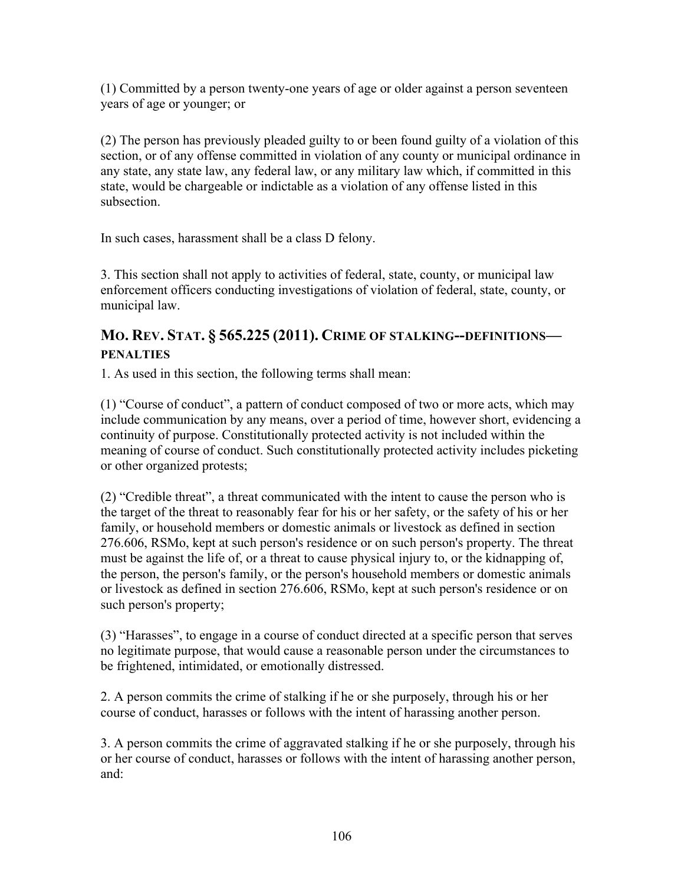(1) Committed by a person twenty-one years of age or older against a person seventeen years of age or younger; or

(2) The person has previously pleaded guilty to or been found guilty of a violation of this section, or of any offense committed in violation of any county or municipal ordinance in any state, any state law, any federal law, or any military law which, if committed in this state, would be chargeable or indictable as a violation of any offense listed in this subsection.

In such cases, harassment shall be a class D felony.

3. This section shall not apply to activities of federal, state, county, or municipal law enforcement officers conducting investigations of violation of federal, state, county, or municipal law.

## **MO. REV. STAT. § 565.225 (2011). CRIME OF STALKING--DEFINITIONS— PENALTIES**

1. As used in this section, the following terms shall mean:

(1) "Course of conduct", a pattern of conduct composed of two or more acts, which may include communication by any means, over a period of time, however short, evidencing a continuity of purpose. Constitutionally protected activity is not included within the meaning of course of conduct. Such constitutionally protected activity includes picketing or other organized protests;

(2) "Credible threat", a threat communicated with the intent to cause the person who is the target of the threat to reasonably fear for his or her safety, or the safety of his or her family, or household members or domestic animals or livestock as defined in section 276.606, RSMo, kept at such person's residence or on such person's property. The threat must be against the life of, or a threat to cause physical injury to, or the kidnapping of, the person, the person's family, or the person's household members or domestic animals or livestock as defined in section 276.606, RSMo, kept at such person's residence or on such person's property;

(3) "Harasses", to engage in a course of conduct directed at a specific person that serves no legitimate purpose, that would cause a reasonable person under the circumstances to be frightened, intimidated, or emotionally distressed.

2. A person commits the crime of stalking if he or she purposely, through his or her course of conduct, harasses or follows with the intent of harassing another person.

3. A person commits the crime of aggravated stalking if he or she purposely, through his or her course of conduct, harasses or follows with the intent of harassing another person, and: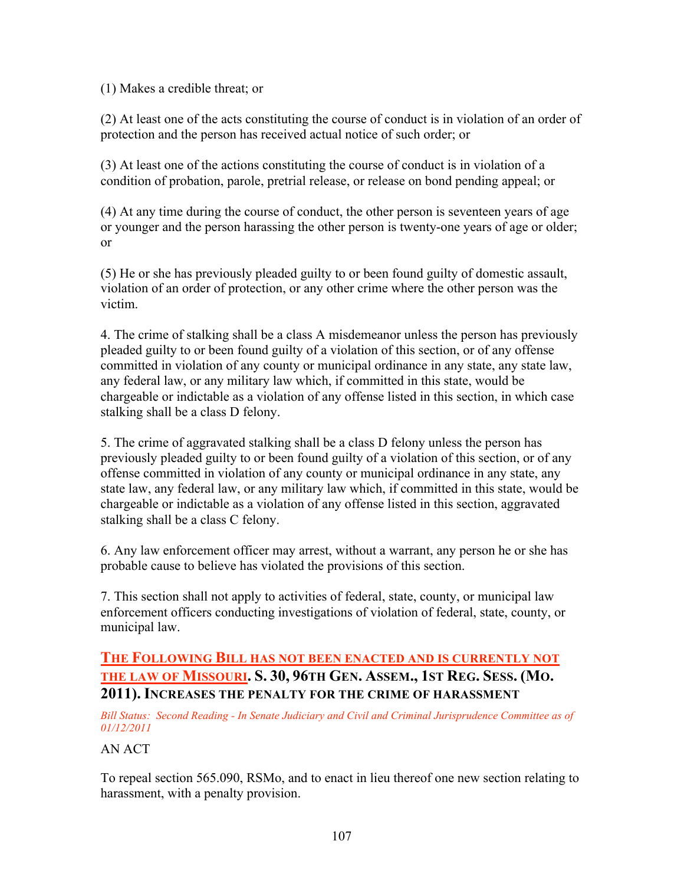(1) Makes a credible threat; or

(2) At least one of the acts constituting the course of conduct is in violation of an order of protection and the person has received actual notice of such order; or

(3) At least one of the actions constituting the course of conduct is in violation of a condition of probation, parole, pretrial release, or release on bond pending appeal; or

(4) At any time during the course of conduct, the other person is seventeen years of age or younger and the person harassing the other person is twenty-one years of age or older; or

(5) He or she has previously pleaded guilty to or been found guilty of domestic assault, violation of an order of protection, or any other crime where the other person was the victim.

4. The crime of stalking shall be a class A misdemeanor unless the person has previously pleaded guilty to or been found guilty of a violation of this section, or of any offense committed in violation of any county or municipal ordinance in any state, any state law, any federal law, or any military law which, if committed in this state, would be chargeable or indictable as a violation of any offense listed in this section, in which case stalking shall be a class D felony.

5. The crime of aggravated stalking shall be a class D felony unless the person has previously pleaded guilty to or been found guilty of a violation of this section, or of any offense committed in violation of any county or municipal ordinance in any state, any state law, any federal law, or any military law which, if committed in this state, would be chargeable or indictable as a violation of any offense listed in this section, aggravated stalking shall be a class C felony.

6. Any law enforcement officer may arrest, without a warrant, any person he or she has probable cause to believe has violated the provisions of this section.

7. This section shall not apply to activities of federal, state, county, or municipal law enforcement officers conducting investigations of violation of federal, state, county, or municipal law.

### **THE FOLLOWING BILL HAS NOT BEEN ENACTED AND IS CURRENTLY NOT THE LAW OF MISSOURI. S. 30, 96TH GEN. ASSEM., 1ST REG. SESS. (MO. 2011). INCREASES THE PENALTY FOR THE CRIME OF HARASSMENT**

*Bill Status: Second Reading - In Senate Judiciary and Civil and Criminal Jurisprudence Committee as of 01/12/2011*

### AN ACT

To repeal section 565.090, RSMo, and to enact in lieu thereof one new section relating to harassment, with a penalty provision.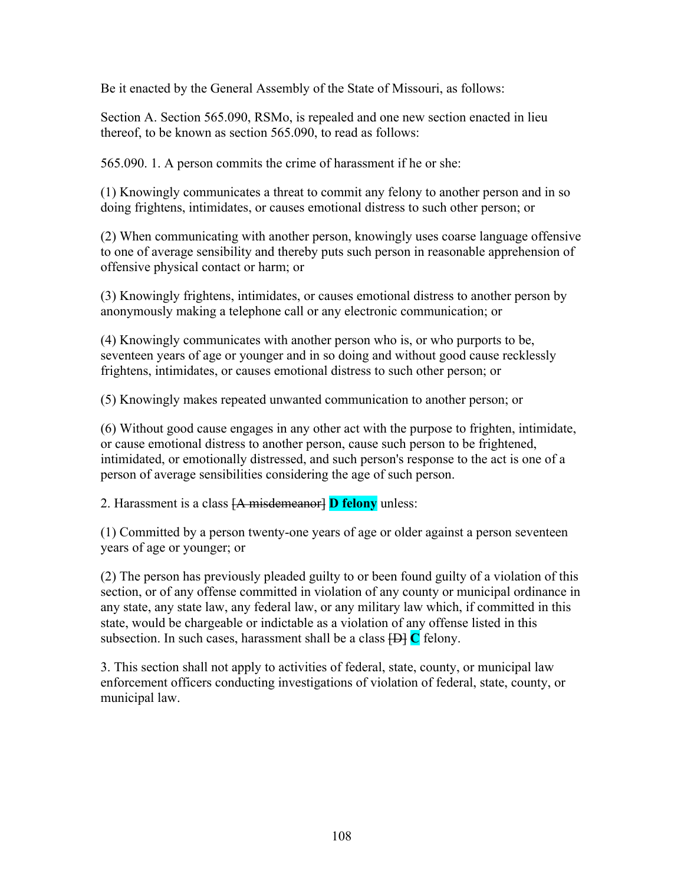Be it enacted by the General Assembly of the State of Missouri, as follows:

Section A. Section 565.090, RSMo, is repealed and one new section enacted in lieu thereof, to be known as section 565.090, to read as follows:

565.090. 1. A person commits the crime of harassment if he or she:

(1) Knowingly communicates a threat to commit any felony to another person and in so doing frightens, intimidates, or causes emotional distress to such other person; or

(2) When communicating with another person, knowingly uses coarse language offensive to one of average sensibility and thereby puts such person in reasonable apprehension of offensive physical contact or harm; or

(3) Knowingly frightens, intimidates, or causes emotional distress to another person by anonymously making a telephone call or any electronic communication; or

(4) Knowingly communicates with another person who is, or who purports to be, seventeen years of age or younger and in so doing and without good cause recklessly frightens, intimidates, or causes emotional distress to such other person; or

(5) Knowingly makes repeated unwanted communication to another person; or

(6) Without good cause engages in any other act with the purpose to frighten, intimidate, or cause emotional distress to another person, cause such person to be frightened, intimidated, or emotionally distressed, and such person's response to the act is one of a person of average sensibilities considering the age of such person.

2. Harassment is a class [A misdemeanor] **D felony** unless:

(1) Committed by a person twenty-one years of age or older against a person seventeen years of age or younger; or

(2) The person has previously pleaded guilty to or been found guilty of a violation of this section, or of any offense committed in violation of any county or municipal ordinance in any state, any state law, any federal law, or any military law which, if committed in this state, would be chargeable or indictable as a violation of any offense listed in this subsection. In such cases, harassment shall be a class  $[\mathbf{D}]\mathbf{C}$  felony.

3. This section shall not apply to activities of federal, state, county, or municipal law enforcement officers conducting investigations of violation of federal, state, county, or municipal law.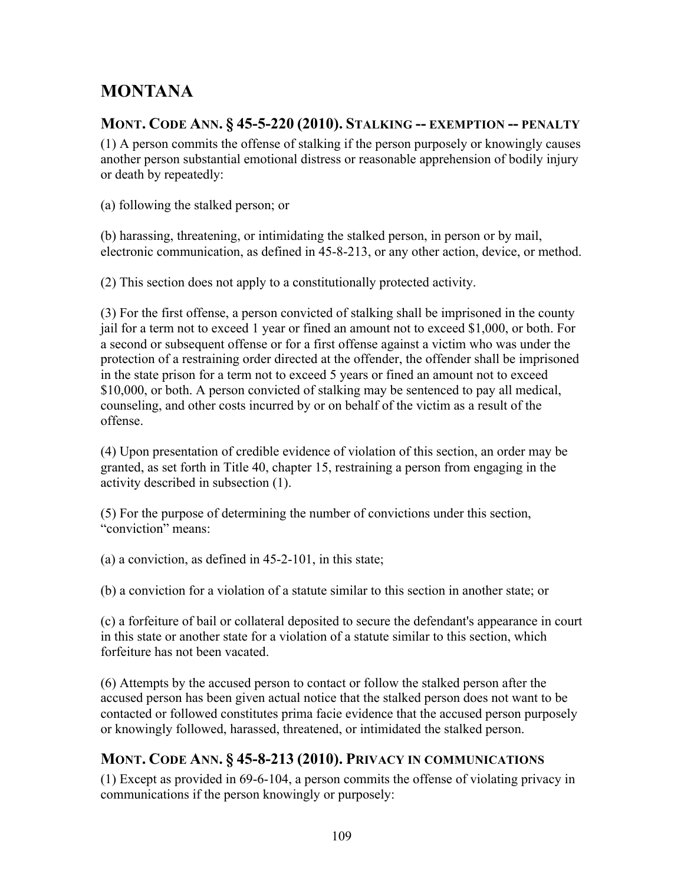# **MONTANA**

## **MONT. CODE ANN. § 45-5-220 (2010). STALKING -- EXEMPTION -- PENALTY**

(1) A person commits the offense of stalking if the person purposely or knowingly causes another person substantial emotional distress or reasonable apprehension of bodily injury or death by repeatedly:

(a) following the stalked person; or

(b) harassing, threatening, or intimidating the stalked person, in person or by mail, electronic communication, as defined in 45-8-213, or any other action, device, or method.

(2) This section does not apply to a constitutionally protected activity.

(3) For the first offense, a person convicted of stalking shall be imprisoned in the county jail for a term not to exceed 1 year or fined an amount not to exceed \$1,000, or both. For a second or subsequent offense or for a first offense against a victim who was under the protection of a restraining order directed at the offender, the offender shall be imprisoned in the state prison for a term not to exceed 5 years or fined an amount not to exceed \$10,000, or both. A person convicted of stalking may be sentenced to pay all medical, counseling, and other costs incurred by or on behalf of the victim as a result of the offense.

(4) Upon presentation of credible evidence of violation of this section, an order may be granted, as set forth in Title 40, chapter 15, restraining a person from engaging in the activity described in subsection (1).

(5) For the purpose of determining the number of convictions under this section, "conviction" means:

(a) a conviction, as defined in 45-2-101, in this state;

(b) a conviction for a violation of a statute similar to this section in another state; or

(c) a forfeiture of bail or collateral deposited to secure the defendant's appearance in court in this state or another state for a violation of a statute similar to this section, which forfeiture has not been vacated.

(6) Attempts by the accused person to contact or follow the stalked person after the accused person has been given actual notice that the stalked person does not want to be contacted or followed constitutes prima facie evidence that the accused person purposely or knowingly followed, harassed, threatened, or intimidated the stalked person.

## **MONT. CODE ANN. § 45-8-213 (2010). PRIVACY IN COMMUNICATIONS**

(1) Except as provided in 69-6-104, a person commits the offense of violating privacy in communications if the person knowingly or purposely: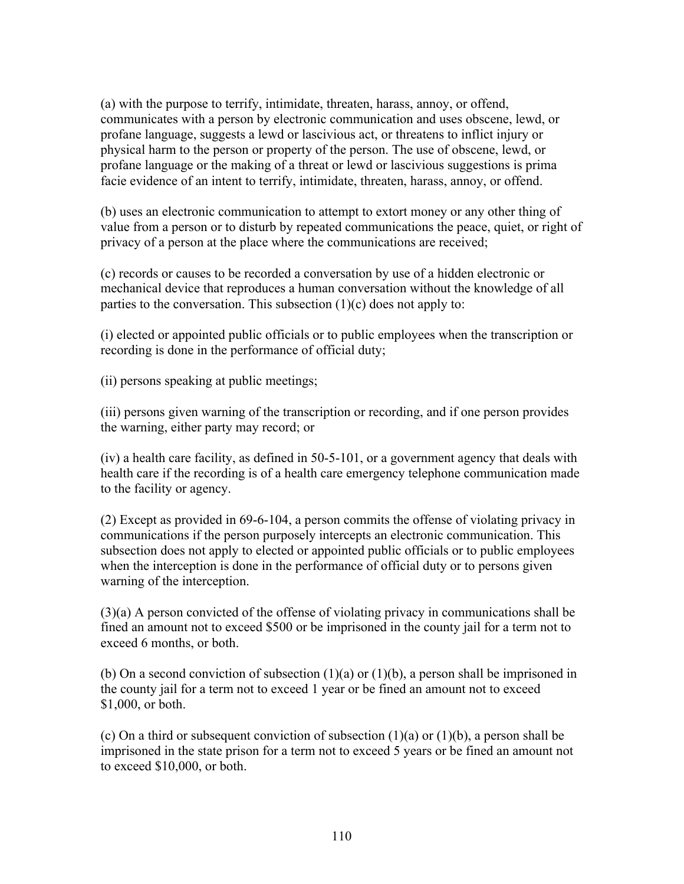(a) with the purpose to terrify, intimidate, threaten, harass, annoy, or offend, communicates with a person by electronic communication and uses obscene, lewd, or profane language, suggests a lewd or lascivious act, or threatens to inflict injury or physical harm to the person or property of the person. The use of obscene, lewd, or profane language or the making of a threat or lewd or lascivious suggestions is prima facie evidence of an intent to terrify, intimidate, threaten, harass, annoy, or offend.

(b) uses an electronic communication to attempt to extort money or any other thing of value from a person or to disturb by repeated communications the peace, quiet, or right of privacy of a person at the place where the communications are received;

(c) records or causes to be recorded a conversation by use of a hidden electronic or mechanical device that reproduces a human conversation without the knowledge of all parties to the conversation. This subsection  $(1)(c)$  does not apply to:

(i) elected or appointed public officials or to public employees when the transcription or recording is done in the performance of official duty;

(ii) persons speaking at public meetings;

(iii) persons given warning of the transcription or recording, and if one person provides the warning, either party may record; or

(iv) a health care facility, as defined in 50-5-101, or a government agency that deals with health care if the recording is of a health care emergency telephone communication made to the facility or agency.

(2) Except as provided in 69-6-104, a person commits the offense of violating privacy in communications if the person purposely intercepts an electronic communication. This subsection does not apply to elected or appointed public officials or to public employees when the interception is done in the performance of official duty or to persons given warning of the interception.

(3)(a) A person convicted of the offense of violating privacy in communications shall be fined an amount not to exceed \$500 or be imprisoned in the county jail for a term not to exceed 6 months, or both.

(b) On a second conviction of subsection  $(1)(a)$  or  $(1)(b)$ , a person shall be imprisoned in the county jail for a term not to exceed 1 year or be fined an amount not to exceed \$1,000, or both.

(c) On a third or subsequent conviction of subsection  $(1)(a)$  or  $(1)(b)$ , a person shall be imprisoned in the state prison for a term not to exceed 5 years or be fined an amount not to exceed \$10,000, or both.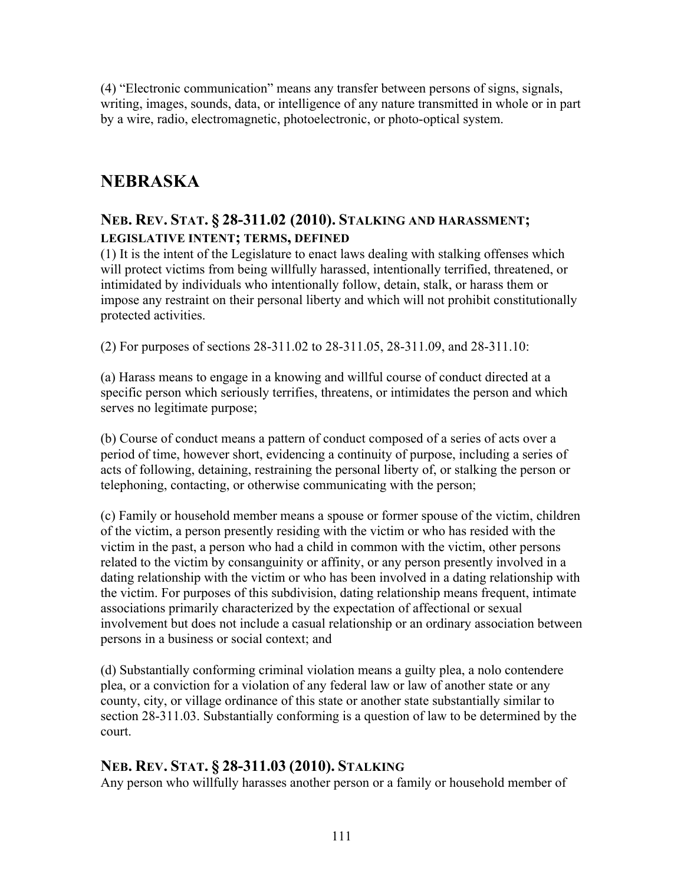(4) "Electronic communication" means any transfer between persons of signs, signals, writing, images, sounds, data, or intelligence of any nature transmitted in whole or in part by a wire, radio, electromagnetic, photoelectronic, or photo-optical system.

# **NEBRASKA**

## **NEB. REV. STAT. § 28-311.02 (2010). STALKING AND HARASSMENT; LEGISLATIVE INTENT; TERMS, DEFINED**

(1) It is the intent of the Legislature to enact laws dealing with stalking offenses which will protect victims from being willfully harassed, intentionally terrified, threatened, or intimidated by individuals who intentionally follow, detain, stalk, or harass them or impose any restraint on their personal liberty and which will not prohibit constitutionally protected activities.

(2) For purposes of sections 28-311.02 to 28-311.05, 28-311.09, and 28-311.10:

(a) Harass means to engage in a knowing and willful course of conduct directed at a specific person which seriously terrifies, threatens, or intimidates the person and which serves no legitimate purpose;

(b) Course of conduct means a pattern of conduct composed of a series of acts over a period of time, however short, evidencing a continuity of purpose, including a series of acts of following, detaining, restraining the personal liberty of, or stalking the person or telephoning, contacting, or otherwise communicating with the person;

(c) Family or household member means a spouse or former spouse of the victim, children of the victim, a person presently residing with the victim or who has resided with the victim in the past, a person who had a child in common with the victim, other persons related to the victim by consanguinity or affinity, or any person presently involved in a dating relationship with the victim or who has been involved in a dating relationship with the victim. For purposes of this subdivision, dating relationship means frequent, intimate associations primarily characterized by the expectation of affectional or sexual involvement but does not include a casual relationship or an ordinary association between persons in a business or social context; and

(d) Substantially conforming criminal violation means a guilty plea, a nolo contendere plea, or a conviction for a violation of any federal law or law of another state or any county, city, or village ordinance of this state or another state substantially similar to section 28-311.03. Substantially conforming is a question of law to be determined by the court.

## **NEB. REV. STAT. § 28-311.03 (2010). STALKING**

Any person who willfully harasses another person or a family or household member of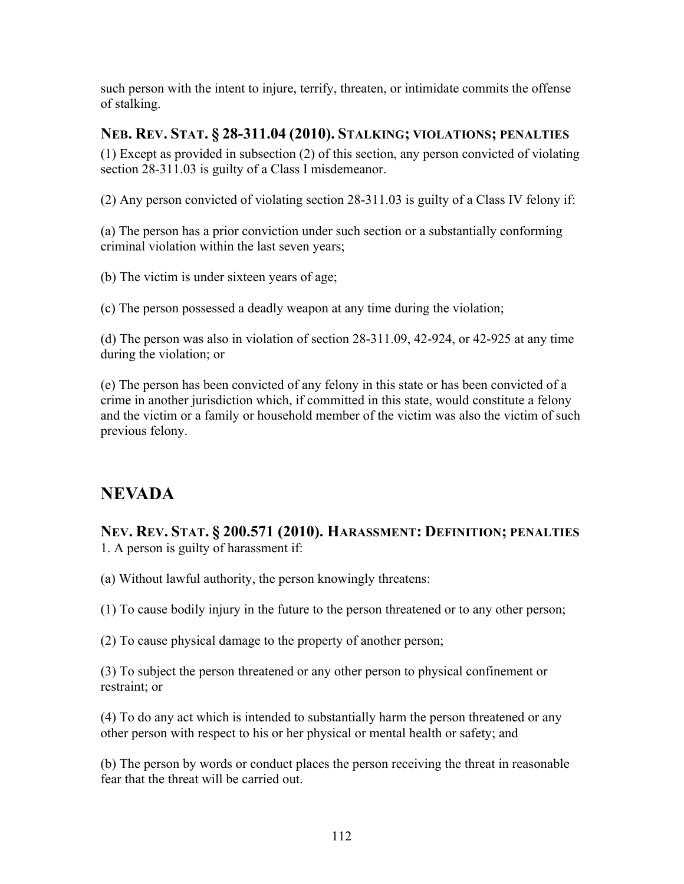such person with the intent to injure, terrify, threaten, or intimidate commits the offense of stalking.

## **NEB. REV. STAT. § 28-311.04 (2010). STALKING; VIOLATIONS; PENALTIES**

(1) Except as provided in subsection (2) of this section, any person convicted of violating section 28-311.03 is guilty of a Class I misdemeanor.

(2) Any person convicted of violating section 28-311.03 is guilty of a Class IV felony if:

(a) The person has a prior conviction under such section or a substantially conforming criminal violation within the last seven years;

(b) The victim is under sixteen years of age;

(c) The person possessed a deadly weapon at any time during the violation;

(d) The person was also in violation of section 28-311.09, 42-924, or 42-925 at any time during the violation; or

(e) The person has been convicted of any felony in this state or has been convicted of a crime in another jurisdiction which, if committed in this state, would constitute a felony and the victim or a family or household member of the victim was also the victim of such previous felony.

# **NEVADA**

**NEV. REV. STAT. § 200.571 (2010). HARASSMENT: DEFINITION; PENALTIES** 1. A person is guilty of harassment if:

(a) Without lawful authority, the person knowingly threatens:

(1) To cause bodily injury in the future to the person threatened or to any other person;

(2) To cause physical damage to the property of another person;

(3) To subject the person threatened or any other person to physical confinement or restraint; or

(4) To do any act which is intended to substantially harm the person threatened or any other person with respect to his or her physical or mental health or safety; and

(b) The person by words or conduct places the person receiving the threat in reasonable fear that the threat will be carried out.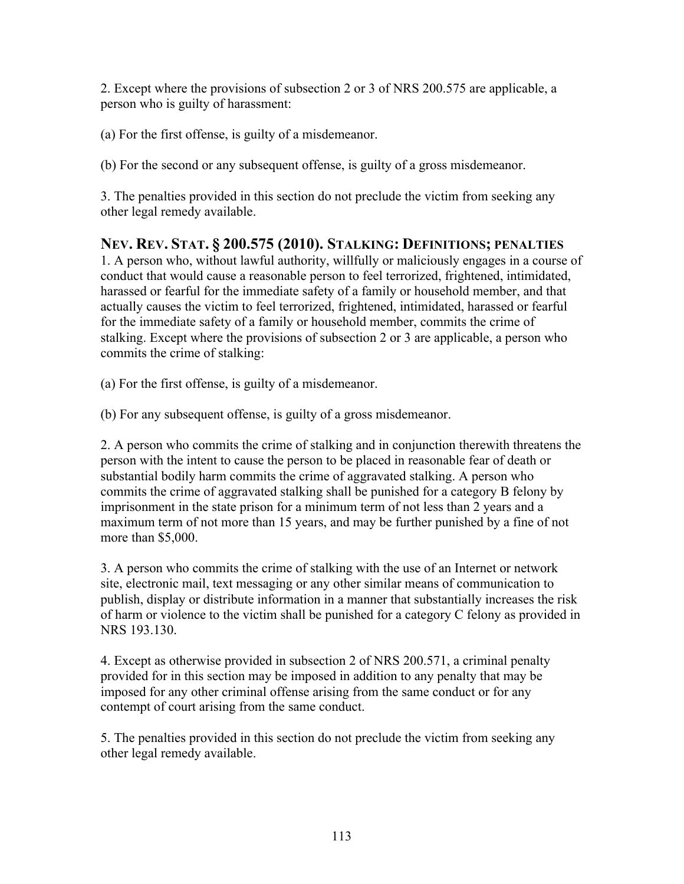2. Except where the provisions of subsection 2 or 3 of NRS 200.575 are applicable, a person who is guilty of harassment:

(a) For the first offense, is guilty of a misdemeanor.

(b) For the second or any subsequent offense, is guilty of a gross misdemeanor.

3. The penalties provided in this section do not preclude the victim from seeking any other legal remedy available.

#### **NEV. REV. STAT. § 200.575 (2010). STALKING: DEFINITIONS; PENALTIES**

1. A person who, without lawful authority, willfully or maliciously engages in a course of conduct that would cause a reasonable person to feel terrorized, frightened, intimidated, harassed or fearful for the immediate safety of a family or household member, and that actually causes the victim to feel terrorized, frightened, intimidated, harassed or fearful for the immediate safety of a family or household member, commits the crime of stalking. Except where the provisions of subsection 2 or 3 are applicable, a person who commits the crime of stalking:

(a) For the first offense, is guilty of a misdemeanor.

(b) For any subsequent offense, is guilty of a gross misdemeanor.

2. A person who commits the crime of stalking and in conjunction therewith threatens the person with the intent to cause the person to be placed in reasonable fear of death or substantial bodily harm commits the crime of aggravated stalking. A person who commits the crime of aggravated stalking shall be punished for a category B felony by imprisonment in the state prison for a minimum term of not less than 2 years and a maximum term of not more than 15 years, and may be further punished by a fine of not more than \$5,000.

3. A person who commits the crime of stalking with the use of an Internet or network site, electronic mail, text messaging or any other similar means of communication to publish, display or distribute information in a manner that substantially increases the risk of harm or violence to the victim shall be punished for a category C felony as provided in NRS 193.130.

4. Except as otherwise provided in subsection 2 of NRS 200.571, a criminal penalty provided for in this section may be imposed in addition to any penalty that may be imposed for any other criminal offense arising from the same conduct or for any contempt of court arising from the same conduct.

5. The penalties provided in this section do not preclude the victim from seeking any other legal remedy available.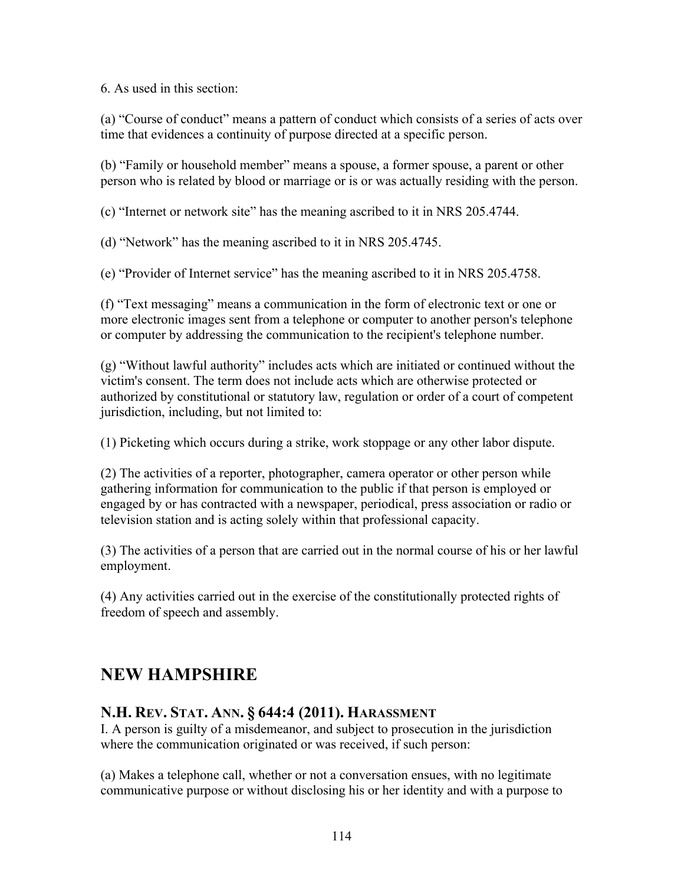6. As used in this section:

(a) "Course of conduct" means a pattern of conduct which consists of a series of acts over time that evidences a continuity of purpose directed at a specific person.

(b) "Family or household member" means a spouse, a former spouse, a parent or other person who is related by blood or marriage or is or was actually residing with the person.

(c) "Internet or network site" has the meaning ascribed to it in NRS 205.4744.

(d) "Network" has the meaning ascribed to it in NRS 205.4745.

(e) "Provider of Internet service" has the meaning ascribed to it in NRS 205.4758.

(f) "Text messaging" means a communication in the form of electronic text or one or more electronic images sent from a telephone or computer to another person's telephone or computer by addressing the communication to the recipient's telephone number.

(g) "Without lawful authority" includes acts which are initiated or continued without the victim's consent. The term does not include acts which are otherwise protected or authorized by constitutional or statutory law, regulation or order of a court of competent jurisdiction, including, but not limited to:

(1) Picketing which occurs during a strike, work stoppage or any other labor dispute.

(2) The activities of a reporter, photographer, camera operator or other person while gathering information for communication to the public if that person is employed or engaged by or has contracted with a newspaper, periodical, press association or radio or television station and is acting solely within that professional capacity.

(3) The activities of a person that are carried out in the normal course of his or her lawful employment.

(4) Any activities carried out in the exercise of the constitutionally protected rights of freedom of speech and assembly.

## **NEW HAMPSHIRE**

#### **N.H. REV. STAT. ANN. § 644:4 (2011). HARASSMENT**

I. A person is guilty of a misdemeanor, and subject to prosecution in the jurisdiction where the communication originated or was received, if such person:

(a) Makes a telephone call, whether or not a conversation ensues, with no legitimate communicative purpose or without disclosing his or her identity and with a purpose to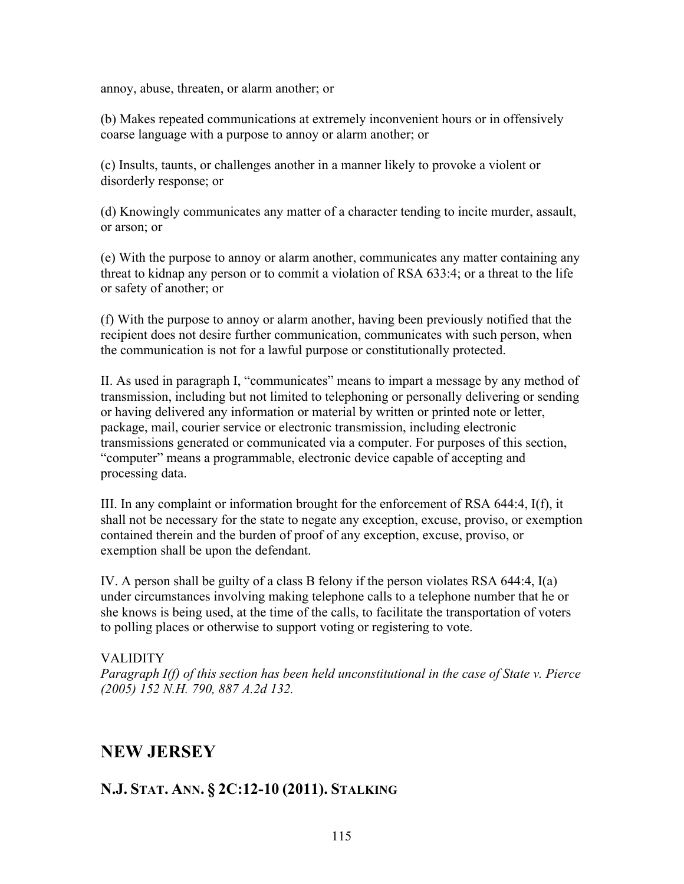annoy, abuse, threaten, or alarm another; or

(b) Makes repeated communications at extremely inconvenient hours or in offensively coarse language with a purpose to annoy or alarm another; or

(c) Insults, taunts, or challenges another in a manner likely to provoke a violent or disorderly response; or

(d) Knowingly communicates any matter of a character tending to incite murder, assault, or arson; or

(e) With the purpose to annoy or alarm another, communicates any matter containing any threat to kidnap any person or to commit a violation of RSA 633:4; or a threat to the life or safety of another; or

(f) With the purpose to annoy or alarm another, having been previously notified that the recipient does not desire further communication, communicates with such person, when the communication is not for a lawful purpose or constitutionally protected.

II. As used in paragraph I, "communicates" means to impart a message by any method of transmission, including but not limited to telephoning or personally delivering or sending or having delivered any information or material by written or printed note or letter, package, mail, courier service or electronic transmission, including electronic transmissions generated or communicated via a computer. For purposes of this section, "computer" means a programmable, electronic device capable of accepting and processing data.

III. In any complaint or information brought for the enforcement of RSA 644:4, I(f), it shall not be necessary for the state to negate any exception, excuse, proviso, or exemption contained therein and the burden of proof of any exception, excuse, proviso, or exemption shall be upon the defendant.

IV. A person shall be guilty of a class B felony if the person violates RSA  $644:4$ , I(a) under circumstances involving making telephone calls to a telephone number that he or she knows is being used, at the time of the calls, to facilitate the transportation of voters to polling places or otherwise to support voting or registering to vote.

#### VALIDITY

*Paragraph I(f) of this section has been held unconstitutional in the case of State v. Pierce (2005) 152 N.H. 790, 887 A.2d 132.*

## **NEW JERSEY**

#### **N.J. STAT. ANN. § 2C:12-10 (2011). STALKING**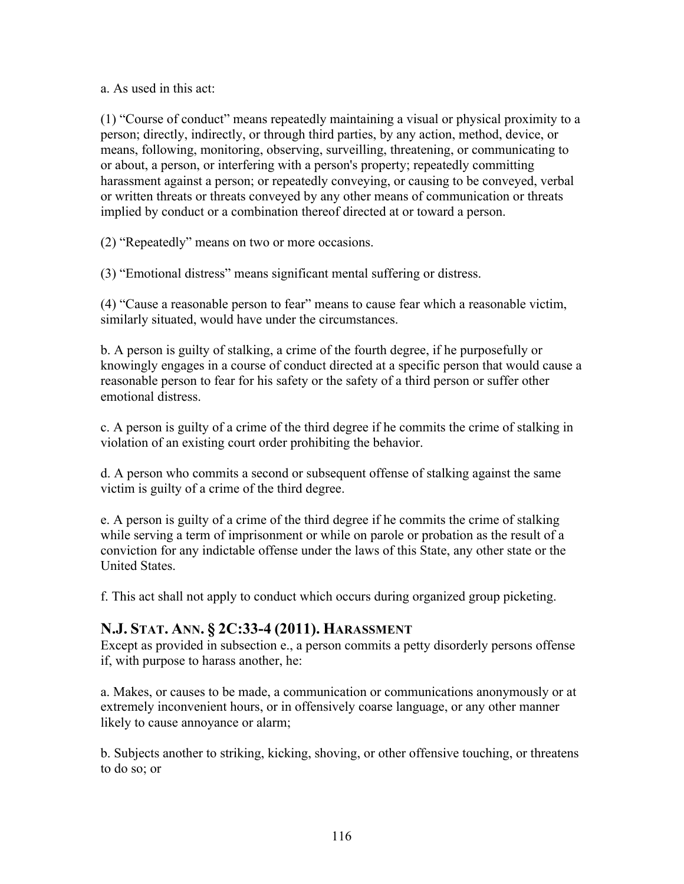a. As used in this act:

(1) "Course of conduct" means repeatedly maintaining a visual or physical proximity to a person; directly, indirectly, or through third parties, by any action, method, device, or means, following, monitoring, observing, surveilling, threatening, or communicating to or about, a person, or interfering with a person's property; repeatedly committing harassment against a person; or repeatedly conveying, or causing to be conveyed, verbal or written threats or threats conveyed by any other means of communication or threats implied by conduct or a combination thereof directed at or toward a person.

(2) "Repeatedly" means on two or more occasions.

(3) "Emotional distress" means significant mental suffering or distress.

(4) "Cause a reasonable person to fear" means to cause fear which a reasonable victim, similarly situated, would have under the circumstances.

b. A person is guilty of stalking, a crime of the fourth degree, if he purposefully or knowingly engages in a course of conduct directed at a specific person that would cause a reasonable person to fear for his safety or the safety of a third person or suffer other emotional distress.

c. A person is guilty of a crime of the third degree if he commits the crime of stalking in violation of an existing court order prohibiting the behavior.

d. A person who commits a second or subsequent offense of stalking against the same victim is guilty of a crime of the third degree.

e. A person is guilty of a crime of the third degree if he commits the crime of stalking while serving a term of imprisonment or while on parole or probation as the result of a conviction for any indictable offense under the laws of this State, any other state or the United States.

f. This act shall not apply to conduct which occurs during organized group picketing.

## **N.J. STAT. ANN. § 2C:33-4 (2011). HARASSMENT**

Except as provided in subsection e., a person commits a petty disorderly persons offense if, with purpose to harass another, he:

a. Makes, or causes to be made, a communication or communications anonymously or at extremely inconvenient hours, or in offensively coarse language, or any other manner likely to cause annoyance or alarm;

b. Subjects another to striking, kicking, shoving, or other offensive touching, or threatens to do so; or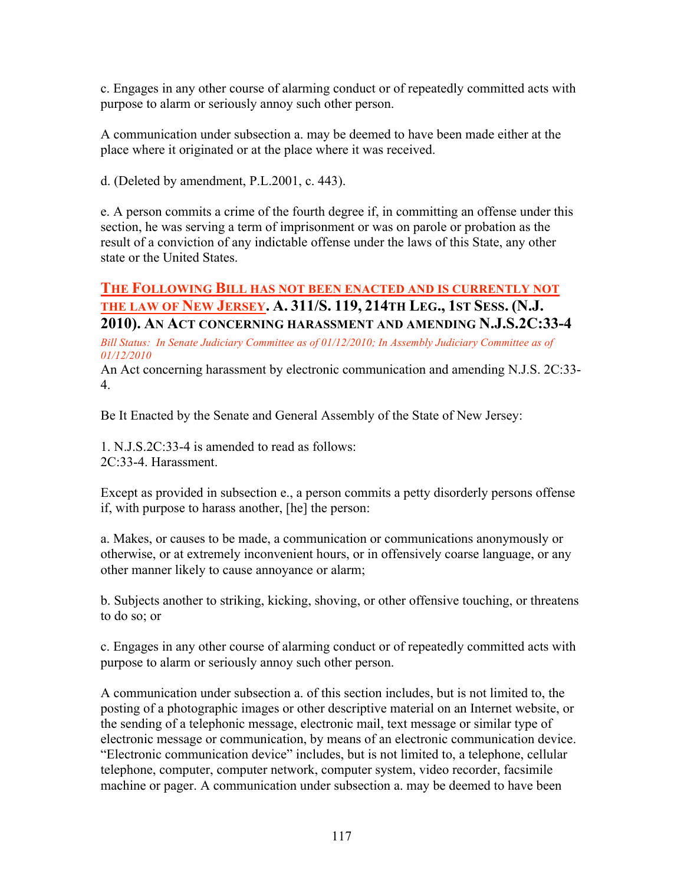c. Engages in any other course of alarming conduct or of repeatedly committed acts with purpose to alarm or seriously annoy such other person.

A communication under subsection a. may be deemed to have been made either at the place where it originated or at the place where it was received.

d. (Deleted by amendment, P.L.2001, c. 443).

e. A person commits a crime of the fourth degree if, in committing an offense under this section, he was serving a term of imprisonment or was on parole or probation as the result of a conviction of any indictable offense under the laws of this State, any other state or the United States.

#### **THE FOLLOWING BILL HAS NOT BEEN ENACTED AND IS CURRENTLY NOT THE LAW OF NEW JERSEY. A. 311/S. 119, 214TH LEG., 1ST SESS. (N.J. 2010). AN ACT CONCERNING HARASSMENT AND AMENDING N.J.S.2C:33-4**

*Bill Status: In Senate Judiciary Committee as of 01/12/2010; In Assembly Judiciary Committee as of 01/12/2010*

An Act concerning harassment by electronic communication and amending N.J.S. 2C:33- 4.

Be It Enacted by the Senate and General Assembly of the State of New Jersey:

1. N.J.S.2C:33-4 is amended to read as follows: 2C:33-4. Harassment.

Except as provided in subsection e., a person commits a petty disorderly persons offense if, with purpose to harass another, [he] the person:

a. Makes, or causes to be made, a communication or communications anonymously or otherwise, or at extremely inconvenient hours, or in offensively coarse language, or any other manner likely to cause annoyance or alarm;

b. Subjects another to striking, kicking, shoving, or other offensive touching, or threatens to do so; or

c. Engages in any other course of alarming conduct or of repeatedly committed acts with purpose to alarm or seriously annoy such other person.

A communication under subsection a. of this section includes, but is not limited to, the posting of a photographic images or other descriptive material on an Internet website, or the sending of a telephonic message, electronic mail, text message or similar type of electronic message or communication, by means of an electronic communication device. "Electronic communication device" includes, but is not limited to, a telephone, cellular telephone, computer, computer network, computer system, video recorder, facsimile machine or pager. A communication under subsection a. may be deemed to have been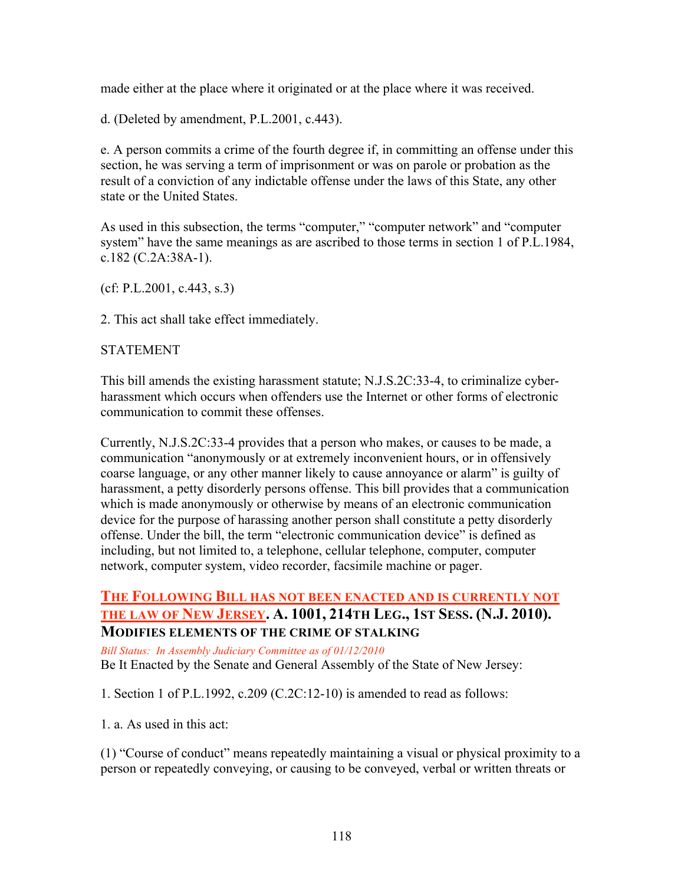made either at the place where it originated or at the place where it was received.

d. (Deleted by amendment, P.L.2001, c.443).

e. A person commits a crime of the fourth degree if, in committing an offense under this section, he was serving a term of imprisonment or was on parole or probation as the result of a conviction of any indictable offense under the laws of this State, any other state or the United States.

As used in this subsection, the terms "computer," "computer network" and "computer system" have the same meanings as are ascribed to those terms in section 1 of P.L.1984, c.182 (C.2A:38A-1).

(cf: P.L.2001, c.443, s.3)

2. This act shall take effect immediately.

#### STATEMENT

This bill amends the existing harassment statute; N.J.S.2C:33-4, to criminalize cyberharassment which occurs when offenders use the Internet or other forms of electronic communication to commit these offenses.

Currently, N.J.S.2C:33-4 provides that a person who makes, or causes to be made, a communication "anonymously or at extremely inconvenient hours, or in offensively coarse language, or any other manner likely to cause annoyance or alarm" is guilty of harassment, a petty disorderly persons offense. This bill provides that a communication which is made anonymously or otherwise by means of an electronic communication device for the purpose of harassing another person shall constitute a petty disorderly offense. Under the bill, the term "electronic communication device" is defined as including, but not limited to, a telephone, cellular telephone, computer, computer network, computer system, video recorder, facsimile machine or pager.

#### **THE FOLLOWING BILL HAS NOT BEEN ENACTED AND IS CURRENTLY NOT THE LAW OF NEW JERSEY. A. 1001, 214TH LEG., 1ST SESS. (N.J. 2010). MODIFIES ELEMENTS OF THE CRIME OF STALKING**

*Bill Status: In Assembly Judiciary Committee as of 01/12/2010* Be It Enacted by the Senate and General Assembly of the State of New Jersey:

1. Section 1 of P.L.1992, c.209 (C.2C:12-10) is amended to read as follows:

1. a. As used in this act:

(1) "Course of conduct" means repeatedly maintaining a visual or physical proximity to a person or repeatedly conveying, or causing to be conveyed, verbal or written threats or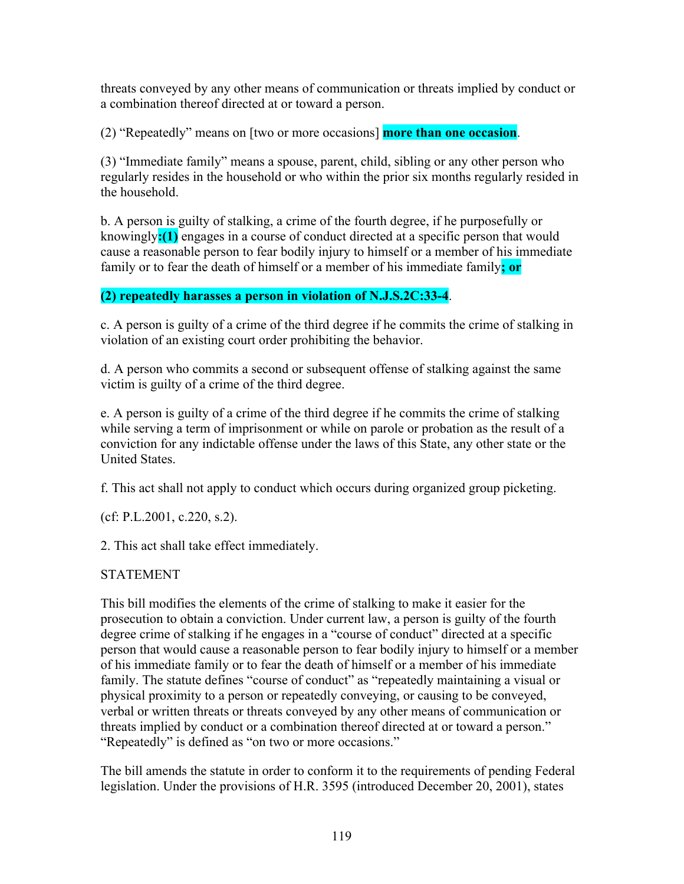threats conveyed by any other means of communication or threats implied by conduct or a combination thereof directed at or toward a person.

(2) "Repeatedly" means on [two or more occasions] **more than one occasion**.

(3) "Immediate family" means a spouse, parent, child, sibling or any other person who regularly resides in the household or who within the prior six months regularly resided in the household.

b. A person is guilty of stalking, a crime of the fourth degree, if he purposefully or knowingly**:(1)** engages in a course of conduct directed at a specific person that would cause a reasonable person to fear bodily injury to himself or a member of his immediate family or to fear the death of himself or a member of his immediate family**; or**

#### **(2) repeatedly harasses a person in violation of N.J.S.2C:33-4**.

c. A person is guilty of a crime of the third degree if he commits the crime of stalking in violation of an existing court order prohibiting the behavior.

d. A person who commits a second or subsequent offense of stalking against the same victim is guilty of a crime of the third degree.

e. A person is guilty of a crime of the third degree if he commits the crime of stalking while serving a term of imprisonment or while on parole or probation as the result of a conviction for any indictable offense under the laws of this State, any other state or the United States.

f. This act shall not apply to conduct which occurs during organized group picketing.

(cf: P.L.2001, c.220, s.2).

2. This act shall take effect immediately.

#### STATEMENT

This bill modifies the elements of the crime of stalking to make it easier for the prosecution to obtain a conviction. Under current law, a person is guilty of the fourth degree crime of stalking if he engages in a "course of conduct" directed at a specific person that would cause a reasonable person to fear bodily injury to himself or a member of his immediate family or to fear the death of himself or a member of his immediate family. The statute defines "course of conduct" as "repeatedly maintaining a visual or physical proximity to a person or repeatedly conveying, or causing to be conveyed, verbal or written threats or threats conveyed by any other means of communication or threats implied by conduct or a combination thereof directed at or toward a person." "Repeatedly" is defined as "on two or more occasions."

The bill amends the statute in order to conform it to the requirements of pending Federal legislation. Under the provisions of H.R. 3595 (introduced December 20, 2001), states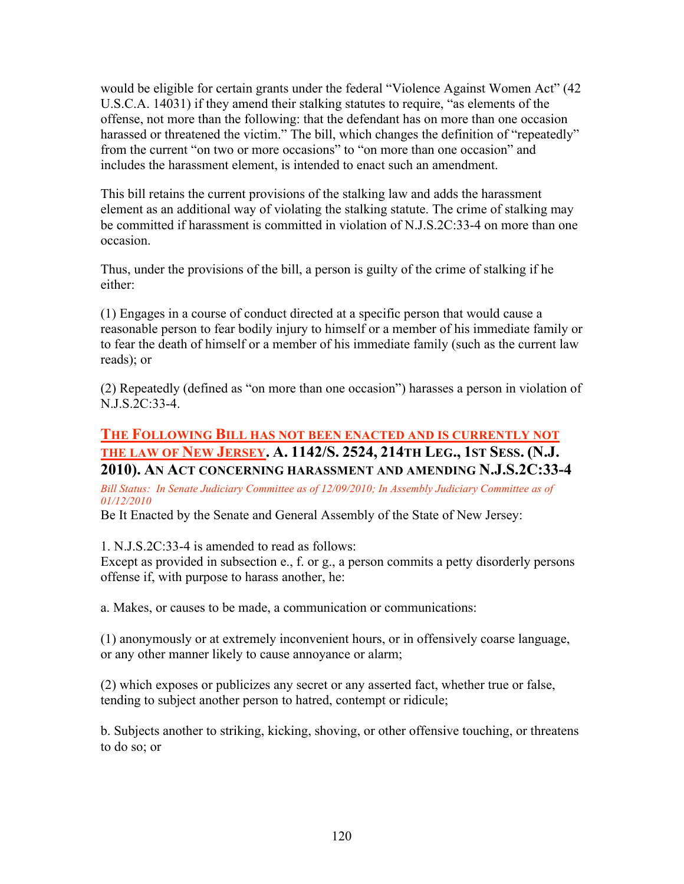would be eligible for certain grants under the federal "Violence Against Women Act" (42 U.S.C.A. 14031) if they amend their stalking statutes to require, "as elements of the offense, not more than the following: that the defendant has on more than one occasion harassed or threatened the victim." The bill, which changes the definition of "repeatedly" from the current "on two or more occasions" to "on more than one occasion" and includes the harassment element, is intended to enact such an amendment.

This bill retains the current provisions of the stalking law and adds the harassment element as an additional way of violating the stalking statute. The crime of stalking may be committed if harassment is committed in violation of N.J.S.2C:33-4 on more than one occasion.

Thus, under the provisions of the bill, a person is guilty of the crime of stalking if he either:

(1) Engages in a course of conduct directed at a specific person that would cause a reasonable person to fear bodily injury to himself or a member of his immediate family or to fear the death of himself or a member of his immediate family (such as the current law reads); or

(2) Repeatedly (defined as "on more than one occasion") harasses a person in violation of N.J.S.2C:33-4.

#### **THE FOLLOWING BILL HAS NOT BEEN ENACTED AND IS CURRENTLY NOT THE LAW OF NEW JERSEY. A. 1142/S. 2524, 214TH LEG., 1ST SESS. (N.J. 2010). AN ACT CONCERNING HARASSMENT AND AMENDING N.J.S.2C:33-4**

*Bill Status: In Senate Judiciary Committee as of 12/09/2010; In Assembly Judiciary Committee as of 01/12/2010*

Be It Enacted by the Senate and General Assembly of the State of New Jersey:

1. N.J.S.2C:33-4 is amended to read as follows:

Except as provided in subsection e., f. or g., a person commits a petty disorderly persons offense if, with purpose to harass another, he:

a. Makes, or causes to be made, a communication or communications:

(1) anonymously or at extremely inconvenient hours, or in offensively coarse language, or any other manner likely to cause annoyance or alarm;

(2) which exposes or publicizes any secret or any asserted fact, whether true or false, tending to subject another person to hatred, contempt or ridicule;

b. Subjects another to striking, kicking, shoving, or other offensive touching, or threatens to do so; or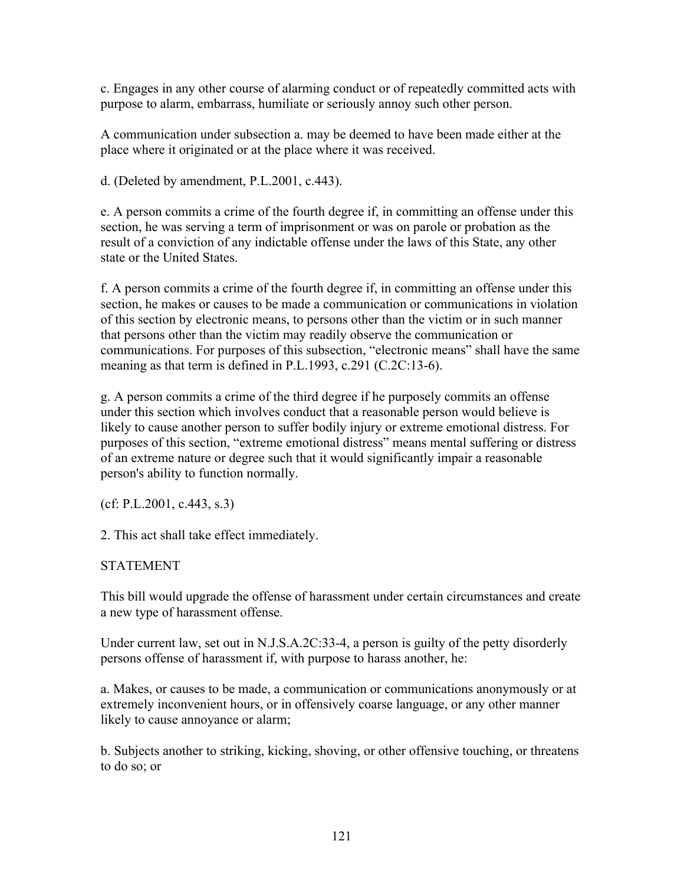c. Engages in any other course of alarming conduct or of repeatedly committed acts with purpose to alarm, embarrass, humiliate or seriously annoy such other person.

A communication under subsection a. may be deemed to have been made either at the place where it originated or at the place where it was received.

d. (Deleted by amendment, P.L.2001, c.443).

e. A person commits a crime of the fourth degree if, in committing an offense under this section, he was serving a term of imprisonment or was on parole or probation as the result of a conviction of any indictable offense under the laws of this State, any other state or the United States.

f. A person commits a crime of the fourth degree if, in committing an offense under this section, he makes or causes to be made a communication or communications in violation of this section by electronic means, to persons other than the victim or in such manner that persons other than the victim may readily observe the communication or communications. For purposes of this subsection, "electronic means" shall have the same meaning as that term is defined in P.L.1993, c.291 (C.2C:13-6).

g. A person commits a crime of the third degree if he purposely commits an offense under this section which involves conduct that a reasonable person would believe is likely to cause another person to suffer bodily injury or extreme emotional distress. For purposes of this section, "extreme emotional distress" means mental suffering or distress of an extreme nature or degree such that it would significantly impair a reasonable person's ability to function normally.

(cf: P.L.2001, c.443, s.3)

2. This act shall take effect immediately.

#### STATEMENT

This bill would upgrade the offense of harassment under certain circumstances and create a new type of harassment offense.

Under current law, set out in N.J.S.A.2C:33-4, a person is guilty of the petty disorderly persons offense of harassment if, with purpose to harass another, he:

a. Makes, or causes to be made, a communication or communications anonymously or at extremely inconvenient hours, or in offensively coarse language, or any other manner likely to cause annoyance or alarm;

b. Subjects another to striking, kicking, shoving, or other offensive touching, or threatens to do so; or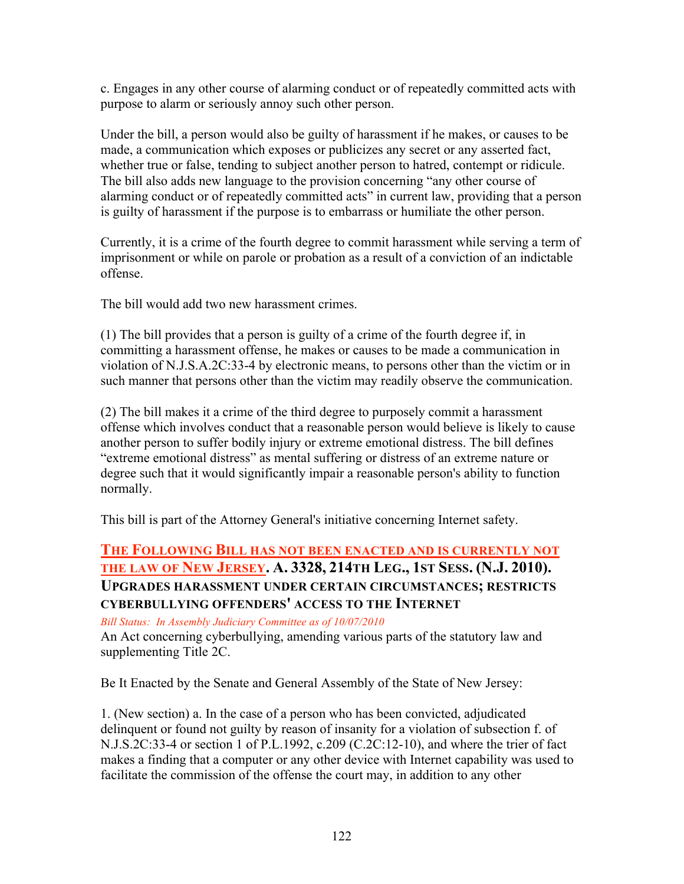c. Engages in any other course of alarming conduct or of repeatedly committed acts with purpose to alarm or seriously annoy such other person.

Under the bill, a person would also be guilty of harassment if he makes, or causes to be made, a communication which exposes or publicizes any secret or any asserted fact, whether true or false, tending to subject another person to hatred, contempt or ridicule. The bill also adds new language to the provision concerning "any other course of alarming conduct or of repeatedly committed acts" in current law, providing that a person is guilty of harassment if the purpose is to embarrass or humiliate the other person.

Currently, it is a crime of the fourth degree to commit harassment while serving a term of imprisonment or while on parole or probation as a result of a conviction of an indictable offense.

The bill would add two new harassment crimes.

(1) The bill provides that a person is guilty of a crime of the fourth degree if, in committing a harassment offense, he makes or causes to be made a communication in violation of N.J.S.A.2C:33-4 by electronic means, to persons other than the victim or in such manner that persons other than the victim may readily observe the communication.

(2) The bill makes it a crime of the third degree to purposely commit a harassment offense which involves conduct that a reasonable person would believe is likely to cause another person to suffer bodily injury or extreme emotional distress. The bill defines "extreme emotional distress" as mental suffering or distress of an extreme nature or degree such that it would significantly impair a reasonable person's ability to function normally.

This bill is part of the Attorney General's initiative concerning Internet safety.

## **THE FOLLOWING BILL HAS NOT BEEN ENACTED AND IS CURRENTLY NOT THE LAW OF NEW JERSEY. A. 3328, 214TH LEG., 1ST SESS. (N.J. 2010). UPGRADES HARASSMENT UNDER CERTAIN CIRCUMSTANCES; RESTRICTS CYBERBULLYING OFFENDERS' ACCESS TO THE INTERNET**

*Bill Status: In Assembly Judiciary Committee as of 10/07/2010*

An Act concerning cyberbullying, amending various parts of the statutory law and supplementing Title 2C.

Be It Enacted by the Senate and General Assembly of the State of New Jersey:

1. (New section) a. In the case of a person who has been convicted, adjudicated delinquent or found not guilty by reason of insanity for a violation of subsection f. of N.J.S.2C:33-4 or section 1 of P.L.1992, c.209 (C.2C:12-10), and where the trier of fact makes a finding that a computer or any other device with Internet capability was used to facilitate the commission of the offense the court may, in addition to any other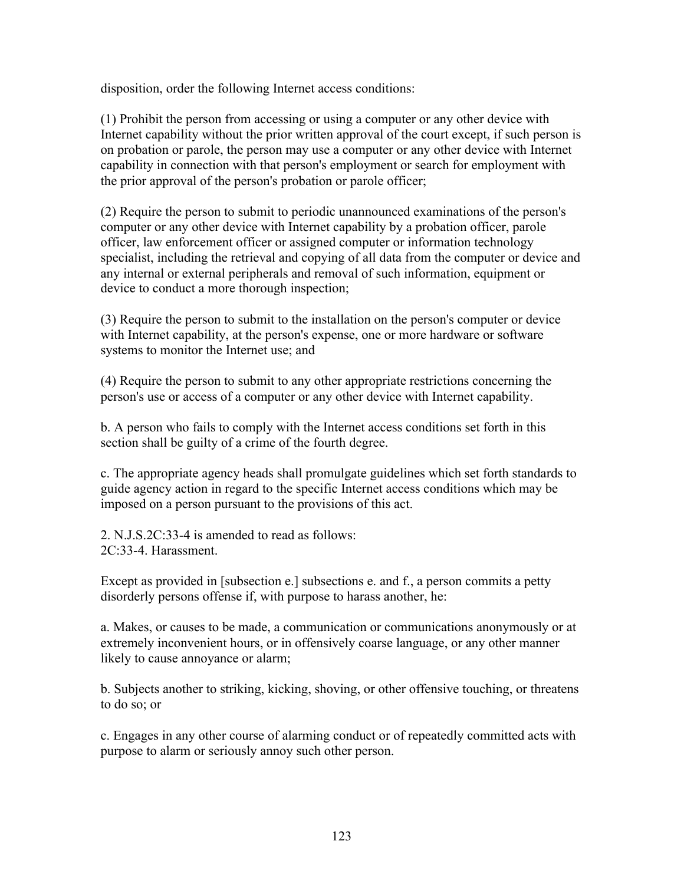disposition, order the following Internet access conditions:

(1) Prohibit the person from accessing or using a computer or any other device with Internet capability without the prior written approval of the court except, if such person is on probation or parole, the person may use a computer or any other device with Internet capability in connection with that person's employment or search for employment with the prior approval of the person's probation or parole officer;

(2) Require the person to submit to periodic unannounced examinations of the person's computer or any other device with Internet capability by a probation officer, parole officer, law enforcement officer or assigned computer or information technology specialist, including the retrieval and copying of all data from the computer or device and any internal or external peripherals and removal of such information, equipment or device to conduct a more thorough inspection;

(3) Require the person to submit to the installation on the person's computer or device with Internet capability, at the person's expense, one or more hardware or software systems to monitor the Internet use; and

(4) Require the person to submit to any other appropriate restrictions concerning the person's use or access of a computer or any other device with Internet capability.

b. A person who fails to comply with the Internet access conditions set forth in this section shall be guilty of a crime of the fourth degree.

c. The appropriate agency heads shall promulgate guidelines which set forth standards to guide agency action in regard to the specific Internet access conditions which may be imposed on a person pursuant to the provisions of this act.

2. N.J.S.2C:33-4 is amended to read as follows: 2C:33-4. Harassment.

Except as provided in [subsection e.] subsections e. and f., a person commits a petty disorderly persons offense if, with purpose to harass another, he:

a. Makes, or causes to be made, a communication or communications anonymously or at extremely inconvenient hours, or in offensively coarse language, or any other manner likely to cause annoyance or alarm;

b. Subjects another to striking, kicking, shoving, or other offensive touching, or threatens to do so; or

c. Engages in any other course of alarming conduct or of repeatedly committed acts with purpose to alarm or seriously annoy such other person.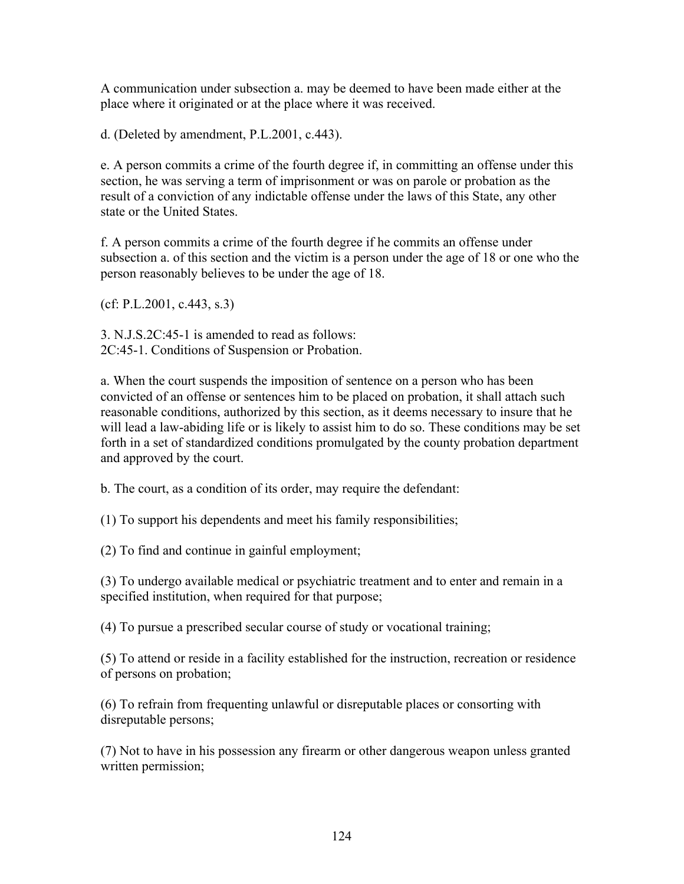A communication under subsection a. may be deemed to have been made either at the place where it originated or at the place where it was received.

d. (Deleted by amendment, P.L.2001, c.443).

e. A person commits a crime of the fourth degree if, in committing an offense under this section, he was serving a term of imprisonment or was on parole or probation as the result of a conviction of any indictable offense under the laws of this State, any other state or the United States.

f. A person commits a crime of the fourth degree if he commits an offense under subsection a. of this section and the victim is a person under the age of 18 or one who the person reasonably believes to be under the age of 18.

(cf: P.L.2001, c.443, s.3)

3. N.J.S.2C:45-1 is amended to read as follows: 2C:45-1. Conditions of Suspension or Probation.

a. When the court suspends the imposition of sentence on a person who has been convicted of an offense or sentences him to be placed on probation, it shall attach such reasonable conditions, authorized by this section, as it deems necessary to insure that he will lead a law-abiding life or is likely to assist him to do so. These conditions may be set forth in a set of standardized conditions promulgated by the county probation department and approved by the court.

b. The court, as a condition of its order, may require the defendant:

(1) To support his dependents and meet his family responsibilities;

(2) To find and continue in gainful employment;

(3) To undergo available medical or psychiatric treatment and to enter and remain in a specified institution, when required for that purpose;

(4) To pursue a prescribed secular course of study or vocational training;

(5) To attend or reside in a facility established for the instruction, recreation or residence of persons on probation;

(6) To refrain from frequenting unlawful or disreputable places or consorting with disreputable persons;

(7) Not to have in his possession any firearm or other dangerous weapon unless granted written permission;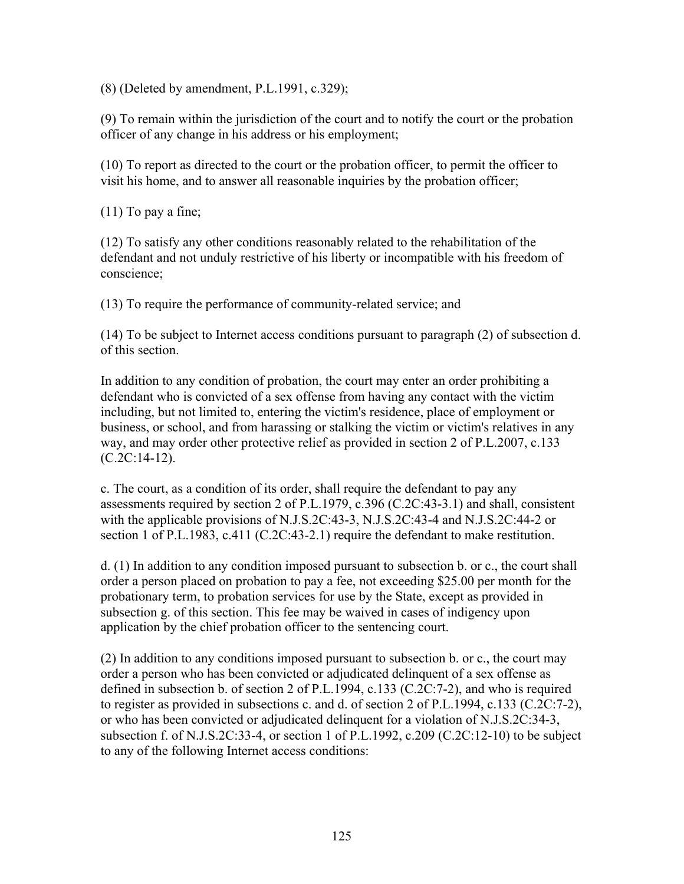(8) (Deleted by amendment, P.L.1991, c.329);

(9) To remain within the jurisdiction of the court and to notify the court or the probation officer of any change in his address or his employment;

(10) To report as directed to the court or the probation officer, to permit the officer to visit his home, and to answer all reasonable inquiries by the probation officer;

 $(11)$  To pay a fine;

(12) To satisfy any other conditions reasonably related to the rehabilitation of the defendant and not unduly restrictive of his liberty or incompatible with his freedom of conscience;

(13) To require the performance of community-related service; and

(14) To be subject to Internet access conditions pursuant to paragraph (2) of subsection d. of this section.

In addition to any condition of probation, the court may enter an order prohibiting a defendant who is convicted of a sex offense from having any contact with the victim including, but not limited to, entering the victim's residence, place of employment or business, or school, and from harassing or stalking the victim or victim's relatives in any way, and may order other protective relief as provided in section 2 of P.L.2007, c.133 (C.2C:14-12).

c. The court, as a condition of its order, shall require the defendant to pay any assessments required by section 2 of P.L.1979, c.396 (C.2C:43-3.1) and shall, consistent with the applicable provisions of N.J.S.2C:43-3, N.J.S.2C:43-4 and N.J.S.2C:44-2 or section 1 of P.L.1983, c.411 (C.2C:43-2.1) require the defendant to make restitution.

d. (1) In addition to any condition imposed pursuant to subsection b. or c., the court shall order a person placed on probation to pay a fee, not exceeding \$25.00 per month for the probationary term, to probation services for use by the State, except as provided in subsection g. of this section. This fee may be waived in cases of indigency upon application by the chief probation officer to the sentencing court.

(2) In addition to any conditions imposed pursuant to subsection b. or c., the court may order a person who has been convicted or adjudicated delinquent of a sex offense as defined in subsection b. of section 2 of P.L.1994, c.133 (C.2C:7-2), and who is required to register as provided in subsections c. and d. of section 2 of P.L.1994, c.133 (C.2C:7-2), or who has been convicted or adjudicated delinquent for a violation of N.J.S.2C:34-3, subsection f. of N.J.S.2C:33-4, or section 1 of P.L.1992, c.209 (C.2C:12-10) to be subject to any of the following Internet access conditions: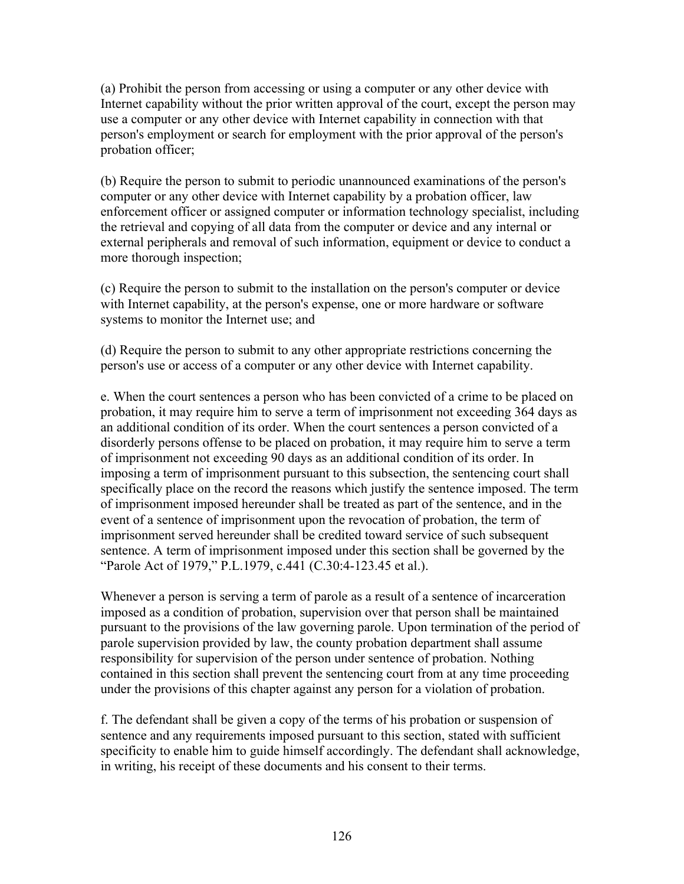(a) Prohibit the person from accessing or using a computer or any other device with Internet capability without the prior written approval of the court, except the person may use a computer or any other device with Internet capability in connection with that person's employment or search for employment with the prior approval of the person's probation officer;

(b) Require the person to submit to periodic unannounced examinations of the person's computer or any other device with Internet capability by a probation officer, law enforcement officer or assigned computer or information technology specialist, including the retrieval and copying of all data from the computer or device and any internal or external peripherals and removal of such information, equipment or device to conduct a more thorough inspection;

(c) Require the person to submit to the installation on the person's computer or device with Internet capability, at the person's expense, one or more hardware or software systems to monitor the Internet use; and

(d) Require the person to submit to any other appropriate restrictions concerning the person's use or access of a computer or any other device with Internet capability.

e. When the court sentences a person who has been convicted of a crime to be placed on probation, it may require him to serve a term of imprisonment not exceeding 364 days as an additional condition of its order. When the court sentences a person convicted of a disorderly persons offense to be placed on probation, it may require him to serve a term of imprisonment not exceeding 90 days as an additional condition of its order. In imposing a term of imprisonment pursuant to this subsection, the sentencing court shall specifically place on the record the reasons which justify the sentence imposed. The term of imprisonment imposed hereunder shall be treated as part of the sentence, and in the event of a sentence of imprisonment upon the revocation of probation, the term of imprisonment served hereunder shall be credited toward service of such subsequent sentence. A term of imprisonment imposed under this section shall be governed by the "Parole Act of 1979," P.L.1979, c.441 (C.30:4-123.45 et al.).

Whenever a person is serving a term of parole as a result of a sentence of incarceration imposed as a condition of probation, supervision over that person shall be maintained pursuant to the provisions of the law governing parole. Upon termination of the period of parole supervision provided by law, the county probation department shall assume responsibility for supervision of the person under sentence of probation. Nothing contained in this section shall prevent the sentencing court from at any time proceeding under the provisions of this chapter against any person for a violation of probation.

f. The defendant shall be given a copy of the terms of his probation or suspension of sentence and any requirements imposed pursuant to this section, stated with sufficient specificity to enable him to guide himself accordingly. The defendant shall acknowledge, in writing, his receipt of these documents and his consent to their terms.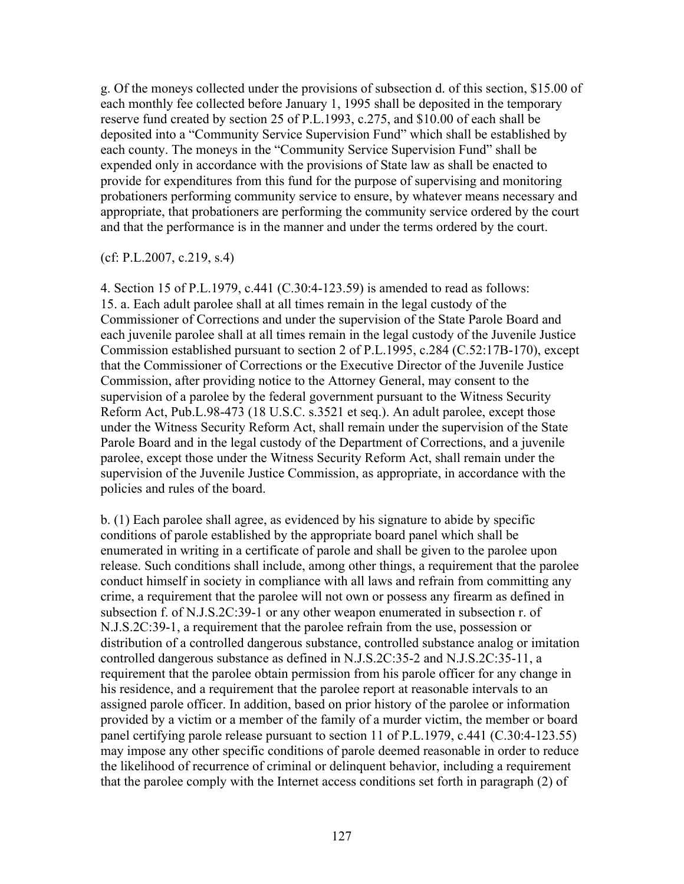g. Of the moneys collected under the provisions of subsection d. of this section, \$15.00 of each monthly fee collected before January 1, 1995 shall be deposited in the temporary reserve fund created by section 25 of P.L.1993, c.275, and \$10.00 of each shall be deposited into a "Community Service Supervision Fund" which shall be established by each county. The moneys in the "Community Service Supervision Fund" shall be expended only in accordance with the provisions of State law as shall be enacted to provide for expenditures from this fund for the purpose of supervising and monitoring probationers performing community service to ensure, by whatever means necessary and appropriate, that probationers are performing the community service ordered by the court and that the performance is in the manner and under the terms ordered by the court.

#### (cf: P.L.2007, c.219, s.4)

4. Section 15 of P.L.1979, c.441 (C.30:4-123.59) is amended to read as follows: 15. a. Each adult parolee shall at all times remain in the legal custody of the Commissioner of Corrections and under the supervision of the State Parole Board and each juvenile parolee shall at all times remain in the legal custody of the Juvenile Justice Commission established pursuant to section 2 of P.L.1995, c.284 (C.52:17B-170), except that the Commissioner of Corrections or the Executive Director of the Juvenile Justice Commission, after providing notice to the Attorney General, may consent to the supervision of a parolee by the federal government pursuant to the Witness Security Reform Act, Pub.L.98-473 (18 U.S.C. s.3521 et seq.). An adult parolee, except those under the Witness Security Reform Act, shall remain under the supervision of the State Parole Board and in the legal custody of the Department of Corrections, and a juvenile parolee, except those under the Witness Security Reform Act, shall remain under the supervision of the Juvenile Justice Commission, as appropriate, in accordance with the policies and rules of the board.

b. (1) Each parolee shall agree, as evidenced by his signature to abide by specific conditions of parole established by the appropriate board panel which shall be enumerated in writing in a certificate of parole and shall be given to the parolee upon release. Such conditions shall include, among other things, a requirement that the parolee conduct himself in society in compliance with all laws and refrain from committing any crime, a requirement that the parolee will not own or possess any firearm as defined in subsection f. of N.J.S.2C:39-1 or any other weapon enumerated in subsection r. of N.J.S.2C:39-1, a requirement that the parolee refrain from the use, possession or distribution of a controlled dangerous substance, controlled substance analog or imitation controlled dangerous substance as defined in N.J.S.2C:35-2 and N.J.S.2C:35-11, a requirement that the parolee obtain permission from his parole officer for any change in his residence, and a requirement that the parolee report at reasonable intervals to an assigned parole officer. In addition, based on prior history of the parolee or information provided by a victim or a member of the family of a murder victim, the member or board panel certifying parole release pursuant to section 11 of P.L.1979, c.441 (C.30:4-123.55) may impose any other specific conditions of parole deemed reasonable in order to reduce the likelihood of recurrence of criminal or delinquent behavior, including a requirement that the parolee comply with the Internet access conditions set forth in paragraph (2) of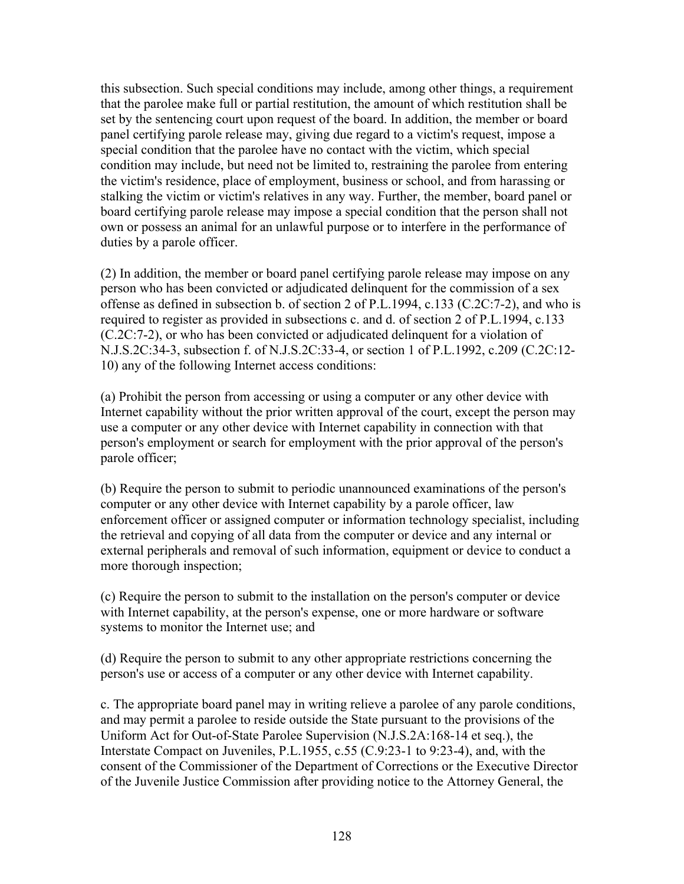this subsection. Such special conditions may include, among other things, a requirement that the parolee make full or partial restitution, the amount of which restitution shall be set by the sentencing court upon request of the board. In addition, the member or board panel certifying parole release may, giving due regard to a victim's request, impose a special condition that the parolee have no contact with the victim, which special condition may include, but need not be limited to, restraining the parolee from entering the victim's residence, place of employment, business or school, and from harassing or stalking the victim or victim's relatives in any way. Further, the member, board panel or board certifying parole release may impose a special condition that the person shall not own or possess an animal for an unlawful purpose or to interfere in the performance of duties by a parole officer.

(2) In addition, the member or board panel certifying parole release may impose on any person who has been convicted or adjudicated delinquent for the commission of a sex offense as defined in subsection b. of section 2 of P.L.1994, c.133 (C.2C:7-2), and who is required to register as provided in subsections c. and d. of section 2 of P.L.1994, c.133 (C.2C:7-2), or who has been convicted or adjudicated delinquent for a violation of N.J.S.2C:34-3, subsection f. of N.J.S.2C:33-4, or section 1 of P.L.1992, c.209 (C.2C:12- 10) any of the following Internet access conditions:

(a) Prohibit the person from accessing or using a computer or any other device with Internet capability without the prior written approval of the court, except the person may use a computer or any other device with Internet capability in connection with that person's employment or search for employment with the prior approval of the person's parole officer;

(b) Require the person to submit to periodic unannounced examinations of the person's computer or any other device with Internet capability by a parole officer, law enforcement officer or assigned computer or information technology specialist, including the retrieval and copying of all data from the computer or device and any internal or external peripherals and removal of such information, equipment or device to conduct a more thorough inspection;

(c) Require the person to submit to the installation on the person's computer or device with Internet capability, at the person's expense, one or more hardware or software systems to monitor the Internet use; and

(d) Require the person to submit to any other appropriate restrictions concerning the person's use or access of a computer or any other device with Internet capability.

c. The appropriate board panel may in writing relieve a parolee of any parole conditions, and may permit a parolee to reside outside the State pursuant to the provisions of the Uniform Act for Out-of-State Parolee Supervision (N.J.S.2A:168-14 et seq.), the Interstate Compact on Juveniles, P.L.1955, c.55 (C.9:23-1 to 9:23-4), and, with the consent of the Commissioner of the Department of Corrections or the Executive Director of the Juvenile Justice Commission after providing notice to the Attorney General, the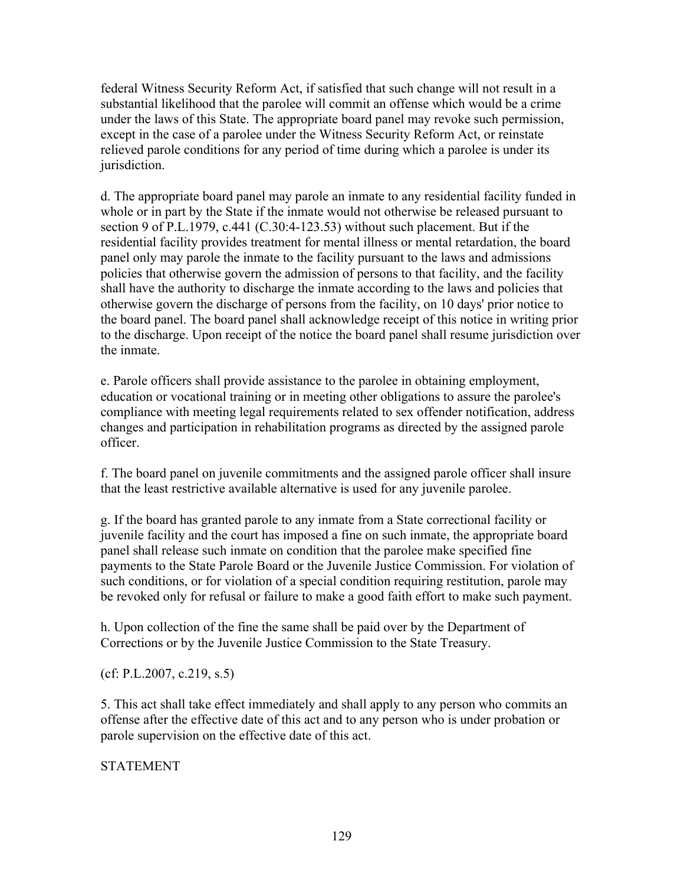federal Witness Security Reform Act, if satisfied that such change will not result in a substantial likelihood that the parolee will commit an offense which would be a crime under the laws of this State. The appropriate board panel may revoke such permission, except in the case of a parolee under the Witness Security Reform Act, or reinstate relieved parole conditions for any period of time during which a parolee is under its jurisdiction.

d. The appropriate board panel may parole an inmate to any residential facility funded in whole or in part by the State if the inmate would not otherwise be released pursuant to section 9 of P.L.1979, c.441 (C.30:4-123.53) without such placement. But if the residential facility provides treatment for mental illness or mental retardation, the board panel only may parole the inmate to the facility pursuant to the laws and admissions policies that otherwise govern the admission of persons to that facility, and the facility shall have the authority to discharge the inmate according to the laws and policies that otherwise govern the discharge of persons from the facility, on 10 days' prior notice to the board panel. The board panel shall acknowledge receipt of this notice in writing prior to the discharge. Upon receipt of the notice the board panel shall resume jurisdiction over the inmate.

e. Parole officers shall provide assistance to the parolee in obtaining employment, education or vocational training or in meeting other obligations to assure the parolee's compliance with meeting legal requirements related to sex offender notification, address changes and participation in rehabilitation programs as directed by the assigned parole officer.

f. The board panel on juvenile commitments and the assigned parole officer shall insure that the least restrictive available alternative is used for any juvenile parolee.

g. If the board has granted parole to any inmate from a State correctional facility or juvenile facility and the court has imposed a fine on such inmate, the appropriate board panel shall release such inmate on condition that the parolee make specified fine payments to the State Parole Board or the Juvenile Justice Commission. For violation of such conditions, or for violation of a special condition requiring restitution, parole may be revoked only for refusal or failure to make a good faith effort to make such payment.

h. Upon collection of the fine the same shall be paid over by the Department of Corrections or by the Juvenile Justice Commission to the State Treasury.

(cf: P.L.2007, c.219, s.5)

5. This act shall take effect immediately and shall apply to any person who commits an offense after the effective date of this act and to any person who is under probation or parole supervision on the effective date of this act.

#### STATEMENT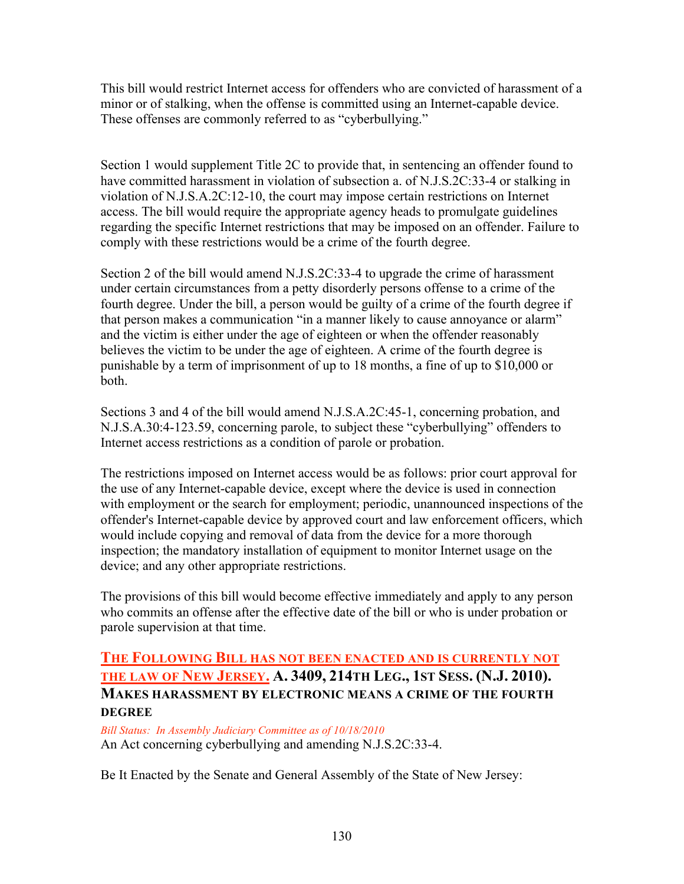This bill would restrict Internet access for offenders who are convicted of harassment of a minor or of stalking, when the offense is committed using an Internet-capable device. These offenses are commonly referred to as "cyberbullying."

Section 1 would supplement Title 2C to provide that, in sentencing an offender found to have committed harassment in violation of subsection a. of N.J.S.2C:33-4 or stalking in violation of N.J.S.A.2C:12-10, the court may impose certain restrictions on Internet access. The bill would require the appropriate agency heads to promulgate guidelines regarding the specific Internet restrictions that may be imposed on an offender. Failure to comply with these restrictions would be a crime of the fourth degree.

Section 2 of the bill would amend N.J.S.2C:33-4 to upgrade the crime of harassment under certain circumstances from a petty disorderly persons offense to a crime of the fourth degree. Under the bill, a person would be guilty of a crime of the fourth degree if that person makes a communication "in a manner likely to cause annoyance or alarm" and the victim is either under the age of eighteen or when the offender reasonably believes the victim to be under the age of eighteen. A crime of the fourth degree is punishable by a term of imprisonment of up to 18 months, a fine of up to \$10,000 or both.

Sections 3 and 4 of the bill would amend N.J.S.A.2C:45-1, concerning probation, and N.J.S.A.30:4-123.59, concerning parole, to subject these "cyberbullying" offenders to Internet access restrictions as a condition of parole or probation.

The restrictions imposed on Internet access would be as follows: prior court approval for the use of any Internet-capable device, except where the device is used in connection with employment or the search for employment; periodic, unannounced inspections of the offender's Internet-capable device by approved court and law enforcement officers, which would include copying and removal of data from the device for a more thorough inspection; the mandatory installation of equipment to monitor Internet usage on the device; and any other appropriate restrictions.

The provisions of this bill would become effective immediately and apply to any person who commits an offense after the effective date of the bill or who is under probation or parole supervision at that time.

## **THE FOLLOWING BILL HAS NOT BEEN ENACTED AND IS CURRENTLY NOT THE LAW OF NEW JERSEY. A. 3409, 214TH LEG., 1ST SESS. (N.J. 2010). MAKES HARASSMENT BY ELECTRONIC MEANS A CRIME OF THE FOURTH DEGREE**

*Bill Status: In Assembly Judiciary Committee as of 10/18/2010* An Act concerning cyberbullying and amending N.J.S.2C:33-4.

Be It Enacted by the Senate and General Assembly of the State of New Jersey: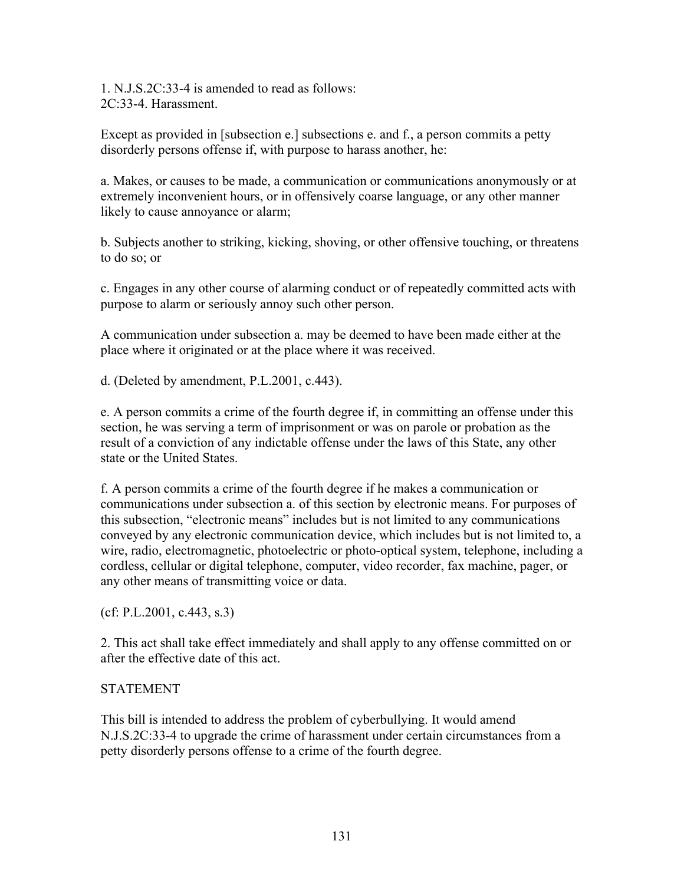1. N.J.S.2C:33-4 is amended to read as follows: 2C:33-4. Harassment.

Except as provided in [subsection e.] subsections e. and f., a person commits a petty disorderly persons offense if, with purpose to harass another, he:

a. Makes, or causes to be made, a communication or communications anonymously or at extremely inconvenient hours, or in offensively coarse language, or any other manner likely to cause annoyance or alarm;

b. Subjects another to striking, kicking, shoving, or other offensive touching, or threatens to do so; or

c. Engages in any other course of alarming conduct or of repeatedly committed acts with purpose to alarm or seriously annoy such other person.

A communication under subsection a. may be deemed to have been made either at the place where it originated or at the place where it was received.

d. (Deleted by amendment, P.L.2001, c.443).

e. A person commits a crime of the fourth degree if, in committing an offense under this section, he was serving a term of imprisonment or was on parole or probation as the result of a conviction of any indictable offense under the laws of this State, any other state or the United States.

f. A person commits a crime of the fourth degree if he makes a communication or communications under subsection a. of this section by electronic means. For purposes of this subsection, "electronic means" includes but is not limited to any communications conveyed by any electronic communication device, which includes but is not limited to, a wire, radio, electromagnetic, photoelectric or photo-optical system, telephone, including a cordless, cellular or digital telephone, computer, video recorder, fax machine, pager, or any other means of transmitting voice or data.

(cf: P.L.2001, c.443, s.3)

2. This act shall take effect immediately and shall apply to any offense committed on or after the effective date of this act.

#### STATEMENT

This bill is intended to address the problem of cyberbullying. It would amend N.J.S.2C:33-4 to upgrade the crime of harassment under certain circumstances from a petty disorderly persons offense to a crime of the fourth degree.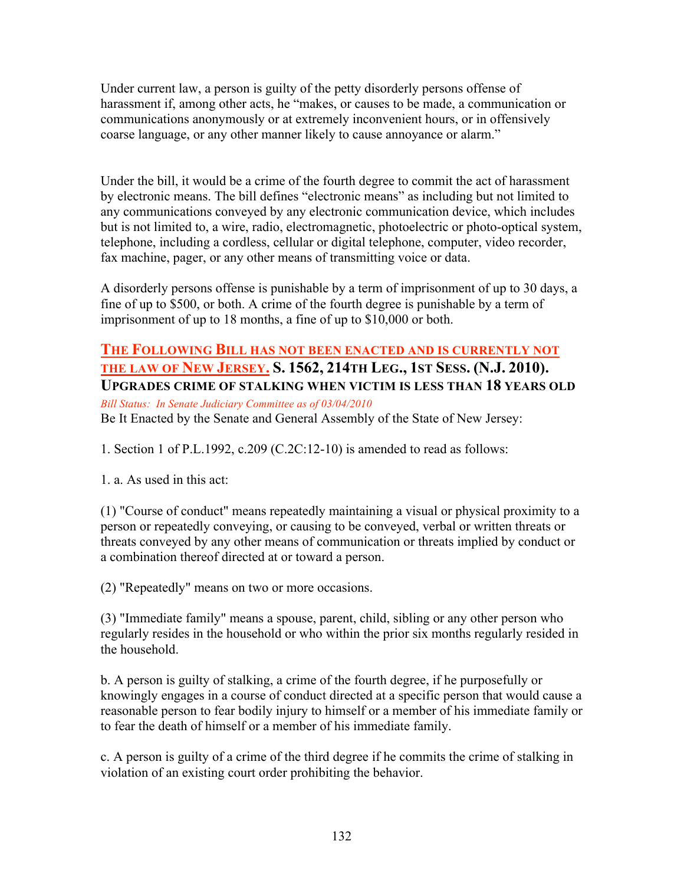Under current law, a person is guilty of the petty disorderly persons offense of harassment if, among other acts, he "makes, or causes to be made, a communication or communications anonymously or at extremely inconvenient hours, or in offensively coarse language, or any other manner likely to cause annoyance or alarm."

Under the bill, it would be a crime of the fourth degree to commit the act of harassment by electronic means. The bill defines "electronic means" as including but not limited to any communications conveyed by any electronic communication device, which includes but is not limited to, a wire, radio, electromagnetic, photoelectric or photo-optical system, telephone, including a cordless, cellular or digital telephone, computer, video recorder, fax machine, pager, or any other means of transmitting voice or data.

A disorderly persons offense is punishable by a term of imprisonment of up to 30 days, a fine of up to \$500, or both. A crime of the fourth degree is punishable by a term of imprisonment of up to 18 months, a fine of up to \$10,000 or both.

## **THE FOLLOWING BILL HAS NOT BEEN ENACTED AND IS CURRENTLY NOT THE LAW OF NEW JERSEY. S. 1562, 214TH LEG., 1ST SESS. (N.J. 2010). UPGRADES CRIME OF STALKING WHEN VICTIM IS LESS THAN 18 YEARS OLD**

*Bill Status: In Senate Judiciary Committee as of 03/04/2010* Be It Enacted by the Senate and General Assembly of the State of New Jersey:

1. Section 1 of P.L.1992, c.209 (C.2C:12-10) is amended to read as follows:

1. a. As used in this act:

(1) "Course of conduct" means repeatedly maintaining a visual or physical proximity to a person or repeatedly conveying, or causing to be conveyed, verbal or written threats or threats conveyed by any other means of communication or threats implied by conduct or a combination thereof directed at or toward a person.

(2) "Repeatedly" means on two or more occasions.

(3) "Immediate family" means a spouse, parent, child, sibling or any other person who regularly resides in the household or who within the prior six months regularly resided in the household.

b. A person is guilty of stalking, a crime of the fourth degree, if he purposefully or knowingly engages in a course of conduct directed at a specific person that would cause a reasonable person to fear bodily injury to himself or a member of his immediate family or to fear the death of himself or a member of his immediate family.

c. A person is guilty of a crime of the third degree if he commits the crime of stalking in violation of an existing court order prohibiting the behavior.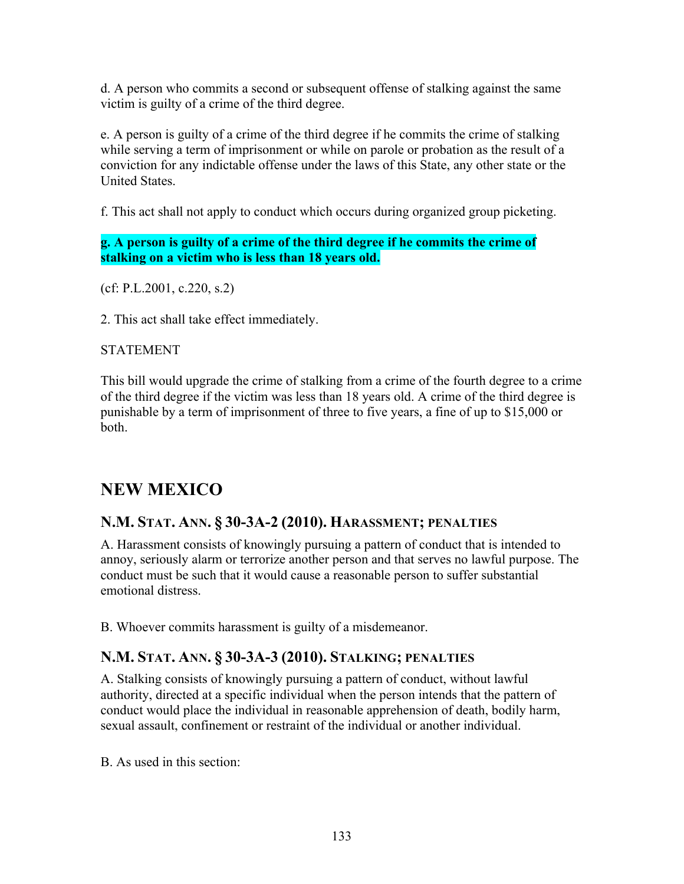d. A person who commits a second or subsequent offense of stalking against the same victim is guilty of a crime of the third degree.

e. A person is guilty of a crime of the third degree if he commits the crime of stalking while serving a term of imprisonment or while on parole or probation as the result of a conviction for any indictable offense under the laws of this State, any other state or the United States.

f. This act shall not apply to conduct which occurs during organized group picketing.

#### **g. A person is guilty of a crime of the third degree if he commits the crime of stalking on a victim who is less than 18 years old.**

(cf: P.L.2001, c.220, s.2)

2. This act shall take effect immediately.

#### STATEMENT

This bill would upgrade the crime of stalking from a crime of the fourth degree to a crime of the third degree if the victim was less than 18 years old. A crime of the third degree is punishable by a term of imprisonment of three to five years, a fine of up to \$15,000 or both.

# **NEW MEXICO**

## **N.M. STAT. ANN. § 30-3A-2 (2010). HARASSMENT; PENALTIES**

A. Harassment consists of knowingly pursuing a pattern of conduct that is intended to annoy, seriously alarm or terrorize another person and that serves no lawful purpose. The conduct must be such that it would cause a reasonable person to suffer substantial emotional distress.

B. Whoever commits harassment is guilty of a misdemeanor.

## **N.M. STAT. ANN. § 30-3A-3 (2010). STALKING; PENALTIES**

A. Stalking consists of knowingly pursuing a pattern of conduct, without lawful authority, directed at a specific individual when the person intends that the pattern of conduct would place the individual in reasonable apprehension of death, bodily harm, sexual assault, confinement or restraint of the individual or another individual.

B. As used in this section: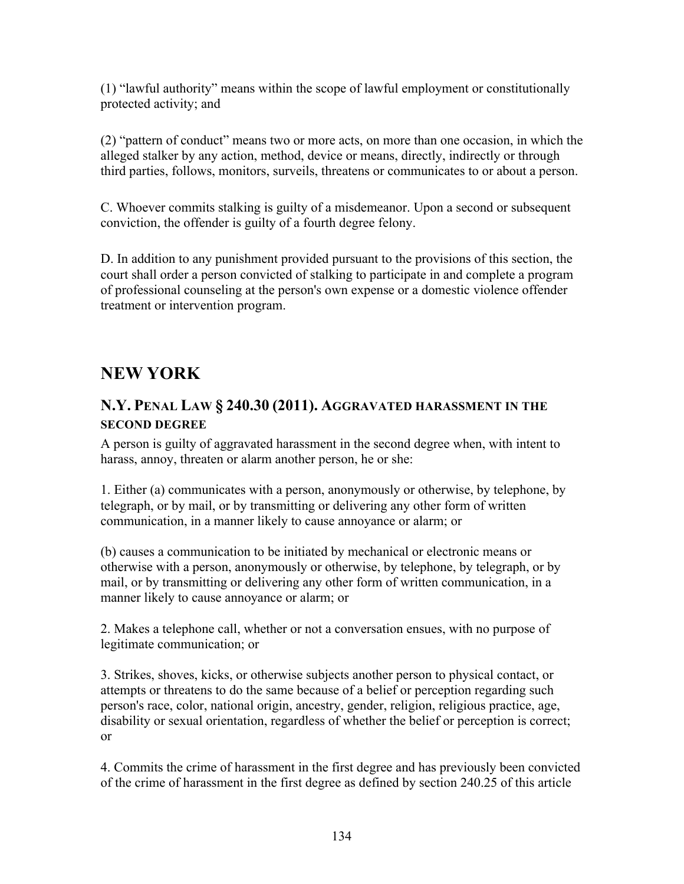(1) "lawful authority" means within the scope of lawful employment or constitutionally protected activity; and

(2) "pattern of conduct" means two or more acts, on more than one occasion, in which the alleged stalker by any action, method, device or means, directly, indirectly or through third parties, follows, monitors, surveils, threatens or communicates to or about a person.

C. Whoever commits stalking is guilty of a misdemeanor. Upon a second or subsequent conviction, the offender is guilty of a fourth degree felony.

D. In addition to any punishment provided pursuant to the provisions of this section, the court shall order a person convicted of stalking to participate in and complete a program of professional counseling at the person's own expense or a domestic violence offender treatment or intervention program.

# **NEW YORK**

#### **N.Y. PENAL LAW § 240.30 (2011). AGGRAVATED HARASSMENT IN THE SECOND DEGREE**

A person is guilty of aggravated harassment in the second degree when, with intent to harass, annoy, threaten or alarm another person, he or she:

1. Either (a) communicates with a person, anonymously or otherwise, by telephone, by telegraph, or by mail, or by transmitting or delivering any other form of written communication, in a manner likely to cause annoyance or alarm; or

(b) causes a communication to be initiated by mechanical or electronic means or otherwise with a person, anonymously or otherwise, by telephone, by telegraph, or by mail, or by transmitting or delivering any other form of written communication, in a manner likely to cause annoyance or alarm; or

2. Makes a telephone call, whether or not a conversation ensues, with no purpose of legitimate communication; or

3. Strikes, shoves, kicks, or otherwise subjects another person to physical contact, or attempts or threatens to do the same because of a belief or perception regarding such person's race, color, national origin, ancestry, gender, religion, religious practice, age, disability or sexual orientation, regardless of whether the belief or perception is correct; or

4. Commits the crime of harassment in the first degree and has previously been convicted of the crime of harassment in the first degree as defined by section 240.25 of this article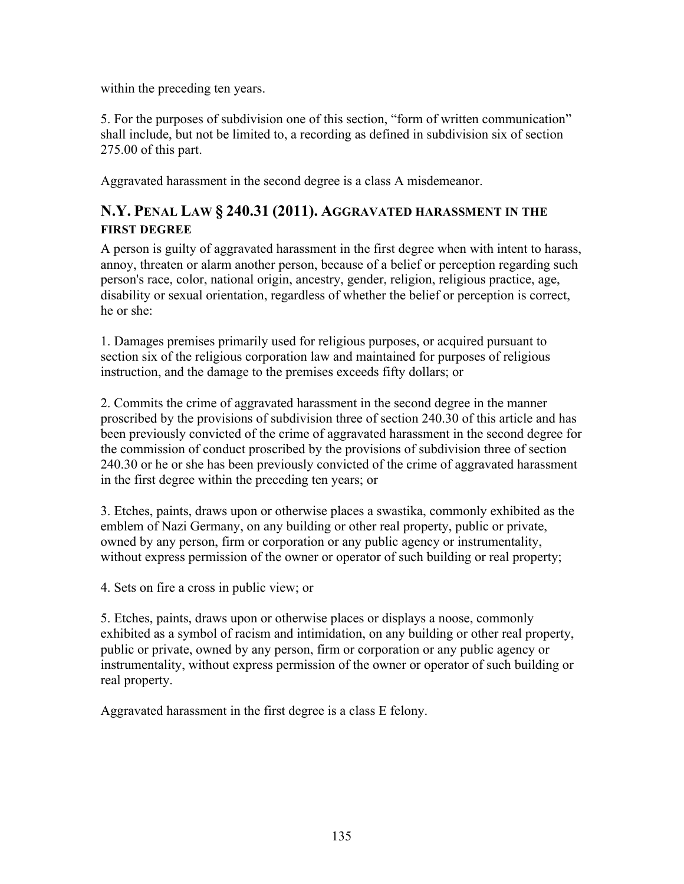within the preceding ten years.

5. For the purposes of subdivision one of this section, "form of written communication" shall include, but not be limited to, a recording as defined in subdivision six of section 275.00 of this part.

Aggravated harassment in the second degree is a class A misdemeanor.

#### **N.Y. PENAL LAW § 240.31 (2011). AGGRAVATED HARASSMENT IN THE FIRST DEGREE**

A person is guilty of aggravated harassment in the first degree when with intent to harass, annoy, threaten or alarm another person, because of a belief or perception regarding such person's race, color, national origin, ancestry, gender, religion, religious practice, age, disability or sexual orientation, regardless of whether the belief or perception is correct, he or she:

1. Damages premises primarily used for religious purposes, or acquired pursuant to section six of the religious corporation law and maintained for purposes of religious instruction, and the damage to the premises exceeds fifty dollars; or

2. Commits the crime of aggravated harassment in the second degree in the manner proscribed by the provisions of subdivision three of section 240.30 of this article and has been previously convicted of the crime of aggravated harassment in the second degree for the commission of conduct proscribed by the provisions of subdivision three of section 240.30 or he or she has been previously convicted of the crime of aggravated harassment in the first degree within the preceding ten years; or

3. Etches, paints, draws upon or otherwise places a swastika, commonly exhibited as the emblem of Nazi Germany, on any building or other real property, public or private, owned by any person, firm or corporation or any public agency or instrumentality, without express permission of the owner or operator of such building or real property;

4. Sets on fire a cross in public view; or

5. Etches, paints, draws upon or otherwise places or displays a noose, commonly exhibited as a symbol of racism and intimidation, on any building or other real property, public or private, owned by any person, firm or corporation or any public agency or instrumentality, without express permission of the owner or operator of such building or real property.

Aggravated harassment in the first degree is a class E felony.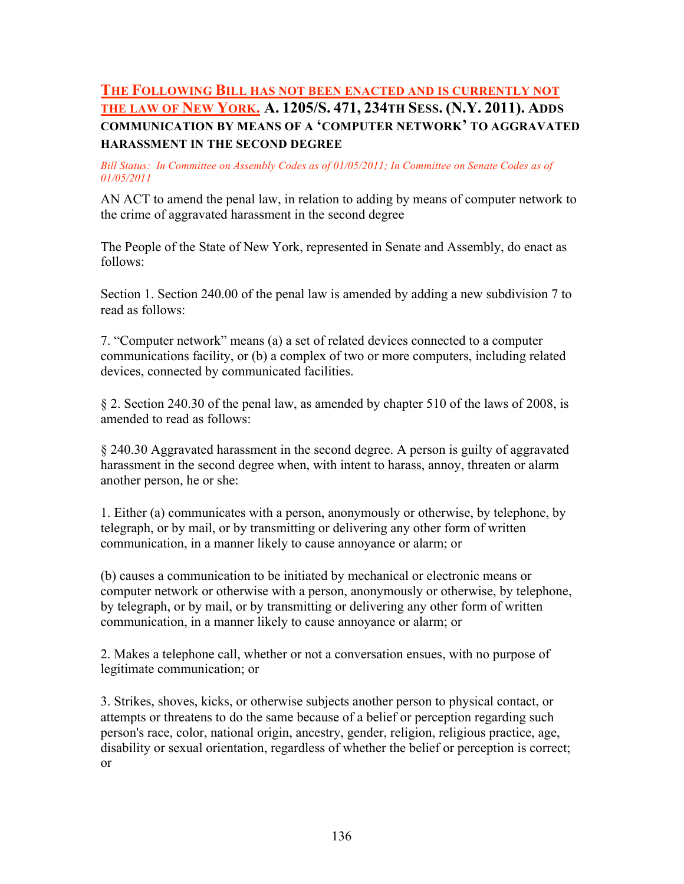## **THE FOLLOWING BILL HAS NOT BEEN ENACTED AND IS CURRENTLY NOT THE LAW OF NEW YORK. A. 1205/S. 471, 234TH SESS. (N.Y. 2011). ADDS COMMUNICATION BY MEANS OF A 'COMPUTER NETWORK' TO AGGRAVATED HARASSMENT IN THE SECOND DEGREE**

*Bill Status: In Committee on Assembly Codes as of 01/05/2011; In Committee on Senate Codes as of 01/05/2011*

AN ACT to amend the penal law, in relation to adding by means of computer network to the crime of aggravated harassment in the second degree

The People of the State of New York, represented in Senate and Assembly, do enact as follows:

Section 1. Section 240.00 of the penal law is amended by adding a new subdivision 7 to read as follows:

7. "Computer network" means (a) a set of related devices connected to a computer communications facility, or (b) a complex of two or more computers, including related devices, connected by communicated facilities.

§ 2. Section 240.30 of the penal law, as amended by chapter 510 of the laws of 2008, is amended to read as follows:

§ 240.30 Aggravated harassment in the second degree. A person is guilty of aggravated harassment in the second degree when, with intent to harass, annoy, threaten or alarm another person, he or she:

1. Either (a) communicates with a person, anonymously or otherwise, by telephone, by telegraph, or by mail, or by transmitting or delivering any other form of written communication, in a manner likely to cause annoyance or alarm; or

(b) causes a communication to be initiated by mechanical or electronic means or computer network or otherwise with a person, anonymously or otherwise, by telephone, by telegraph, or by mail, or by transmitting or delivering any other form of written communication, in a manner likely to cause annoyance or alarm; or

2. Makes a telephone call, whether or not a conversation ensues, with no purpose of legitimate communication; or

3. Strikes, shoves, kicks, or otherwise subjects another person to physical contact, or attempts or threatens to do the same because of a belief or perception regarding such person's race, color, national origin, ancestry, gender, religion, religious practice, age, disability or sexual orientation, regardless of whether the belief or perception is correct; or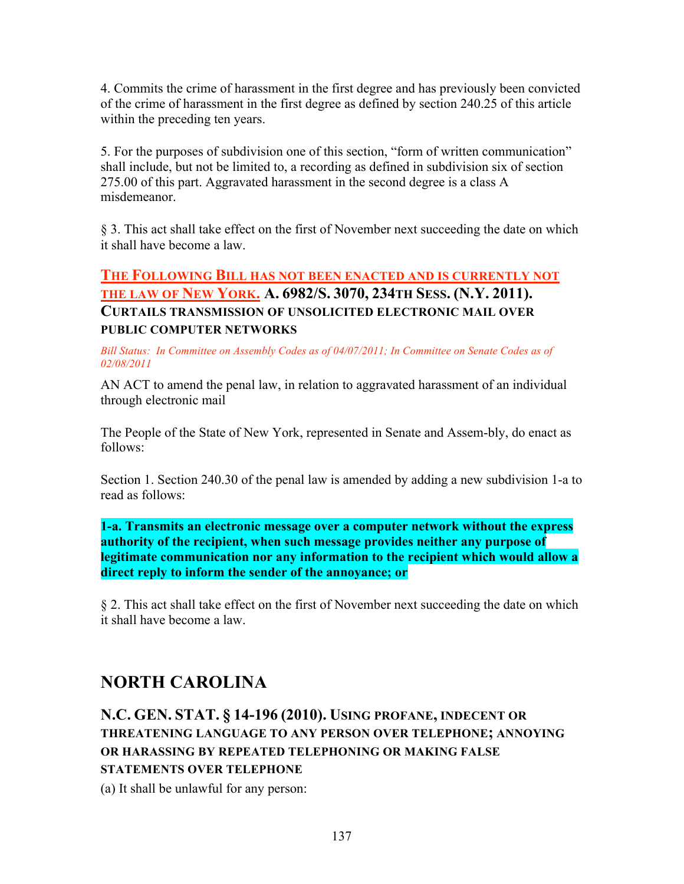4. Commits the crime of harassment in the first degree and has previously been convicted of the crime of harassment in the first degree as defined by section 240.25 of this article within the preceding ten years.

5. For the purposes of subdivision one of this section, "form of written communication" shall include, but not be limited to, a recording as defined in subdivision six of section 275.00 of this part. Aggravated harassment in the second degree is a class A misdemeanor.

§ 3. This act shall take effect on the first of November next succeeding the date on which it shall have become a law.

#### **THE FOLLOWING BILL HAS NOT BEEN ENACTED AND IS CURRENTLY NOT THE LAW OF NEW YORK. A. 6982/S. 3070, 234TH SESS. (N.Y. 2011). CURTAILS TRANSMISSION OF UNSOLICITED ELECTRONIC MAIL OVER PUBLIC COMPUTER NETWORKS**

*Bill Status: In Committee on Assembly Codes as of 04/07/2011; In Committee on Senate Codes as of 02/08/2011*

AN ACT to amend the penal law, in relation to aggravated harassment of an individual through electronic mail

The People of the State of New York, represented in Senate and Assem-bly, do enact as follows:

Section 1. Section 240.30 of the penal law is amended by adding a new subdivision 1-a to read as follows:

**1-a. Transmits an electronic message over a computer network without the express authority of the recipient, when such message provides neither any purpose of legitimate communication nor any information to the recipient which would allow a direct reply to inform the sender of the annoyance; or**

§ 2. This act shall take effect on the first of November next succeeding the date on which it shall have become a law.

# **NORTH CAROLINA**

## **N.C. GEN. STAT. § 14-196 (2010). USING PROFANE, INDECENT OR THREATENING LANGUAGE TO ANY PERSON OVER TELEPHONE; ANNOYING OR HARASSING BY REPEATED TELEPHONING OR MAKING FALSE STATEMENTS OVER TELEPHONE**

(a) It shall be unlawful for any person: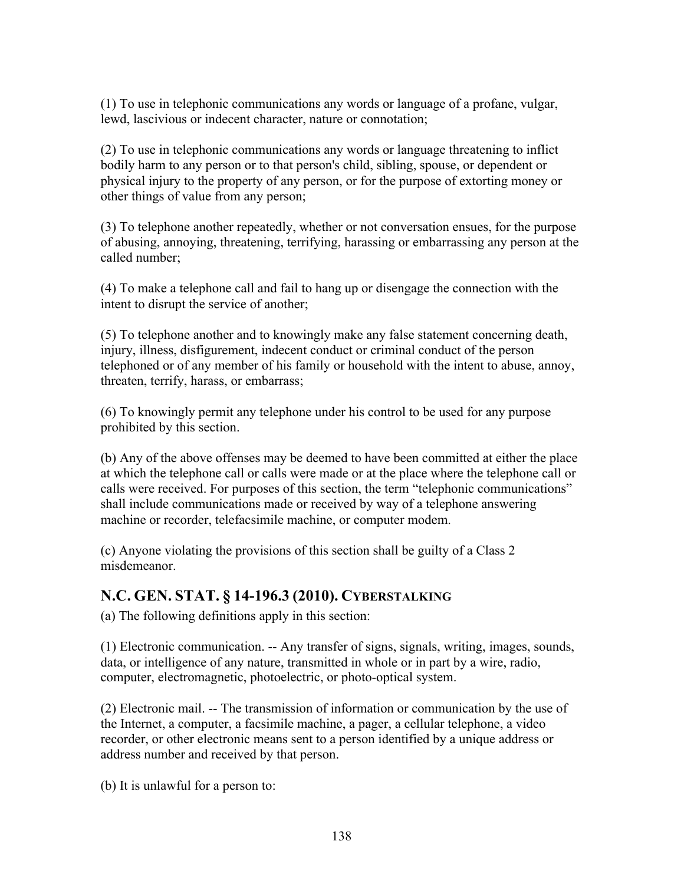(1) To use in telephonic communications any words or language of a profane, vulgar, lewd, lascivious or indecent character, nature or connotation;

(2) To use in telephonic communications any words or language threatening to inflict bodily harm to any person or to that person's child, sibling, spouse, or dependent or physical injury to the property of any person, or for the purpose of extorting money or other things of value from any person;

(3) To telephone another repeatedly, whether or not conversation ensues, for the purpose of abusing, annoying, threatening, terrifying, harassing or embarrassing any person at the called number;

(4) To make a telephone call and fail to hang up or disengage the connection with the intent to disrupt the service of another;

(5) To telephone another and to knowingly make any false statement concerning death, injury, illness, disfigurement, indecent conduct or criminal conduct of the person telephoned or of any member of his family or household with the intent to abuse, annoy, threaten, terrify, harass, or embarrass;

(6) To knowingly permit any telephone under his control to be used for any purpose prohibited by this section.

(b) Any of the above offenses may be deemed to have been committed at either the place at which the telephone call or calls were made or at the place where the telephone call or calls were received. For purposes of this section, the term "telephonic communications" shall include communications made or received by way of a telephone answering machine or recorder, telefacsimile machine, or computer modem.

(c) Anyone violating the provisions of this section shall be guilty of a Class 2 misdemeanor.

## **N.C. GEN. STAT. § 14-196.3 (2010). CYBERSTALKING**

(a) The following definitions apply in this section:

(1) Electronic communication. -- Any transfer of signs, signals, writing, images, sounds, data, or intelligence of any nature, transmitted in whole or in part by a wire, radio, computer, electromagnetic, photoelectric, or photo-optical system.

(2) Electronic mail. -- The transmission of information or communication by the use of the Internet, a computer, a facsimile machine, a pager, a cellular telephone, a video recorder, or other electronic means sent to a person identified by a unique address or address number and received by that person.

(b) It is unlawful for a person to: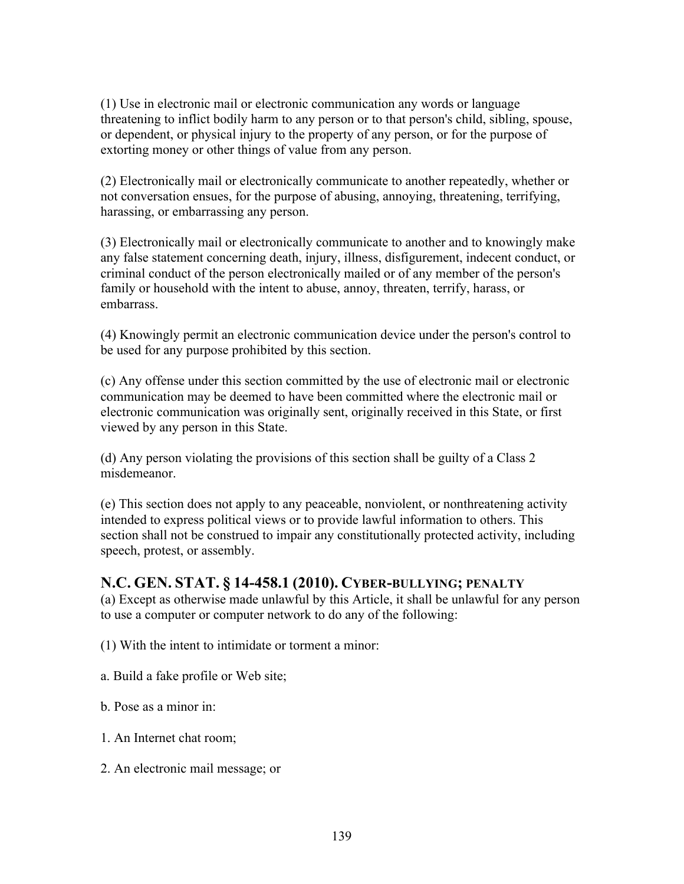(1) Use in electronic mail or electronic communication any words or language threatening to inflict bodily harm to any person or to that person's child, sibling, spouse, or dependent, or physical injury to the property of any person, or for the purpose of extorting money or other things of value from any person.

(2) Electronically mail or electronically communicate to another repeatedly, whether or not conversation ensues, for the purpose of abusing, annoying, threatening, terrifying, harassing, or embarrassing any person.

(3) Electronically mail or electronically communicate to another and to knowingly make any false statement concerning death, injury, illness, disfigurement, indecent conduct, or criminal conduct of the person electronically mailed or of any member of the person's family or household with the intent to abuse, annoy, threaten, terrify, harass, or embarrass.

(4) Knowingly permit an electronic communication device under the person's control to be used for any purpose prohibited by this section.

(c) Any offense under this section committed by the use of electronic mail or electronic communication may be deemed to have been committed where the electronic mail or electronic communication was originally sent, originally received in this State, or first viewed by any person in this State.

(d) Any person violating the provisions of this section shall be guilty of a Class 2 misdemeanor.

(e) This section does not apply to any peaceable, nonviolent, or nonthreatening activity intended to express political views or to provide lawful information to others. This section shall not be construed to impair any constitutionally protected activity, including speech, protest, or assembly.

#### **N.C. GEN. STAT. § 14-458.1 (2010). CYBER-BULLYING; PENALTY**

(a) Except as otherwise made unlawful by this Article, it shall be unlawful for any person to use a computer or computer network to do any of the following:

(1) With the intent to intimidate or torment a minor:

a. Build a fake profile or Web site;

b. Pose as a minor in:

- 1. An Internet chat room;
- 2. An electronic mail message; or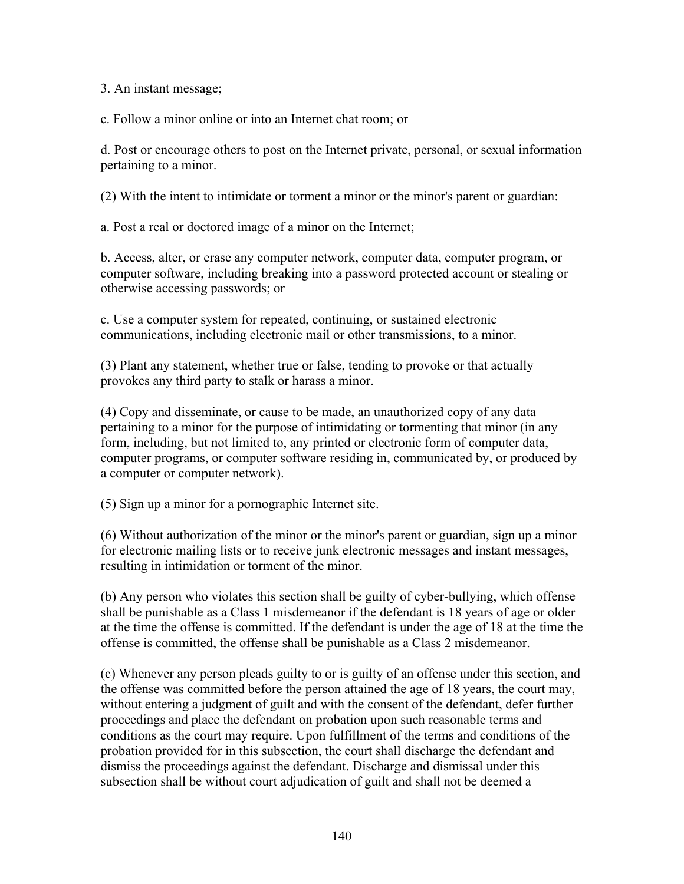3. An instant message;

c. Follow a minor online or into an Internet chat room; or

d. Post or encourage others to post on the Internet private, personal, or sexual information pertaining to a minor.

(2) With the intent to intimidate or torment a minor or the minor's parent or guardian:

a. Post a real or doctored image of a minor on the Internet;

b. Access, alter, or erase any computer network, computer data, computer program, or computer software, including breaking into a password protected account or stealing or otherwise accessing passwords; or

c. Use a computer system for repeated, continuing, or sustained electronic communications, including electronic mail or other transmissions, to a minor.

(3) Plant any statement, whether true or false, tending to provoke or that actually provokes any third party to stalk or harass a minor.

(4) Copy and disseminate, or cause to be made, an unauthorized copy of any data pertaining to a minor for the purpose of intimidating or tormenting that minor (in any form, including, but not limited to, any printed or electronic form of computer data, computer programs, or computer software residing in, communicated by, or produced by a computer or computer network).

(5) Sign up a minor for a pornographic Internet site.

(6) Without authorization of the minor or the minor's parent or guardian, sign up a minor for electronic mailing lists or to receive junk electronic messages and instant messages, resulting in intimidation or torment of the minor.

(b) Any person who violates this section shall be guilty of cyber-bullying, which offense shall be punishable as a Class 1 misdemeanor if the defendant is 18 years of age or older at the time the offense is committed. If the defendant is under the age of 18 at the time the offense is committed, the offense shall be punishable as a Class 2 misdemeanor.

(c) Whenever any person pleads guilty to or is guilty of an offense under this section, and the offense was committed before the person attained the age of 18 years, the court may, without entering a judgment of guilt and with the consent of the defendant, defer further proceedings and place the defendant on probation upon such reasonable terms and conditions as the court may require. Upon fulfillment of the terms and conditions of the probation provided for in this subsection, the court shall discharge the defendant and dismiss the proceedings against the defendant. Discharge and dismissal under this subsection shall be without court adjudication of guilt and shall not be deemed a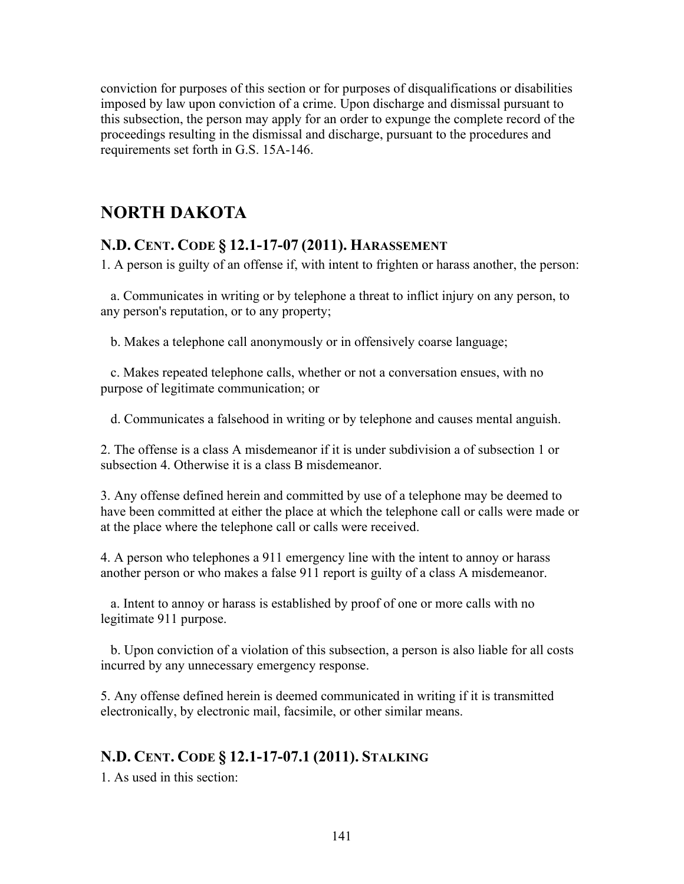conviction for purposes of this section or for purposes of disqualifications or disabilities imposed by law upon conviction of a crime. Upon discharge and dismissal pursuant to this subsection, the person may apply for an order to expunge the complete record of the proceedings resulting in the dismissal and discharge, pursuant to the procedures and requirements set forth in G.S. 15A-146.

## **NORTH DAKOTA**

#### **N.D. CENT. CODE § 12.1-17-07 (2011). HARASSEMENT**

1. A person is guilty of an offense if, with intent to frighten or harass another, the person:

 a. Communicates in writing or by telephone a threat to inflict injury on any person, to any person's reputation, or to any property;

b. Makes a telephone call anonymously or in offensively coarse language;

 c. Makes repeated telephone calls, whether or not a conversation ensues, with no purpose of legitimate communication; or

d. Communicates a falsehood in writing or by telephone and causes mental anguish.

2. The offense is a class A misdemeanor if it is under subdivision a of subsection 1 or subsection 4. Otherwise it is a class B misdemeanor.

3. Any offense defined herein and committed by use of a telephone may be deemed to have been committed at either the place at which the telephone call or calls were made or at the place where the telephone call or calls were received.

4. A person who telephones a 911 emergency line with the intent to annoy or harass another person or who makes a false 911 report is guilty of a class A misdemeanor.

 a. Intent to annoy or harass is established by proof of one or more calls with no legitimate 911 purpose.

 b. Upon conviction of a violation of this subsection, a person is also liable for all costs incurred by any unnecessary emergency response.

5. Any offense defined herein is deemed communicated in writing if it is transmitted electronically, by electronic mail, facsimile, or other similar means.

## **N.D. CENT. CODE § 12.1-17-07.1 (2011). STALKING**

1. As used in this section: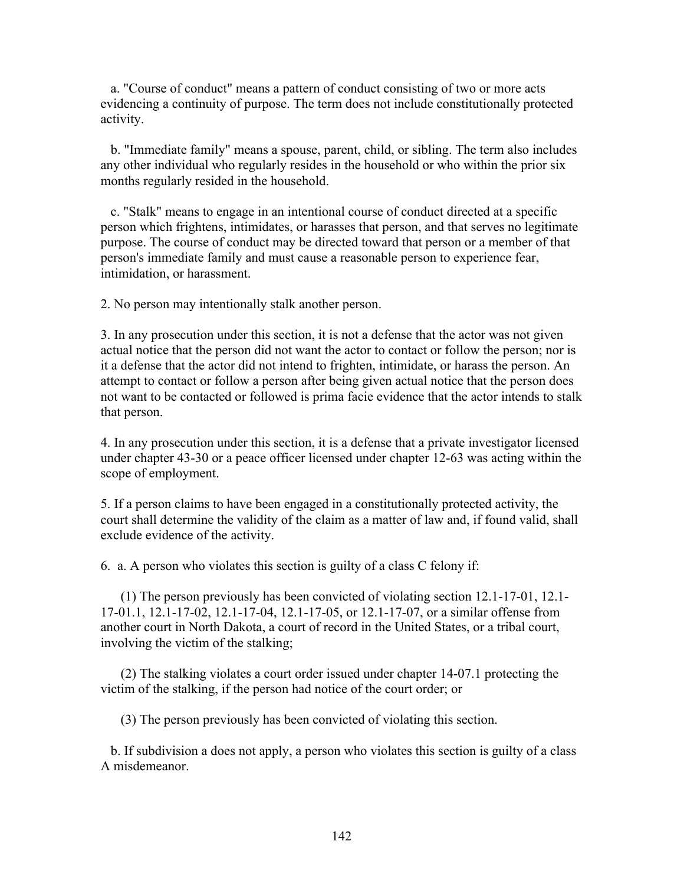a. "Course of conduct" means a pattern of conduct consisting of two or more acts evidencing a continuity of purpose. The term does not include constitutionally protected activity.

 b. "Immediate family" means a spouse, parent, child, or sibling. The term also includes any other individual who regularly resides in the household or who within the prior six months regularly resided in the household.

 c. "Stalk" means to engage in an intentional course of conduct directed at a specific person which frightens, intimidates, or harasses that person, and that serves no legitimate purpose. The course of conduct may be directed toward that person or a member of that person's immediate family and must cause a reasonable person to experience fear, intimidation, or harassment.

2. No person may intentionally stalk another person.

3. In any prosecution under this section, it is not a defense that the actor was not given actual notice that the person did not want the actor to contact or follow the person; nor is it a defense that the actor did not intend to frighten, intimidate, or harass the person. An attempt to contact or follow a person after being given actual notice that the person does not want to be contacted or followed is prima facie evidence that the actor intends to stalk that person.

4. In any prosecution under this section, it is a defense that a private investigator licensed under chapter 43-30 or a peace officer licensed under chapter 12-63 was acting within the scope of employment.

5. If a person claims to have been engaged in a constitutionally protected activity, the court shall determine the validity of the claim as a matter of law and, if found valid, shall exclude evidence of the activity.

6. a. A person who violates this section is guilty of a class C felony if:

 (1) The person previously has been convicted of violating section 12.1-17-01, 12.1- 17-01.1, 12.1-17-02, 12.1-17-04, 12.1-17-05, or 12.1-17-07, or a similar offense from another court in North Dakota, a court of record in the United States, or a tribal court, involving the victim of the stalking;

 (2) The stalking violates a court order issued under chapter 14-07.1 protecting the victim of the stalking, if the person had notice of the court order; or

(3) The person previously has been convicted of violating this section.

 b. If subdivision a does not apply, a person who violates this section is guilty of a class A misdemeanor.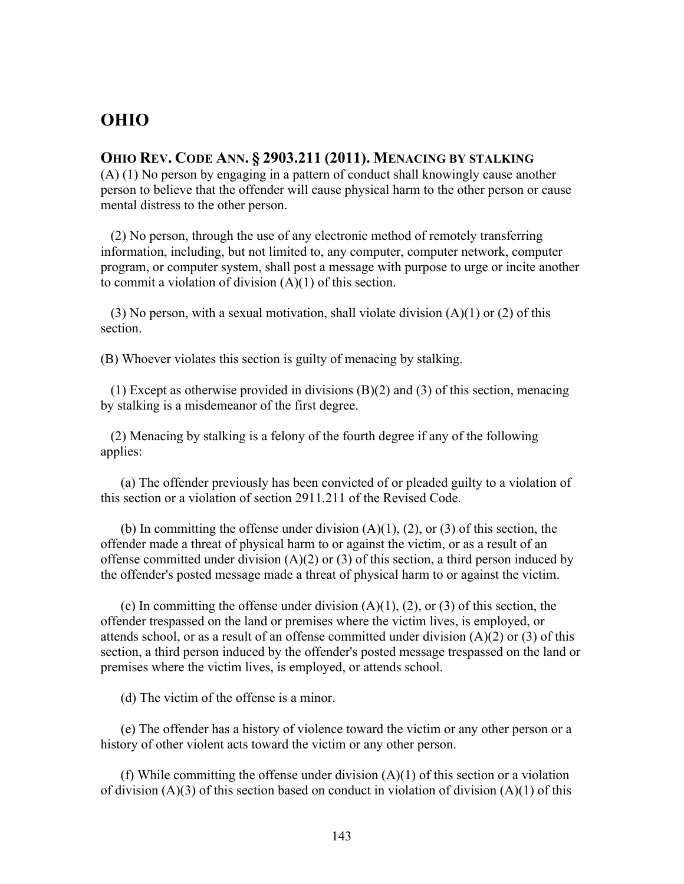## **OHIO**

#### **OHIO REV. CODE ANN. § 2903.211 (2011). MENACING BY STALKING**

(A) (1) No person by engaging in a pattern of conduct shall knowingly cause another person to believe that the offender will cause physical harm to the other person or cause mental distress to the other person.

 (2) No person, through the use of any electronic method of remotely transferring information, including, but not limited to, any computer, computer network, computer program, or computer system, shall post a message with purpose to urge or incite another to commit a violation of division (A)(1) of this section.

(3) No person, with a sexual motivation, shall violate division  $(A)(1)$  or  $(2)$  of this section.

(B) Whoever violates this section is guilty of menacing by stalking.

 (1) Except as otherwise provided in divisions (B)(2) and (3) of this section, menacing by stalking is a misdemeanor of the first degree.

 (2) Menacing by stalking is a felony of the fourth degree if any of the following applies:

 (a) The offender previously has been convicted of or pleaded guilty to a violation of this section or a violation of section 2911.211 of the Revised Code.

(b) In committing the offense under division  $(A)(1)$ ,  $(2)$ , or  $(3)$  of this section, the offender made a threat of physical harm to or against the victim, or as a result of an offense committed under division  $(A)(2)$  or  $(3)$  of this section, a third person induced by the offender's posted message made a threat of physical harm to or against the victim.

(c) In committing the offense under division  $(A)(1)$ ,  $(2)$ , or  $(3)$  of this section, the offender trespassed on the land or premises where the victim lives, is employed, or attends school, or as a result of an offense committed under division  $(A)(2)$  or  $(B)$  of this section, a third person induced by the offender's posted message trespassed on the land or premises where the victim lives, is employed, or attends school.

(d) The victim of the offense is a minor.

 (e) The offender has a history of violence toward the victim or any other person or a history of other violent acts toward the victim or any other person.

(f) While committing the offense under division  $(A)(1)$  of this section or a violation of division  $(A)(3)$  of this section based on conduct in violation of division  $(A)(1)$  of this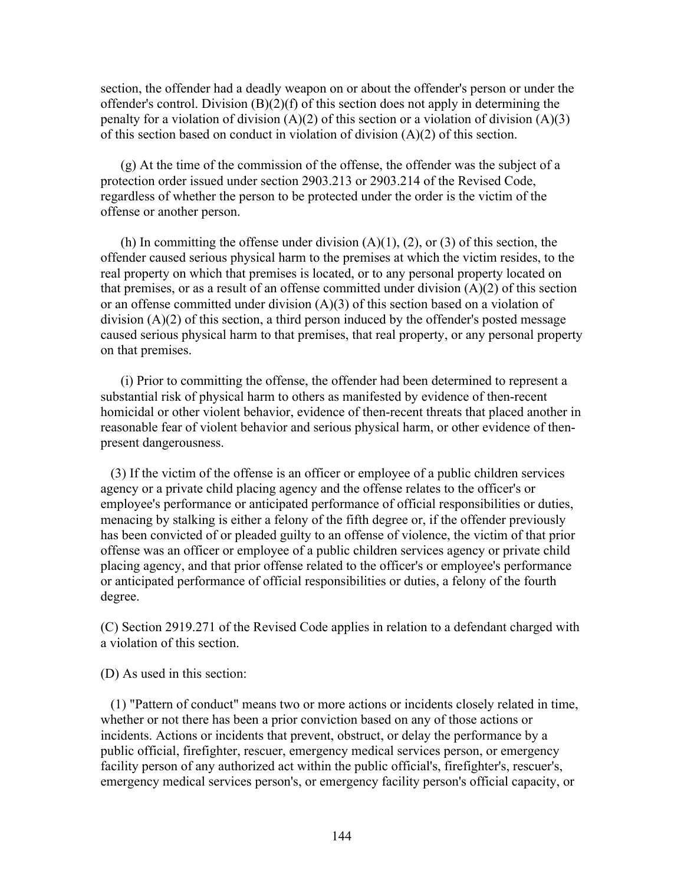section, the offender had a deadly weapon on or about the offender's person or under the offender's control. Division (B)(2)(f) of this section does not apply in determining the penalty for a violation of division  $(A)(2)$  of this section or a violation of division  $(A)(3)$ of this section based on conduct in violation of division (A)(2) of this section.

 (g) At the time of the commission of the offense, the offender was the subject of a protection order issued under section 2903.213 or 2903.214 of the Revised Code, regardless of whether the person to be protected under the order is the victim of the offense or another person.

(h) In committing the offense under division  $(A)(1)$ ,  $(2)$ , or  $(3)$  of this section, the offender caused serious physical harm to the premises at which the victim resides, to the real property on which that premises is located, or to any personal property located on that premises, or as a result of an offense committed under division (A)(2) of this section or an offense committed under division (A)(3) of this section based on a violation of division (A)(2) of this section, a third person induced by the offender's posted message caused serious physical harm to that premises, that real property, or any personal property on that premises.

 (i) Prior to committing the offense, the offender had been determined to represent a substantial risk of physical harm to others as manifested by evidence of then-recent homicidal or other violent behavior, evidence of then-recent threats that placed another in reasonable fear of violent behavior and serious physical harm, or other evidence of thenpresent dangerousness.

 (3) If the victim of the offense is an officer or employee of a public children services agency or a private child placing agency and the offense relates to the officer's or employee's performance or anticipated performance of official responsibilities or duties, menacing by stalking is either a felony of the fifth degree or, if the offender previously has been convicted of or pleaded guilty to an offense of violence, the victim of that prior offense was an officer or employee of a public children services agency or private child placing agency, and that prior offense related to the officer's or employee's performance or anticipated performance of official responsibilities or duties, a felony of the fourth degree.

(C) Section 2919.271 of the Revised Code applies in relation to a defendant charged with a violation of this section.

(D) As used in this section:

 (1) "Pattern of conduct" means two or more actions or incidents closely related in time, whether or not there has been a prior conviction based on any of those actions or incidents. Actions or incidents that prevent, obstruct, or delay the performance by a public official, firefighter, rescuer, emergency medical services person, or emergency facility person of any authorized act within the public official's, firefighter's, rescuer's, emergency medical services person's, or emergency facility person's official capacity, or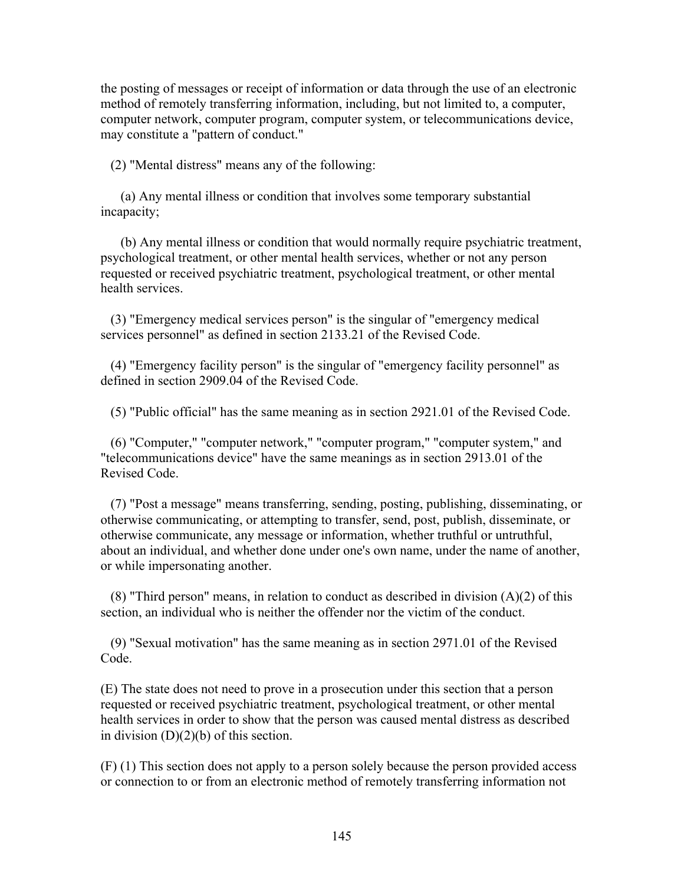the posting of messages or receipt of information or data through the use of an electronic method of remotely transferring information, including, but not limited to, a computer, computer network, computer program, computer system, or telecommunications device, may constitute a "pattern of conduct."

(2) "Mental distress" means any of the following:

 (a) Any mental illness or condition that involves some temporary substantial incapacity;

 (b) Any mental illness or condition that would normally require psychiatric treatment, psychological treatment, or other mental health services, whether or not any person requested or received psychiatric treatment, psychological treatment, or other mental health services.

 (3) "Emergency medical services person" is the singular of "emergency medical services personnel" as defined in section 2133.21 of the Revised Code.

 (4) "Emergency facility person" is the singular of "emergency facility personnel" as defined in section 2909.04 of the Revised Code.

(5) "Public official" has the same meaning as in section 2921.01 of the Revised Code.

 (6) "Computer," "computer network," "computer program," "computer system," and "telecommunications device" have the same meanings as in section 2913.01 of the Revised Code.

 (7) "Post a message" means transferring, sending, posting, publishing, disseminating, or otherwise communicating, or attempting to transfer, send, post, publish, disseminate, or otherwise communicate, any message or information, whether truthful or untruthful, about an individual, and whether done under one's own name, under the name of another, or while impersonating another.

(8) "Third person" means, in relation to conduct as described in division  $(A)(2)$  of this section, an individual who is neither the offender nor the victim of the conduct.

 (9) "Sexual motivation" has the same meaning as in section 2971.01 of the Revised Code.

(E) The state does not need to prove in a prosecution under this section that a person requested or received psychiatric treatment, psychological treatment, or other mental health services in order to show that the person was caused mental distress as described in division  $(D)(2)(b)$  of this section.

(F) (1) This section does not apply to a person solely because the person provided access or connection to or from an electronic method of remotely transferring information not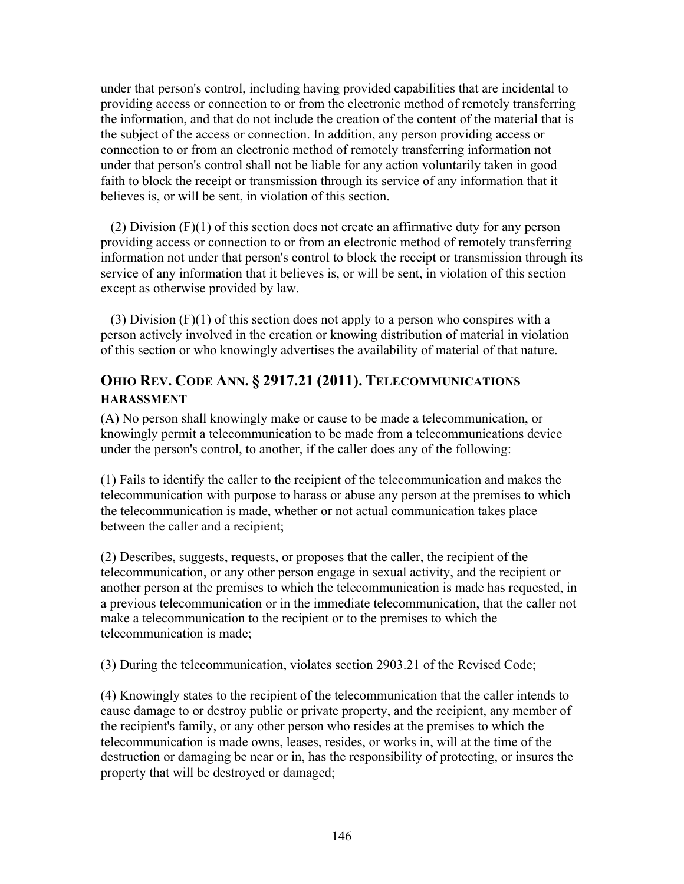under that person's control, including having provided capabilities that are incidental to providing access or connection to or from the electronic method of remotely transferring the information, and that do not include the creation of the content of the material that is the subject of the access or connection. In addition, any person providing access or connection to or from an electronic method of remotely transferring information not under that person's control shall not be liable for any action voluntarily taken in good faith to block the receipt or transmission through its service of any information that it believes is, or will be sent, in violation of this section.

 (2) Division (F)(1) of this section does not create an affirmative duty for any person providing access or connection to or from an electronic method of remotely transferring information not under that person's control to block the receipt or transmission through its service of any information that it believes is, or will be sent, in violation of this section except as otherwise provided by law.

 (3) Division (F)(1) of this section does not apply to a person who conspires with a person actively involved in the creation or knowing distribution of material in violation of this section or who knowingly advertises the availability of material of that nature.

### **OHIO REV. CODE ANN. § 2917.21 (2011). TELECOMMUNICATIONS HARASSMENT**

(A) No person shall knowingly make or cause to be made a telecommunication, or knowingly permit a telecommunication to be made from a telecommunications device under the person's control, to another, if the caller does any of the following:

(1) Fails to identify the caller to the recipient of the telecommunication and makes the telecommunication with purpose to harass or abuse any person at the premises to which the telecommunication is made, whether or not actual communication takes place between the caller and a recipient;

(2) Describes, suggests, requests, or proposes that the caller, the recipient of the telecommunication, or any other person engage in sexual activity, and the recipient or another person at the premises to which the telecommunication is made has requested, in a previous telecommunication or in the immediate telecommunication, that the caller not make a telecommunication to the recipient or to the premises to which the telecommunication is made;

(3) During the telecommunication, violates section 2903.21 of the Revised Code;

(4) Knowingly states to the recipient of the telecommunication that the caller intends to cause damage to or destroy public or private property, and the recipient, any member of the recipient's family, or any other person who resides at the premises to which the telecommunication is made owns, leases, resides, or works in, will at the time of the destruction or damaging be near or in, has the responsibility of protecting, or insures the property that will be destroyed or damaged;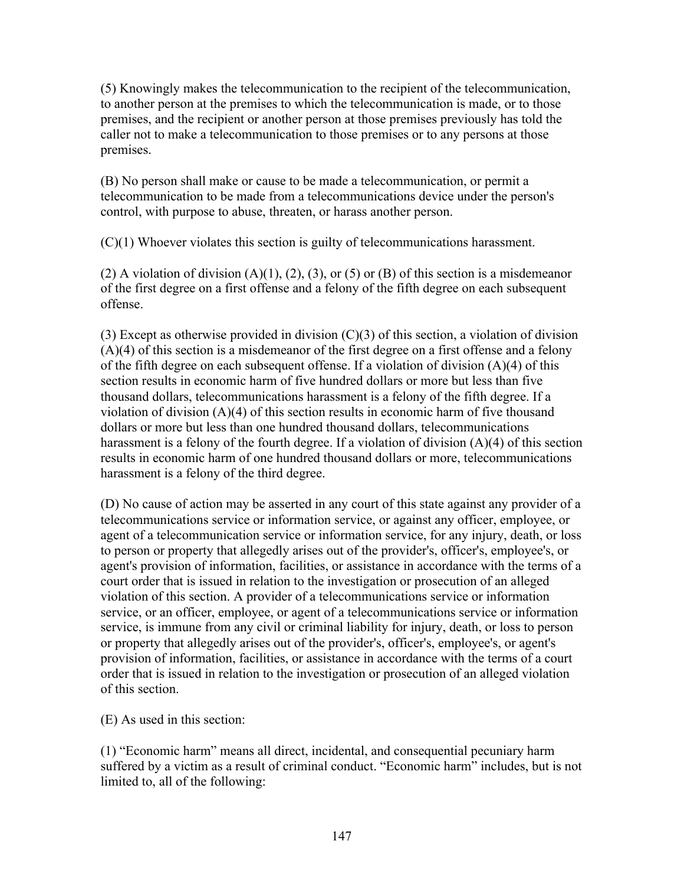(5) Knowingly makes the telecommunication to the recipient of the telecommunication, to another person at the premises to which the telecommunication is made, or to those premises, and the recipient or another person at those premises previously has told the caller not to make a telecommunication to those premises or to any persons at those premises.

(B) No person shall make or cause to be made a telecommunication, or permit a telecommunication to be made from a telecommunications device under the person's control, with purpose to abuse, threaten, or harass another person.

(C)(1) Whoever violates this section is guilty of telecommunications harassment.

 $(2)$  A violation of division  $(A)(1)$ ,  $(2)$ ,  $(3)$ , or  $(5)$  or  $(B)$  of this section is a misdemeanor of the first degree on a first offense and a felony of the fifth degree on each subsequent offense.

(3) Except as otherwise provided in division  $(C)(3)$  of this section, a violation of division (A)(4) of this section is a misdemeanor of the first degree on a first offense and a felony of the fifth degree on each subsequent offense. If a violation of division  $(A)(4)$  of this section results in economic harm of five hundred dollars or more but less than five thousand dollars, telecommunications harassment is a felony of the fifth degree. If a violation of division (A)(4) of this section results in economic harm of five thousand dollars or more but less than one hundred thousand dollars, telecommunications harassment is a felony of the fourth degree. If a violation of division (A)(4) of this section results in economic harm of one hundred thousand dollars or more, telecommunications harassment is a felony of the third degree.

(D) No cause of action may be asserted in any court of this state against any provider of a telecommunications service or information service, or against any officer, employee, or agent of a telecommunication service or information service, for any injury, death, or loss to person or property that allegedly arises out of the provider's, officer's, employee's, or agent's provision of information, facilities, or assistance in accordance with the terms of a court order that is issued in relation to the investigation or prosecution of an alleged violation of this section. A provider of a telecommunications service or information service, or an officer, employee, or agent of a telecommunications service or information service, is immune from any civil or criminal liability for injury, death, or loss to person or property that allegedly arises out of the provider's, officer's, employee's, or agent's provision of information, facilities, or assistance in accordance with the terms of a court order that is issued in relation to the investigation or prosecution of an alleged violation of this section.

(E) As used in this section:

(1) "Economic harm" means all direct, incidental, and consequential pecuniary harm suffered by a victim as a result of criminal conduct. "Economic harm" includes, but is not limited to, all of the following: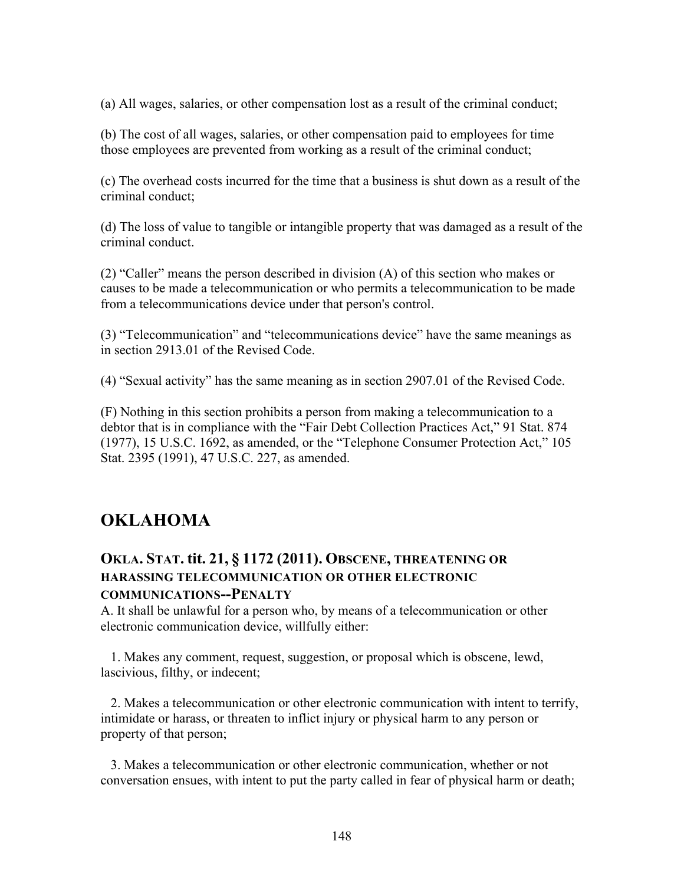(a) All wages, salaries, or other compensation lost as a result of the criminal conduct;

(b) The cost of all wages, salaries, or other compensation paid to employees for time those employees are prevented from working as a result of the criminal conduct;

(c) The overhead costs incurred for the time that a business is shut down as a result of the criminal conduct;

(d) The loss of value to tangible or intangible property that was damaged as a result of the criminal conduct.

(2) "Caller" means the person described in division (A) of this section who makes or causes to be made a telecommunication or who permits a telecommunication to be made from a telecommunications device under that person's control.

(3) "Telecommunication" and "telecommunications device" have the same meanings as in section 2913.01 of the Revised Code.

(4) "Sexual activity" has the same meaning as in section 2907.01 of the Revised Code.

(F) Nothing in this section prohibits a person from making a telecommunication to a debtor that is in compliance with the "Fair Debt Collection Practices Act," 91 Stat. 874 (1977), 15 U.S.C. 1692, as amended, or the "Telephone Consumer Protection Act," 105 Stat. 2395 (1991), 47 U.S.C. 227, as amended.

## **OKLAHOMA**

### **OKLA. STAT. tit. 21, § 1172 (2011). OBSCENE, THREATENING OR HARASSING TELECOMMUNICATION OR OTHER ELECTRONIC COMMUNICATIONS--PENALTY**

A. It shall be unlawful for a person who, by means of a telecommunication or other electronic communication device, willfully either:

 1. Makes any comment, request, suggestion, or proposal which is obscene, lewd, lascivious, filthy, or indecent;

 2. Makes a telecommunication or other electronic communication with intent to terrify, intimidate or harass, or threaten to inflict injury or physical harm to any person or property of that person;

 3. Makes a telecommunication or other electronic communication, whether or not conversation ensues, with intent to put the party called in fear of physical harm or death;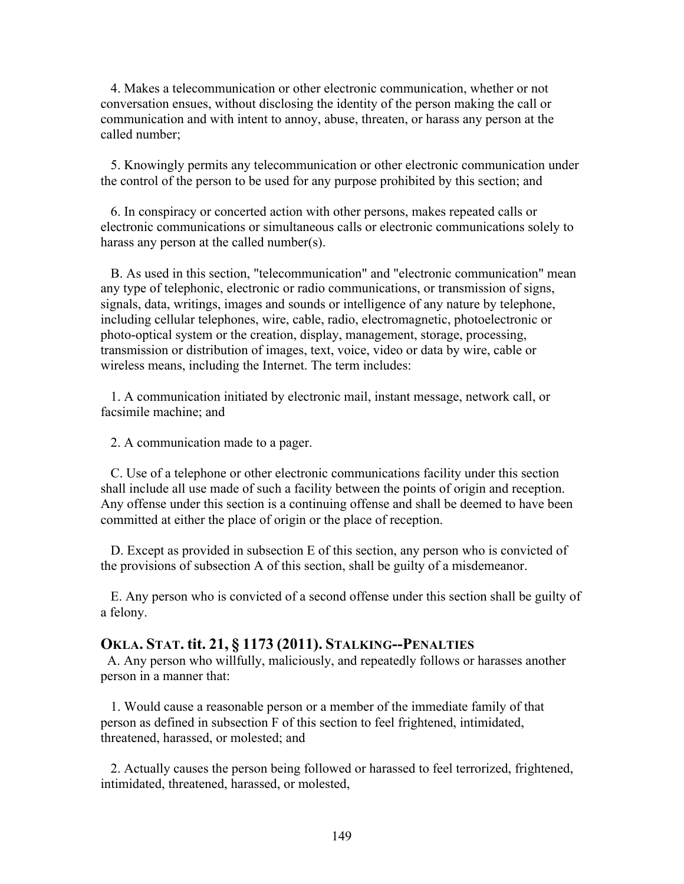4. Makes a telecommunication or other electronic communication, whether or not conversation ensues, without disclosing the identity of the person making the call or communication and with intent to annoy, abuse, threaten, or harass any person at the called number;

 5. Knowingly permits any telecommunication or other electronic communication under the control of the person to be used for any purpose prohibited by this section; and

 6. In conspiracy or concerted action with other persons, makes repeated calls or electronic communications or simultaneous calls or electronic communications solely to harass any person at the called number(s).

 B. As used in this section, "telecommunication" and "electronic communication" mean any type of telephonic, electronic or radio communications, or transmission of signs, signals, data, writings, images and sounds or intelligence of any nature by telephone, including cellular telephones, wire, cable, radio, electromagnetic, photoelectronic or photo-optical system or the creation, display, management, storage, processing, transmission or distribution of images, text, voice, video or data by wire, cable or wireless means, including the Internet. The term includes:

 1. A communication initiated by electronic mail, instant message, network call, or facsimile machine; and

2. A communication made to a pager.

 C. Use of a telephone or other electronic communications facility under this section shall include all use made of such a facility between the points of origin and reception. Any offense under this section is a continuing offense and shall be deemed to have been committed at either the place of origin or the place of reception.

 D. Except as provided in subsection E of this section, any person who is convicted of the provisions of subsection A of this section, shall be guilty of a misdemeanor.

 E. Any person who is convicted of a second offense under this section shall be guilty of a felony.

### **OKLA. STAT. tit. 21, § 1173 (2011). STALKING--PENALTIES**

 A. Any person who willfully, maliciously, and repeatedly follows or harasses another person in a manner that:

 1. Would cause a reasonable person or a member of the immediate family of that person as defined in subsection F of this section to feel frightened, intimidated, threatened, harassed, or molested; and

 2. Actually causes the person being followed or harassed to feel terrorized, frightened, intimidated, threatened, harassed, or molested,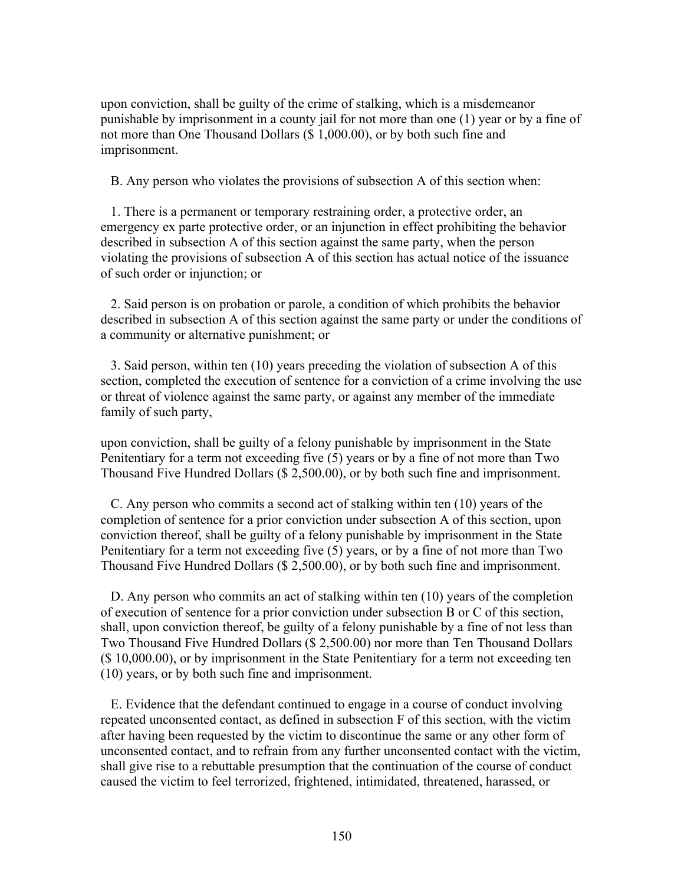upon conviction, shall be guilty of the crime of stalking, which is a misdemeanor punishable by imprisonment in a county jail for not more than one (1) year or by a fine of not more than One Thousand Dollars (\$ 1,000.00), or by both such fine and imprisonment.

B. Any person who violates the provisions of subsection A of this section when:

 1. There is a permanent or temporary restraining order, a protective order, an emergency ex parte protective order, or an injunction in effect prohibiting the behavior described in subsection A of this section against the same party, when the person violating the provisions of subsection A of this section has actual notice of the issuance of such order or injunction; or

 2. Said person is on probation or parole, a condition of which prohibits the behavior described in subsection A of this section against the same party or under the conditions of a community or alternative punishment; or

 3. Said person, within ten (10) years preceding the violation of subsection A of this section, completed the execution of sentence for a conviction of a crime involving the use or threat of violence against the same party, or against any member of the immediate family of such party,

upon conviction, shall be guilty of a felony punishable by imprisonment in the State Penitentiary for a term not exceeding five (5) years or by a fine of not more than Two Thousand Five Hundred Dollars (\$ 2,500.00), or by both such fine and imprisonment.

 C. Any person who commits a second act of stalking within ten (10) years of the completion of sentence for a prior conviction under subsection A of this section, upon conviction thereof, shall be guilty of a felony punishable by imprisonment in the State Penitentiary for a term not exceeding five (5) years, or by a fine of not more than Two Thousand Five Hundred Dollars (\$ 2,500.00), or by both such fine and imprisonment.

 D. Any person who commits an act of stalking within ten (10) years of the completion of execution of sentence for a prior conviction under subsection B or C of this section, shall, upon conviction thereof, be guilty of a felony punishable by a fine of not less than Two Thousand Five Hundred Dollars (\$ 2,500.00) nor more than Ten Thousand Dollars (\$ 10,000.00), or by imprisonment in the State Penitentiary for a term not exceeding ten (10) years, or by both such fine and imprisonment.

 E. Evidence that the defendant continued to engage in a course of conduct involving repeated unconsented contact, as defined in subsection F of this section, with the victim after having been requested by the victim to discontinue the same or any other form of unconsented contact, and to refrain from any further unconsented contact with the victim, shall give rise to a rebuttable presumption that the continuation of the course of conduct caused the victim to feel terrorized, frightened, intimidated, threatened, harassed, or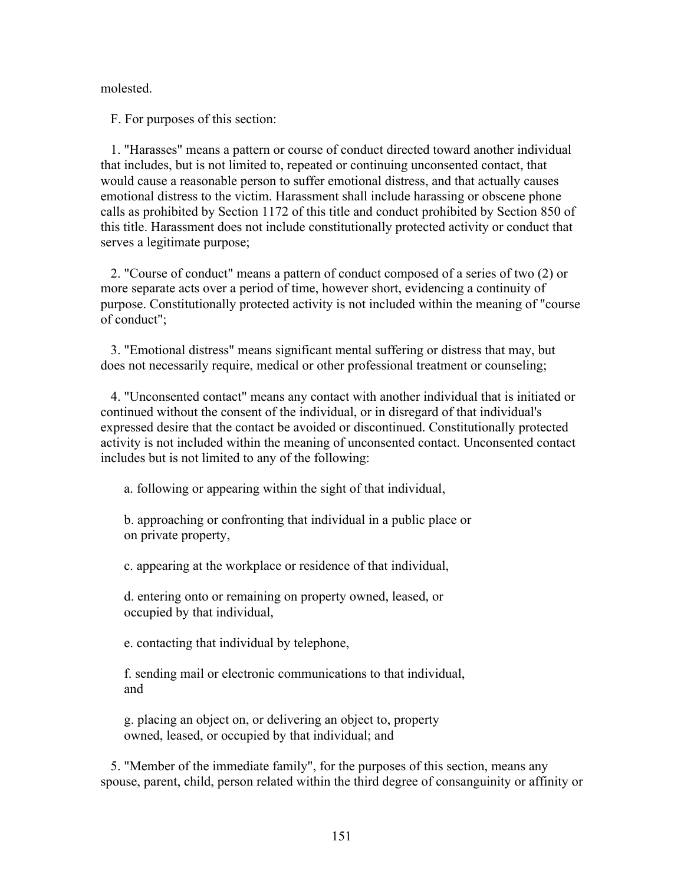#### molested.

F. For purposes of this section:

 1. "Harasses" means a pattern or course of conduct directed toward another individual that includes, but is not limited to, repeated or continuing unconsented contact, that would cause a reasonable person to suffer emotional distress, and that actually causes emotional distress to the victim. Harassment shall include harassing or obscene phone calls as prohibited by Section 1172 of this title and conduct prohibited by Section 850 of this title. Harassment does not include constitutionally protected activity or conduct that serves a legitimate purpose;

 2. "Course of conduct" means a pattern of conduct composed of a series of two (2) or more separate acts over a period of time, however short, evidencing a continuity of purpose. Constitutionally protected activity is not included within the meaning of "course of conduct";

 3. "Emotional distress" means significant mental suffering or distress that may, but does not necessarily require, medical or other professional treatment or counseling;

 4. "Unconsented contact" means any contact with another individual that is initiated or continued without the consent of the individual, or in disregard of that individual's expressed desire that the contact be avoided or discontinued. Constitutionally protected activity is not included within the meaning of unconsented contact. Unconsented contact includes but is not limited to any of the following:

a. following or appearing within the sight of that individual,

 b. approaching or confronting that individual in a public place or on private property,

c. appearing at the workplace or residence of that individual,

 d. entering onto or remaining on property owned, leased, or occupied by that individual,

e. contacting that individual by telephone,

 f. sending mail or electronic communications to that individual, and

 g. placing an object on, or delivering an object to, property owned, leased, or occupied by that individual; and

 5. "Member of the immediate family", for the purposes of this section, means any spouse, parent, child, person related within the third degree of consanguinity or affinity or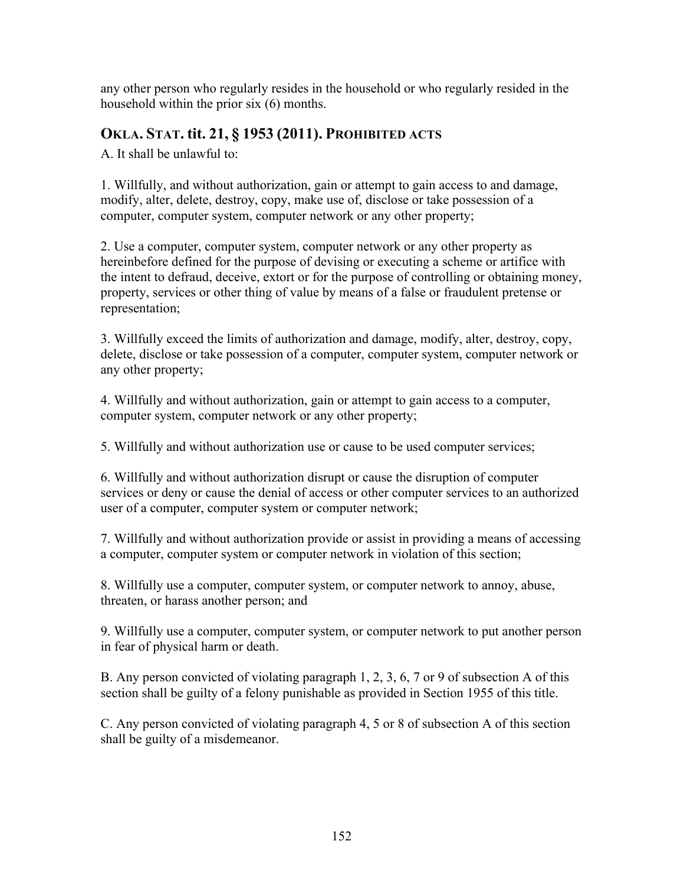any other person who regularly resides in the household or who regularly resided in the household within the prior six (6) months.

### **OKLA. STAT. tit. 21, § 1953 (2011). PROHIBITED ACTS**

A. It shall be unlawful to:

1. Willfully, and without authorization, gain or attempt to gain access to and damage, modify, alter, delete, destroy, copy, make use of, disclose or take possession of a computer, computer system, computer network or any other property;

2. Use a computer, computer system, computer network or any other property as hereinbefore defined for the purpose of devising or executing a scheme or artifice with the intent to defraud, deceive, extort or for the purpose of controlling or obtaining money, property, services or other thing of value by means of a false or fraudulent pretense or representation;

3. Willfully exceed the limits of authorization and damage, modify, alter, destroy, copy, delete, disclose or take possession of a computer, computer system, computer network or any other property;

4. Willfully and without authorization, gain or attempt to gain access to a computer, computer system, computer network or any other property;

5. Willfully and without authorization use or cause to be used computer services;

6. Willfully and without authorization disrupt or cause the disruption of computer services or deny or cause the denial of access or other computer services to an authorized user of a computer, computer system or computer network;

7. Willfully and without authorization provide or assist in providing a means of accessing a computer, computer system or computer network in violation of this section;

8. Willfully use a computer, computer system, or computer network to annoy, abuse, threaten, or harass another person; and

9. Willfully use a computer, computer system, or computer network to put another person in fear of physical harm or death.

B. Any person convicted of violating paragraph 1, 2, 3, 6, 7 or 9 of subsection A of this section shall be guilty of a felony punishable as provided in Section 1955 of this title.

C. Any person convicted of violating paragraph 4, 5 or 8 of subsection A of this section shall be guilty of a misdemeanor.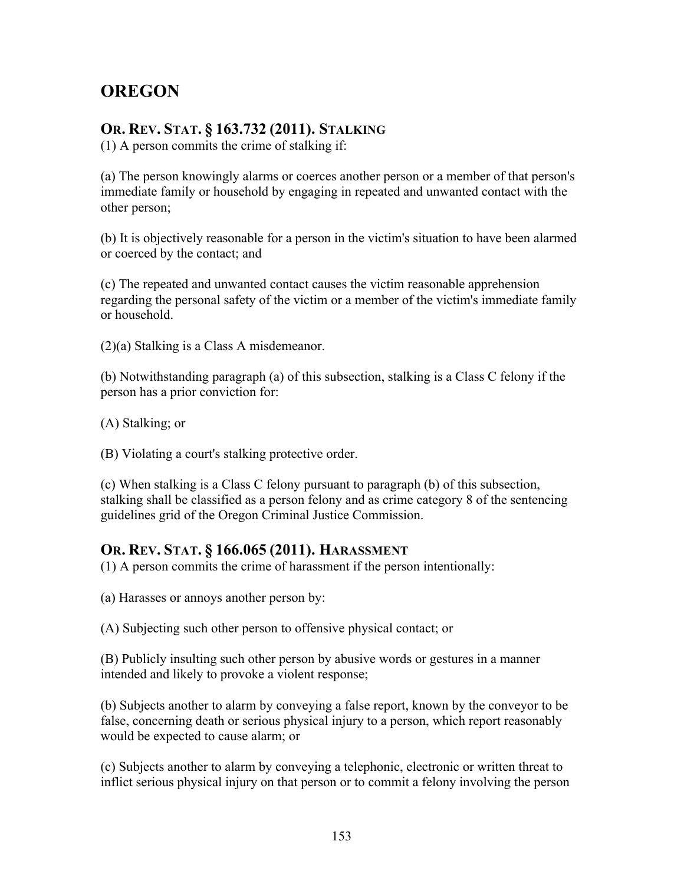# **OREGON**

### **OR. REV. STAT. § 163.732 (2011). STALKING**

(1) A person commits the crime of stalking if:

(a) The person knowingly alarms or coerces another person or a member of that person's immediate family or household by engaging in repeated and unwanted contact with the other person;

(b) It is objectively reasonable for a person in the victim's situation to have been alarmed or coerced by the contact; and

(c) The repeated and unwanted contact causes the victim reasonable apprehension regarding the personal safety of the victim or a member of the victim's immediate family or household.

(2)(a) Stalking is a Class A misdemeanor.

(b) Notwithstanding paragraph (a) of this subsection, stalking is a Class C felony if the person has a prior conviction for:

(A) Stalking; or

(B) Violating a court's stalking protective order.

(c) When stalking is a Class C felony pursuant to paragraph (b) of this subsection, stalking shall be classified as a person felony and as crime category 8 of the sentencing guidelines grid of the Oregon Criminal Justice Commission.

### **OR. REV. STAT. § 166.065 (2011). HARASSMENT**

(1) A person commits the crime of harassment if the person intentionally:

(a) Harasses or annoys another person by:

(A) Subjecting such other person to offensive physical contact; or

(B) Publicly insulting such other person by abusive words or gestures in a manner intended and likely to provoke a violent response;

(b) Subjects another to alarm by conveying a false report, known by the conveyor to be false, concerning death or serious physical injury to a person, which report reasonably would be expected to cause alarm; or

(c) Subjects another to alarm by conveying a telephonic, electronic or written threat to inflict serious physical injury on that person or to commit a felony involving the person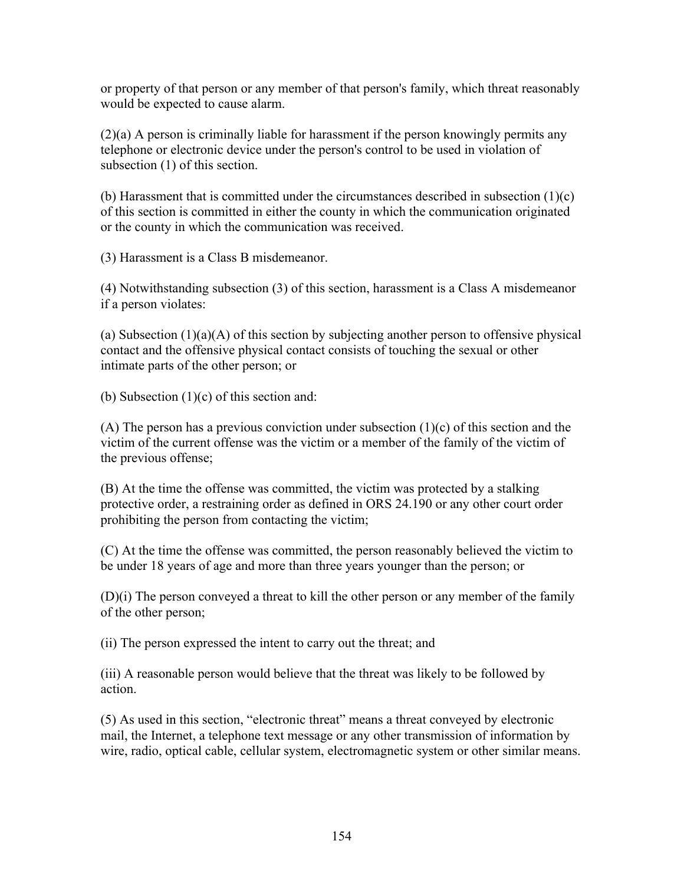or property of that person or any member of that person's family, which threat reasonably would be expected to cause alarm.

(2)(a) A person is criminally liable for harassment if the person knowingly permits any telephone or electronic device under the person's control to be used in violation of subsection (1) of this section.

(b) Harassment that is committed under the circumstances described in subsection (1)(c) of this section is committed in either the county in which the communication originated or the county in which the communication was received.

(3) Harassment is a Class B misdemeanor.

(4) Notwithstanding subsection (3) of this section, harassment is a Class A misdemeanor if a person violates:

(a) Subsection  $(1)(a)(A)$  of this section by subjecting another person to offensive physical contact and the offensive physical contact consists of touching the sexual or other intimate parts of the other person; or

(b) Subsection  $(1)(c)$  of this section and:

(A) The person has a previous conviction under subsection  $(1)(c)$  of this section and the victim of the current offense was the victim or a member of the family of the victim of the previous offense;

(B) At the time the offense was committed, the victim was protected by a stalking protective order, a restraining order as defined in ORS 24.190 or any other court order prohibiting the person from contacting the victim;

(C) At the time the offense was committed, the person reasonably believed the victim to be under 18 years of age and more than three years younger than the person; or

(D)(i) The person conveyed a threat to kill the other person or any member of the family of the other person;

(ii) The person expressed the intent to carry out the threat; and

(iii) A reasonable person would believe that the threat was likely to be followed by action.

(5) As used in this section, "electronic threat" means a threat conveyed by electronic mail, the Internet, a telephone text message or any other transmission of information by wire, radio, optical cable, cellular system, electromagnetic system or other similar means.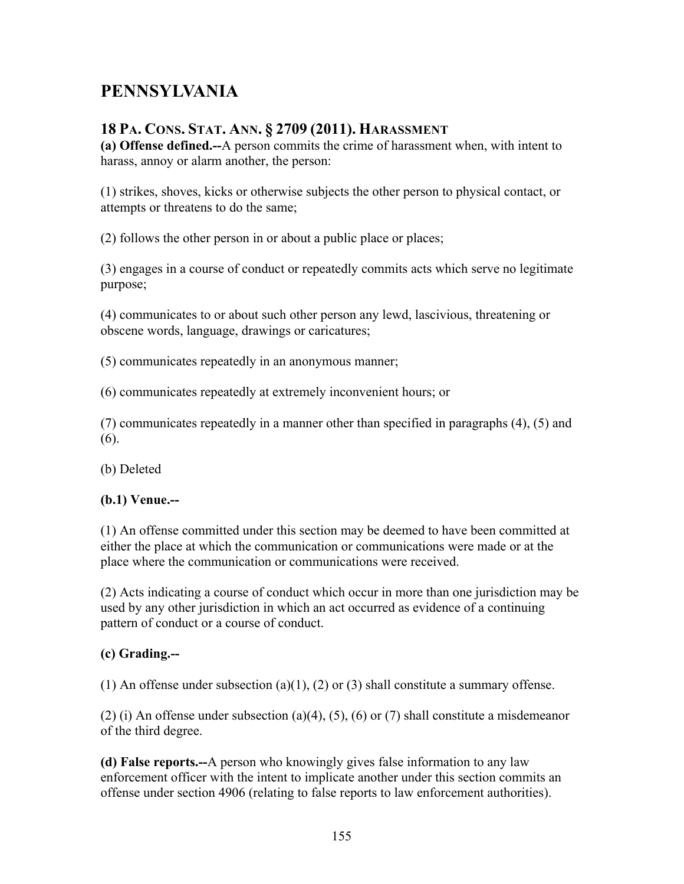# **PENNSYLVANIA**

### **18 PA. CONS. STAT. ANN. § 2709 (2011). HARASSMENT**

**(a) Offense defined.--**A person commits the crime of harassment when, with intent to harass, annoy or alarm another, the person:

(1) strikes, shoves, kicks or otherwise subjects the other person to physical contact, or attempts or threatens to do the same;

(2) follows the other person in or about a public place or places;

(3) engages in a course of conduct or repeatedly commits acts which serve no legitimate purpose;

(4) communicates to or about such other person any lewd, lascivious, threatening or obscene words, language, drawings or caricatures;

(5) communicates repeatedly in an anonymous manner;

(6) communicates repeatedly at extremely inconvenient hours; or

(7) communicates repeatedly in a manner other than specified in paragraphs (4), (5) and (6).

(b) Deleted

#### **(b.1) Venue.--**

(1) An offense committed under this section may be deemed to have been committed at either the place at which the communication or communications were made or at the place where the communication or communications were received.

(2) Acts indicating a course of conduct which occur in more than one jurisdiction may be used by any other jurisdiction in which an act occurred as evidence of a continuing pattern of conduct or a course of conduct.

### **(c) Grading.--**

(1) An offense under subsection (a)(1), (2) or (3) shall constitute a summary offense.

(2) (i) An offense under subsection (a)(4), (5), (6) or (7) shall constitute a misdemeanor of the third degree.

**(d) False reports.--**A person who knowingly gives false information to any law enforcement officer with the intent to implicate another under this section commits an offense under section 4906 (relating to false reports to law enforcement authorities).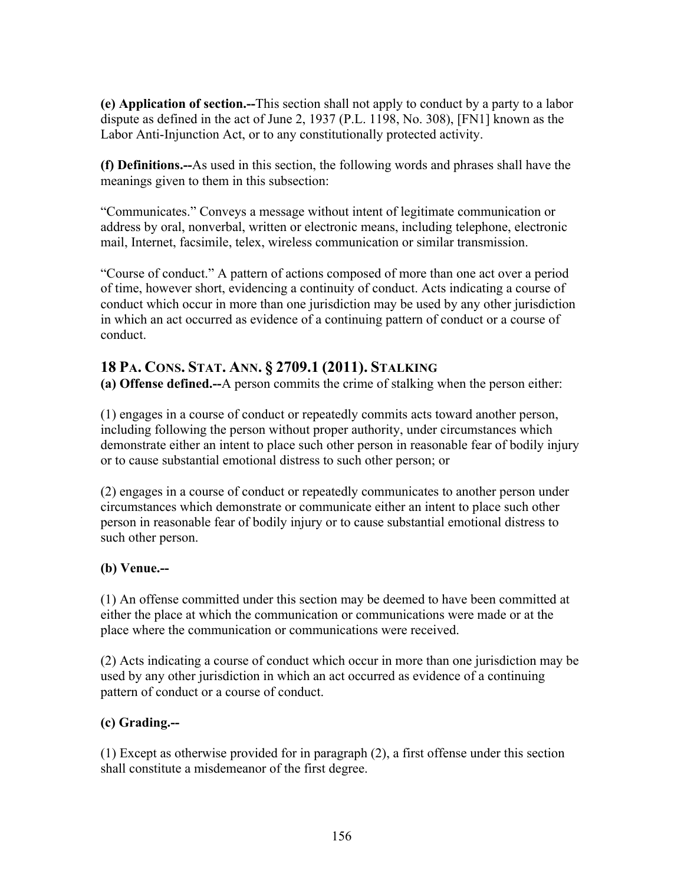**(e) Application of section.--**This section shall not apply to conduct by a party to a labor dispute as defined in the act of June 2, 1937 (P.L. 1198, No. 308), [FN1] known as the Labor Anti-Injunction Act, or to any constitutionally protected activity.

**(f) Definitions.--**As used in this section, the following words and phrases shall have the meanings given to them in this subsection:

"Communicates." Conveys a message without intent of legitimate communication or address by oral, nonverbal, written or electronic means, including telephone, electronic mail, Internet, facsimile, telex, wireless communication or similar transmission.

"Course of conduct." A pattern of actions composed of more than one act over a period of time, however short, evidencing a continuity of conduct. Acts indicating a course of conduct which occur in more than one jurisdiction may be used by any other jurisdiction in which an act occurred as evidence of a continuing pattern of conduct or a course of conduct.

### **18 PA. CONS. STAT. ANN. § 2709.1 (2011). STALKING**

**(a) Offense defined.--**A person commits the crime of stalking when the person either:

(1) engages in a course of conduct or repeatedly commits acts toward another person, including following the person without proper authority, under circumstances which demonstrate either an intent to place such other person in reasonable fear of bodily injury or to cause substantial emotional distress to such other person; or

(2) engages in a course of conduct or repeatedly communicates to another person under circumstances which demonstrate or communicate either an intent to place such other person in reasonable fear of bodily injury or to cause substantial emotional distress to such other person.

#### **(b) Venue.--**

(1) An offense committed under this section may be deemed to have been committed at either the place at which the communication or communications were made or at the place where the communication or communications were received.

(2) Acts indicating a course of conduct which occur in more than one jurisdiction may be used by any other jurisdiction in which an act occurred as evidence of a continuing pattern of conduct or a course of conduct.

### **(c) Grading.--**

(1) Except as otherwise provided for in paragraph (2), a first offense under this section shall constitute a misdemeanor of the first degree.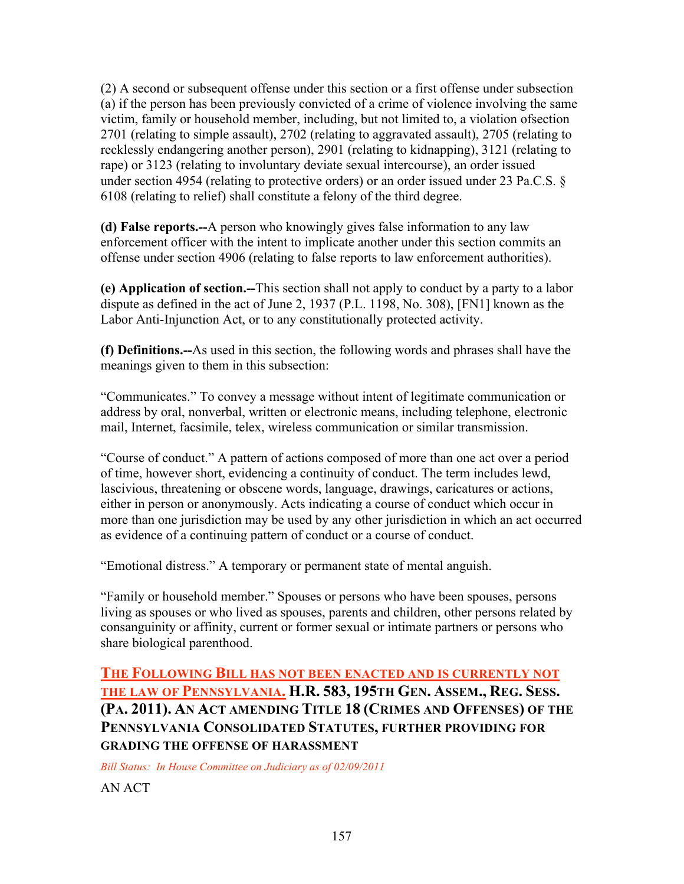(2) A second or subsequent offense under this section or a first offense under subsection (a) if the person has been previously convicted of a crime of violence involving the same victim, family or household member, including, but not limited to, a violation ofsection 2701 (relating to simple assault), 2702 (relating to aggravated assault), 2705 (relating to recklessly endangering another person), 2901 (relating to kidnapping), 3121 (relating to rape) or 3123 (relating to involuntary deviate sexual intercourse), an order issued under section 4954 (relating to protective orders) or an order issued under 23 Pa.C.S. § 6108 (relating to relief) shall constitute a felony of the third degree.

**(d) False reports.--**A person who knowingly gives false information to any law enforcement officer with the intent to implicate another under this section commits an offense under section 4906 (relating to false reports to law enforcement authorities).

**(e) Application of section.--**This section shall not apply to conduct by a party to a labor dispute as defined in the act of June 2, 1937 (P.L. 1198, No. 308), [FN1] known as the Labor Anti-Injunction Act, or to any constitutionally protected activity.

**(f) Definitions.--**As used in this section, the following words and phrases shall have the meanings given to them in this subsection:

"Communicates." To convey a message without intent of legitimate communication or address by oral, nonverbal, written or electronic means, including telephone, electronic mail, Internet, facsimile, telex, wireless communication or similar transmission.

"Course of conduct." A pattern of actions composed of more than one act over a period of time, however short, evidencing a continuity of conduct. The term includes lewd, lascivious, threatening or obscene words, language, drawings, caricatures or actions, either in person or anonymously. Acts indicating a course of conduct which occur in more than one jurisdiction may be used by any other jurisdiction in which an act occurred as evidence of a continuing pattern of conduct or a course of conduct.

"Emotional distress." A temporary or permanent state of mental anguish.

"Family or household member." Spouses or persons who have been spouses, persons living as spouses or who lived as spouses, parents and children, other persons related by consanguinity or affinity, current or former sexual or intimate partners or persons who share biological parenthood.

**THE FOLLOWING BILL HAS NOT BEEN ENACTED AND IS CURRENTLY NOT THE LAW OF PENNSYLVANIA. H.R. 583, 195TH GEN. ASSEM., REG. SESS. (PA. 2011). AN ACT AMENDING TITLE 18 (CRIMES AND OFFENSES) OF THE PENNSYLVANIA CONSOLIDATED STATUTES, FURTHER PROVIDING FOR GRADING THE OFFENSE OF HARASSMENT**

*Bill Status: In House Committee on Judiciary as of 02/09/2011*

AN ACT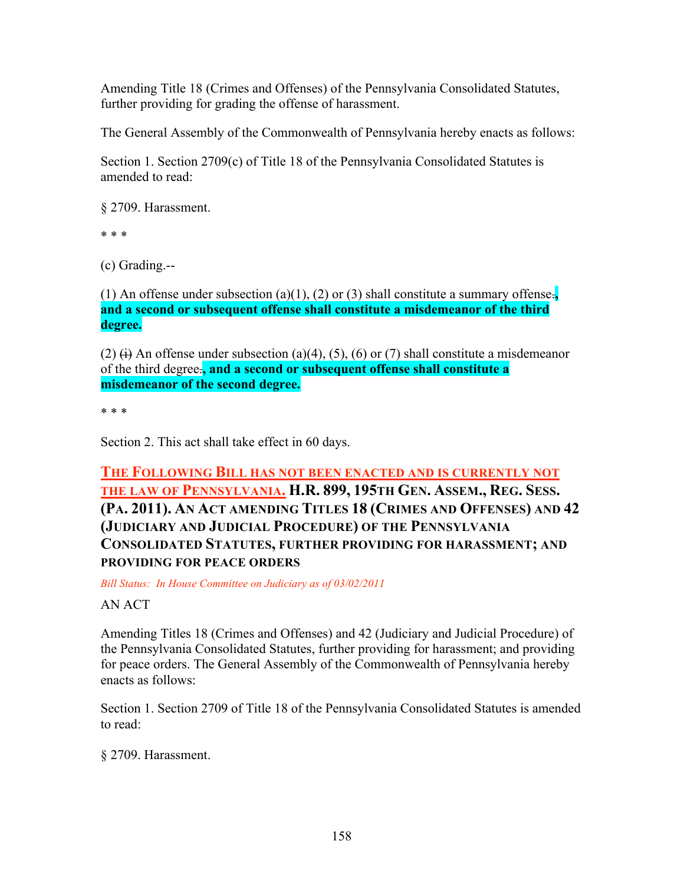Amending Title 18 (Crimes and Offenses) of the Pennsylvania Consolidated Statutes, further providing for grading the offense of harassment.

The General Assembly of the Commonwealth of Pennsylvania hereby enacts as follows:

Section 1. Section 2709(c) of Title 18 of the Pennsylvania Consolidated Statutes is amended to read:

§ 2709. Harassment.

\* \* \*

(c) Grading.--

(1) An offense under subsection (a)(1), (2) or (3) shall constitute a summary offense.**, and a second or subsequent offense shall constitute a misdemeanor of the third degree.**

(2)  $\leftrightarrow$  An offense under subsection (a)(4), (5), (6) or (7) shall constitute a misdemeanor of the third degree.**, and a second or subsequent offense shall constitute a misdemeanor of the second degree.**

\* \* \*

Section 2. This act shall take effect in 60 days.

### **THE FOLLOWING BILL HAS NOT BEEN ENACTED AND IS CURRENTLY NOT THE LAW OF PENNSYLVANIA. H.R. 899, 195TH GEN. ASSEM., REG. SESS. (PA. 2011). AN ACT AMENDING TITLES 18 (CRIMES AND OFFENSES) AND 42 (JUDICIARY AND JUDICIAL PROCEDURE) OF THE PENNSYLVANIA CONSOLIDATED STATUTES, FURTHER PROVIDING FOR HARASSMENT; AND PROVIDING FOR PEACE ORDERS**

*Bill Status: In House Committee on Judiciary as of 03/02/2011*

AN ACT

Amending Titles 18 (Crimes and Offenses) and 42 (Judiciary and Judicial Procedure) of the Pennsylvania Consolidated Statutes, further providing for harassment; and providing for peace orders. The General Assembly of the Commonwealth of Pennsylvania hereby enacts as follows:

Section 1. Section 2709 of Title 18 of the Pennsylvania Consolidated Statutes is amended to read:

§ 2709. Harassment.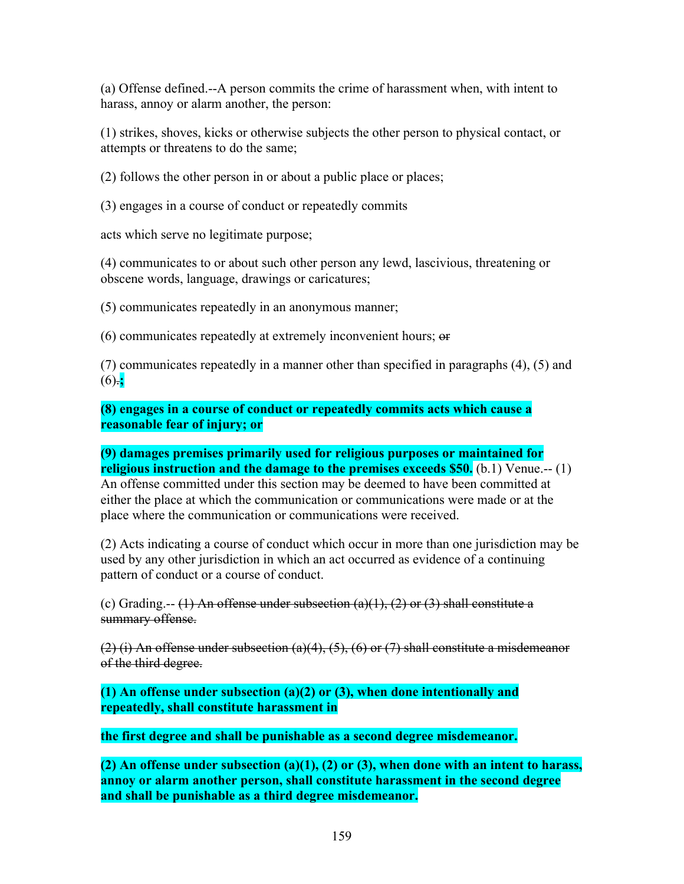(a) Offense defined.--A person commits the crime of harassment when, with intent to harass, annoy or alarm another, the person:

(1) strikes, shoves, kicks or otherwise subjects the other person to physical contact, or attempts or threatens to do the same;

(2) follows the other person in or about a public place or places;

(3) engages in a course of conduct or repeatedly commits

acts which serve no legitimate purpose;

(4) communicates to or about such other person any lewd, lascivious, threatening or obscene words, language, drawings or caricatures;

(5) communicates repeatedly in an anonymous manner;

 $(6)$  communicates repeatedly at extremely inconvenient hours;  $\sigma$ 

(7) communicates repeatedly in a manner other than specified in paragraphs (4), (5) and (6).**;**

**(8) engages in a course of conduct or repeatedly commits acts which cause a reasonable fear of injury; or**

**(9) damages premises primarily used for religious purposes or maintained for religious instruction and the damage to the premises exceeds \$50.** (b.1) Venue.-- (1) An offense committed under this section may be deemed to have been committed at either the place at which the communication or communications were made or at the place where the communication or communications were received.

(2) Acts indicating a course of conduct which occur in more than one jurisdiction may be used by any other jurisdiction in which an act occurred as evidence of a continuing pattern of conduct or a course of conduct.

(c) Grading.--  $(1)$  An offense under subsection  $(a)(1)$ ,  $(2)$  or  $(3)$  shall constitute a summary offense.

 $(2)$  (i) An offense under subsection (a)(4), (5), (6) or (7) shall constitute a misdemeanor of the third degree.

**(1) An offense under subsection (a)(2) or (3), when done intentionally and repeatedly, shall constitute harassment in**

**the first degree and shall be punishable as a second degree misdemeanor.**

**(2) An offense under subsection (a)(1), (2) or (3), when done with an intent to harass, annoy or alarm another person, shall constitute harassment in the second degree and shall be punishable as a third degree misdemeanor.**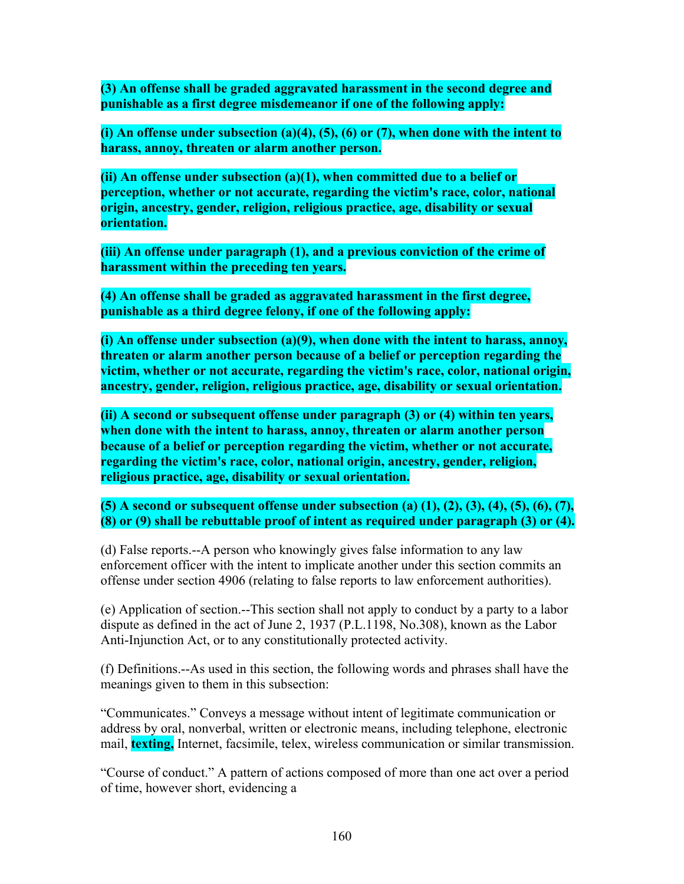**(3) An offense shall be graded aggravated harassment in the second degree and punishable as a first degree misdemeanor if one of the following apply:**

**(i) An offense under subsection (a)(4), (5), (6) or (7), when done with the intent to harass, annoy, threaten or alarm another person.**

**(ii) An offense under subsection (a)(1), when committed due to a belief or perception, whether or not accurate, regarding the victim's race, color, national origin, ancestry, gender, religion, religious practice, age, disability or sexual orientation.**

**(iii) An offense under paragraph (1), and a previous conviction of the crime of harassment within the preceding ten years.**

**(4) An offense shall be graded as aggravated harassment in the first degree, punishable as a third degree felony, if one of the following apply:**

**(i) An offense under subsection (a)(9), when done with the intent to harass, annoy, threaten or alarm another person because of a belief or perception regarding the victim, whether or not accurate, regarding the victim's race, color, national origin, ancestry, gender, religion, religious practice, age, disability or sexual orientation.**

**(ii) A second or subsequent offense under paragraph (3) or (4) within ten years, when done with the intent to harass, annoy, threaten or alarm another person because of a belief or perception regarding the victim, whether or not accurate, regarding the victim's race, color, national origin, ancestry, gender, religion, religious practice, age, disability or sexual orientation.**

**(5) A second or subsequent offense under subsection (a) (1), (2), (3), (4), (5), (6), (7), (8) or (9) shall be rebuttable proof of intent as required under paragraph (3) or (4).**

(d) False reports.--A person who knowingly gives false information to any law enforcement officer with the intent to implicate another under this section commits an offense under section 4906 (relating to false reports to law enforcement authorities).

(e) Application of section.--This section shall not apply to conduct by a party to a labor dispute as defined in the act of June 2, 1937 (P.L.1198, No.308), known as the Labor Anti-Injunction Act, or to any constitutionally protected activity.

(f) Definitions.--As used in this section, the following words and phrases shall have the meanings given to them in this subsection:

"Communicates." Conveys a message without intent of legitimate communication or address by oral, nonverbal, written or electronic means, including telephone, electronic mail, **texting,** Internet, facsimile, telex, wireless communication or similar transmission.

"Course of conduct." A pattern of actions composed of more than one act over a period of time, however short, evidencing a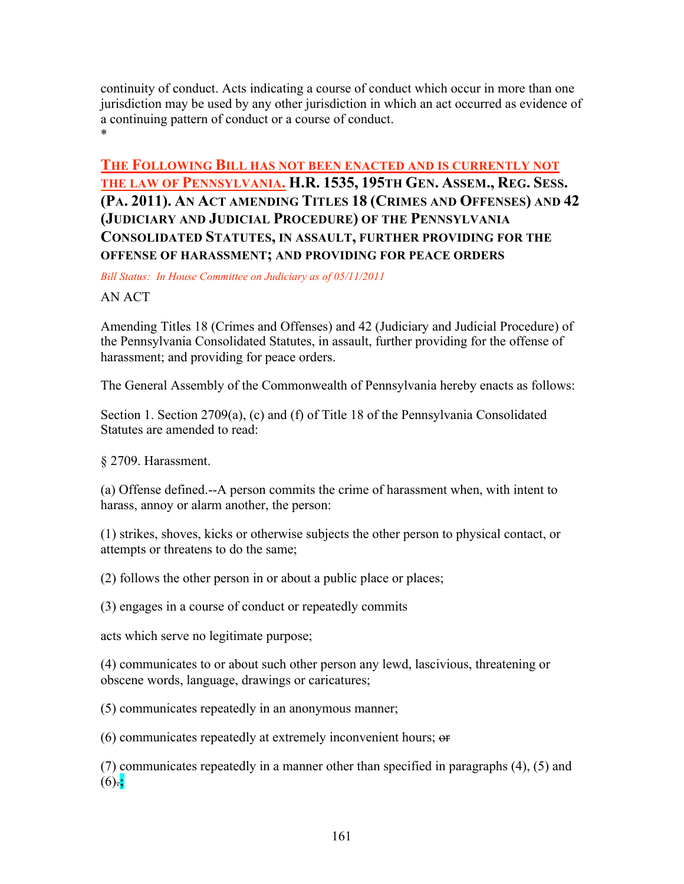continuity of conduct. Acts indicating a course of conduct which occur in more than one jurisdiction may be used by any other jurisdiction in which an act occurred as evidence of a continuing pattern of conduct or a course of conduct. \*

### **THE FOLLOWING BILL HAS NOT BEEN ENACTED AND IS CURRENTLY NOT THE LAW OF PENNSYLVANIA. H.R. 1535, 195TH GEN. ASSEM., REG. SESS. (PA. 2011). AN ACT AMENDING TITLES 18 (CRIMES AND OFFENSES) AND 42 (JUDICIARY AND JUDICIAL PROCEDURE) OF THE PENNSYLVANIA CONSOLIDATED STATUTES, IN ASSAULT, FURTHER PROVIDING FOR THE OFFENSE OF HARASSMENT; AND PROVIDING FOR PEACE ORDERS**

*Bill Status: In House Committee on Judiciary as of 05/11/2011*

AN ACT

Amending Titles 18 (Crimes and Offenses) and 42 (Judiciary and Judicial Procedure) of the Pennsylvania Consolidated Statutes, in assault, further providing for the offense of harassment; and providing for peace orders.

The General Assembly of the Commonwealth of Pennsylvania hereby enacts as follows:

Section 1. Section 2709(a), (c) and (f) of Title 18 of the Pennsylvania Consolidated Statutes are amended to read:

§ 2709. Harassment.

(a) Offense defined.--A person commits the crime of harassment when, with intent to harass, annoy or alarm another, the person:

(1) strikes, shoves, kicks or otherwise subjects the other person to physical contact, or attempts or threatens to do the same;

(2) follows the other person in or about a public place or places;

(3) engages in a course of conduct or repeatedly commits

acts which serve no legitimate purpose;

(4) communicates to or about such other person any lewd, lascivious, threatening or obscene words, language, drawings or caricatures;

(5) communicates repeatedly in an anonymous manner;

(6) communicates repeatedly at extremely inconvenient hours; or

(7) communicates repeatedly in a manner other than specified in paragraphs (4), (5) and (6).**;**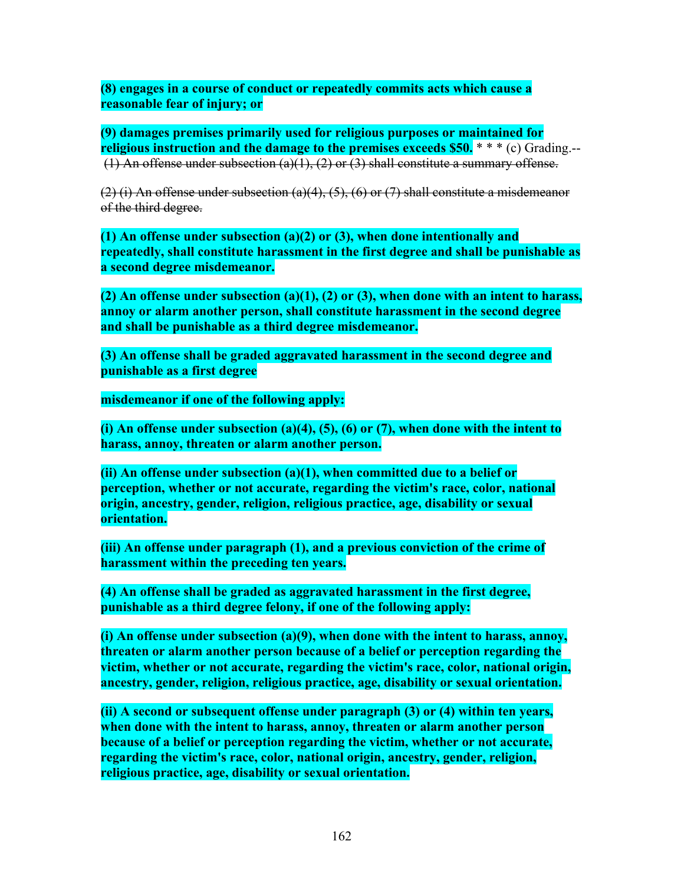**(8) engages in a course of conduct or repeatedly commits acts which cause a reasonable fear of injury; or**

**(9) damages premises primarily used for religious purposes or maintained for religious instruction and the damage to the premises exceeds \$50.** \* \* \* (c) Grading.-- (1) An offense under subsection  $(a)(1)$ ,  $(2)$  or  $(3)$  shall constitute a summary offense.

 $(2)$  (i) An offense under subsection (a)(4), (5), (6) or (7) shall constitute a misdemeanor of the third degree.

**(1) An offense under subsection (a)(2) or (3), when done intentionally and repeatedly, shall constitute harassment in the first degree and shall be punishable as a second degree misdemeanor.**

**(2) An offense under subsection (a)(1), (2) or (3), when done with an intent to harass, annoy or alarm another person, shall constitute harassment in the second degree and shall be punishable as a third degree misdemeanor.**

**(3) An offense shall be graded aggravated harassment in the second degree and punishable as a first degree**

**misdemeanor if one of the following apply:**

**(i) An offense under subsection (a)(4), (5), (6) or (7), when done with the intent to harass, annoy, threaten or alarm another person.**

**(ii) An offense under subsection (a)(1), when committed due to a belief or perception, whether or not accurate, regarding the victim's race, color, national origin, ancestry, gender, religion, religious practice, age, disability or sexual orientation.**

**(iii) An offense under paragraph (1), and a previous conviction of the crime of harassment within the preceding ten years.**

**(4) An offense shall be graded as aggravated harassment in the first degree, punishable as a third degree felony, if one of the following apply:**

**(i) An offense under subsection (a)(9), when done with the intent to harass, annoy, threaten or alarm another person because of a belief or perception regarding the victim, whether or not accurate, regarding the victim's race, color, national origin, ancestry, gender, religion, religious practice, age, disability or sexual orientation.**

**(ii) A second or subsequent offense under paragraph (3) or (4) within ten years, when done with the intent to harass, annoy, threaten or alarm another person because of a belief or perception regarding the victim, whether or not accurate, regarding the victim's race, color, national origin, ancestry, gender, religion, religious practice, age, disability or sexual orientation.**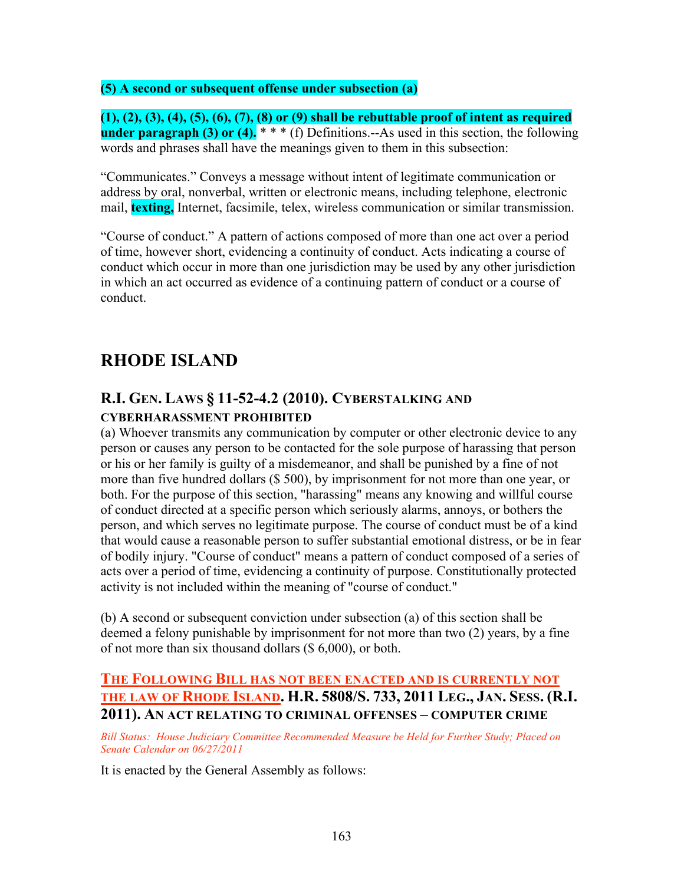#### **(5) A second or subsequent offense under subsection (a)**

**(1), (2), (3), (4), (5), (6), (7), (8) or (9) shall be rebuttable proof of intent as required under paragraph (3) or (4).** \* \* \* (f) Definitions.--As used in this section, the following words and phrases shall have the meanings given to them in this subsection:

"Communicates." Conveys a message without intent of legitimate communication or address by oral, nonverbal, written or electronic means, including telephone, electronic mail, **texting,** Internet, facsimile, telex, wireless communication or similar transmission.

"Course of conduct." A pattern of actions composed of more than one act over a period of time, however short, evidencing a continuity of conduct. Acts indicating a course of conduct which occur in more than one jurisdiction may be used by any other jurisdiction in which an act occurred as evidence of a continuing pattern of conduct or a course of conduct.

## **RHODE ISLAND**

### **R.I. GEN. LAWS § 11-52-4.2 (2010). CYBERSTALKING AND CYBERHARASSMENT PROHIBITED**

(a) Whoever transmits any communication by computer or other electronic device to any person or causes any person to be contacted for the sole purpose of harassing that person or his or her family is guilty of a misdemeanor, and shall be punished by a fine of not more than five hundred dollars (\$ 500), by imprisonment for not more than one year, or both. For the purpose of this section, "harassing" means any knowing and willful course of conduct directed at a specific person which seriously alarms, annoys, or bothers the person, and which serves no legitimate purpose. The course of conduct must be of a kind that would cause a reasonable person to suffer substantial emotional distress, or be in fear of bodily injury. "Course of conduct" means a pattern of conduct composed of a series of acts over a period of time, evidencing a continuity of purpose. Constitutionally protected activity is not included within the meaning of "course of conduct."

(b) A second or subsequent conviction under subsection (a) of this section shall be deemed a felony punishable by imprisonment for not more than two (2) years, by a fine of not more than six thousand dollars (\$ 6,000), or both.

### **THE FOLLOWING BILL HAS NOT BEEN ENACTED AND IS CURRENTLY NOT THE LAW OF RHODE ISLAND. H.R. 5808/S. 733, 2011 LEG., JAN. SESS. (R.I. 2011). AN ACT RELATING TO CRIMINAL OFFENSES – COMPUTER CRIME**

*Bill Status: House Judiciary Committee Recommended Measure be Held for Further Study; Placed on Senate Calendar on 06/27/2011*

It is enacted by the General Assembly as follows: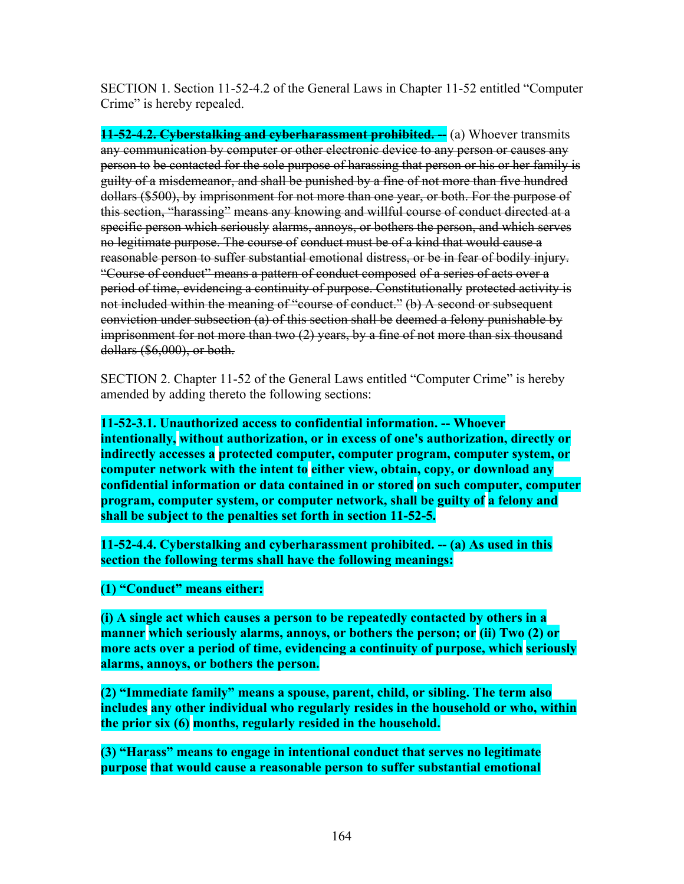SECTION 1. Section 11-52-4.2 of the General Laws in Chapter 11-52 entitled "Computer Crime" is hereby repealed.

**11-52-4.2. Cyberstalking and eyberharassment prohibited. --** (a) Whoever transmits any communication by computer or other electronic device to any person or causes any person to be contacted for the sole purpose of harassing that person or his or her family is guilty of a misdemeanor, and shall be punished by a fine of not more than five hundred dollars (\$500), by imprisonment for not more than one year, or both. For the purpose of this section, "harassing" means any knowing and willful course of conduct directed at a specific person which seriously alarms, annoys, or bothers the person, and which serves no legitimate purpose. The course of conduct must be of a kind that would cause a reasonable person to suffer substantial emotional distress, or be in fear of bodily injury. "Course of conduct" means a pattern of conduct composed of a series of acts over a period of time, evidencing a continuity of purpose. Constitutionally protected activity is not included within the meaning of "course of conduct." (b) A second or subsequent conviction under subsection (a) of this section shall be deemed a felony punishable by imprisonment for not more than two (2) years, by a fine of not more than six thousand dollars (\$6,000), or both.

SECTION 2. Chapter 11-52 of the General Laws entitled "Computer Crime" is hereby amended by adding thereto the following sections:

**11-52-3.1. Unauthorized access to confidential information. -- Whoever intentionally, without authorization, or in excess of one's authorization, directly or indirectly accesses a protected computer, computer program, computer system, or computer network with the intent to either view, obtain, copy, or download any confidential information or data contained in or stored on such computer, computer program, computer system, or computer network, shall be guilty of a felony and shall be subject to the penalties set forth in section 11-52-5.**

**11-52-4.4. Cyberstalking and cyberharassment prohibited. -- (a) As used in this section the following terms shall have the following meanings:**

**(1) "Conduct" means either:**

**(i) A single act which causes a person to be repeatedly contacted by others in a manner which seriously alarms, annoys, or bothers the person; or (ii) Two (2) or more acts over a period of time, evidencing a continuity of purpose, which seriously alarms, annoys, or bothers the person.**

**(2) "Immediate family" means a spouse, parent, child, or sibling. The term also includes any other individual who regularly resides in the household or who, within the prior six (6) months, regularly resided in the household.**

**(3) "Harass" means to engage in intentional conduct that serves no legitimate purpose that would cause a reasonable person to suffer substantial emotional**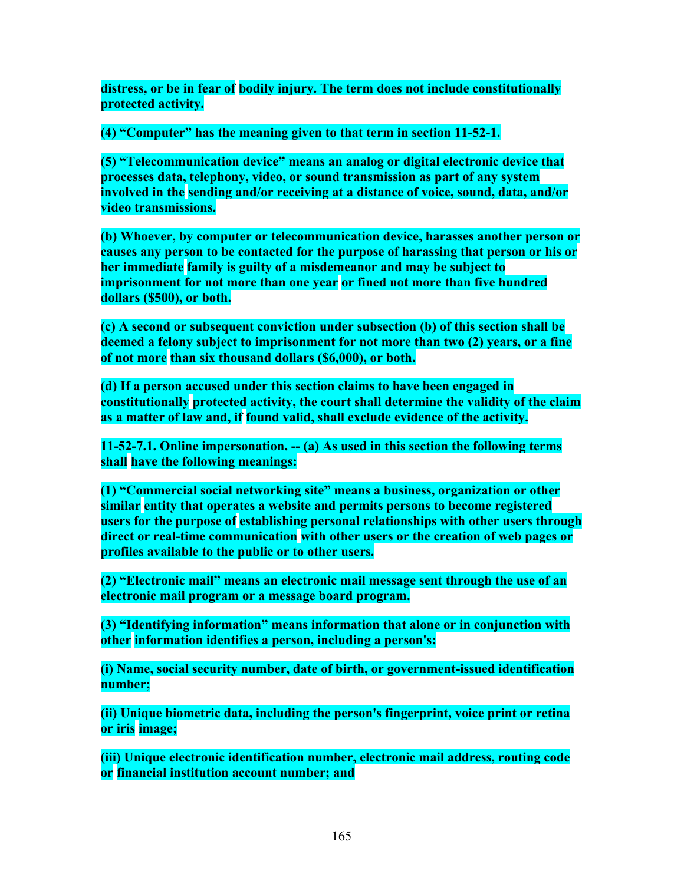**distress, or be in fear of bodily injury. The term does not include constitutionally protected activity.**

**(4) "Computer" has the meaning given to that term in section 11-52-1.**

**(5) "Telecommunication device" means an analog or digital electronic device that processes data, telephony, video, or sound transmission as part of any system involved in the sending and/or receiving at a distance of voice, sound, data, and/or video transmissions.**

**(b) Whoever, by computer or telecommunication device, harasses another person or causes any person to be contacted for the purpose of harassing that person or his or her immediate family is guilty of a misdemeanor and may be subject to imprisonment for not more than one year or fined not more than five hundred dollars (\$500), or both.**

**(c) A second or subsequent conviction under subsection (b) of this section shall be deemed a felony subject to imprisonment for not more than two (2) years, or a fine of not more than six thousand dollars (\$6,000), or both.**

**(d) If a person accused under this section claims to have been engaged in constitutionally protected activity, the court shall determine the validity of the claim as a matter of law and, if found valid, shall exclude evidence of the activity.**

**11-52-7.1. Online impersonation. -- (a) As used in this section the following terms shall have the following meanings:**

**(1) "Commercial social networking site" means a business, organization or other similar entity that operates a website and permits persons to become registered users for the purpose of establishing personal relationships with other users through direct or real-time communication with other users or the creation of web pages or profiles available to the public or to other users.**

**(2) "Electronic mail" means an electronic mail message sent through the use of an electronic mail program or a message board program.**

**(3) "Identifying information" means information that alone or in conjunction with other information identifies a person, including a person's:**

**(i) Name, social security number, date of birth, or government-issued identification number;**

**(ii) Unique biometric data, including the person's fingerprint, voice print or retina or iris image;**

**(iii) Unique electronic identification number, electronic mail address, routing code or financial institution account number; and**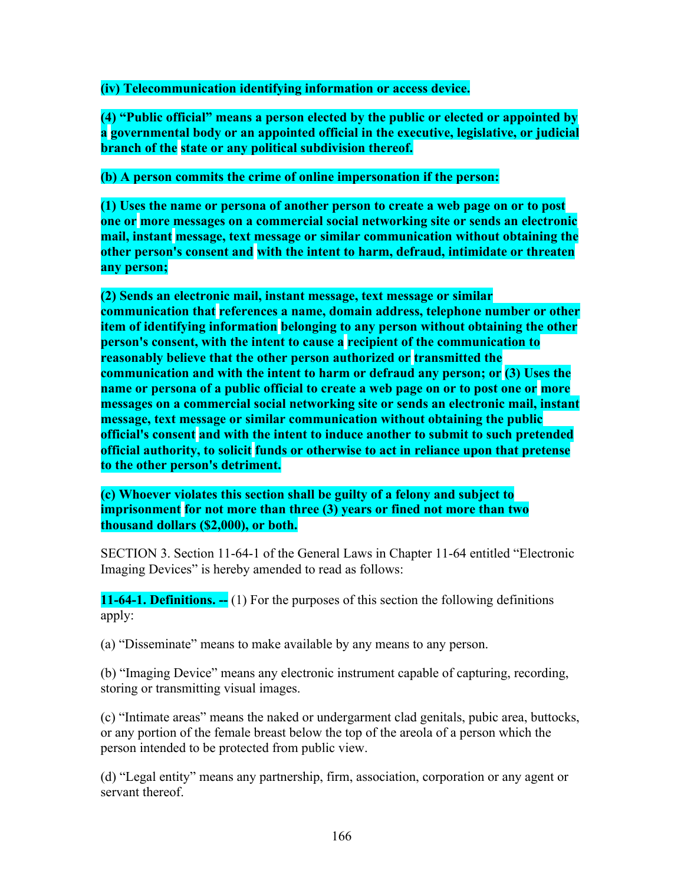**(iv) Telecommunication identifying information or access device.**

**(4) "Public official" means a person elected by the public or elected or appointed by a governmental body or an appointed official in the executive, legislative, or judicial branch of the state or any political subdivision thereof.**

**(b) A person commits the crime of online impersonation if the person:**

**(1) Uses the name or persona of another person to create a web page on or to post one or more messages on a commercial social networking site or sends an electronic mail, instant message, text message or similar communication without obtaining the other person's consent and with the intent to harm, defraud, intimidate or threaten any person;**

**(2) Sends an electronic mail, instant message, text message or similar communication that references a name, domain address, telephone number or other item of identifying information belonging to any person without obtaining the other person's consent, with the intent to cause a recipient of the communication to reasonably believe that the other person authorized or transmitted the communication and with the intent to harm or defraud any person; or (3) Uses the name or persona of a public official to create a web page on or to post one or more messages on a commercial social networking site or sends an electronic mail, instant message, text message or similar communication without obtaining the public official's consent and with the intent to induce another to submit to such pretended official authority, to solicit funds or otherwise to act in reliance upon that pretense to the other person's detriment.**

**(c) Whoever violates this section shall be guilty of a felony and subject to imprisonment for not more than three (3) years or fined not more than two thousand dollars (\$2,000), or both.**

SECTION 3. Section 11-64-1 of the General Laws in Chapter 11-64 entitled "Electronic Imaging Devices" is hereby amended to read as follows:

**11-64-1. Definitions. --** (1) For the purposes of this section the following definitions apply:

(a) "Disseminate" means to make available by any means to any person.

(b) "Imaging Device" means any electronic instrument capable of capturing, recording, storing or transmitting visual images.

(c) "Intimate areas" means the naked or undergarment clad genitals, pubic area, buttocks, or any portion of the female breast below the top of the areola of a person which the person intended to be protected from public view.

(d) "Legal entity" means any partnership, firm, association, corporation or any agent or servant thereof.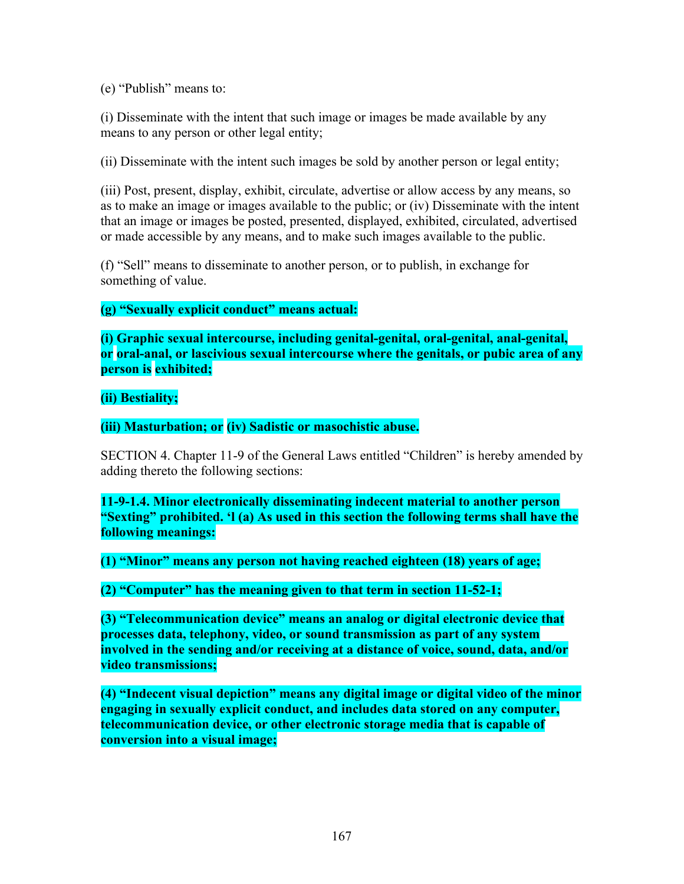(e) "Publish" means to:

(i) Disseminate with the intent that such image or images be made available by any means to any person or other legal entity;

(ii) Disseminate with the intent such images be sold by another person or legal entity;

(iii) Post, present, display, exhibit, circulate, advertise or allow access by any means, so as to make an image or images available to the public; or (iv) Disseminate with the intent that an image or images be posted, presented, displayed, exhibited, circulated, advertised or made accessible by any means, and to make such images available to the public.

(f) "Sell" means to disseminate to another person, or to publish, in exchange for something of value.

#### **(g) "Sexually explicit conduct" means actual:**

**(i) Graphic sexual intercourse, including genital-genital, oral-genital, anal-genital, or oral-anal, or lascivious sexual intercourse where the genitals, or pubic area of any person is exhibited;**

**(ii) Bestiality;**

**(iii) Masturbation; or (iv) Sadistic or masochistic abuse.**

SECTION 4. Chapter 11-9 of the General Laws entitled "Children" is hereby amended by adding thereto the following sections:

**11-9-1.4. Minor electronically disseminating indecent material to another person "Sexting" prohibited. 'l (a) As used in this section the following terms shall have the following meanings:**

**(1) "Minor" means any person not having reached eighteen (18) years of age;**

**(2) "Computer" has the meaning given to that term in section 11-52-1;**

**(3) "Telecommunication device" means an analog or digital electronic device that processes data, telephony, video, or sound transmission as part of any system involved in the sending and/or receiving at a distance of voice, sound, data, and/or video transmissions;**

**(4) "Indecent visual depiction" means any digital image or digital video of the minor engaging in sexually explicit conduct, and includes data stored on any computer, telecommunication device, or other electronic storage media that is capable of conversion into a visual image;**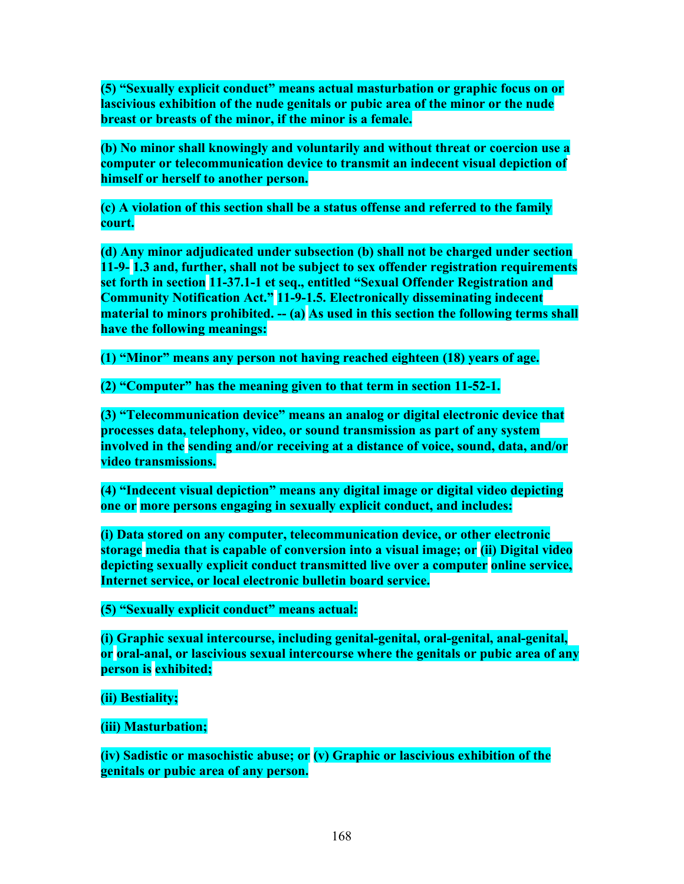**(5) "Sexually explicit conduct" means actual masturbation or graphic focus on or lascivious exhibition of the nude genitals or pubic area of the minor or the nude breast or breasts of the minor, if the minor is a female.**

**(b) No minor shall knowingly and voluntarily and without threat or coercion use a computer or telecommunication device to transmit an indecent visual depiction of himself or herself to another person.**

**(c) A violation of this section shall be a status offense and referred to the family court.**

**(d) Any minor adjudicated under subsection (b) shall not be charged under section 11-9- 1.3 and, further, shall not be subject to sex offender registration requirements set forth in section 11-37.1-1 et seq., entitled "Sexual Offender Registration and Community Notification Act." 11-9-1.5. Electronically disseminating indecent material to minors prohibited. -- (a)** As used in this section the following terms shall **have the following meanings:**

**(1) "Minor" means any person not having reached eighteen (18) years of age.**

**(2) "Computer" has the meaning given to that term in section 11-52-1.**

**(3) "Telecommunication device" means an analog or digital electronic device that processes data, telephony, video, or sound transmission as part of any system involved in the sending and/or receiving at a distance of voice, sound, data, and/or video transmissions.**

**(4) "Indecent visual depiction" means any digital image or digital video depicting one or more persons engaging in sexually explicit conduct, and includes:**

**(i) Data stored on any computer, telecommunication device, or other electronic storage media that is capable of conversion into a visual image; or (ii) Digital video depicting sexually explicit conduct transmitted live over a computer online service, Internet service, or local electronic bulletin board service.**

**(5) "Sexually explicit conduct" means actual:**

**(i) Graphic sexual intercourse, including genital-genital, oral-genital, anal-genital, or oral-anal, or lascivious sexual intercourse where the genitals or pubic area of any person is exhibited;**

**(ii) Bestiality;**

**(iii) Masturbation;**

**(iv) Sadistic or masochistic abuse; or (v) Graphic or lascivious exhibition of the genitals or pubic area of any person.**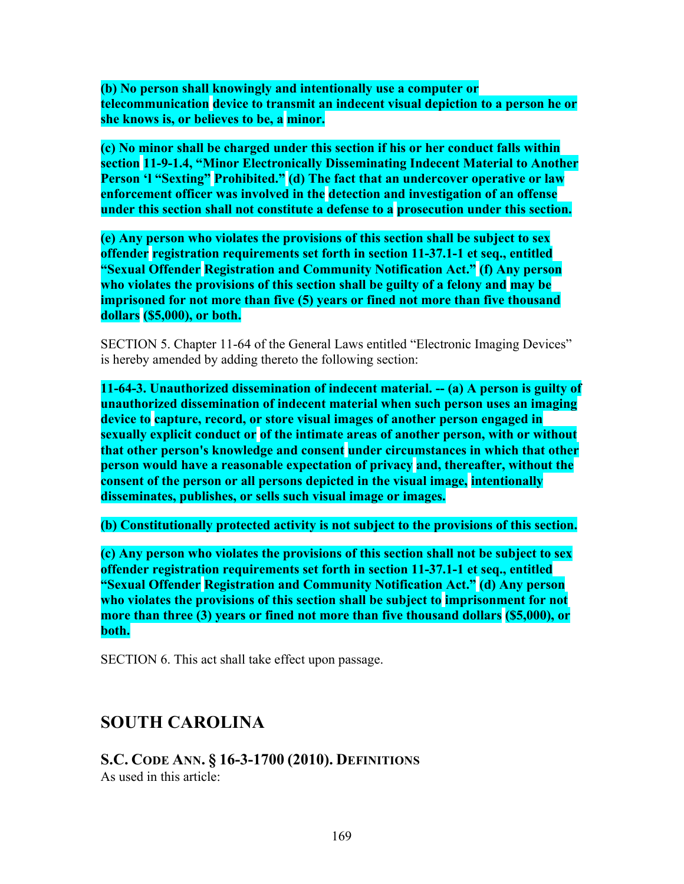**(b) No person shall knowingly and intentionally use a computer or telecommunication device to transmit an indecent visual depiction to a person he or she knows is, or believes to be, a minor.**

**(c) No minor shall be charged under this section if his or her conduct falls within section 11-9-1.4, "Minor Electronically Disseminating Indecent Material to Another Person 'l "Sexting" Prohibited." (d) The fact that an undercover operative or law enforcement officer was involved in the detection and investigation of an offense under this section shall not constitute a defense to a prosecution under this section.**

**(e) Any person who violates the provisions of this section shall be subject to sex offender registration requirements set forth in section 11-37.1-1 et seq., entitled "Sexual Offender Registration and Community Notification Act." (f) Any person who violates the provisions of this section shall be guilty of a felony and may be imprisoned for not more than five (5) years or fined not more than five thousand dollars (\$5,000), or both.**

SECTION 5. Chapter 11-64 of the General Laws entitled "Electronic Imaging Devices" is hereby amended by adding thereto the following section:

**11-64-3. Unauthorized dissemination of indecent material. -- (a) A person is guilty of unauthorized dissemination of indecent material when such person uses an imaging device to capture, record, or store visual images of another person engaged in sexually explicit conduct or of the intimate areas of another person, with or without that other person's knowledge and consent under circumstances in which that other person would have a reasonable expectation of privacy and, thereafter, without the consent of the person or all persons depicted in the visual image, intentionally disseminates, publishes, or sells such visual image or images.**

**(b) Constitutionally protected activity is not subject to the provisions of this section.**

**(c) Any person who violates the provisions of this section shall not be subject to sex offender registration requirements set forth in section 11-37.1-1 et seq., entitled "Sexual Offender Registration and Community Notification Act." (d) Any person who violates the provisions of this section shall be subject to imprisonment for not more than three (3) years or fined not more than five thousand dollars (\$5,000), or both.**

SECTION 6. This act shall take effect upon passage.

## **SOUTH CAROLINA**

**S.C. CODE ANN. § 16-3-1700 (2010). DEFINITIONS** As used in this article: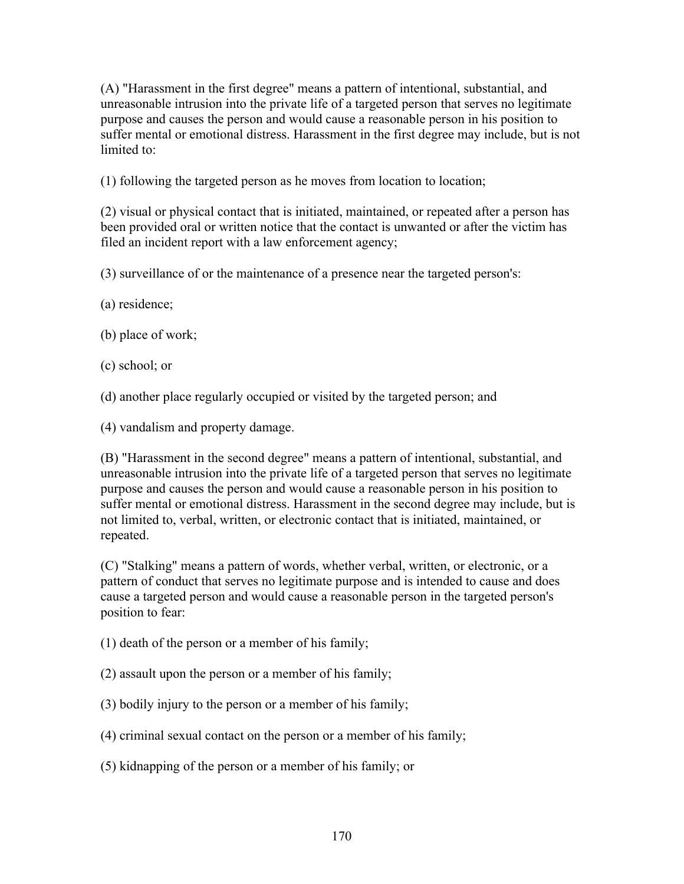(A) "Harassment in the first degree" means a pattern of intentional, substantial, and unreasonable intrusion into the private life of a targeted person that serves no legitimate purpose and causes the person and would cause a reasonable person in his position to suffer mental or emotional distress. Harassment in the first degree may include, but is not limited to:

(1) following the targeted person as he moves from location to location;

(2) visual or physical contact that is initiated, maintained, or repeated after a person has been provided oral or written notice that the contact is unwanted or after the victim has filed an incident report with a law enforcement agency;

(3) surveillance of or the maintenance of a presence near the targeted person's:

(a) residence;

(b) place of work;

(c) school; or

(d) another place regularly occupied or visited by the targeted person; and

(4) vandalism and property damage.

(B) "Harassment in the second degree" means a pattern of intentional, substantial, and unreasonable intrusion into the private life of a targeted person that serves no legitimate purpose and causes the person and would cause a reasonable person in his position to suffer mental or emotional distress. Harassment in the second degree may include, but is not limited to, verbal, written, or electronic contact that is initiated, maintained, or repeated.

(C) "Stalking" means a pattern of words, whether verbal, written, or electronic, or a pattern of conduct that serves no legitimate purpose and is intended to cause and does cause a targeted person and would cause a reasonable person in the targeted person's position to fear:

(1) death of the person or a member of his family;

(2) assault upon the person or a member of his family;

(3) bodily injury to the person or a member of his family;

(4) criminal sexual contact on the person or a member of his family;

(5) kidnapping of the person or a member of his family; or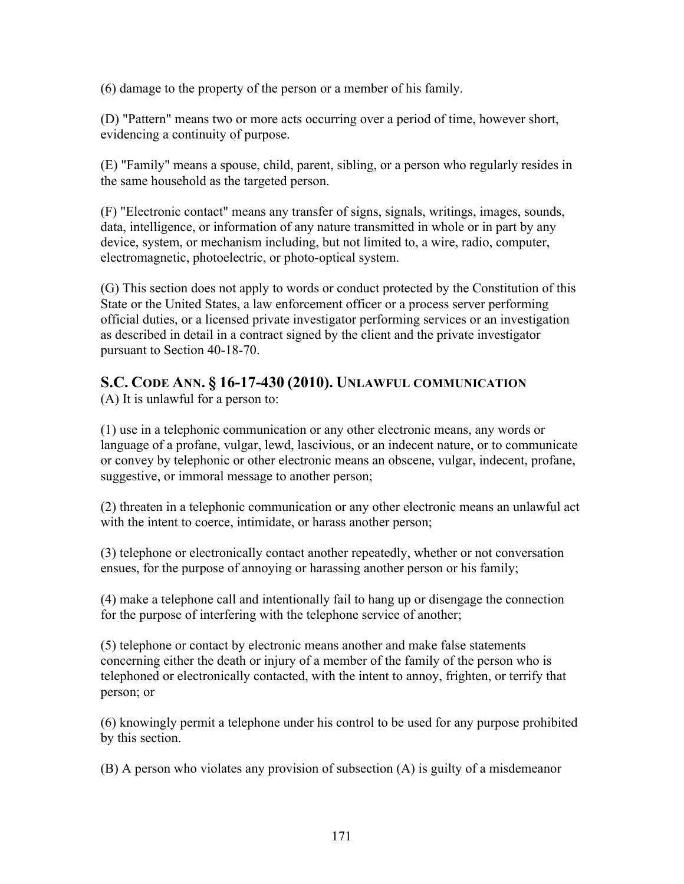(6) damage to the property of the person or a member of his family.

(D) "Pattern" means two or more acts occurring over a period of time, however short, evidencing a continuity of purpose.

(E) "Family" means a spouse, child, parent, sibling, or a person who regularly resides in the same household as the targeted person.

(F) "Electronic contact" means any transfer of signs, signals, writings, images, sounds, data, intelligence, or information of any nature transmitted in whole or in part by any device, system, or mechanism including, but not limited to, a wire, radio, computer, electromagnetic, photoelectric, or photo-optical system.

(G) This section does not apply to words or conduct protected by the Constitution of this State or the United States, a law enforcement officer or a process server performing official duties, or a licensed private investigator performing services or an investigation as described in detail in a contract signed by the client and the private investigator pursuant to Section 40-18-70.

## **S.C. CODE ANN. § 16-17-430 (2010). UNLAWFUL COMMUNICATION**

(A) It is unlawful for a person to:

(1) use in a telephonic communication or any other electronic means, any words or language of a profane, vulgar, lewd, lascivious, or an indecent nature, or to communicate or convey by telephonic or other electronic means an obscene, vulgar, indecent, profane, suggestive, or immoral message to another person;

(2) threaten in a telephonic communication or any other electronic means an unlawful act with the intent to coerce, intimidate, or harass another person;

(3) telephone or electronically contact another repeatedly, whether or not conversation ensues, for the purpose of annoying or harassing another person or his family;

(4) make a telephone call and intentionally fail to hang up or disengage the connection for the purpose of interfering with the telephone service of another;

(5) telephone or contact by electronic means another and make false statements concerning either the death or injury of a member of the family of the person who is telephoned or electronically contacted, with the intent to annoy, frighten, or terrify that person; or

(6) knowingly permit a telephone under his control to be used for any purpose prohibited by this section.

(B) A person who violates any provision of subsection (A) is guilty of a misdemeanor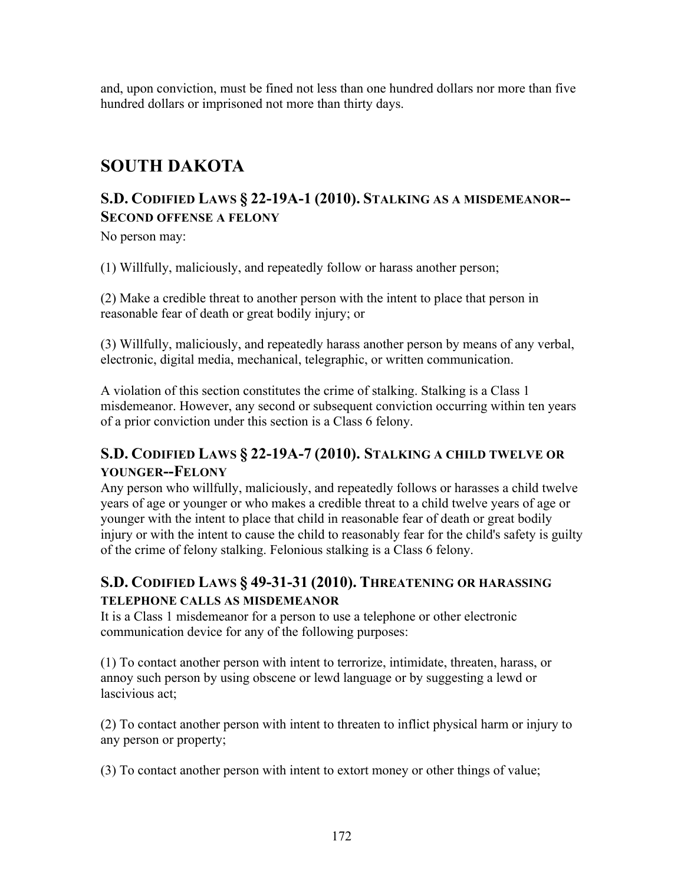and, upon conviction, must be fined not less than one hundred dollars nor more than five hundred dollars or imprisoned not more than thirty days.

## **SOUTH DAKOTA**

### **S.D. CODIFIED LAWS § 22-19A-1 (2010). STALKING AS A MISDEMEANOR-- SECOND OFFENSE A FELONY**

No person may:

(1) Willfully, maliciously, and repeatedly follow or harass another person;

(2) Make a credible threat to another person with the intent to place that person in reasonable fear of death or great bodily injury; or

(3) Willfully, maliciously, and repeatedly harass another person by means of any verbal, electronic, digital media, mechanical, telegraphic, or written communication.

A violation of this section constitutes the crime of stalking. Stalking is a Class 1 misdemeanor. However, any second or subsequent conviction occurring within ten years of a prior conviction under this section is a Class 6 felony.

### **S.D. CODIFIED LAWS § 22-19A-7 (2010). STALKING A CHILD TWELVE OR YOUNGER--FELONY**

Any person who willfully, maliciously, and repeatedly follows or harasses a child twelve years of age or younger or who makes a credible threat to a child twelve years of age or younger with the intent to place that child in reasonable fear of death or great bodily injury or with the intent to cause the child to reasonably fear for the child's safety is guilty of the crime of felony stalking. Felonious stalking is a Class 6 felony.

### **S.D. CODIFIED LAWS § 49-31-31 (2010). THREATENING OR HARASSING TELEPHONE CALLS AS MISDEMEANOR**

It is a Class 1 misdemeanor for a person to use a telephone or other electronic communication device for any of the following purposes:

(1) To contact another person with intent to terrorize, intimidate, threaten, harass, or annoy such person by using obscene or lewd language or by suggesting a lewd or lascivious act;

(2) To contact another person with intent to threaten to inflict physical harm or injury to any person or property;

(3) To contact another person with intent to extort money or other things of value;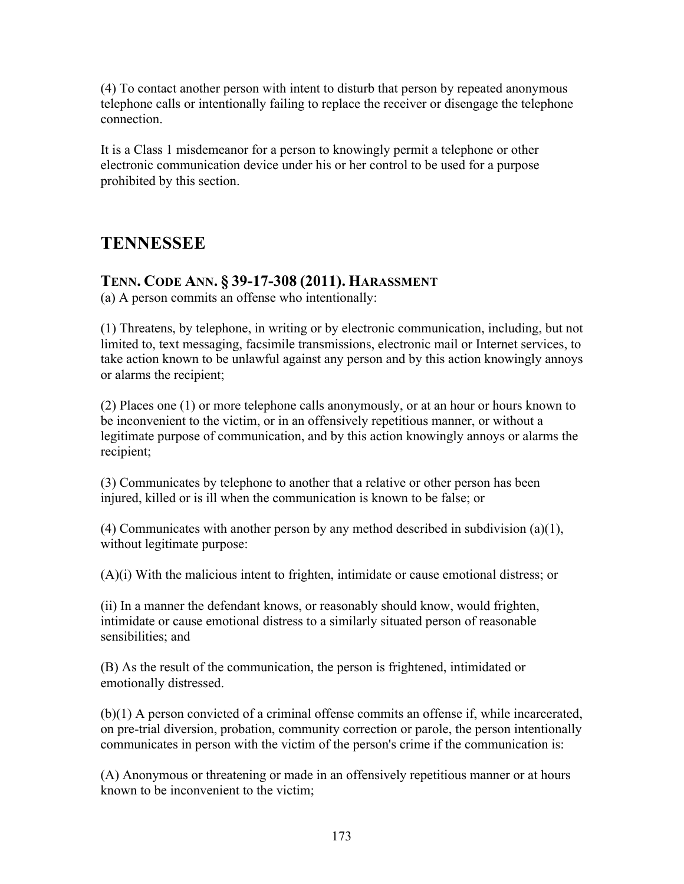(4) To contact another person with intent to disturb that person by repeated anonymous telephone calls or intentionally failing to replace the receiver or disengage the telephone connection.

It is a Class 1 misdemeanor for a person to knowingly permit a telephone or other electronic communication device under his or her control to be used for a purpose prohibited by this section.

## **TENNESSEE**

### **TENN. CODE ANN. § 39-17-308 (2011). HARASSMENT**

(a) A person commits an offense who intentionally:

(1) Threatens, by telephone, in writing or by electronic communication, including, but not limited to, text messaging, facsimile transmissions, electronic mail or Internet services, to take action known to be unlawful against any person and by this action knowingly annoys or alarms the recipient;

(2) Places one (1) or more telephone calls anonymously, or at an hour or hours known to be inconvenient to the victim, or in an offensively repetitious manner, or without a legitimate purpose of communication, and by this action knowingly annoys or alarms the recipient;

(3) Communicates by telephone to another that a relative or other person has been injured, killed or is ill when the communication is known to be false; or

(4) Communicates with another person by any method described in subdivision (a)(1), without legitimate purpose:

(A)(i) With the malicious intent to frighten, intimidate or cause emotional distress; or

(ii) In a manner the defendant knows, or reasonably should know, would frighten, intimidate or cause emotional distress to a similarly situated person of reasonable sensibilities; and

(B) As the result of the communication, the person is frightened, intimidated or emotionally distressed.

(b)(1) A person convicted of a criminal offense commits an offense if, while incarcerated, on pre-trial diversion, probation, community correction or parole, the person intentionally communicates in person with the victim of the person's crime if the communication is:

(A) Anonymous or threatening or made in an offensively repetitious manner or at hours known to be inconvenient to the victim;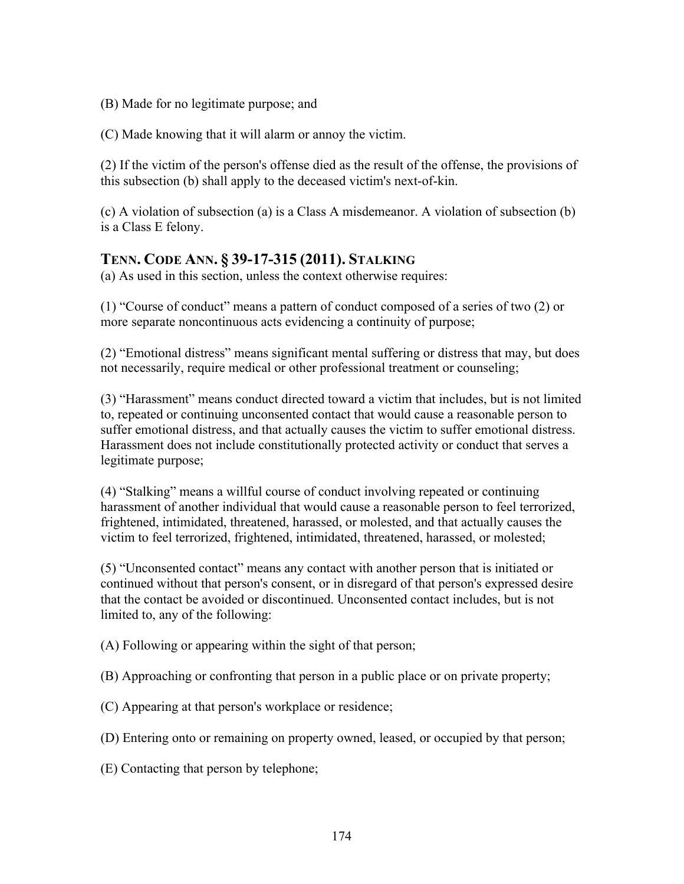(B) Made for no legitimate purpose; and

(C) Made knowing that it will alarm or annoy the victim.

(2) If the victim of the person's offense died as the result of the offense, the provisions of this subsection (b) shall apply to the deceased victim's next-of-kin.

(c) A violation of subsection (a) is a Class A misdemeanor. A violation of subsection (b) is a Class E felony.

### **TENN. CODE ANN. § 39-17-315 (2011). STALKING**

(a) As used in this section, unless the context otherwise requires:

(1) "Course of conduct" means a pattern of conduct composed of a series of two (2) or more separate noncontinuous acts evidencing a continuity of purpose;

(2) "Emotional distress" means significant mental suffering or distress that may, but does not necessarily, require medical or other professional treatment or counseling;

(3) "Harassment" means conduct directed toward a victim that includes, but is not limited to, repeated or continuing unconsented contact that would cause a reasonable person to suffer emotional distress, and that actually causes the victim to suffer emotional distress. Harassment does not include constitutionally protected activity or conduct that serves a legitimate purpose;

(4) "Stalking" means a willful course of conduct involving repeated or continuing harassment of another individual that would cause a reasonable person to feel terrorized, frightened, intimidated, threatened, harassed, or molested, and that actually causes the victim to feel terrorized, frightened, intimidated, threatened, harassed, or molested;

(5) "Unconsented contact" means any contact with another person that is initiated or continued without that person's consent, or in disregard of that person's expressed desire that the contact be avoided or discontinued. Unconsented contact includes, but is not limited to, any of the following:

(A) Following or appearing within the sight of that person;

- (B) Approaching or confronting that person in a public place or on private property;
- (C) Appearing at that person's workplace or residence;
- (D) Entering onto or remaining on property owned, leased, or occupied by that person;
- (E) Contacting that person by telephone;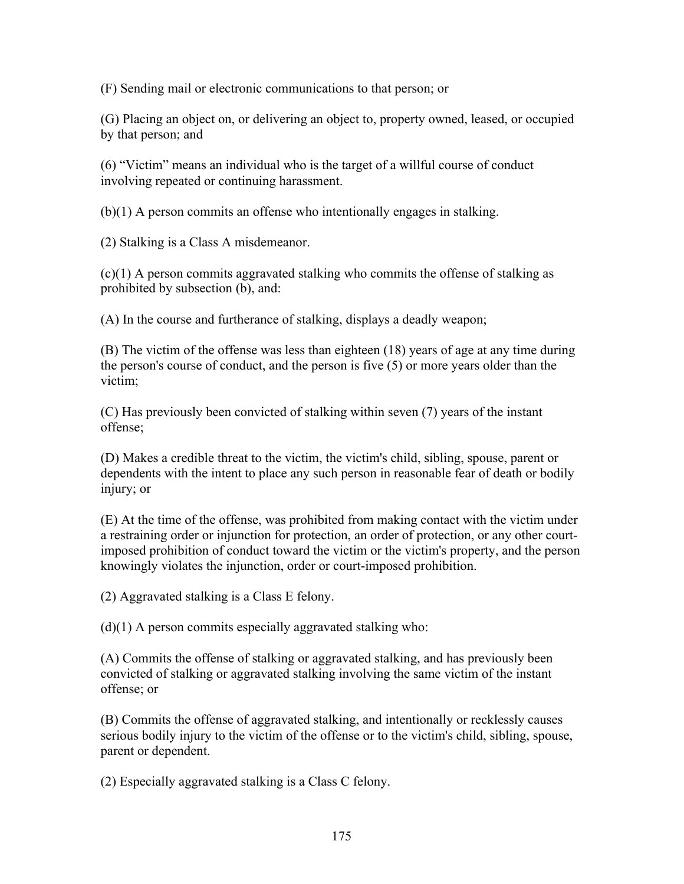(F) Sending mail or electronic communications to that person; or

(G) Placing an object on, or delivering an object to, property owned, leased, or occupied by that person; and

(6) "Victim" means an individual who is the target of a willful course of conduct involving repeated or continuing harassment.

(b)(1) A person commits an offense who intentionally engages in stalking.

(2) Stalking is a Class A misdemeanor.

(c)(1) A person commits aggravated stalking who commits the offense of stalking as prohibited by subsection (b), and:

(A) In the course and furtherance of stalking, displays a deadly weapon;

(B) The victim of the offense was less than eighteen (18) years of age at any time during the person's course of conduct, and the person is five (5) or more years older than the victim;

(C) Has previously been convicted of stalking within seven (7) years of the instant offense;

(D) Makes a credible threat to the victim, the victim's child, sibling, spouse, parent or dependents with the intent to place any such person in reasonable fear of death or bodily injury; or

(E) At the time of the offense, was prohibited from making contact with the victim under a restraining order or injunction for protection, an order of protection, or any other courtimposed prohibition of conduct toward the victim or the victim's property, and the person knowingly violates the injunction, order or court-imposed prohibition.

(2) Aggravated stalking is a Class E felony.

 $(d)(1)$  A person commits especially aggravated stalking who:

(A) Commits the offense of stalking or aggravated stalking, and has previously been convicted of stalking or aggravated stalking involving the same victim of the instant offense; or

(B) Commits the offense of aggravated stalking, and intentionally or recklessly causes serious bodily injury to the victim of the offense or to the victim's child, sibling, spouse, parent or dependent.

(2) Especially aggravated stalking is a Class C felony.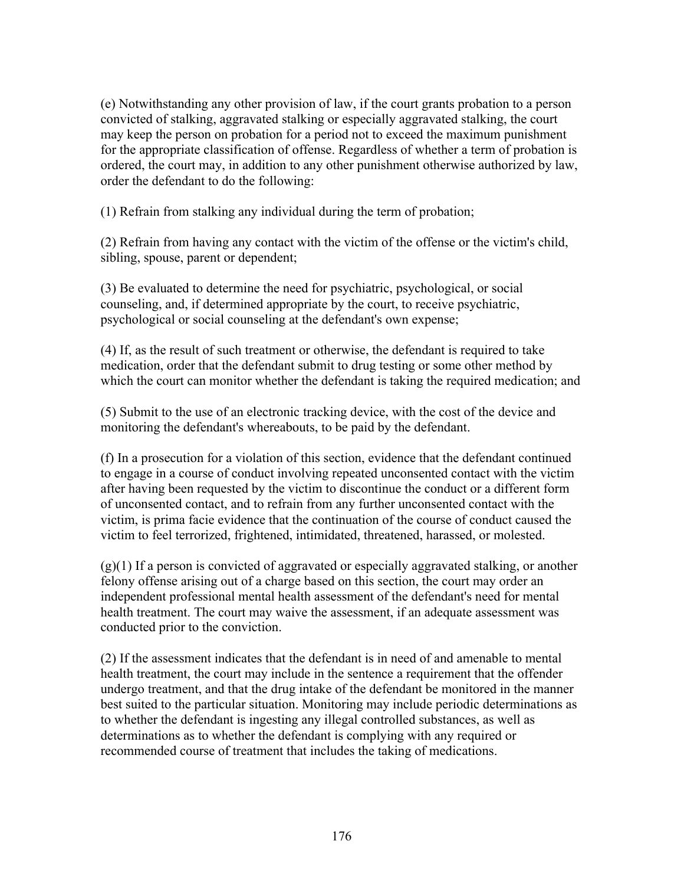(e) Notwithstanding any other provision of law, if the court grants probation to a person convicted of stalking, aggravated stalking or especially aggravated stalking, the court may keep the person on probation for a period not to exceed the maximum punishment for the appropriate classification of offense. Regardless of whether a term of probation is ordered, the court may, in addition to any other punishment otherwise authorized by law, order the defendant to do the following:

(1) Refrain from stalking any individual during the term of probation;

(2) Refrain from having any contact with the victim of the offense or the victim's child, sibling, spouse, parent or dependent;

(3) Be evaluated to determine the need for psychiatric, psychological, or social counseling, and, if determined appropriate by the court, to receive psychiatric, psychological or social counseling at the defendant's own expense;

(4) If, as the result of such treatment or otherwise, the defendant is required to take medication, order that the defendant submit to drug testing or some other method by which the court can monitor whether the defendant is taking the required medication; and

(5) Submit to the use of an electronic tracking device, with the cost of the device and monitoring the defendant's whereabouts, to be paid by the defendant.

(f) In a prosecution for a violation of this section, evidence that the defendant continued to engage in a course of conduct involving repeated unconsented contact with the victim after having been requested by the victim to discontinue the conduct or a different form of unconsented contact, and to refrain from any further unconsented contact with the victim, is prima facie evidence that the continuation of the course of conduct caused the victim to feel terrorized, frightened, intimidated, threatened, harassed, or molested.

 $(g(1)$  If a person is convicted of aggravated or especially aggravated stalking, or another felony offense arising out of a charge based on this section, the court may order an independent professional mental health assessment of the defendant's need for mental health treatment. The court may waive the assessment, if an adequate assessment was conducted prior to the conviction.

(2) If the assessment indicates that the defendant is in need of and amenable to mental health treatment, the court may include in the sentence a requirement that the offender undergo treatment, and that the drug intake of the defendant be monitored in the manner best suited to the particular situation. Monitoring may include periodic determinations as to whether the defendant is ingesting any illegal controlled substances, as well as determinations as to whether the defendant is complying with any required or recommended course of treatment that includes the taking of medications.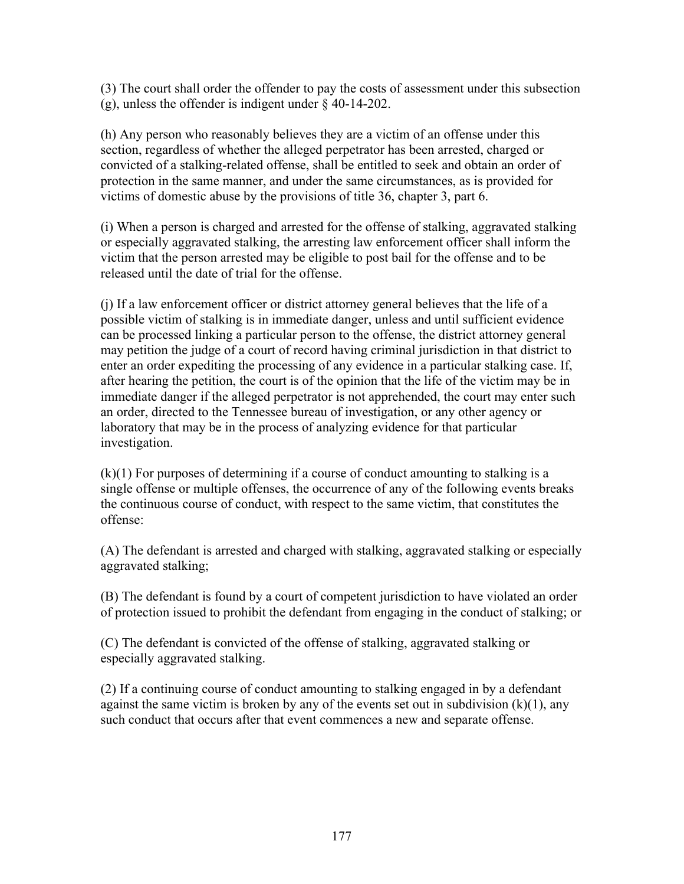(3) The court shall order the offender to pay the costs of assessment under this subsection (g), unless the offender is indigent under § 40-14-202.

(h) Any person who reasonably believes they are a victim of an offense under this section, regardless of whether the alleged perpetrator has been arrested, charged or convicted of a stalking-related offense, shall be entitled to seek and obtain an order of protection in the same manner, and under the same circumstances, as is provided for victims of domestic abuse by the provisions of title 36, chapter 3, part 6.

(i) When a person is charged and arrested for the offense of stalking, aggravated stalking or especially aggravated stalking, the arresting law enforcement officer shall inform the victim that the person arrested may be eligible to post bail for the offense and to be released until the date of trial for the offense.

(j) If a law enforcement officer or district attorney general believes that the life of a possible victim of stalking is in immediate danger, unless and until sufficient evidence can be processed linking a particular person to the offense, the district attorney general may petition the judge of a court of record having criminal jurisdiction in that district to enter an order expediting the processing of any evidence in a particular stalking case. If, after hearing the petition, the court is of the opinion that the life of the victim may be in immediate danger if the alleged perpetrator is not apprehended, the court may enter such an order, directed to the Tennessee bureau of investigation, or any other agency or laboratory that may be in the process of analyzing evidence for that particular investigation.

(k)(1) For purposes of determining if a course of conduct amounting to stalking is a single offense or multiple offenses, the occurrence of any of the following events breaks the continuous course of conduct, with respect to the same victim, that constitutes the offense:

(A) The defendant is arrested and charged with stalking, aggravated stalking or especially aggravated stalking;

(B) The defendant is found by a court of competent jurisdiction to have violated an order of protection issued to prohibit the defendant from engaging in the conduct of stalking; or

(C) The defendant is convicted of the offense of stalking, aggravated stalking or especially aggravated stalking.

(2) If a continuing course of conduct amounting to stalking engaged in by a defendant against the same victim is broken by any of the events set out in subdivision  $(k)(1)$ , any such conduct that occurs after that event commences a new and separate offense.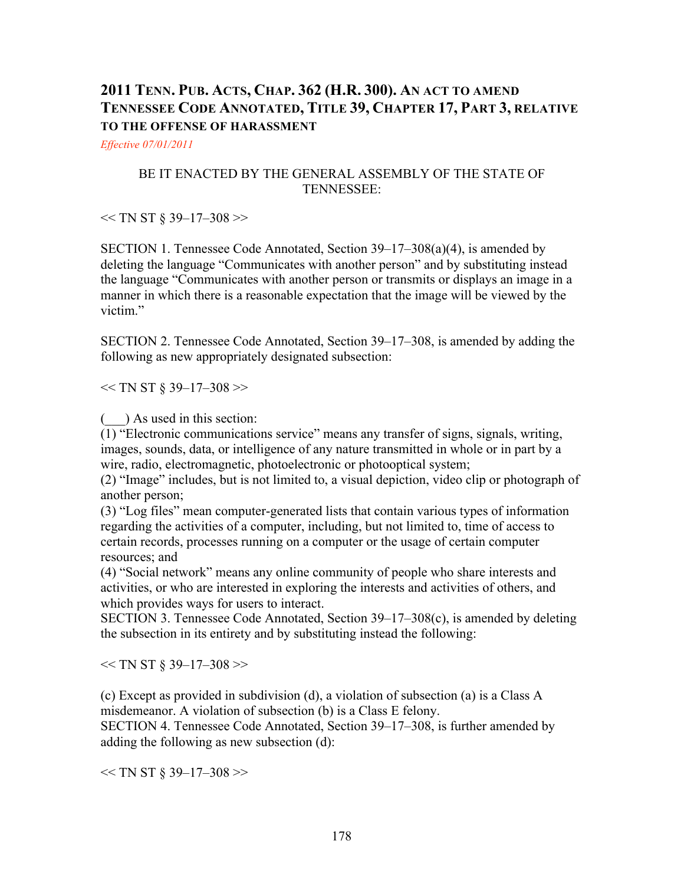### **2011 TENN. PUB. ACTS, CHAP. 362 (H.R. 300). AN ACT TO AMEND TENNESSEE CODE ANNOTATED, TITLE 39, CHAPTER 17, PART 3, RELATIVE TO THE OFFENSE OF HARASSMENT**

*Effective 07/01/2011*

#### BE IT ENACTED BY THE GENERAL ASSEMBLY OF THE STATE OF TENNESSEE:

 $<<$  TN ST § 39–17–308 $>>$ 

SECTION 1. Tennessee Code Annotated, Section 39–17–308(a)(4), is amended by deleting the language "Communicates with another person" and by substituting instead the language "Communicates with another person or transmits or displays an image in a manner in which there is a reasonable expectation that the image will be viewed by the victim<sup>"</sup>

SECTION 2. Tennessee Code Annotated, Section 39–17–308, is amended by adding the following as new appropriately designated subsection:

 $<<$  TN ST  $\S$  39-17-308 >>

(\_\_\_) As used in this section:

(1) "Electronic communications service" means any transfer of signs, signals, writing, images, sounds, data, or intelligence of any nature transmitted in whole or in part by a wire, radio, electromagnetic, photoelectronic or photooptical system;

(2) "Image" includes, but is not limited to, a visual depiction, video clip or photograph of another person;

(3) "Log files" mean computer-generated lists that contain various types of information regarding the activities of a computer, including, but not limited to, time of access to certain records, processes running on a computer or the usage of certain computer resources; and

(4) "Social network" means any online community of people who share interests and activities, or who are interested in exploring the interests and activities of others, and which provides ways for users to interact.

SECTION 3. Tennessee Code Annotated, Section 39–17–308(c), is amended by deleting the subsection in its entirety and by substituting instead the following:

 $<<$  TN ST § 39-17-308 >>

(c) Except as provided in subdivision (d), a violation of subsection (a) is a Class A misdemeanor. A violation of subsection (b) is a Class E felony.

SECTION 4. Tennessee Code Annotated, Section 39–17–308, is further amended by adding the following as new subsection (d):

 $<<$  TN ST § 39–17–308 $>>$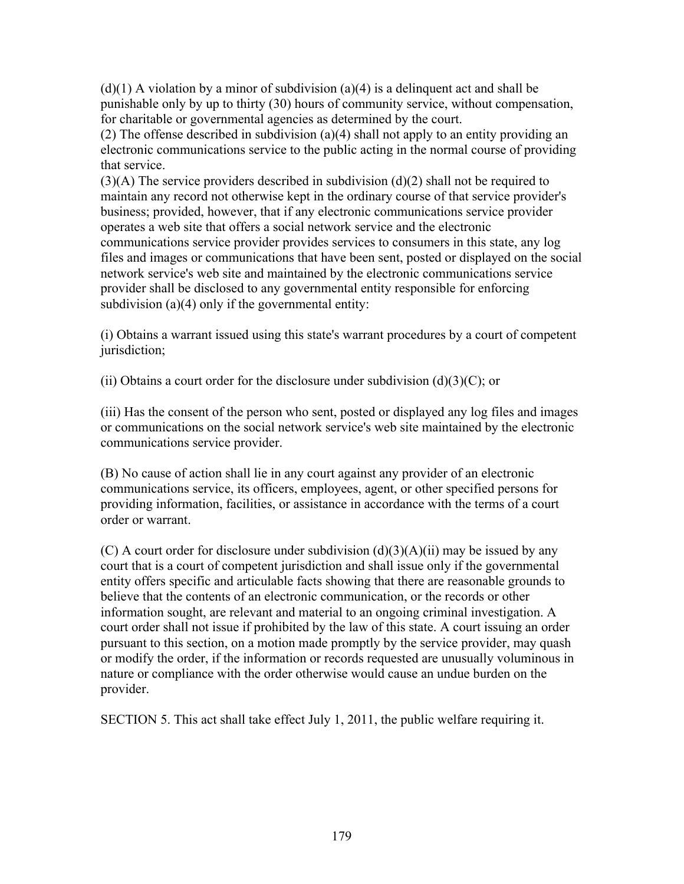$(d)(1)$  A violation by a minor of subdivision  $(a)(4)$  is a delinguent act and shall be punishable only by up to thirty (30) hours of community service, without compensation, for charitable or governmental agencies as determined by the court.

(2) The offense described in subdivision (a)(4) shall not apply to an entity providing an electronic communications service to the public acting in the normal course of providing that service.

 $(3)(A)$  The service providers described in subdivision  $(d)(2)$  shall not be required to maintain any record not otherwise kept in the ordinary course of that service provider's business; provided, however, that if any electronic communications service provider operates a web site that offers a social network service and the electronic communications service provider provides services to consumers in this state, any log files and images or communications that have been sent, posted or displayed on the social network service's web site and maintained by the electronic communications service provider shall be disclosed to any governmental entity responsible for enforcing subdivision  $(a)(4)$  only if the governmental entity:

(i) Obtains a warrant issued using this state's warrant procedures by a court of competent jurisdiction;

(ii) Obtains a court order for the disclosure under subdivision  $(d)(3)(C)$ ; or

(iii) Has the consent of the person who sent, posted or displayed any log files and images or communications on the social network service's web site maintained by the electronic communications service provider.

(B) No cause of action shall lie in any court against any provider of an electronic communications service, its officers, employees, agent, or other specified persons for providing information, facilities, or assistance in accordance with the terms of a court order or warrant.

(C) A court order for disclosure under subdivision  $(d)(3)(A)(ii)$  may be issued by any court that is a court of competent jurisdiction and shall issue only if the governmental entity offers specific and articulable facts showing that there are reasonable grounds to believe that the contents of an electronic communication, or the records or other information sought, are relevant and material to an ongoing criminal investigation. A court order shall not issue if prohibited by the law of this state. A court issuing an order pursuant to this section, on a motion made promptly by the service provider, may quash or modify the order, if the information or records requested are unusually voluminous in nature or compliance with the order otherwise would cause an undue burden on the provider.

SECTION 5. This act shall take effect July 1, 2011, the public welfare requiring it.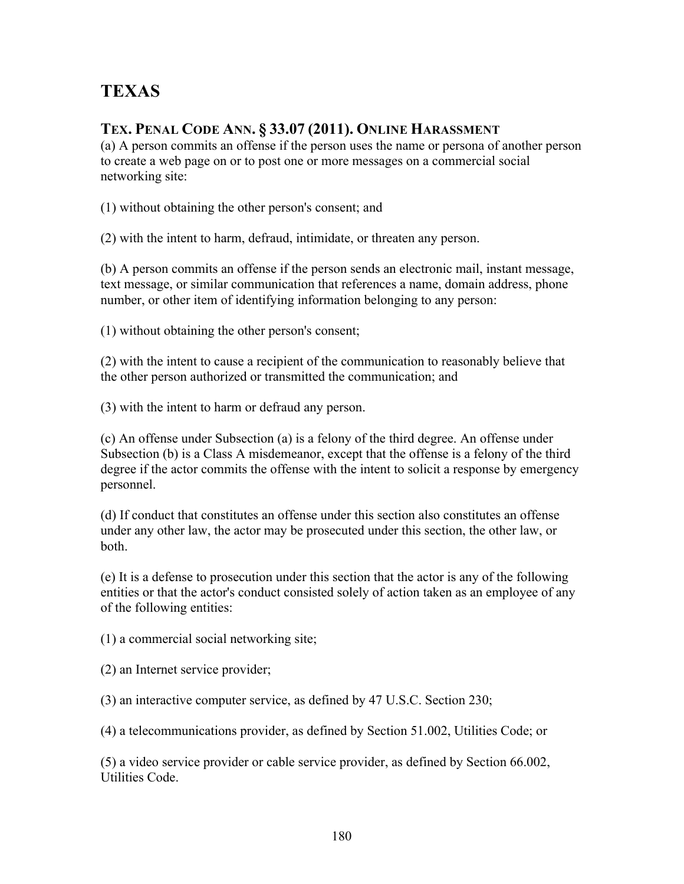# **TEXAS**

### **TEX. PENAL CODE ANN. § 33.07 (2011). ONLINE HARASSMENT**

(a) A person commits an offense if the person uses the name or persona of another person to create a web page on or to post one or more messages on a commercial social networking site:

(1) without obtaining the other person's consent; and

(2) with the intent to harm, defraud, intimidate, or threaten any person.

(b) A person commits an offense if the person sends an electronic mail, instant message, text message, or similar communication that references a name, domain address, phone number, or other item of identifying information belonging to any person:

(1) without obtaining the other person's consent;

(2) with the intent to cause a recipient of the communication to reasonably believe that the other person authorized or transmitted the communication; and

(3) with the intent to harm or defraud any person.

(c) An offense under Subsection (a) is a felony of the third degree. An offense under Subsection (b) is a Class A misdemeanor, except that the offense is a felony of the third degree if the actor commits the offense with the intent to solicit a response by emergency personnel.

(d) If conduct that constitutes an offense under this section also constitutes an offense under any other law, the actor may be prosecuted under this section, the other law, or both.

(e) It is a defense to prosecution under this section that the actor is any of the following entities or that the actor's conduct consisted solely of action taken as an employee of any of the following entities:

(1) a commercial social networking site;

(2) an Internet service provider;

(3) an interactive computer service, as defined by 47 U.S.C. Section 230;

(4) a telecommunications provider, as defined by Section 51.002, Utilities Code; or

(5) a video service provider or cable service provider, as defined by Section 66.002, Utilities Code.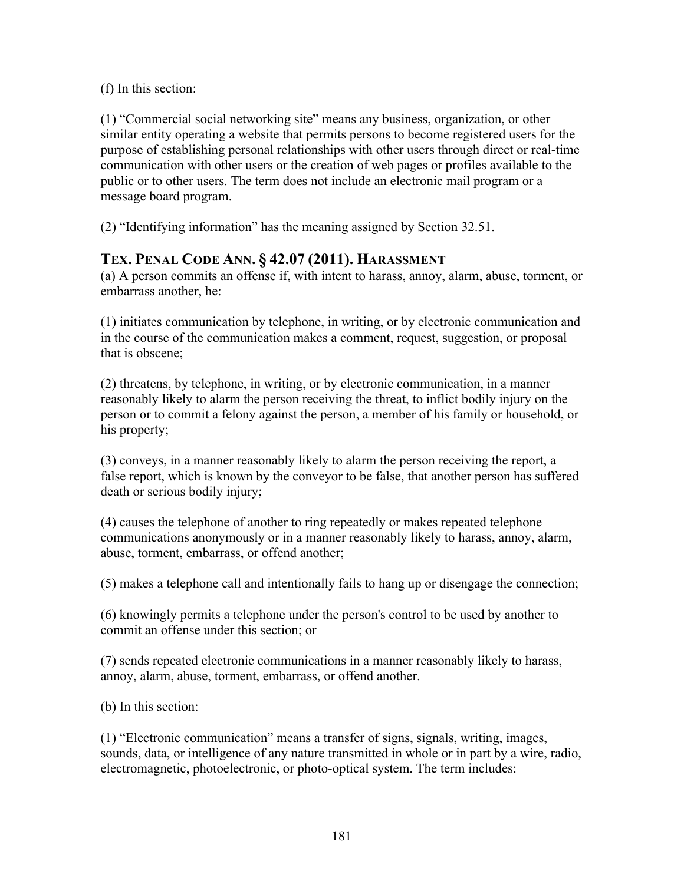(f) In this section:

(1) "Commercial social networking site" means any business, organization, or other similar entity operating a website that permits persons to become registered users for the purpose of establishing personal relationships with other users through direct or real-time communication with other users or the creation of web pages or profiles available to the public or to other users. The term does not include an electronic mail program or a message board program.

(2) "Identifying information" has the meaning assigned by Section 32.51.

## **TEX. PENAL CODE ANN. § 42.07 (2011). HARASSMENT**

(a) A person commits an offense if, with intent to harass, annoy, alarm, abuse, torment, or embarrass another, he:

(1) initiates communication by telephone, in writing, or by electronic communication and in the course of the communication makes a comment, request, suggestion, or proposal that is obscene;

(2) threatens, by telephone, in writing, or by electronic communication, in a manner reasonably likely to alarm the person receiving the threat, to inflict bodily injury on the person or to commit a felony against the person, a member of his family or household, or his property;

(3) conveys, in a manner reasonably likely to alarm the person receiving the report, a false report, which is known by the conveyor to be false, that another person has suffered death or serious bodily injury;

(4) causes the telephone of another to ring repeatedly or makes repeated telephone communications anonymously or in a manner reasonably likely to harass, annoy, alarm, abuse, torment, embarrass, or offend another;

(5) makes a telephone call and intentionally fails to hang up or disengage the connection;

(6) knowingly permits a telephone under the person's control to be used by another to commit an offense under this section; or

(7) sends repeated electronic communications in a manner reasonably likely to harass, annoy, alarm, abuse, torment, embarrass, or offend another.

(b) In this section:

(1) "Electronic communication" means a transfer of signs, signals, writing, images, sounds, data, or intelligence of any nature transmitted in whole or in part by a wire, radio, electromagnetic, photoelectronic, or photo-optical system. The term includes: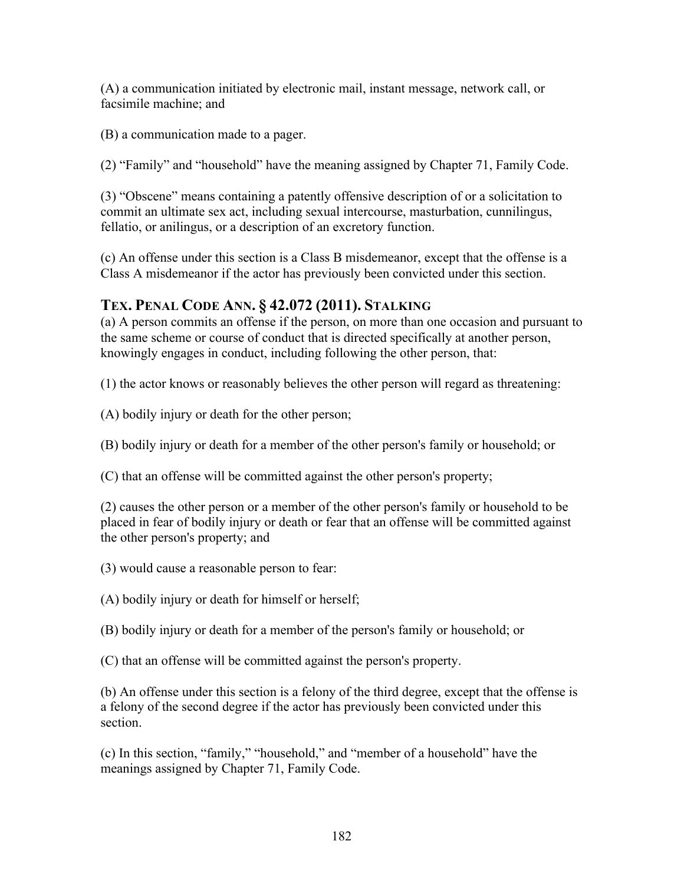(A) a communication initiated by electronic mail, instant message, network call, or facsimile machine; and

(B) a communication made to a pager.

(2) "Family" and "household" have the meaning assigned by Chapter 71, Family Code.

(3) "Obscene" means containing a patently offensive description of or a solicitation to commit an ultimate sex act, including sexual intercourse, masturbation, cunnilingus, fellatio, or anilingus, or a description of an excretory function.

(c) An offense under this section is a Class B misdemeanor, except that the offense is a Class A misdemeanor if the actor has previously been convicted under this section.

### **TEX. PENAL CODE ANN. § 42.072 (2011). STALKING**

(a) A person commits an offense if the person, on more than one occasion and pursuant to the same scheme or course of conduct that is directed specifically at another person, knowingly engages in conduct, including following the other person, that:

(1) the actor knows or reasonably believes the other person will regard as threatening:

(A) bodily injury or death for the other person;

(B) bodily injury or death for a member of the other person's family or household; or

(C) that an offense will be committed against the other person's property;

(2) causes the other person or a member of the other person's family or household to be placed in fear of bodily injury or death or fear that an offense will be committed against the other person's property; and

(3) would cause a reasonable person to fear:

(A) bodily injury or death for himself or herself;

(B) bodily injury or death for a member of the person's family or household; or

(C) that an offense will be committed against the person's property.

(b) An offense under this section is a felony of the third degree, except that the offense is a felony of the second degree if the actor has previously been convicted under this section.

(c) In this section, "family," "household," and "member of a household" have the meanings assigned by Chapter 71, Family Code.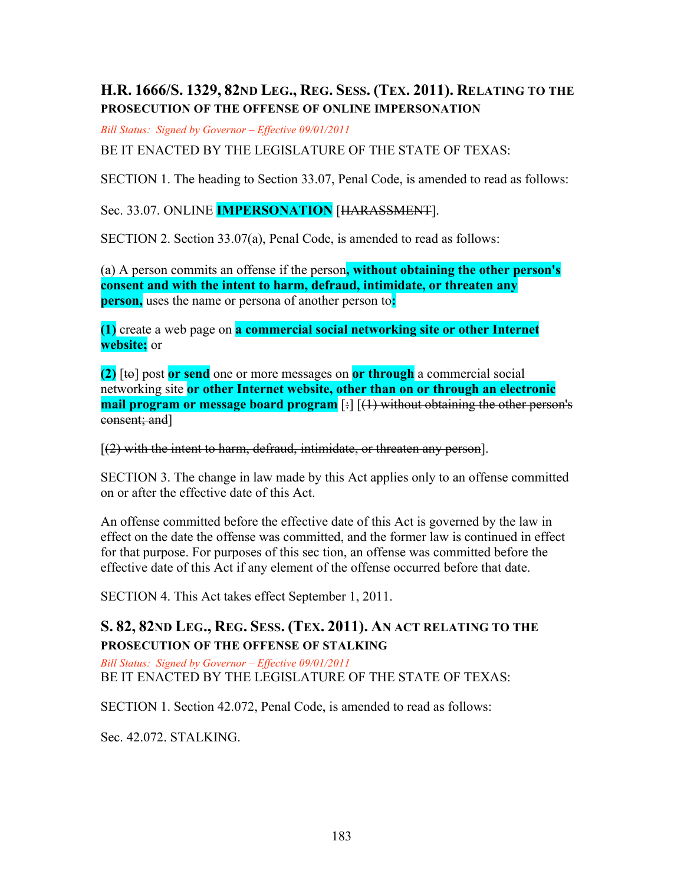# **H.R. 1666/S. 1329, 82ND LEG., REG. SESS. (TEX. 2011). RELATING TO THE PROSECUTION OF THE OFFENSE OF ONLINE IMPERSONATION**

*Bill Status: Signed by Governor – Effective 09/01/2011*

BE IT ENACTED BY THE LEGISLATURE OF THE STATE OF TEXAS:

SECTION 1. The heading to Section 33.07, Penal Code, is amended to read as follows:

Sec. 33.07. ONLINE **IMPERSONATION** [HARASSMENT].

SECTION 2. Section 33.07(a), Penal Code, is amended to read as follows:

(a) A person commits an offense if the person**, without obtaining the other person's consent and with the intent to harm, defraud, intimidate, or threaten any person,** uses the name or persona of another person to**:**

**(1)** create a web page on **a commercial social networking site or other Internet website;** or

**(2)** [to] post **or send** one or more messages on **or through** a commercial social networking site **or other Internet website, other than on or through an electronic mail program or message board program** [:]  $(1)$  without obtaining the other person's consent; and]

[(2) with the intent to harm, defraud, intimidate, or threaten any person].

SECTION 3. The change in law made by this Act applies only to an offense committed on or after the effective date of this Act.

An offense committed before the effective date of this Act is governed by the law in effect on the date the offense was committed, and the former law is continued in effect for that purpose. For purposes of this sec tion, an offense was committed before the effective date of this Act if any element of the offense occurred before that date.

SECTION 4. This Act takes effect September 1, 2011.

### **S. 82, 82ND LEG., REG. SESS. (TEX. 2011). AN ACT RELATING TO THE PROSECUTION OF THE OFFENSE OF STALKING**

*Bill Status: Signed by Governor – Effective 09/01/2011* BE IT ENACTED BY THE LEGISLATURE OF THE STATE OF TEXAS:

SECTION 1. Section 42.072, Penal Code, is amended to read as follows:

Sec. 42.072. STALKING.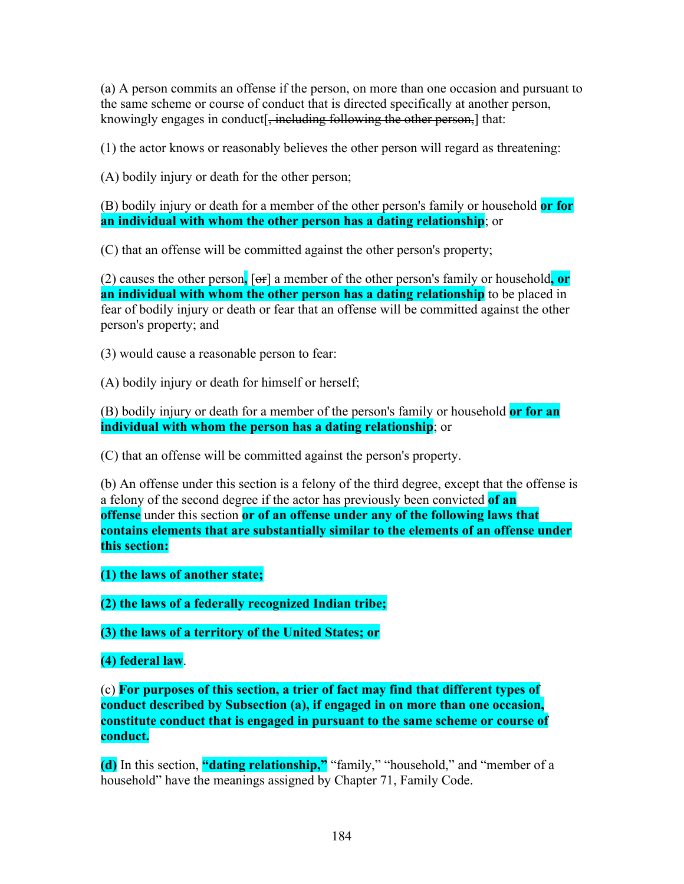(a) A person commits an offense if the person, on more than one occasion and pursuant to the same scheme or course of conduct that is directed specifically at another person, knowingly engages in conduct<sup>[</sup>, including following the other person,] that:

(1) the actor knows or reasonably believes the other person will regard as threatening:

(A) bodily injury or death for the other person;

(B) bodily injury or death for a member of the other person's family or household **or for an individual with whom the other person has a dating relationship**; or

(C) that an offense will be committed against the other person's property;

(2) causes the other person**,** [or] a member of the other person's family or household**, or an individual with whom the other person has a dating relationship** to be placed in fear of bodily injury or death or fear that an offense will be committed against the other person's property; and

(3) would cause a reasonable person to fear:

(A) bodily injury or death for himself or herself;

(B) bodily injury or death for a member of the person's family or household **or for an individual with whom the person has a dating relationship**; or

(C) that an offense will be committed against the person's property.

(b) An offense under this section is a felony of the third degree, except that the offense is a felony of the second degree if the actor has previously been convicted **of an offense** under this section **or of an offense under any of the following laws that contains elements that are substantially similar to the elements of an offense under this section:**

**(1) the laws of another state;**

**(2) the laws of a federally recognized Indian tribe;**

**(3) the laws of a territory of the United States; or**

**(4) federal law**.

(c) **For purposes of this section, a trier of fact may find that different types of conduct described by Subsection (a), if engaged in on more than one occasion, constitute conduct that is engaged in pursuant to the same scheme or course of conduct.**

**(d)** In this section, **"dating relationship,"** "family," "household," and "member of a household" have the meanings assigned by Chapter 71, Family Code.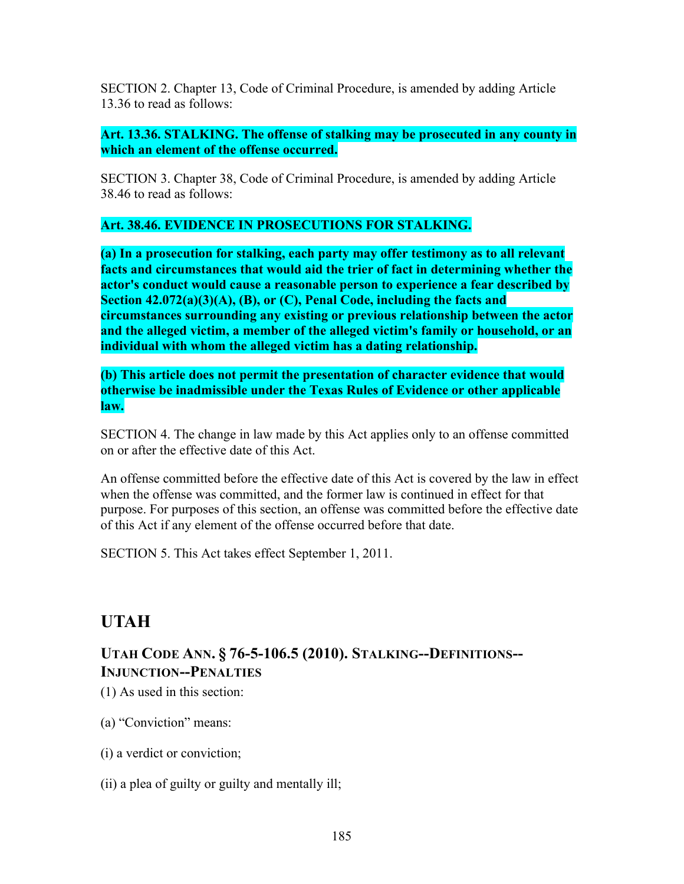SECTION 2. Chapter 13, Code of Criminal Procedure, is amended by adding Article 13.36 to read as follows:

**Art. 13.36. STALKING. The offense of stalking may be prosecuted in any county in which an element of the offense occurred.**

SECTION 3. Chapter 38, Code of Criminal Procedure, is amended by adding Article 38.46 to read as follows:

#### **Art. 38.46. EVIDENCE IN PROSECUTIONS FOR STALKING.**

**(a) In a prosecution for stalking, each party may offer testimony as to all relevant facts and circumstances that would aid the trier of fact in determining whether the actor's conduct would cause a reasonable person to experience a fear described by Section 42.072(a)(3)(A), (B), or (C), Penal Code, including the facts and circumstances surrounding any existing or previous relationship between the actor and the alleged victim, a member of the alleged victim's family or household, or an individual with whom the alleged victim has a dating relationship.**

**(b) This article does not permit the presentation of character evidence that would otherwise be inadmissible under the Texas Rules of Evidence or other applicable law.**

SECTION 4. The change in law made by this Act applies only to an offense committed on or after the effective date of this Act.

An offense committed before the effective date of this Act is covered by the law in effect when the offense was committed, and the former law is continued in effect for that purpose. For purposes of this section, an offense was committed before the effective date of this Act if any element of the offense occurred before that date.

SECTION 5. This Act takes effect September 1, 2011.

# **UTAH**

## **UTAH CODE ANN. § 76-5-106.5 (2010). STALKING--DEFINITIONS-- INJUNCTION--PENALTIES**

(1) As used in this section:

(a) "Conviction" means:

- (i) a verdict or conviction;
- (ii) a plea of guilty or guilty and mentally ill;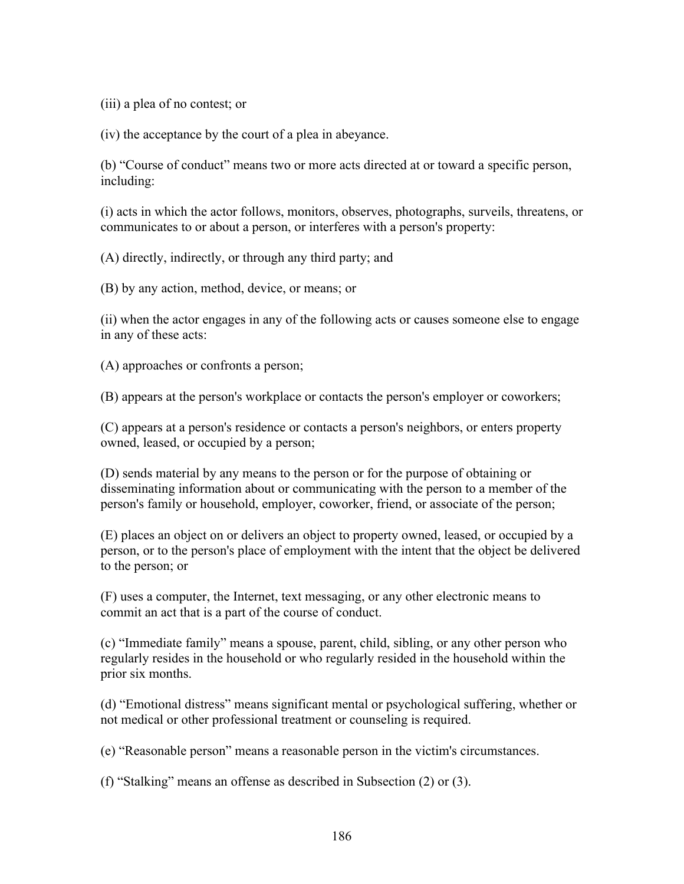(iii) a plea of no contest; or

(iv) the acceptance by the court of a plea in abeyance.

(b) "Course of conduct" means two or more acts directed at or toward a specific person, including:

(i) acts in which the actor follows, monitors, observes, photographs, surveils, threatens, or communicates to or about a person, or interferes with a person's property:

(A) directly, indirectly, or through any third party; and

(B) by any action, method, device, or means; or

(ii) when the actor engages in any of the following acts or causes someone else to engage in any of these acts:

(A) approaches or confronts a person;

(B) appears at the person's workplace or contacts the person's employer or coworkers;

(C) appears at a person's residence or contacts a person's neighbors, or enters property owned, leased, or occupied by a person;

(D) sends material by any means to the person or for the purpose of obtaining or disseminating information about or communicating with the person to a member of the person's family or household, employer, coworker, friend, or associate of the person;

(E) places an object on or delivers an object to property owned, leased, or occupied by a person, or to the person's place of employment with the intent that the object be delivered to the person; or

(F) uses a computer, the Internet, text messaging, or any other electronic means to commit an act that is a part of the course of conduct.

(c) "Immediate family" means a spouse, parent, child, sibling, or any other person who regularly resides in the household or who regularly resided in the household within the prior six months.

(d) "Emotional distress" means significant mental or psychological suffering, whether or not medical or other professional treatment or counseling is required.

(e) "Reasonable person" means a reasonable person in the victim's circumstances.

(f) "Stalking" means an offense as described in Subsection (2) or (3).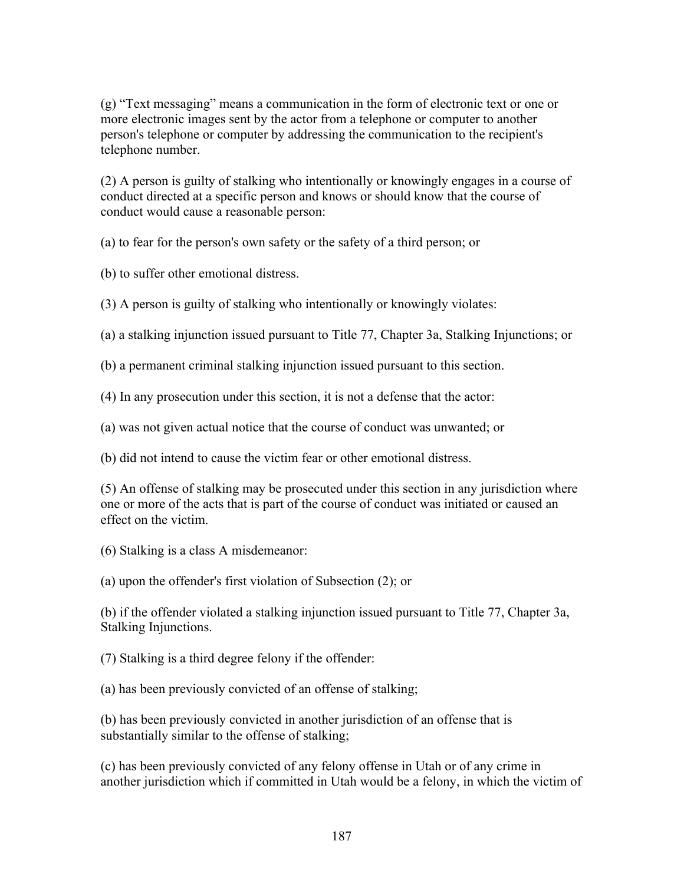(g) "Text messaging" means a communication in the form of electronic text or one or more electronic images sent by the actor from a telephone or computer to another person's telephone or computer by addressing the communication to the recipient's telephone number.

(2) A person is guilty of stalking who intentionally or knowingly engages in a course of conduct directed at a specific person and knows or should know that the course of conduct would cause a reasonable person:

(a) to fear for the person's own safety or the safety of a third person; or

(b) to suffer other emotional distress.

(3) A person is guilty of stalking who intentionally or knowingly violates:

(a) a stalking injunction issued pursuant to Title 77, Chapter 3a, Stalking Injunctions; or

(b) a permanent criminal stalking injunction issued pursuant to this section.

(4) In any prosecution under this section, it is not a defense that the actor:

(a) was not given actual notice that the course of conduct was unwanted; or

(b) did not intend to cause the victim fear or other emotional distress.

(5) An offense of stalking may be prosecuted under this section in any jurisdiction where one or more of the acts that is part of the course of conduct was initiated or caused an effect on the victim.

(6) Stalking is a class A misdemeanor:

(a) upon the offender's first violation of Subsection (2); or

(b) if the offender violated a stalking injunction issued pursuant to Title 77, Chapter 3a, Stalking Injunctions.

(7) Stalking is a third degree felony if the offender:

(a) has been previously convicted of an offense of stalking;

(b) has been previously convicted in another jurisdiction of an offense that is substantially similar to the offense of stalking;

(c) has been previously convicted of any felony offense in Utah or of any crime in another jurisdiction which if committed in Utah would be a felony, in which the victim of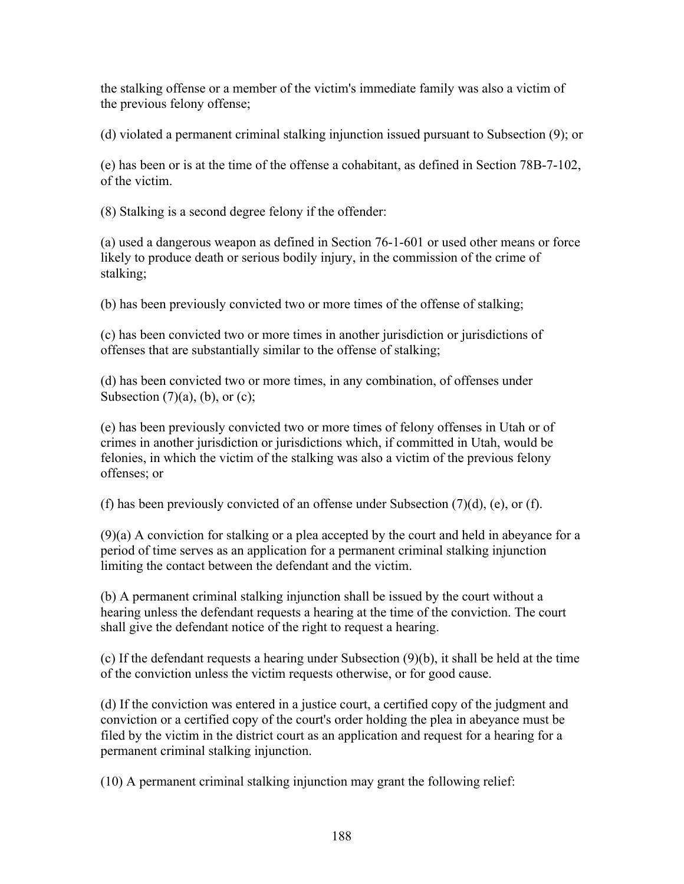the stalking offense or a member of the victim's immediate family was also a victim of the previous felony offense;

(d) violated a permanent criminal stalking injunction issued pursuant to Subsection (9); or

(e) has been or is at the time of the offense a cohabitant, as defined in Section 78B-7-102, of the victim.

(8) Stalking is a second degree felony if the offender:

(a) used a dangerous weapon as defined in Section 76-1-601 or used other means or force likely to produce death or serious bodily injury, in the commission of the crime of stalking;

(b) has been previously convicted two or more times of the offense of stalking;

(c) has been convicted two or more times in another jurisdiction or jurisdictions of offenses that are substantially similar to the offense of stalking;

(d) has been convicted two or more times, in any combination, of offenses under Subsection  $(7)(a)$ ,  $(b)$ , or  $(c)$ ;

(e) has been previously convicted two or more times of felony offenses in Utah or of crimes in another jurisdiction or jurisdictions which, if committed in Utah, would be felonies, in which the victim of the stalking was also a victim of the previous felony offenses; or

(f) has been previously convicted of an offense under Subsection (7)(d), (e), or (f).

(9)(a) A conviction for stalking or a plea accepted by the court and held in abeyance for a period of time serves as an application for a permanent criminal stalking injunction limiting the contact between the defendant and the victim.

(b) A permanent criminal stalking injunction shall be issued by the court without a hearing unless the defendant requests a hearing at the time of the conviction. The court shall give the defendant notice of the right to request a hearing.

(c) If the defendant requests a hearing under Subsection (9)(b), it shall be held at the time of the conviction unless the victim requests otherwise, or for good cause.

(d) If the conviction was entered in a justice court, a certified copy of the judgment and conviction or a certified copy of the court's order holding the plea in abeyance must be filed by the victim in the district court as an application and request for a hearing for a permanent criminal stalking injunction.

(10) A permanent criminal stalking injunction may grant the following relief: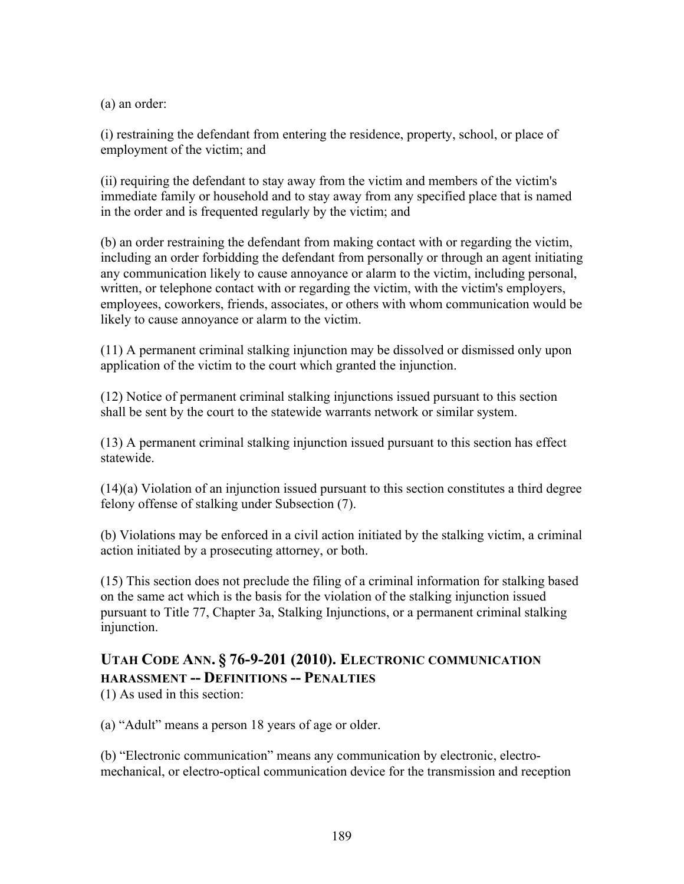(a) an order:

(i) restraining the defendant from entering the residence, property, school, or place of employment of the victim; and

(ii) requiring the defendant to stay away from the victim and members of the victim's immediate family or household and to stay away from any specified place that is named in the order and is frequented regularly by the victim; and

(b) an order restraining the defendant from making contact with or regarding the victim, including an order forbidding the defendant from personally or through an agent initiating any communication likely to cause annoyance or alarm to the victim, including personal, written, or telephone contact with or regarding the victim, with the victim's employers, employees, coworkers, friends, associates, or others with whom communication would be likely to cause annoyance or alarm to the victim.

(11) A permanent criminal stalking injunction may be dissolved or dismissed only upon application of the victim to the court which granted the injunction.

(12) Notice of permanent criminal stalking injunctions issued pursuant to this section shall be sent by the court to the statewide warrants network or similar system.

(13) A permanent criminal stalking injunction issued pursuant to this section has effect statewide.

 $(14)(a)$  Violation of an injunction issued pursuant to this section constitutes a third degree felony offense of stalking under Subsection (7).

(b) Violations may be enforced in a civil action initiated by the stalking victim, a criminal action initiated by a prosecuting attorney, or both.

(15) This section does not preclude the filing of a criminal information for stalking based on the same act which is the basis for the violation of the stalking injunction issued pursuant to Title 77, Chapter 3a, Stalking Injunctions, or a permanent criminal stalking injunction.

# **UTAH CODE ANN. § 76-9-201 (2010). ELECTRONIC COMMUNICATION HARASSMENT -- DEFINITIONS -- PENALTIES**

(1) As used in this section:

(a) "Adult" means a person 18 years of age or older.

(b) "Electronic communication" means any communication by electronic, electromechanical, or electro-optical communication device for the transmission and reception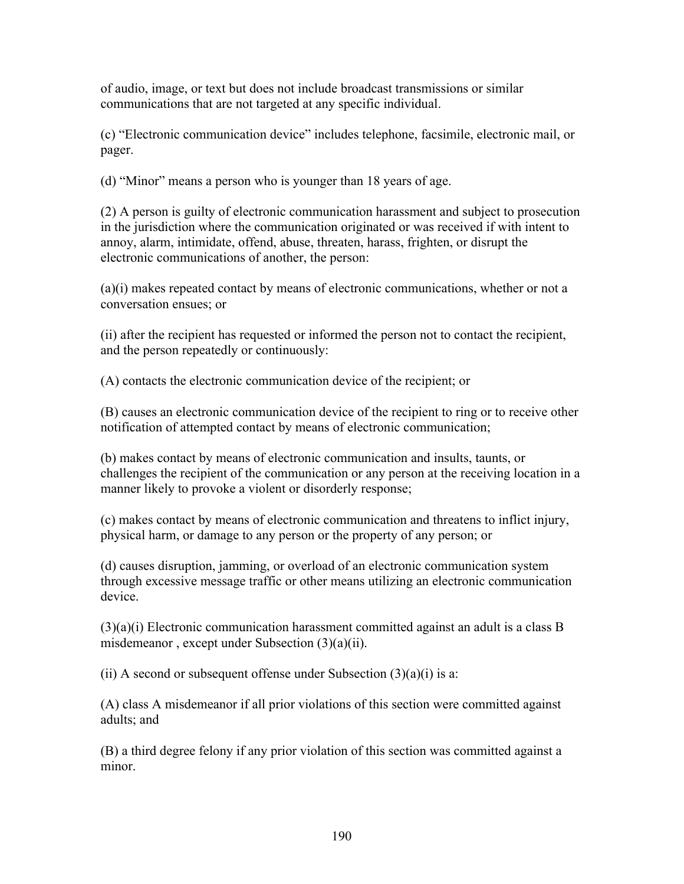of audio, image, or text but does not include broadcast transmissions or similar communications that are not targeted at any specific individual.

(c) "Electronic communication device" includes telephone, facsimile, electronic mail, or pager.

(d) "Minor" means a person who is younger than 18 years of age.

(2) A person is guilty of electronic communication harassment and subject to prosecution in the jurisdiction where the communication originated or was received if with intent to annoy, alarm, intimidate, offend, abuse, threaten, harass, frighten, or disrupt the electronic communications of another, the person:

(a)(i) makes repeated contact by means of electronic communications, whether or not a conversation ensues; or

(ii) after the recipient has requested or informed the person not to contact the recipient, and the person repeatedly or continuously:

(A) contacts the electronic communication device of the recipient; or

(B) causes an electronic communication device of the recipient to ring or to receive other notification of attempted contact by means of electronic communication;

(b) makes contact by means of electronic communication and insults, taunts, or challenges the recipient of the communication or any person at the receiving location in a manner likely to provoke a violent or disorderly response;

(c) makes contact by means of electronic communication and threatens to inflict injury, physical harm, or damage to any person or the property of any person; or

(d) causes disruption, jamming, or overload of an electronic communication system through excessive message traffic or other means utilizing an electronic communication device.

 $(3)(a)(i)$  Electronic communication harassment committed against an adult is a class B misdemeanor , except under Subsection (3)(a)(ii).

(ii) A second or subsequent offense under Subsection  $(3)(a)(i)$  is a:

(A) class A misdemeanor if all prior violations of this section were committed against adults; and

(B) a third degree felony if any prior violation of this section was committed against a minor.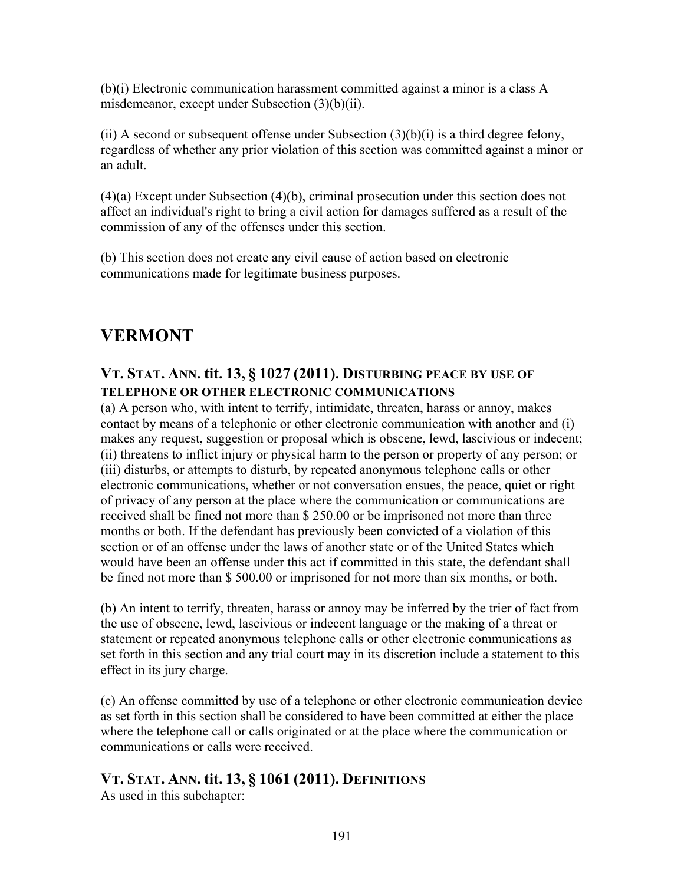(b)(i) Electronic communication harassment committed against a minor is a class A misdemeanor, except under Subsection (3)(b)(ii).

(ii) A second or subsequent offense under Subsection  $(3)(b)(i)$  is a third degree felony, regardless of whether any prior violation of this section was committed against a minor or an adult.

(4)(a) Except under Subsection (4)(b), criminal prosecution under this section does not affect an individual's right to bring a civil action for damages suffered as a result of the commission of any of the offenses under this section.

(b) This section does not create any civil cause of action based on electronic communications made for legitimate business purposes.

# **VERMONT**

## **VT. STAT. ANN. tit. 13, § 1027 (2011). DISTURBING PEACE BY USE OF TELEPHONE OR OTHER ELECTRONIC COMMUNICATIONS**

(a) A person who, with intent to terrify, intimidate, threaten, harass or annoy, makes contact by means of a telephonic or other electronic communication with another and (i) makes any request, suggestion or proposal which is obscene, lewd, lascivious or indecent; (ii) threatens to inflict injury or physical harm to the person or property of any person; or (iii) disturbs, or attempts to disturb, by repeated anonymous telephone calls or other electronic communications, whether or not conversation ensues, the peace, quiet or right of privacy of any person at the place where the communication or communications are received shall be fined not more than \$ 250.00 or be imprisoned not more than three months or both. If the defendant has previously been convicted of a violation of this section or of an offense under the laws of another state or of the United States which would have been an offense under this act if committed in this state, the defendant shall be fined not more than \$ 500.00 or imprisoned for not more than six months, or both.

(b) An intent to terrify, threaten, harass or annoy may be inferred by the trier of fact from the use of obscene, lewd, lascivious or indecent language or the making of a threat or statement or repeated anonymous telephone calls or other electronic communications as set forth in this section and any trial court may in its discretion include a statement to this effect in its jury charge.

(c) An offense committed by use of a telephone or other electronic communication device as set forth in this section shall be considered to have been committed at either the place where the telephone call or calls originated or at the place where the communication or communications or calls were received.

# **VT. STAT. ANN. tit. 13, § 1061 (2011). DEFINITIONS**

As used in this subchapter: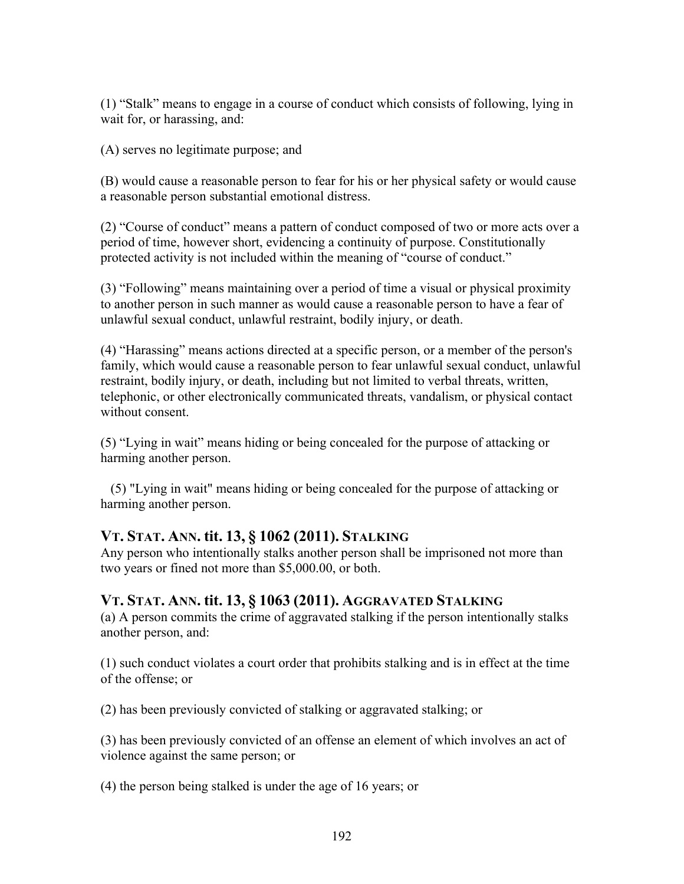(1) "Stalk" means to engage in a course of conduct which consists of following, lying in wait for, or harassing, and:

(A) serves no legitimate purpose; and

(B) would cause a reasonable person to fear for his or her physical safety or would cause a reasonable person substantial emotional distress.

(2) "Course of conduct" means a pattern of conduct composed of two or more acts over a period of time, however short, evidencing a continuity of purpose. Constitutionally protected activity is not included within the meaning of "course of conduct."

(3) "Following" means maintaining over a period of time a visual or physical proximity to another person in such manner as would cause a reasonable person to have a fear of unlawful sexual conduct, unlawful restraint, bodily injury, or death.

(4) "Harassing" means actions directed at a specific person, or a member of the person's family, which would cause a reasonable person to fear unlawful sexual conduct, unlawful restraint, bodily injury, or death, including but not limited to verbal threats, written, telephonic, or other electronically communicated threats, vandalism, or physical contact without consent.

(5) "Lying in wait" means hiding or being concealed for the purpose of attacking or harming another person.

 (5) "Lying in wait" means hiding or being concealed for the purpose of attacking or harming another person.

### **VT. STAT. ANN. tit. 13, § 1062 (2011). STALKING**

Any person who intentionally stalks another person shall be imprisoned not more than two years or fined not more than \$5,000.00, or both.

### **VT. STAT. ANN. tit. 13, § 1063 (2011). AGGRAVATED STALKING**

(a) A person commits the crime of aggravated stalking if the person intentionally stalks another person, and:

(1) such conduct violates a court order that prohibits stalking and is in effect at the time of the offense; or

(2) has been previously convicted of stalking or aggravated stalking; or

(3) has been previously convicted of an offense an element of which involves an act of violence against the same person; or

(4) the person being stalked is under the age of 16 years; or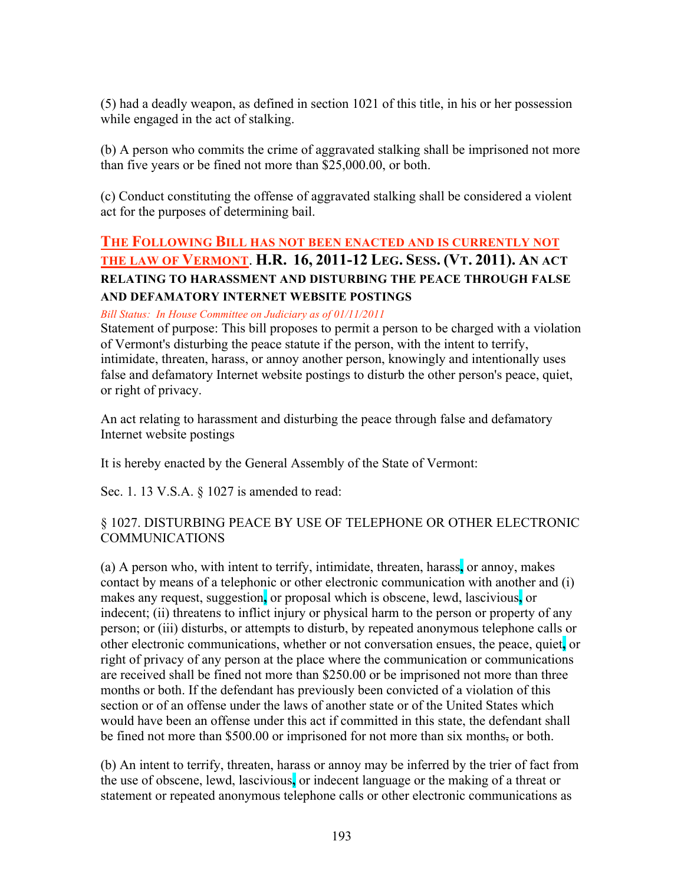(5) had a deadly weapon, as defined in section 1021 of this title, in his or her possession while engaged in the act of stalking.

(b) A person who commits the crime of aggravated stalking shall be imprisoned not more than five years or be fined not more than \$25,000.00, or both.

(c) Conduct constituting the offense of aggravated stalking shall be considered a violent act for the purposes of determining bail.

## **THE FOLLOWING BILL HAS NOT BEEN ENACTED AND IS CURRENTLY NOT THE LAW OF VERMONT**. **H.R. 16, 2011-12 LEG. SESS. (VT. 2011). AN ACT RELATING TO HARASSMENT AND DISTURBING THE PEACE THROUGH FALSE AND DEFAMATORY INTERNET WEBSITE POSTINGS**

#### *Bill Status: In House Committee on Judiciary as of 01/11/2011*

Statement of purpose: This bill proposes to permit a person to be charged with a violation of Vermont's disturbing the peace statute if the person, with the intent to terrify, intimidate, threaten, harass, or annoy another person, knowingly and intentionally uses false and defamatory Internet website postings to disturb the other person's peace, quiet, or right of privacy.

An act relating to harassment and disturbing the peace through false and defamatory Internet website postings

It is hereby enacted by the General Assembly of the State of Vermont:

Sec. 1. 13 V.S.A. § 1027 is amended to read:

#### § 1027. DISTURBING PEACE BY USE OF TELEPHONE OR OTHER ELECTRONIC COMMUNICATIONS

(a) A person who, with intent to terrify, intimidate, threaten, harass**,** or annoy, makes contact by means of a telephonic or other electronic communication with another and (i) makes any request, suggestion**,** or proposal which is obscene, lewd, lascivious**,** or indecent; (ii) threatens to inflict injury or physical harm to the person or property of any person; or (iii) disturbs, or attempts to disturb, by repeated anonymous telephone calls or other electronic communications, whether or not conversation ensues, the peace, quiet**,** or right of privacy of any person at the place where the communication or communications are received shall be fined not more than \$250.00 or be imprisoned not more than three months or both. If the defendant has previously been convicted of a violation of this section or of an offense under the laws of another state or of the United States which would have been an offense under this act if committed in this state, the defendant shall be fined not more than \$500.00 or imprisoned for not more than six months, or both.

(b) An intent to terrify, threaten, harass or annoy may be inferred by the trier of fact from the use of obscene, lewd, lascivious**,** or indecent language or the making of a threat or statement or repeated anonymous telephone calls or other electronic communications as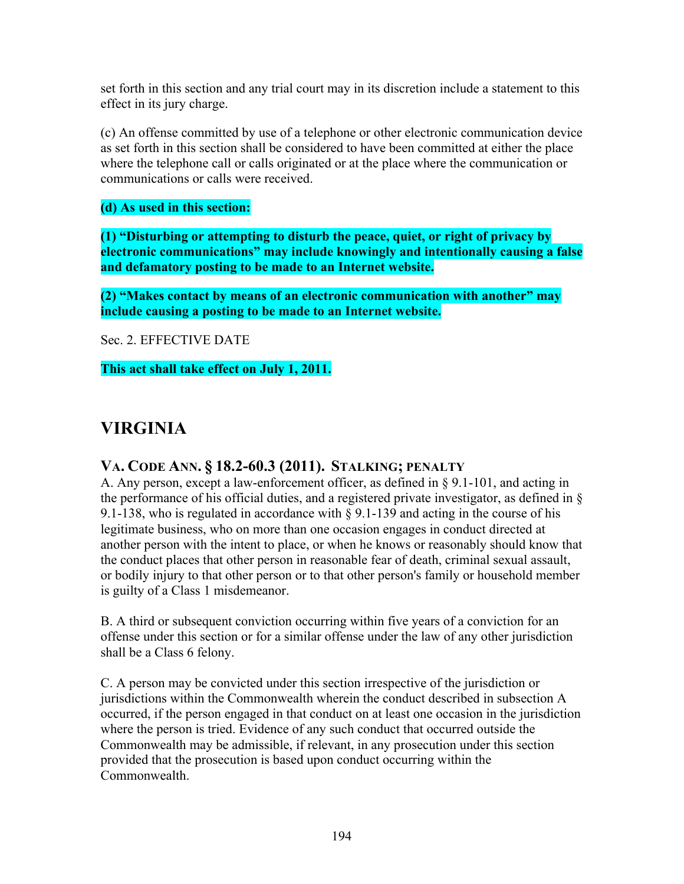set forth in this section and any trial court may in its discretion include a statement to this effect in its jury charge.

(c) An offense committed by use of a telephone or other electronic communication device as set forth in this section shall be considered to have been committed at either the place where the telephone call or calls originated or at the place where the communication or communications or calls were received.

#### **(d) As used in this section:**

**(1) "Disturbing or attempting to disturb the peace, quiet, or right of privacy by electronic communications" may include knowingly and intentionally causing a false and defamatory posting to be made to an Internet website.**

**(2) "Makes contact by means of an electronic communication with another" may include causing a posting to be made to an Internet website.**

Sec. 2. EFFECTIVE DATE

**This act shall take effect on July 1, 2011.**

# **VIRGINIA**

#### **VA. CODE ANN. § 18.2-60.3 (2011). STALKING; PENALTY**

A. Any person, except a law-enforcement officer, as defined in § 9.1-101, and acting in the performance of his official duties, and a registered private investigator, as defined in § 9.1-138, who is regulated in accordance with § 9.1-139 and acting in the course of his legitimate business, who on more than one occasion engages in conduct directed at another person with the intent to place, or when he knows or reasonably should know that the conduct places that other person in reasonable fear of death, criminal sexual assault, or bodily injury to that other person or to that other person's family or household member is guilty of a Class 1 misdemeanor.

B. A third or subsequent conviction occurring within five years of a conviction for an offense under this section or for a similar offense under the law of any other jurisdiction shall be a Class 6 felony.

C. A person may be convicted under this section irrespective of the jurisdiction or jurisdictions within the Commonwealth wherein the conduct described in subsection A occurred, if the person engaged in that conduct on at least one occasion in the jurisdiction where the person is tried. Evidence of any such conduct that occurred outside the Commonwealth may be admissible, if relevant, in any prosecution under this section provided that the prosecution is based upon conduct occurring within the Commonwealth.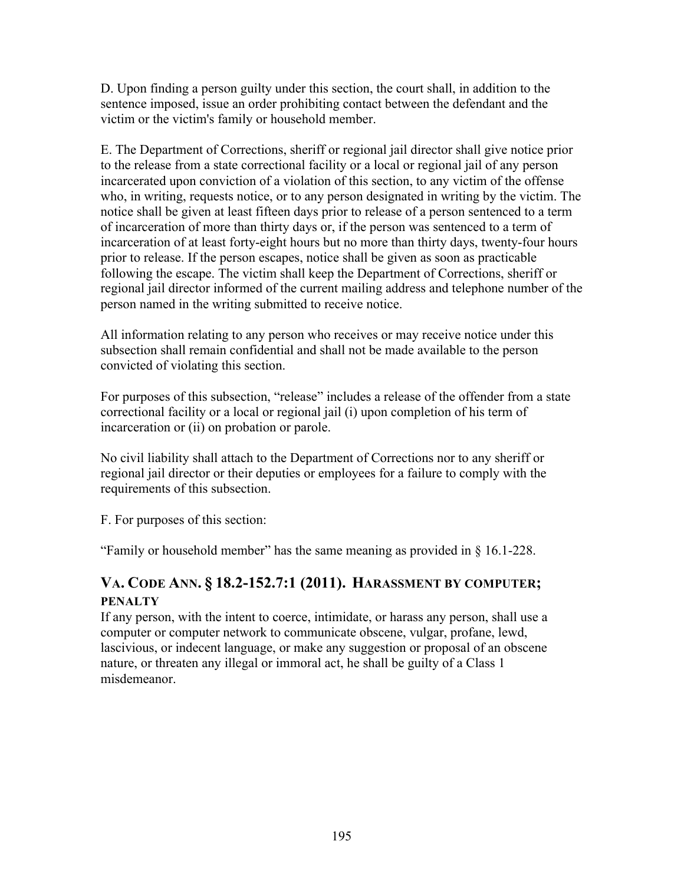D. Upon finding a person guilty under this section, the court shall, in addition to the sentence imposed, issue an order prohibiting contact between the defendant and the victim or the victim's family or household member.

E. The Department of Corrections, sheriff or regional jail director shall give notice prior to the release from a state correctional facility or a local or regional jail of any person incarcerated upon conviction of a violation of this section, to any victim of the offense who, in writing, requests notice, or to any person designated in writing by the victim. The notice shall be given at least fifteen days prior to release of a person sentenced to a term of incarceration of more than thirty days or, if the person was sentenced to a term of incarceration of at least forty-eight hours but no more than thirty days, twenty-four hours prior to release. If the person escapes, notice shall be given as soon as practicable following the escape. The victim shall keep the Department of Corrections, sheriff or regional jail director informed of the current mailing address and telephone number of the person named in the writing submitted to receive notice.

All information relating to any person who receives or may receive notice under this subsection shall remain confidential and shall not be made available to the person convicted of violating this section.

For purposes of this subsection, "release" includes a release of the offender from a state correctional facility or a local or regional jail (i) upon completion of his term of incarceration or (ii) on probation or parole.

No civil liability shall attach to the Department of Corrections nor to any sheriff or regional jail director or their deputies or employees for a failure to comply with the requirements of this subsection.

F. For purposes of this section:

"Family or household member" has the same meaning as provided in § 16.1-228.

## **VA. CODE ANN. § 18.2-152.7:1 (2011). HARASSMENT BY COMPUTER; PENALTY**

If any person, with the intent to coerce, intimidate, or harass any person, shall use a computer or computer network to communicate obscene, vulgar, profane, lewd, lascivious, or indecent language, or make any suggestion or proposal of an obscene nature, or threaten any illegal or immoral act, he shall be guilty of a Class 1 misdemeanor.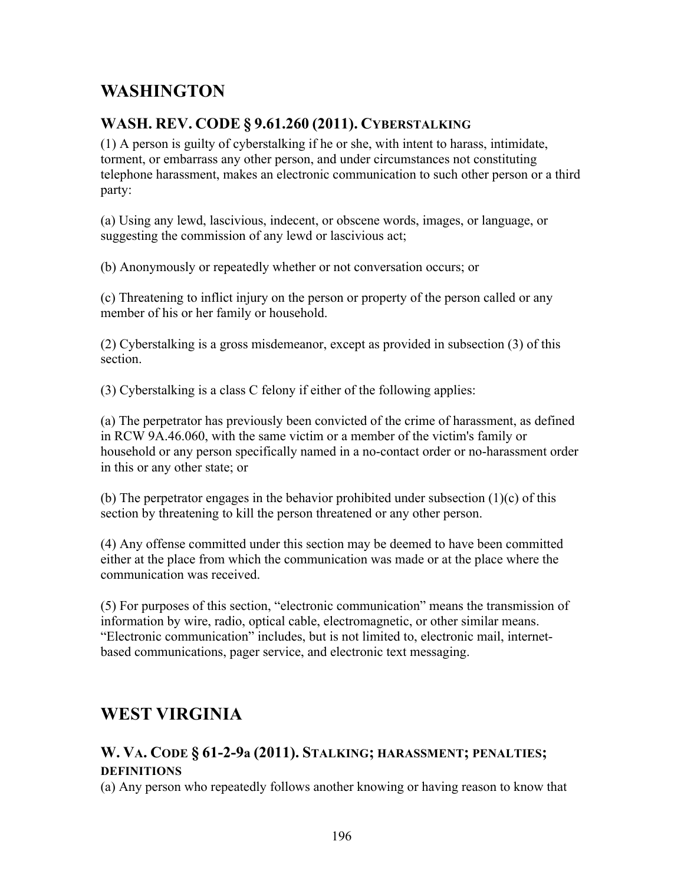# **WASHINGTON**

# **WASH. REV. CODE § 9.61.260 (2011). CYBERSTALKING**

(1) A person is guilty of cyberstalking if he or she, with intent to harass, intimidate, torment, or embarrass any other person, and under circumstances not constituting telephone harassment, makes an electronic communication to such other person or a third party:

(a) Using any lewd, lascivious, indecent, or obscene words, images, or language, or suggesting the commission of any lewd or lascivious act;

(b) Anonymously or repeatedly whether or not conversation occurs; or

(c) Threatening to inflict injury on the person or property of the person called or any member of his or her family or household.

(2) Cyberstalking is a gross misdemeanor, except as provided in subsection (3) of this section.

(3) Cyberstalking is a class C felony if either of the following applies:

(a) The perpetrator has previously been convicted of the crime of harassment, as defined in RCW 9A.46.060, with the same victim or a member of the victim's family or household or any person specifically named in a no-contact order or no-harassment order in this or any other state; or

(b) The perpetrator engages in the behavior prohibited under subsection  $(1)(c)$  of this section by threatening to kill the person threatened or any other person.

(4) Any offense committed under this section may be deemed to have been committed either at the place from which the communication was made or at the place where the communication was received.

(5) For purposes of this section, "electronic communication" means the transmission of information by wire, radio, optical cable, electromagnetic, or other similar means. "Electronic communication" includes, but is not limited to, electronic mail, internetbased communications, pager service, and electronic text messaging.

# **WEST VIRGINIA**

### **W. VA. CODE § 61-2-9a (2011). STALKING; HARASSMENT; PENALTIES; DEFINITIONS**

(a) Any person who repeatedly follows another knowing or having reason to know that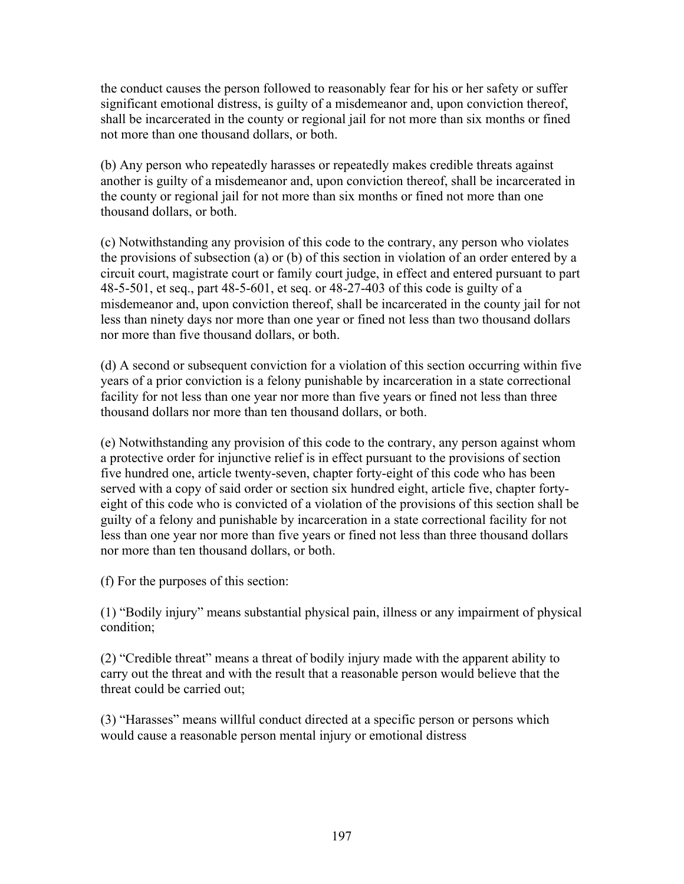the conduct causes the person followed to reasonably fear for his or her safety or suffer significant emotional distress, is guilty of a misdemeanor and, upon conviction thereof, shall be incarcerated in the county or regional jail for not more than six months or fined not more than one thousand dollars, or both.

(b) Any person who repeatedly harasses or repeatedly makes credible threats against another is guilty of a misdemeanor and, upon conviction thereof, shall be incarcerated in the county or regional jail for not more than six months or fined not more than one thousand dollars, or both.

(c) Notwithstanding any provision of this code to the contrary, any person who violates the provisions of subsection (a) or (b) of this section in violation of an order entered by a circuit court, magistrate court or family court judge, in effect and entered pursuant to part 48-5-501, et seq., part 48-5-601, et seq. or 48-27-403 of this code is guilty of a misdemeanor and, upon conviction thereof, shall be incarcerated in the county jail for not less than ninety days nor more than one year or fined not less than two thousand dollars nor more than five thousand dollars, or both.

(d) A second or subsequent conviction for a violation of this section occurring within five years of a prior conviction is a felony punishable by incarceration in a state correctional facility for not less than one year nor more than five years or fined not less than three thousand dollars nor more than ten thousand dollars, or both.

(e) Notwithstanding any provision of this code to the contrary, any person against whom a protective order for injunctive relief is in effect pursuant to the provisions of section five hundred one, article twenty-seven, chapter forty-eight of this code who has been served with a copy of said order or section six hundred eight, article five, chapter fortyeight of this code who is convicted of a violation of the provisions of this section shall be guilty of a felony and punishable by incarceration in a state correctional facility for not less than one year nor more than five years or fined not less than three thousand dollars nor more than ten thousand dollars, or both.

(f) For the purposes of this section:

(1) "Bodily injury" means substantial physical pain, illness or any impairment of physical condition;

(2) "Credible threat" means a threat of bodily injury made with the apparent ability to carry out the threat and with the result that a reasonable person would believe that the threat could be carried out;

(3) "Harasses" means willful conduct directed at a specific person or persons which would cause a reasonable person mental injury or emotional distress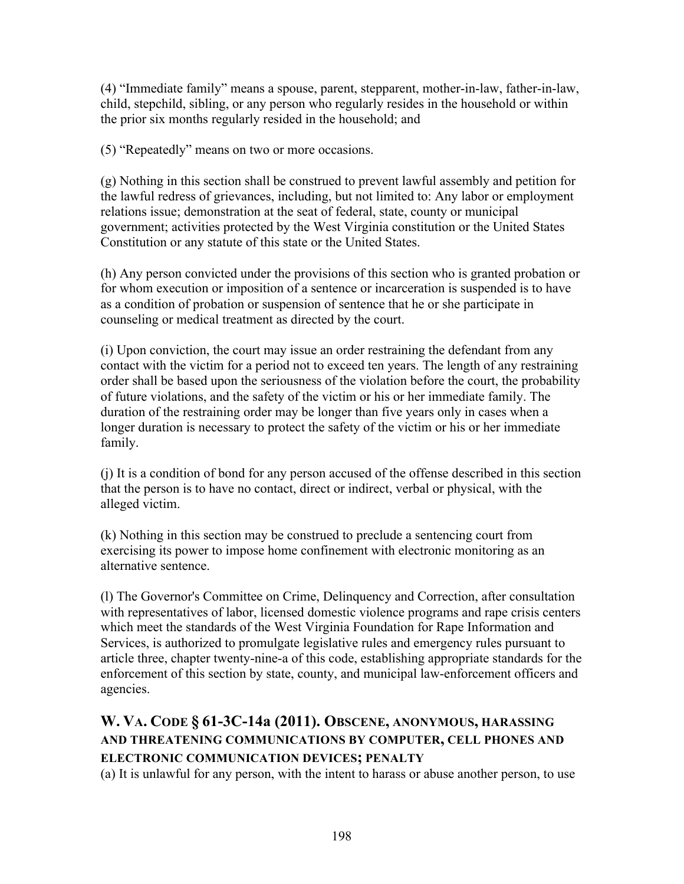(4) "Immediate family" means a spouse, parent, stepparent, mother-in-law, father-in-law, child, stepchild, sibling, or any person who regularly resides in the household or within the prior six months regularly resided in the household; and

(5) "Repeatedly" means on two or more occasions.

(g) Nothing in this section shall be construed to prevent lawful assembly and petition for the lawful redress of grievances, including, but not limited to: Any labor or employment relations issue; demonstration at the seat of federal, state, county or municipal government; activities protected by the West Virginia constitution or the United States Constitution or any statute of this state or the United States.

(h) Any person convicted under the provisions of this section who is granted probation or for whom execution or imposition of a sentence or incarceration is suspended is to have as a condition of probation or suspension of sentence that he or she participate in counseling or medical treatment as directed by the court.

(i) Upon conviction, the court may issue an order restraining the defendant from any contact with the victim for a period not to exceed ten years. The length of any restraining order shall be based upon the seriousness of the violation before the court, the probability of future violations, and the safety of the victim or his or her immediate family. The duration of the restraining order may be longer than five years only in cases when a longer duration is necessary to protect the safety of the victim or his or her immediate family.

(j) It is a condition of bond for any person accused of the offense described in this section that the person is to have no contact, direct or indirect, verbal or physical, with the alleged victim.

(k) Nothing in this section may be construed to preclude a sentencing court from exercising its power to impose home confinement with electronic monitoring as an alternative sentence.

(l) The Governor's Committee on Crime, Delinquency and Correction, after consultation with representatives of labor, licensed domestic violence programs and rape crisis centers which meet the standards of the West Virginia Foundation for Rape Information and Services, is authorized to promulgate legislative rules and emergency rules pursuant to article three, chapter twenty-nine-a of this code, establishing appropriate standards for the enforcement of this section by state, county, and municipal law-enforcement officers and agencies.

# **W. VA. CODE § 61-3C-14a (2011). OBSCENE, ANONYMOUS, HARASSING AND THREATENING COMMUNICATIONS BY COMPUTER, CELL PHONES AND ELECTRONIC COMMUNICATION DEVICES; PENALTY**

(a) It is unlawful for any person, with the intent to harass or abuse another person, to use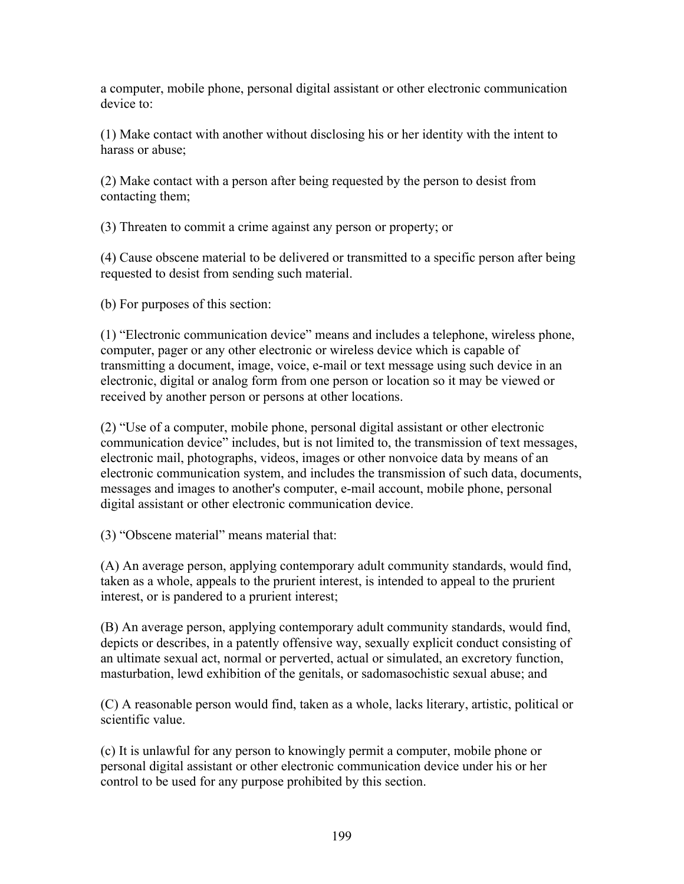a computer, mobile phone, personal digital assistant or other electronic communication device to:

(1) Make contact with another without disclosing his or her identity with the intent to harass or abuse;

(2) Make contact with a person after being requested by the person to desist from contacting them;

(3) Threaten to commit a crime against any person or property; or

(4) Cause obscene material to be delivered or transmitted to a specific person after being requested to desist from sending such material.

(b) For purposes of this section:

(1) "Electronic communication device" means and includes a telephone, wireless phone, computer, pager or any other electronic or wireless device which is capable of transmitting a document, image, voice, e-mail or text message using such device in an electronic, digital or analog form from one person or location so it may be viewed or received by another person or persons at other locations.

(2) "Use of a computer, mobile phone, personal digital assistant or other electronic communication device" includes, but is not limited to, the transmission of text messages, electronic mail, photographs, videos, images or other nonvoice data by means of an electronic communication system, and includes the transmission of such data, documents, messages and images to another's computer, e-mail account, mobile phone, personal digital assistant or other electronic communication device.

(3) "Obscene material" means material that:

(A) An average person, applying contemporary adult community standards, would find, taken as a whole, appeals to the prurient interest, is intended to appeal to the prurient interest, or is pandered to a prurient interest;

(B) An average person, applying contemporary adult community standards, would find, depicts or describes, in a patently offensive way, sexually explicit conduct consisting of an ultimate sexual act, normal or perverted, actual or simulated, an excretory function, masturbation, lewd exhibition of the genitals, or sadomasochistic sexual abuse; and

(C) A reasonable person would find, taken as a whole, lacks literary, artistic, political or scientific value.

(c) It is unlawful for any person to knowingly permit a computer, mobile phone or personal digital assistant or other electronic communication device under his or her control to be used for any purpose prohibited by this section.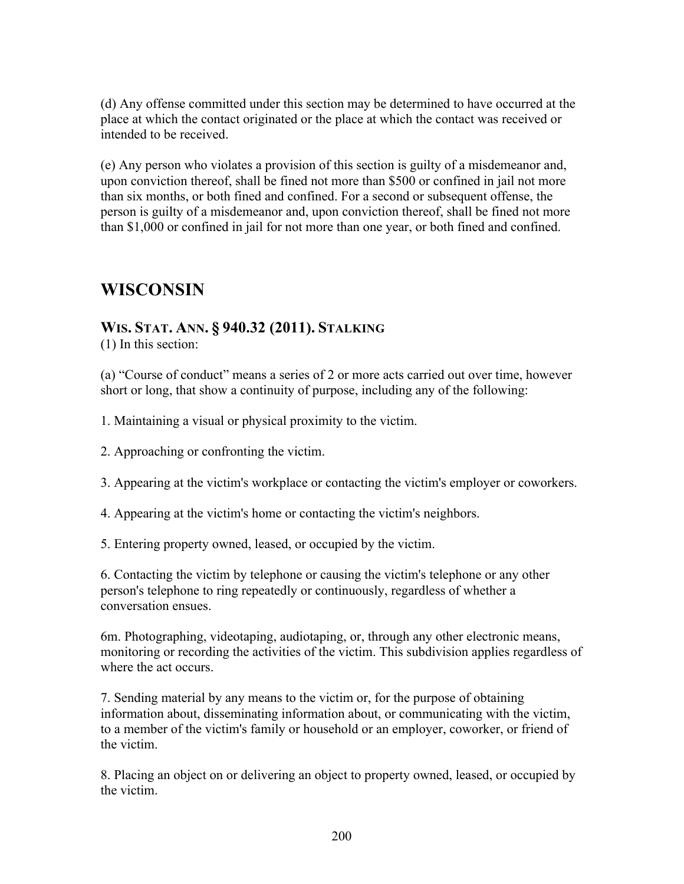(d) Any offense committed under this section may be determined to have occurred at the place at which the contact originated or the place at which the contact was received or intended to be received.

(e) Any person who violates a provision of this section is guilty of a misdemeanor and, upon conviction thereof, shall be fined not more than \$500 or confined in jail not more than six months, or both fined and confined. For a second or subsequent offense, the person is guilty of a misdemeanor and, upon conviction thereof, shall be fined not more than \$1,000 or confined in jail for not more than one year, or both fined and confined.

# **WISCONSIN**

# **WIS. STAT. ANN. § 940.32 (2011). STALKING**

(1) In this section:

(a) "Course of conduct" means a series of 2 or more acts carried out over time, however short or long, that show a continuity of purpose, including any of the following:

1. Maintaining a visual or physical proximity to the victim.

2. Approaching or confronting the victim.

3. Appearing at the victim's workplace or contacting the victim's employer or coworkers.

4. Appearing at the victim's home or contacting the victim's neighbors.

5. Entering property owned, leased, or occupied by the victim.

6. Contacting the victim by telephone or causing the victim's telephone or any other person's telephone to ring repeatedly or continuously, regardless of whether a conversation ensues.

6m. Photographing, videotaping, audiotaping, or, through any other electronic means, monitoring or recording the activities of the victim. This subdivision applies regardless of where the act occurs.

7. Sending material by any means to the victim or, for the purpose of obtaining information about, disseminating information about, or communicating with the victim, to a member of the victim's family or household or an employer, coworker, or friend of the victim.

8. Placing an object on or delivering an object to property owned, leased, or occupied by the victim.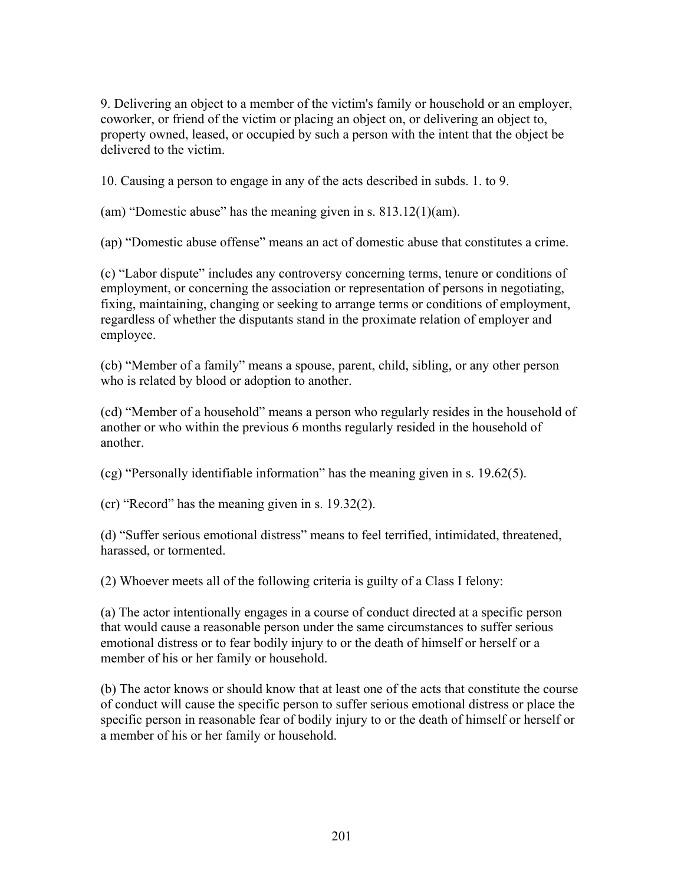9. Delivering an object to a member of the victim's family or household or an employer, coworker, or friend of the victim or placing an object on, or delivering an object to, property owned, leased, or occupied by such a person with the intent that the object be delivered to the victim.

10. Causing a person to engage in any of the acts described in subds. 1. to 9.

(am) "Domestic abuse" has the meaning given in s. 813.12(1)(am).

(ap) "Domestic abuse offense" means an act of domestic abuse that constitutes a crime.

(c) "Labor dispute" includes any controversy concerning terms, tenure or conditions of employment, or concerning the association or representation of persons in negotiating, fixing, maintaining, changing or seeking to arrange terms or conditions of employment, regardless of whether the disputants stand in the proximate relation of employer and employee.

(cb) "Member of a family" means a spouse, parent, child, sibling, or any other person who is related by blood or adoption to another.

(cd) "Member of a household" means a person who regularly resides in the household of another or who within the previous 6 months regularly resided in the household of another.

(cg) "Personally identifiable information" has the meaning given in s. 19.62(5).

(cr) "Record" has the meaning given in s. 19.32(2).

(d) "Suffer serious emotional distress" means to feel terrified, intimidated, threatened, harassed, or tormented.

(2) Whoever meets all of the following criteria is guilty of a Class I felony:

(a) The actor intentionally engages in a course of conduct directed at a specific person that would cause a reasonable person under the same circumstances to suffer serious emotional distress or to fear bodily injury to or the death of himself or herself or a member of his or her family or household.

(b) The actor knows or should know that at least one of the acts that constitute the course of conduct will cause the specific person to suffer serious emotional distress or place the specific person in reasonable fear of bodily injury to or the death of himself or herself or a member of his or her family or household.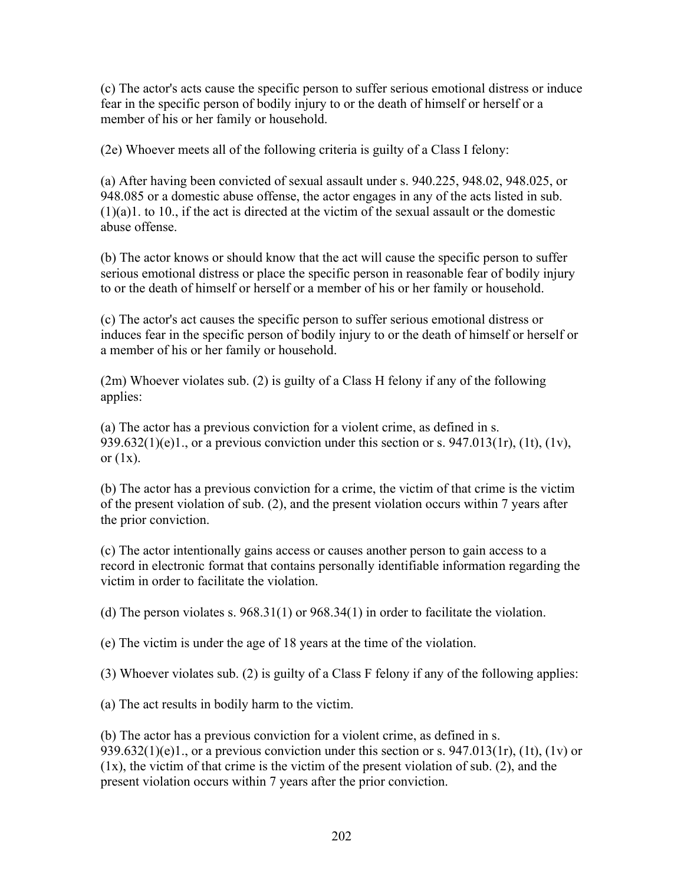(c) The actor's acts cause the specific person to suffer serious emotional distress or induce fear in the specific person of bodily injury to or the death of himself or herself or a member of his or her family or household.

(2e) Whoever meets all of the following criteria is guilty of a Class I felony:

(a) After having been convicted of sexual assault under s. 940.225, 948.02, 948.025, or 948.085 or a domestic abuse offense, the actor engages in any of the acts listed in sub. (1)(a)1. to 10., if the act is directed at the victim of the sexual assault or the domestic abuse offense.

(b) The actor knows or should know that the act will cause the specific person to suffer serious emotional distress or place the specific person in reasonable fear of bodily injury to or the death of himself or herself or a member of his or her family or household.

(c) The actor's act causes the specific person to suffer serious emotional distress or induces fear in the specific person of bodily injury to or the death of himself or herself or a member of his or her family or household.

(2m) Whoever violates sub. (2) is guilty of a Class H felony if any of the following applies:

(a) The actor has a previous conviction for a violent crime, as defined in s. 939.632(1)(e)1., or a previous conviction under this section or s. 947.013(1r), (1t), (1v), or  $(1x)$ .

(b) The actor has a previous conviction for a crime, the victim of that crime is the victim of the present violation of sub. (2), and the present violation occurs within 7 years after the prior conviction.

(c) The actor intentionally gains access or causes another person to gain access to a record in electronic format that contains personally identifiable information regarding the victim in order to facilitate the violation.

(d) The person violates s. 968.31(1) or 968.34(1) in order to facilitate the violation.

(e) The victim is under the age of 18 years at the time of the violation.

(3) Whoever violates sub. (2) is guilty of a Class F felony if any of the following applies:

(a) The act results in bodily harm to the victim.

(b) The actor has a previous conviction for a violent crime, as defined in s. 939.632(1)(e)1., or a previous conviction under this section or s. 947.013(1r), (1t), (1v) or (1x), the victim of that crime is the victim of the present violation of sub. (2), and the present violation occurs within 7 years after the prior conviction.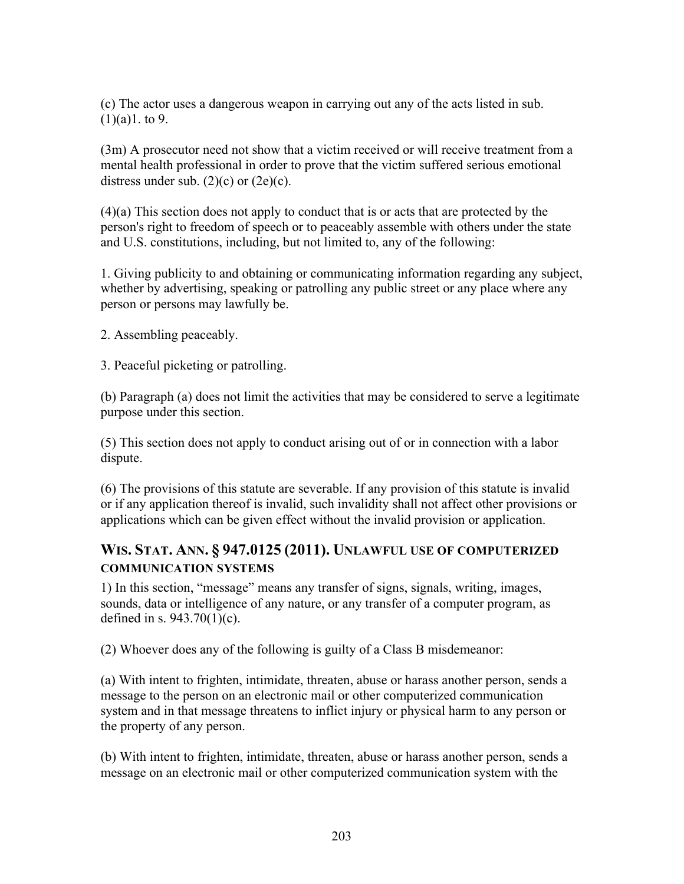(c) The actor uses a dangerous weapon in carrying out any of the acts listed in sub.  $(1)(a)1.$  to 9.

(3m) A prosecutor need not show that a victim received or will receive treatment from a mental health professional in order to prove that the victim suffered serious emotional distress under sub.  $(2)(c)$  or  $(2e)(c)$ .

(4)(a) This section does not apply to conduct that is or acts that are protected by the person's right to freedom of speech or to peaceably assemble with others under the state and U.S. constitutions, including, but not limited to, any of the following:

1. Giving publicity to and obtaining or communicating information regarding any subject, whether by advertising, speaking or patrolling any public street or any place where any person or persons may lawfully be.

2. Assembling peaceably.

3. Peaceful picketing or patrolling.

(b) Paragraph (a) does not limit the activities that may be considered to serve a legitimate purpose under this section.

(5) This section does not apply to conduct arising out of or in connection with a labor dispute.

(6) The provisions of this statute are severable. If any provision of this statute is invalid or if any application thereof is invalid, such invalidity shall not affect other provisions or applications which can be given effect without the invalid provision or application.

### **WIS. STAT. ANN. § 947.0125 (2011). UNLAWFUL USE OF COMPUTERIZED COMMUNICATION SYSTEMS**

1) In this section, "message" means any transfer of signs, signals, writing, images, sounds, data or intelligence of any nature, or any transfer of a computer program, as defined in s. 943.70(1)(c).

(2) Whoever does any of the following is guilty of a Class B misdemeanor:

(a) With intent to frighten, intimidate, threaten, abuse or harass another person, sends a message to the person on an electronic mail or other computerized communication system and in that message threatens to inflict injury or physical harm to any person or the property of any person.

(b) With intent to frighten, intimidate, threaten, abuse or harass another person, sends a message on an electronic mail or other computerized communication system with the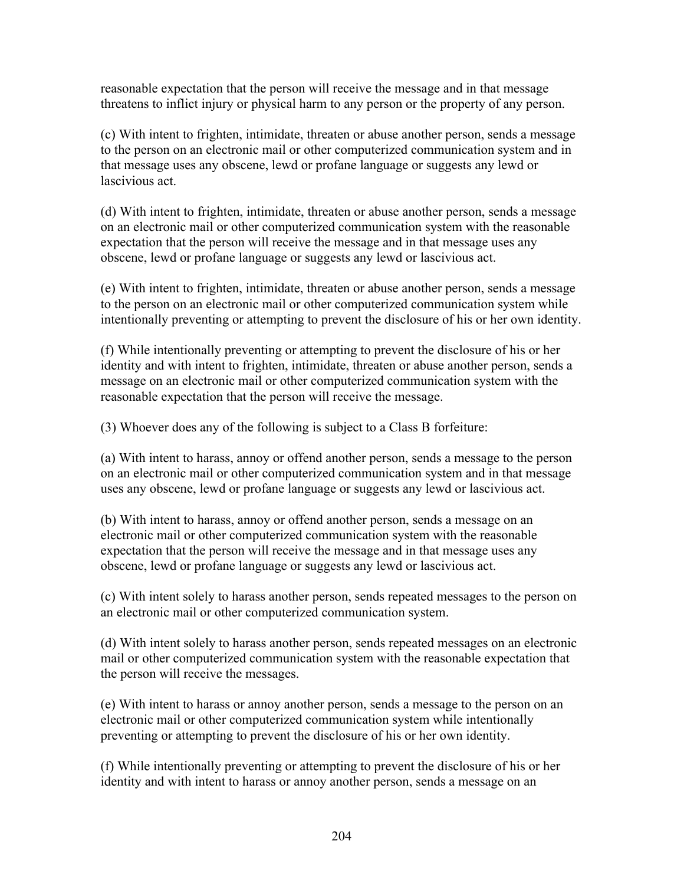reasonable expectation that the person will receive the message and in that message threatens to inflict injury or physical harm to any person or the property of any person.

(c) With intent to frighten, intimidate, threaten or abuse another person, sends a message to the person on an electronic mail or other computerized communication system and in that message uses any obscene, lewd or profane language or suggests any lewd or lascivious act.

(d) With intent to frighten, intimidate, threaten or abuse another person, sends a message on an electronic mail or other computerized communication system with the reasonable expectation that the person will receive the message and in that message uses any obscene, lewd or profane language or suggests any lewd or lascivious act.

(e) With intent to frighten, intimidate, threaten or abuse another person, sends a message to the person on an electronic mail or other computerized communication system while intentionally preventing or attempting to prevent the disclosure of his or her own identity.

(f) While intentionally preventing or attempting to prevent the disclosure of his or her identity and with intent to frighten, intimidate, threaten or abuse another person, sends a message on an electronic mail or other computerized communication system with the reasonable expectation that the person will receive the message.

(3) Whoever does any of the following is subject to a Class B forfeiture:

(a) With intent to harass, annoy or offend another person, sends a message to the person on an electronic mail or other computerized communication system and in that message uses any obscene, lewd or profane language or suggests any lewd or lascivious act.

(b) With intent to harass, annoy or offend another person, sends a message on an electronic mail or other computerized communication system with the reasonable expectation that the person will receive the message and in that message uses any obscene, lewd or profane language or suggests any lewd or lascivious act.

(c) With intent solely to harass another person, sends repeated messages to the person on an electronic mail or other computerized communication system.

(d) With intent solely to harass another person, sends repeated messages on an electronic mail or other computerized communication system with the reasonable expectation that the person will receive the messages.

(e) With intent to harass or annoy another person, sends a message to the person on an electronic mail or other computerized communication system while intentionally preventing or attempting to prevent the disclosure of his or her own identity.

(f) While intentionally preventing or attempting to prevent the disclosure of his or her identity and with intent to harass or annoy another person, sends a message on an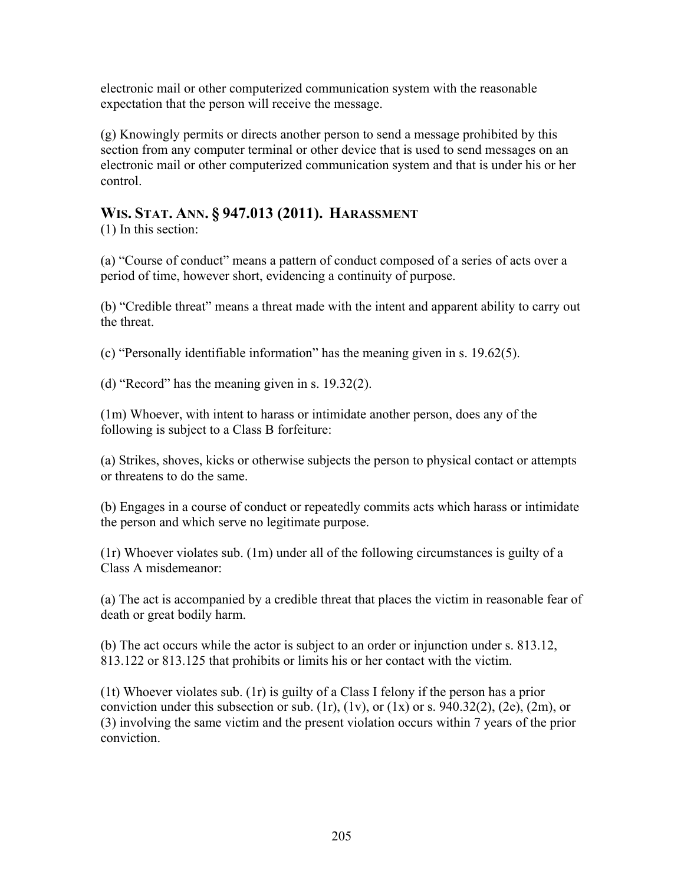electronic mail or other computerized communication system with the reasonable expectation that the person will receive the message.

(g) Knowingly permits or directs another person to send a message prohibited by this section from any computer terminal or other device that is used to send messages on an electronic mail or other computerized communication system and that is under his or her control.

## **WIS. STAT. ANN. § 947.013 (2011). HARASSMENT**

(1) In this section:

(a) "Course of conduct" means a pattern of conduct composed of a series of acts over a period of time, however short, evidencing a continuity of purpose.

(b) "Credible threat" means a threat made with the intent and apparent ability to carry out the threat.

(c) "Personally identifiable information" has the meaning given in s. 19.62(5).

(d) "Record" has the meaning given in s. 19.32(2).

(1m) Whoever, with intent to harass or intimidate another person, does any of the following is subject to a Class B forfeiture:

(a) Strikes, shoves, kicks or otherwise subjects the person to physical contact or attempts or threatens to do the same.

(b) Engages in a course of conduct or repeatedly commits acts which harass or intimidate the person and which serve no legitimate purpose.

(1r) Whoever violates sub. (1m) under all of the following circumstances is guilty of a Class A misdemeanor:

(a) The act is accompanied by a credible threat that places the victim in reasonable fear of death or great bodily harm.

(b) The act occurs while the actor is subject to an order or injunction under s. 813.12, 813.122 or 813.125 that prohibits or limits his or her contact with the victim.

(1t) Whoever violates sub. (1r) is guilty of a Class I felony if the person has a prior conviction under this subsection or sub.  $(1r)$ ,  $(1v)$ , or  $(1x)$  or s. 940.32 $(2)$ ,  $(2e)$ ,  $(2m)$ , or (3) involving the same victim and the present violation occurs within 7 years of the prior conviction.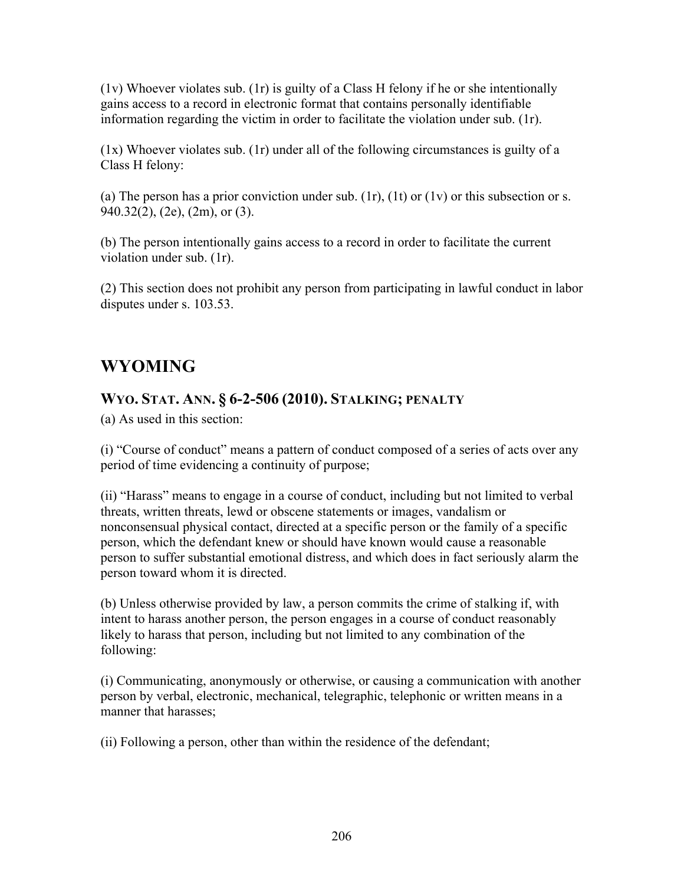(1v) Whoever violates sub. (1r) is guilty of a Class H felony if he or she intentionally gains access to a record in electronic format that contains personally identifiable information regarding the victim in order to facilitate the violation under sub. (1r).

 $(1x)$  Whoever violates sub.  $(1r)$  under all of the following circumstances is guilty of a Class H felony:

(a) The person has a prior conviction under sub.  $(1r)$ ,  $(1t)$  or  $(1v)$  or this subsection or s. 940.32(2), (2e), (2m), or (3).

(b) The person intentionally gains access to a record in order to facilitate the current violation under sub. (1r).

(2) This section does not prohibit any person from participating in lawful conduct in labor disputes under s. 103.53.

# **WYOMING**

## **WYO. STAT. ANN. § 6-2-506 (2010). STALKING; PENALTY**

(a) As used in this section:

(i) "Course of conduct" means a pattern of conduct composed of a series of acts over any period of time evidencing a continuity of purpose;

(ii) "Harass" means to engage in a course of conduct, including but not limited to verbal threats, written threats, lewd or obscene statements or images, vandalism or nonconsensual physical contact, directed at a specific person or the family of a specific person, which the defendant knew or should have known would cause a reasonable person to suffer substantial emotional distress, and which does in fact seriously alarm the person toward whom it is directed.

(b) Unless otherwise provided by law, a person commits the crime of stalking if, with intent to harass another person, the person engages in a course of conduct reasonably likely to harass that person, including but not limited to any combination of the following:

(i) Communicating, anonymously or otherwise, or causing a communication with another person by verbal, electronic, mechanical, telegraphic, telephonic or written means in a manner that harasses;

(ii) Following a person, other than within the residence of the defendant;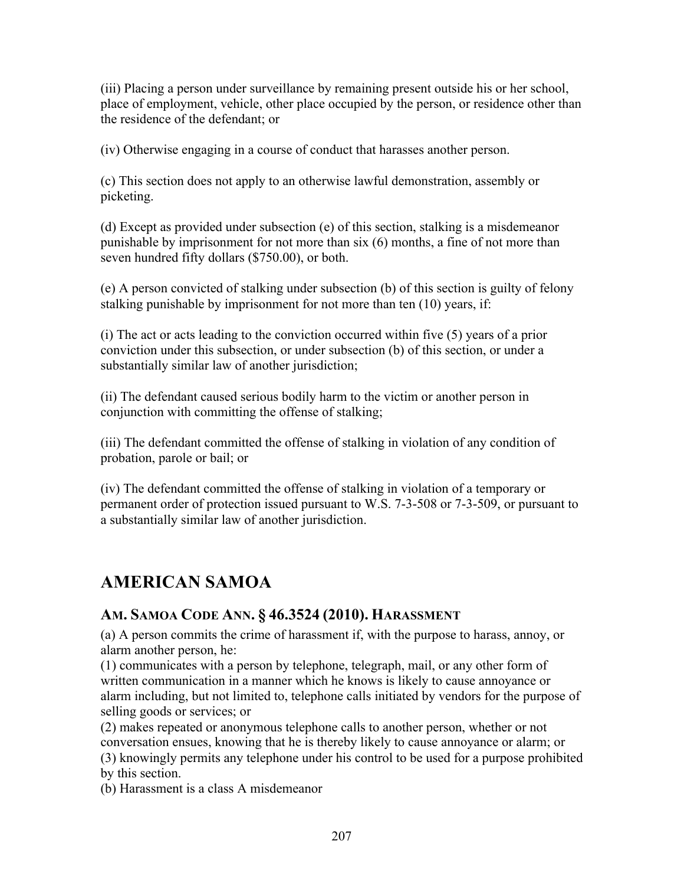(iii) Placing a person under surveillance by remaining present outside his or her school, place of employment, vehicle, other place occupied by the person, or residence other than the residence of the defendant; or

(iv) Otherwise engaging in a course of conduct that harasses another person.

(c) This section does not apply to an otherwise lawful demonstration, assembly or picketing.

(d) Except as provided under subsection (e) of this section, stalking is a misdemeanor punishable by imprisonment for not more than six (6) months, a fine of not more than seven hundred fifty dollars (\$750.00), or both.

(e) A person convicted of stalking under subsection (b) of this section is guilty of felony stalking punishable by imprisonment for not more than ten (10) years, if:

(i) The act or acts leading to the conviction occurred within five (5) years of a prior conviction under this subsection, or under subsection (b) of this section, or under a substantially similar law of another jurisdiction;

(ii) The defendant caused serious bodily harm to the victim or another person in conjunction with committing the offense of stalking;

(iii) The defendant committed the offense of stalking in violation of any condition of probation, parole or bail; or

(iv) The defendant committed the offense of stalking in violation of a temporary or permanent order of protection issued pursuant to W.S. 7-3-508 or 7-3-509, or pursuant to a substantially similar law of another jurisdiction.

# **AMERICAN SAMOA**

### **AM. SAMOA CODE ANN. § 46.3524 (2010). HARASSMENT**

(a) A person commits the crime of harassment if, with the purpose to harass, annoy, or alarm another person, he:

(1) communicates with a person by telephone, telegraph, mail, or any other form of written communication in a manner which he knows is likely to cause annoyance or alarm including, but not limited to, telephone calls initiated by vendors for the purpose of selling goods or services; or

(2) makes repeated or anonymous telephone calls to another person, whether or not conversation ensues, knowing that he is thereby likely to cause annoyance or alarm; or (3) knowingly permits any telephone under his control to be used for a purpose prohibited by this section.

(b) Harassment is a class A misdemeanor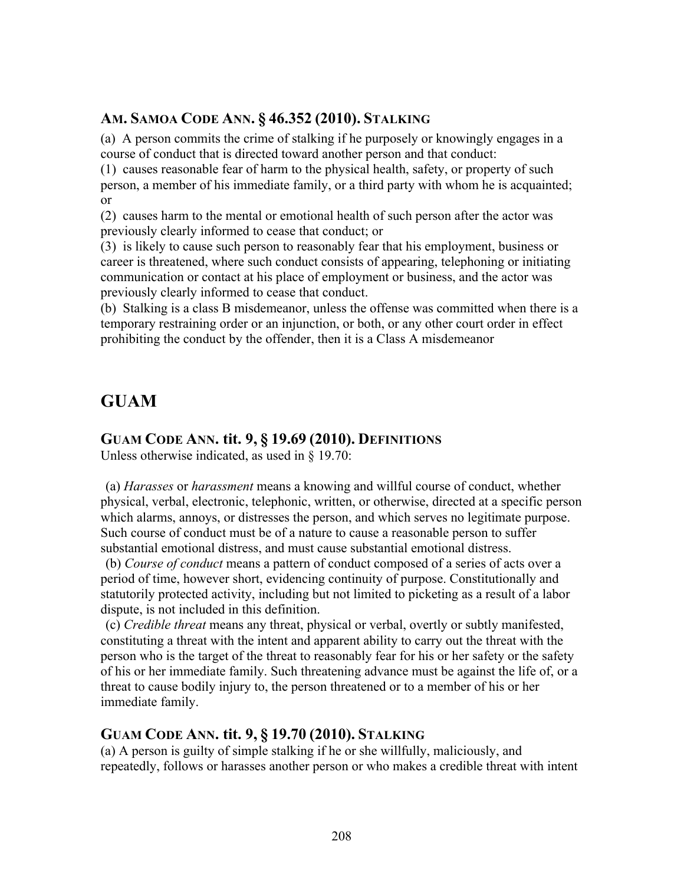### **AM. SAMOA CODE ANN. § 46.352 (2010). STALKING**

(a) A person commits the crime of stalking if he purposely or knowingly engages in a course of conduct that is directed toward another person and that conduct:

(1) causes reasonable fear of harm to the physical health, safety, or property of such person, a member of his immediate family, or a third party with whom he is acquainted; or

(2) causes harm to the mental or emotional health of such person after the actor was previously clearly informed to cease that conduct; or

(3) is likely to cause such person to reasonably fear that his employment, business or career is threatened, where such conduct consists of appearing, telephoning or initiating communication or contact at his place of employment or business, and the actor was previously clearly informed to cease that conduct.

(b) Stalking is a class B misdemeanor, unless the offense was committed when there is a temporary restraining order or an injunction, or both, or any other court order in effect prohibiting the conduct by the offender, then it is a Class A misdemeanor

# **GUAM**

### **GUAM CODE ANN. tit. 9, § 19.69 (2010). DEFINITIONS**

Unless otherwise indicated, as used in § 19.70:

(a) *Harasses* or *harassment* means a knowing and willful course of conduct, whether physical, verbal, electronic, telephonic, written, or otherwise, directed at a specific person which alarms, annoys, or distresses the person, and which serves no legitimate purpose. Such course of conduct must be of a nature to cause a reasonable person to suffer substantial emotional distress, and must cause substantial emotional distress.

(b) *Course of conduct* means a pattern of conduct composed of a series of acts over a period of time, however short, evidencing continuity of purpose. Constitutionally and statutorily protected activity, including but not limited to picketing as a result of a labor dispute, is not included in this definition.

(c) *Credible threat* means any threat, physical or verbal, overtly or subtly manifested, constituting a threat with the intent and apparent ability to carry out the threat with the person who is the target of the threat to reasonably fear for his or her safety or the safety of his or her immediate family. Such threatening advance must be against the life of, or a threat to cause bodily injury to, the person threatened or to a member of his or her immediate family.

## **GUAM CODE ANN. tit. 9, § 19.70 (2010). STALKING**

(a) A person is guilty of simple stalking if he or she willfully, maliciously, and repeatedly, follows or harasses another person or who makes a credible threat with intent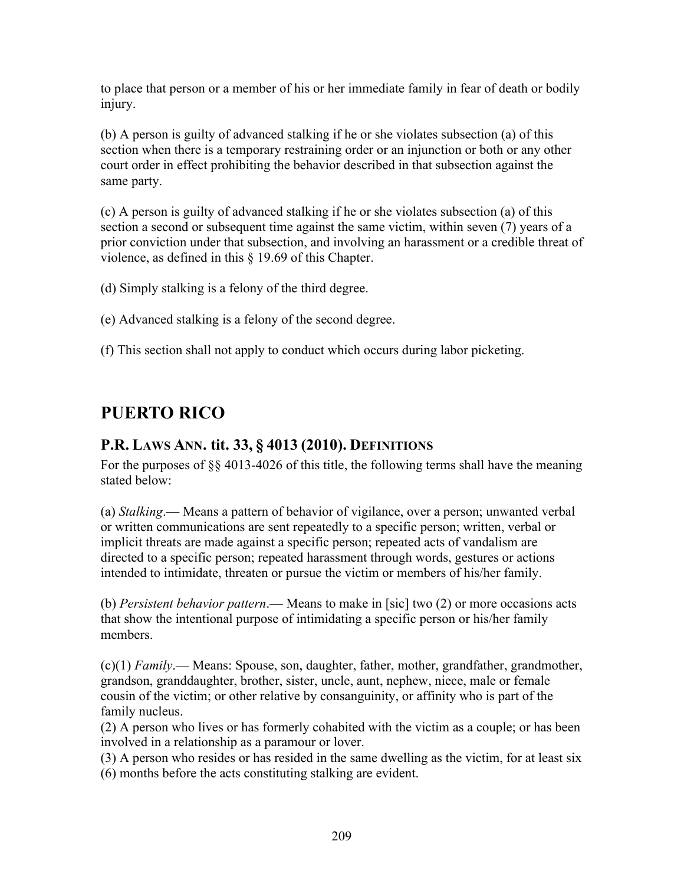to place that person or a member of his or her immediate family in fear of death or bodily injury.

(b) A person is guilty of advanced stalking if he or she violates subsection (a) of this section when there is a temporary restraining order or an injunction or both or any other court order in effect prohibiting the behavior described in that subsection against the same party.

(c) A person is guilty of advanced stalking if he or she violates subsection (a) of this section a second or subsequent time against the same victim, within seven (7) years of a prior conviction under that subsection, and involving an harassment or a credible threat of violence, as defined in this § 19.69 of this Chapter.

(d) Simply stalking is a felony of the third degree.

(e) Advanced stalking is a felony of the second degree.

(f) This section shall not apply to conduct which occurs during labor picketing.

# **PUERTO RICO**

## **P.R. LAWS ANN. tit. 33, § 4013 (2010). DEFINITIONS**

For the purposes of §§ 4013-4026 of this title, the following terms shall have the meaning stated below:

(a) *Stalking*.— Means a pattern of behavior of vigilance, over a person; unwanted verbal or written communications are sent repeatedly to a specific person; written, verbal or implicit threats are made against a specific person; repeated acts of vandalism are directed to a specific person; repeated harassment through words, gestures or actions intended to intimidate, threaten or pursue the victim or members of his/her family.

(b) *Persistent behavior pattern*.— Means to make in [sic] two (2) or more occasions acts that show the intentional purpose of intimidating a specific person or his/her family members.

(c)(1) *Family*.— Means: Spouse, son, daughter, father, mother, grandfather, grandmother, grandson, granddaughter, brother, sister, uncle, aunt, nephew, niece, male or female cousin of the victim; or other relative by consanguinity, or affinity who is part of the family nucleus.

(2) A person who lives or has formerly cohabited with the victim as a couple; or has been involved in a relationship as a paramour or lover.

(3) A person who resides or has resided in the same dwelling as the victim, for at least six (6) months before the acts constituting stalking are evident.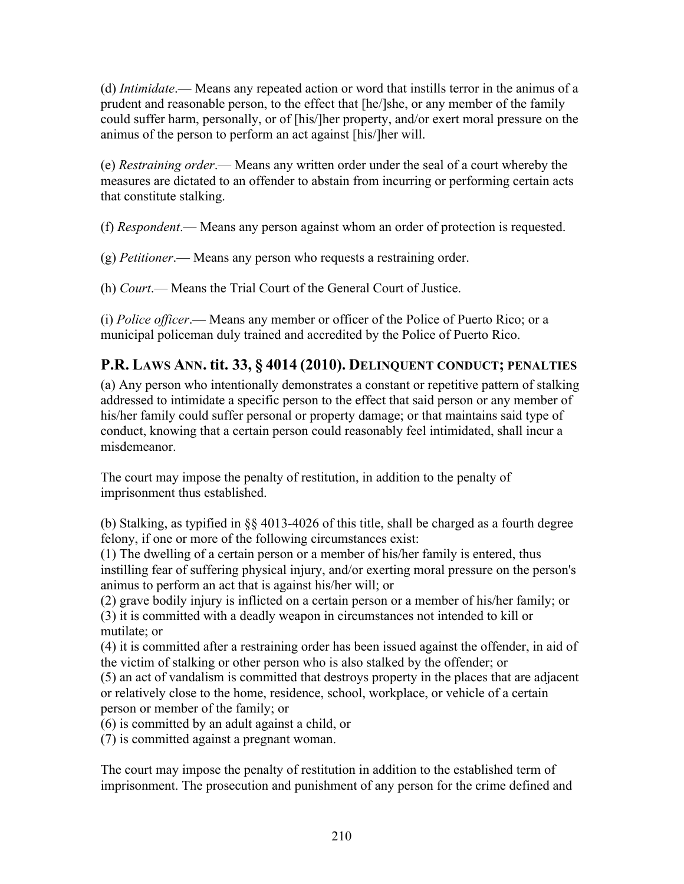(d) *Intimidate*.— Means any repeated action or word that instills terror in the animus of a prudent and reasonable person, to the effect that [he/]she, or any member of the family could suffer harm, personally, or of [his/]her property, and/or exert moral pressure on the animus of the person to perform an act against [his/]her will.

(e) *Restraining order*.— Means any written order under the seal of a court whereby the measures are dictated to an offender to abstain from incurring or performing certain acts that constitute stalking.

(f) *Respondent*.— Means any person against whom an order of protection is requested.

(g) *Petitioner*.— Means any person who requests a restraining order.

(h) *Court*.— Means the Trial Court of the General Court of Justice.

(i) *Police officer*.— Means any member or officer of the Police of Puerto Rico; or a municipal policeman duly trained and accredited by the Police of Puerto Rico.

## **P.R. LAWS ANN. tit. 33, § 4014 (2010). DELINQUENT CONDUCT; PENALTIES**

(a) Any person who intentionally demonstrates a constant or repetitive pattern of stalking addressed to intimidate a specific person to the effect that said person or any member of his/her family could suffer personal or property damage; or that maintains said type of conduct, knowing that a certain person could reasonably feel intimidated, shall incur a misdemeanor.

The court may impose the penalty of restitution, in addition to the penalty of imprisonment thus established.

(b) Stalking, as typified in §§ 4013-4026 of this title, shall be charged as a fourth degree felony, if one or more of the following circumstances exist:

(1) The dwelling of a certain person or a member of his/her family is entered, thus instilling fear of suffering physical injury, and/or exerting moral pressure on the person's animus to perform an act that is against his/her will; or

(2) grave bodily injury is inflicted on a certain person or a member of his/her family; or (3) it is committed with a deadly weapon in circumstances not intended to kill or mutilate; or

(4) it is committed after a restraining order has been issued against the offender, in aid of the victim of stalking or other person who is also stalked by the offender; or

(5) an act of vandalism is committed that destroys property in the places that are adjacent or relatively close to the home, residence, school, workplace, or vehicle of a certain person or member of the family; or

(6) is committed by an adult against a child, or

(7) is committed against a pregnant woman.

The court may impose the penalty of restitution in addition to the established term of imprisonment. The prosecution and punishment of any person for the crime defined and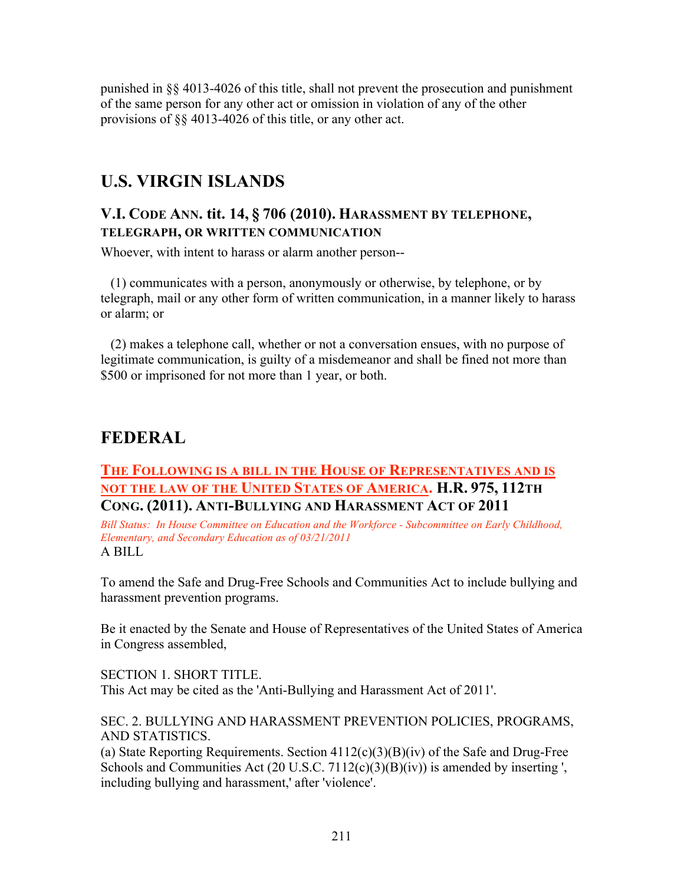punished in §§ 4013-4026 of this title, shall not prevent the prosecution and punishment of the same person for any other act or omission in violation of any of the other provisions of §§ 4013-4026 of this title, or any other act.

# **U.S. VIRGIN ISLANDS**

# **V.I. CODE ANN. tit. 14, § 706 (2010). HARASSMENT BY TELEPHONE, TELEGRAPH, OR WRITTEN COMMUNICATION**

Whoever, with intent to harass or alarm another person--

 (1) communicates with a person, anonymously or otherwise, by telephone, or by telegraph, mail or any other form of written communication, in a manner likely to harass or alarm; or

 (2) makes a telephone call, whether or not a conversation ensues, with no purpose of legitimate communication, is guilty of a misdemeanor and shall be fined not more than \$500 or imprisoned for not more than 1 year, or both.

# **FEDERAL**

## **THE FOLLOWING IS A BILL IN THE HOUSE OF REPRESENTATIVES AND IS NOT THE LAW OF THE UNITED STATES OF AMERICA. H.R. 975, 112TH CONG. (2011). ANTI-BULLYING AND HARASSMENT ACT OF 2011**

*Bill Status: In House Committee on Education and the Workforce - Subcommittee on Early Childhood, Elementary, and Secondary Education as of 03/21/2011* A BILL

To amend the Safe and Drug-Free Schools and Communities Act to include bullying and harassment prevention programs.

Be it enacted by the Senate and House of Representatives of the United States of America in Congress assembled,

SECTION 1. SHORT TITLE. This Act may be cited as the 'Anti-Bullying and Harassment Act of 2011'.

#### SEC. 2. BULLYING AND HARASSMENT PREVENTION POLICIES, PROGRAMS, AND STATISTICS.

(a) State Reporting Requirements. Section 4112(c)(3)(B)(iv) of the Safe and Drug-Free Schools and Communities Act (20 U.S.C. 7112(c)(3)(B)(iv)) is amended by inserting ', including bullying and harassment,' after 'violence'.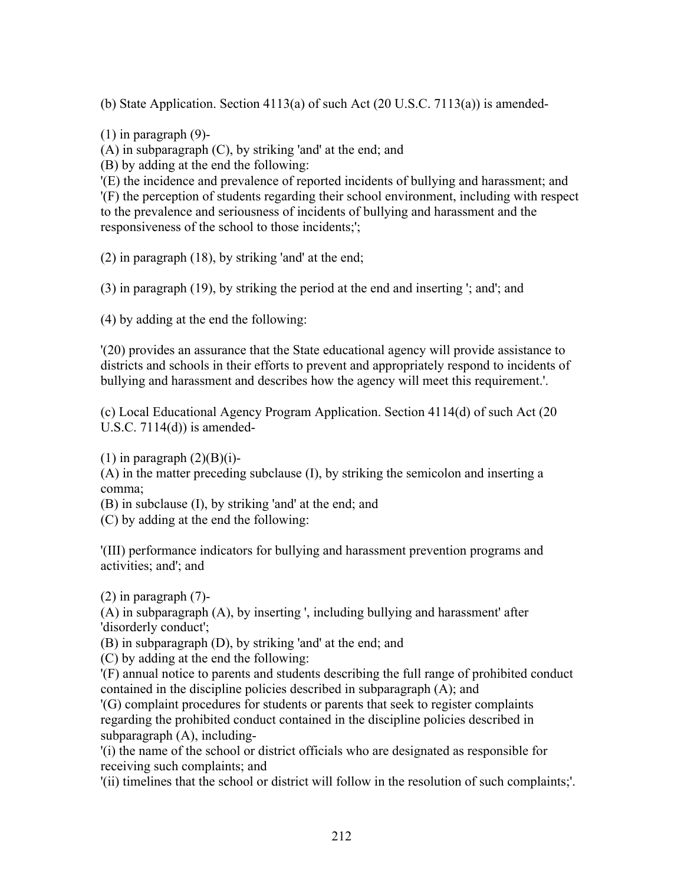(b) State Application. Section 4113(a) of such Act (20 U.S.C. 7113(a)) is amended-

 $(1)$  in paragraph  $(9)$ -

(A) in subparagraph (C), by striking 'and' at the end; and

(B) by adding at the end the following:

'(E) the incidence and prevalence of reported incidents of bullying and harassment; and '(F) the perception of students regarding their school environment, including with respect to the prevalence and seriousness of incidents of bullying and harassment and the responsiveness of the school to those incidents;';

(2) in paragraph (18), by striking 'and' at the end;

(3) in paragraph (19), by striking the period at the end and inserting '; and'; and

(4) by adding at the end the following:

'(20) provides an assurance that the State educational agency will provide assistance to districts and schools in their efforts to prevent and appropriately respond to incidents of bullying and harassment and describes how the agency will meet this requirement.'.

(c) Local Educational Agency Program Application. Section 4114(d) of such Act (20 U.S.C.  $7114(d)$ ) is amended-

 $(1)$  in paragraph  $(2)(B)(i)$ -

(A) in the matter preceding subclause (I), by striking the semicolon and inserting a comma;

(B) in subclause (I), by striking 'and' at the end; and

(C) by adding at the end the following:

'(III) performance indicators for bullying and harassment prevention programs and activities; and'; and

(2) in paragraph (7)-

(A) in subparagraph (A), by inserting ', including bullying and harassment' after 'disorderly conduct';

(B) in subparagraph (D), by striking 'and' at the end; and

(C) by adding at the end the following:

'(F) annual notice to parents and students describing the full range of prohibited conduct contained in the discipline policies described in subparagraph (A); and

'(G) complaint procedures for students or parents that seek to register complaints regarding the prohibited conduct contained in the discipline policies described in subparagraph (A), including-

'(i) the name of the school or district officials who are designated as responsible for receiving such complaints; and

'(ii) timelines that the school or district will follow in the resolution of such complaints;'.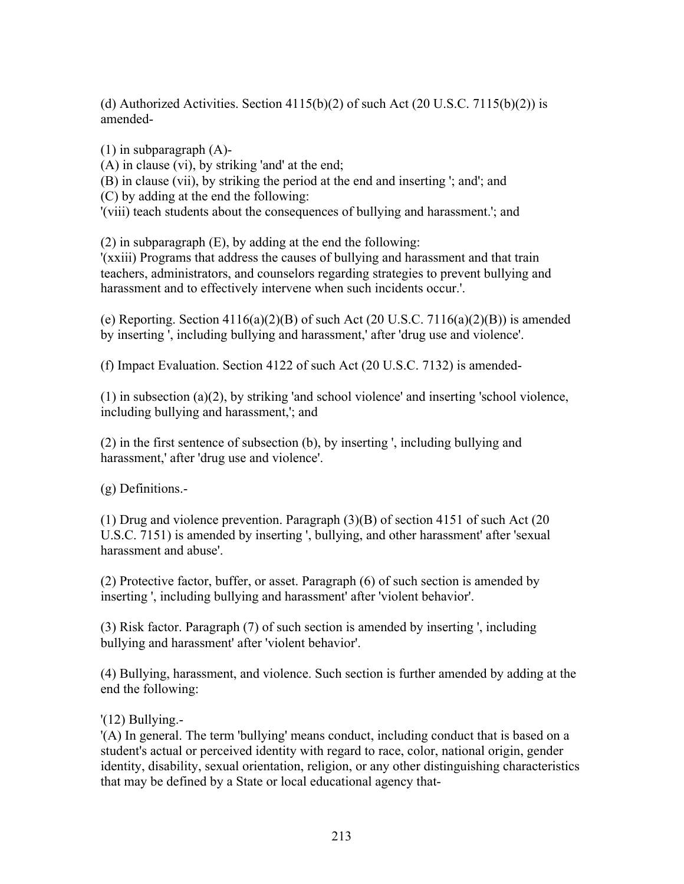(d) Authorized Activities. Section  $4115(b)(2)$  of such Act  $(20 U.S.C. 7115(b)(2))$  is amended-

(1) in subparagraph (A)- (A) in clause (vi), by striking 'and' at the end; (B) in clause (vii), by striking the period at the end and inserting '; and'; and (C) by adding at the end the following: '(viii) teach students about the consequences of bullying and harassment.'; and (2) in subparagraph (E), by adding at the end the following:

'(xxiii) Programs that address the causes of bullying and harassment and that train teachers, administrators, and counselors regarding strategies to prevent bullying and harassment and to effectively intervene when such incidents occur.'.

(e) Reporting. Section  $4116(a)(2)(B)$  of such Act  $(20 U.S.C. 7116(a)(2)(B))$  is amended by inserting ', including bullying and harassment,' after 'drug use and violence'.

(f) Impact Evaluation. Section 4122 of such Act (20 U.S.C. 7132) is amended-

(1) in subsection (a)(2), by striking 'and school violence' and inserting 'school violence, including bullying and harassment,'; and

(2) in the first sentence of subsection (b), by inserting ', including bullying and harassment,' after 'drug use and violence'.

(g) Definitions.-

(1) Drug and violence prevention. Paragraph (3)(B) of section 4151 of such Act (20 U.S.C. 7151) is amended by inserting ', bullying, and other harassment' after 'sexual harassment and abuse'.

(2) Protective factor, buffer, or asset. Paragraph (6) of such section is amended by inserting ', including bullying and harassment' after 'violent behavior'.

(3) Risk factor. Paragraph (7) of such section is amended by inserting ', including bullying and harassment' after 'violent behavior'.

(4) Bullying, harassment, and violence. Such section is further amended by adding at the end the following:

'(12) Bullying.-

'(A) In general. The term 'bullying' means conduct, including conduct that is based on a student's actual or perceived identity with regard to race, color, national origin, gender identity, disability, sexual orientation, religion, or any other distinguishing characteristics that may be defined by a State or local educational agency that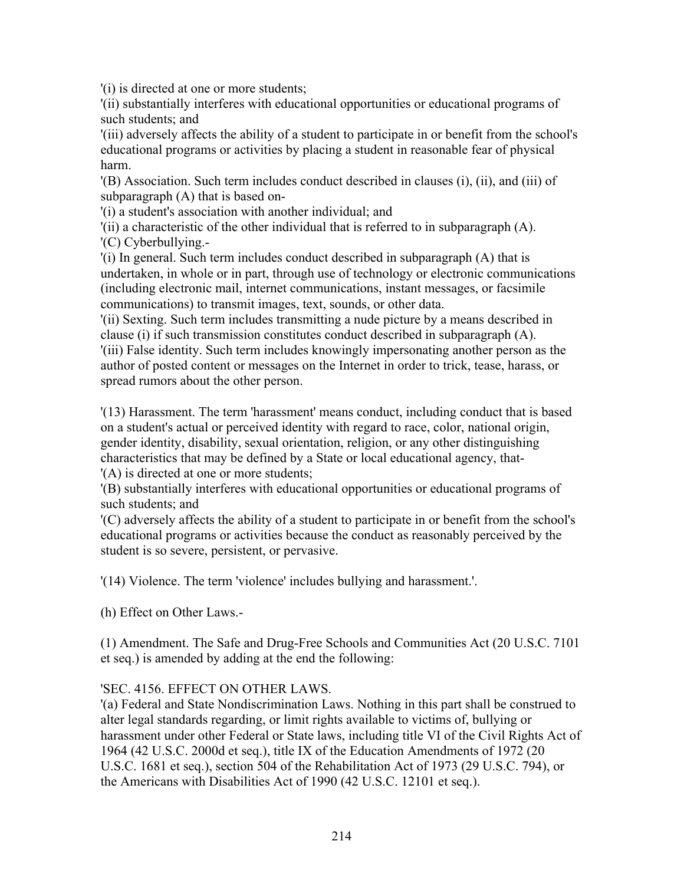'(i) is directed at one or more students;

'(ii) substantially interferes with educational opportunities or educational programs of such students; and

'(iii) adversely affects the ability of a student to participate in or benefit from the school's educational programs or activities by placing a student in reasonable fear of physical harm.

'(B) Association. Such term includes conduct described in clauses (i), (ii), and (iii) of subparagraph (A) that is based on-

'(i) a student's association with another individual; and

'(ii) a characteristic of the other individual that is referred to in subparagraph (A).

'(C) Cyberbullying.-

'(i) In general. Such term includes conduct described in subparagraph (A) that is undertaken, in whole or in part, through use of technology or electronic communications (including electronic mail, internet communications, instant messages, or facsimile communications) to transmit images, text, sounds, or other data.

'(ii) Sexting. Such term includes transmitting a nude picture by a means described in clause (i) if such transmission constitutes conduct described in subparagraph (A). '(iii) False identity. Such term includes knowingly impersonating another person as the author of posted content or messages on the Internet in order to trick, tease, harass, or spread rumors about the other person.

'(13) Harassment. The term 'harassment' means conduct, including conduct that is based on a student's actual or perceived identity with regard to race, color, national origin, gender identity, disability, sexual orientation, religion, or any other distinguishing characteristics that may be defined by a State or local educational agency, that- '(A) is directed at one or more students;

'(B) substantially interferes with educational opportunities or educational programs of such students; and

'(C) adversely affects the ability of a student to participate in or benefit from the school's educational programs or activities because the conduct as reasonably perceived by the student is so severe, persistent, or pervasive.

'(14) Violence. The term 'violence' includes bullying and harassment.'.

(h) Effect on Other Laws.-

(1) Amendment. The Safe and Drug-Free Schools and Communities Act (20 U.S.C. 7101 et seq.) is amended by adding at the end the following:

#### 'SEC. 4156. EFFECT ON OTHER LAWS.

'(a) Federal and State Nondiscrimination Laws. Nothing in this part shall be construed to alter legal standards regarding, or limit rights available to victims of, bullying or harassment under other Federal or State laws, including title VI of the Civil Rights Act of 1964 (42 U.S.C. 2000d et seq.), title IX of the Education Amendments of 1972 (20 U.S.C. 1681 et seq.), section 504 of the Rehabilitation Act of 1973 (29 U.S.C. 794), or the Americans with Disabilities Act of 1990 (42 U.S.C. 12101 et seq.).